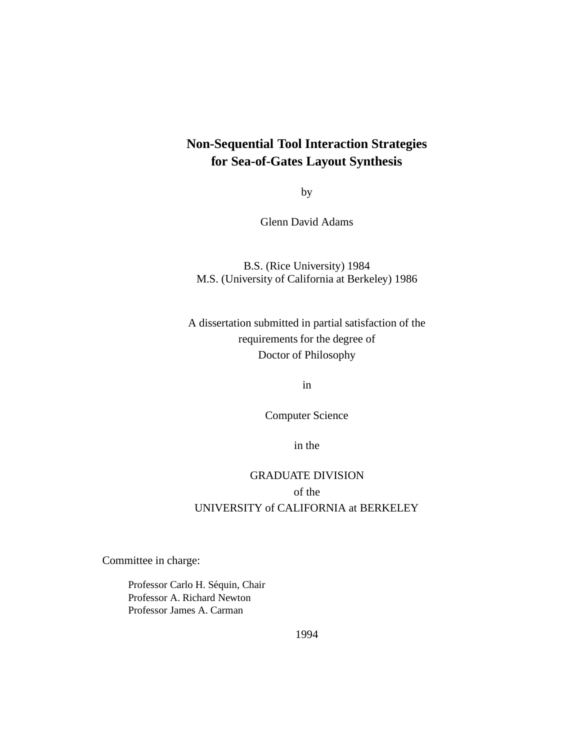### **Non-Sequential Tool Interaction Strategies for Sea-of-Gates Layout Synthesis**

by

Glenn David Adams

#### B.S. (Rice University) 1984 M.S. (University of California at Berkeley) 1986

### A dissertation submitted in partial satisfaction of the requirements for the degree of Doctor of Philosophy

in

Computer Science

in the

### GRADUATE DIVISION of the UNIVERSITY of CALIFORNIA at BERKELEY

Committee in charge:

Professor Carlo H. Séquin, Chair Professor A. Richard Newton Professor James A. Carman

1994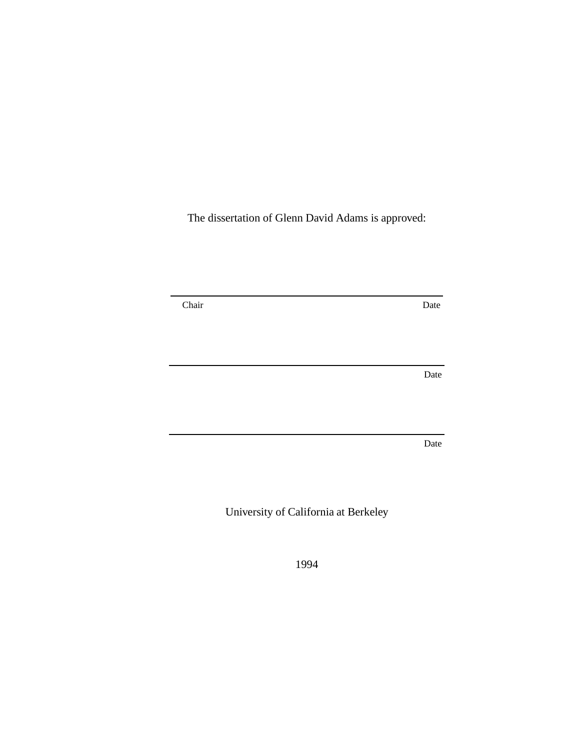The dissertation of Glenn David Adams is approved:

Chair Date

Date

Date

University of California at Berkeley

1994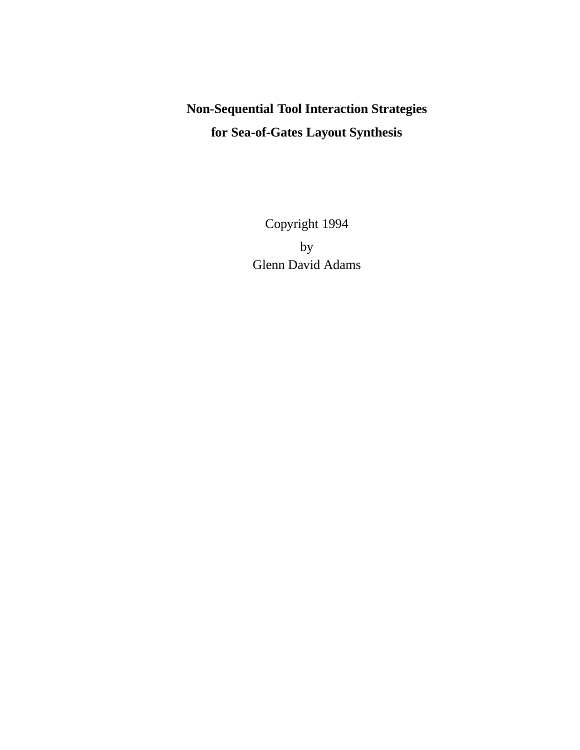## **Non-Sequential Tool Interaction Strategies for Sea-of-Gates Layout Synthesis**

Copyright 1994 by Glenn David Adams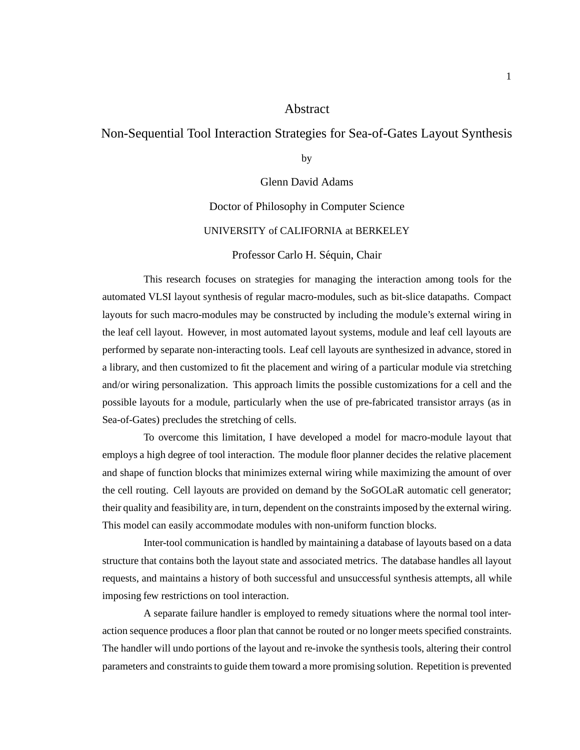#### Abstract

### Non-Sequential Tool Interaction Strategies for Sea-of-Gates Layout Synthesis

by

Glenn David Adams

#### Doctor of Philosophy in Computer Science

#### UNIVERSITY of CALIFORNIA at BERKELEY

#### Professor Carlo H. Séquin, Chair

This research focuses on strategies for managing the interaction among tools for the automated VLSI layout synthesis of regular macro-modules, such as bit-slice datapaths. Compact layouts for such macro-modules may be constructed by including the module's external wiring in the leaf cell layout. However, in most automated layout systems, module and leaf cell layouts are performed by separate non-interacting tools. Leaf cell layouts are synthesized in advance, stored in a library, and then customized to fit the placement and wiring of a particular module via stretching and/or wiring personalization. This approach limits the possible customizations for a cell and the possible layouts for a module, particularly when the use of pre-fabricated transistor arrays (as in Sea-of-Gates) precludes the stretching of cells.

To overcome this limitation, I have developed a model for macro-module layout that employs a high degree of tool interaction. The module floor planner decides the relative placement and shape of function blocks that minimizes external wiring while maximizing the amount of over the cell routing. Cell layouts are provided on demand by the SoGOLaR automatic cell generator; their quality and feasibility are, in turn, dependent on the constraints imposed by the external wiring. This model can easily accommodate modules with non-uniform function blocks.

Inter-tool communication is handled by maintaining a database of layouts based on a data structure that contains both the layout state and associated metrics. The database handles all layout requests, and maintains a history of both successful and unsuccessful synthesis attempts, all while imposing few restrictions on tool interaction.

A separate failure handler is employed to remedy situations where the normal tool interaction sequence produces a floor plan that cannot be routed or no longer meets specified constraints. The handler will undo portions of the layout and re-invoke the synthesis tools, altering their control parameters and constraints to guide them toward a more promising solution. Repetition is prevented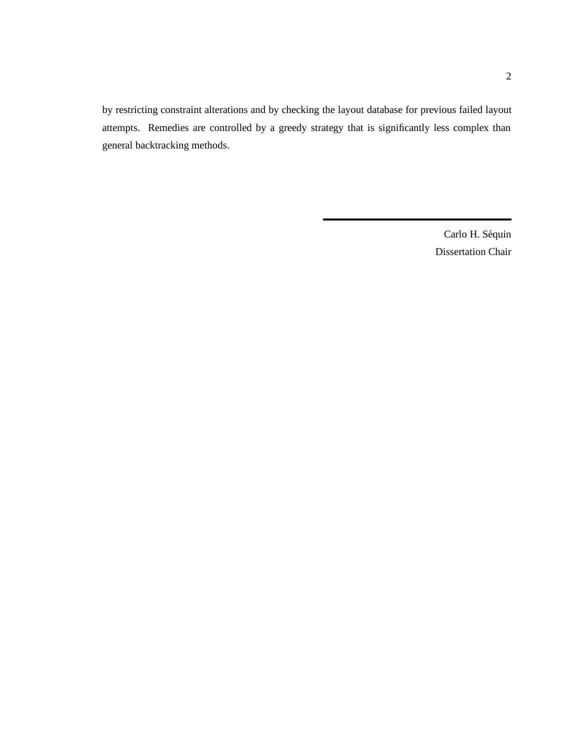by restricting constraint alterations and by checking the layout database for previous failed layout attempts. Remedies are controlled by a greedy strategy that is significantly less complex than general backtracking methods.

> Carlo H. Séquin Dissertation Chair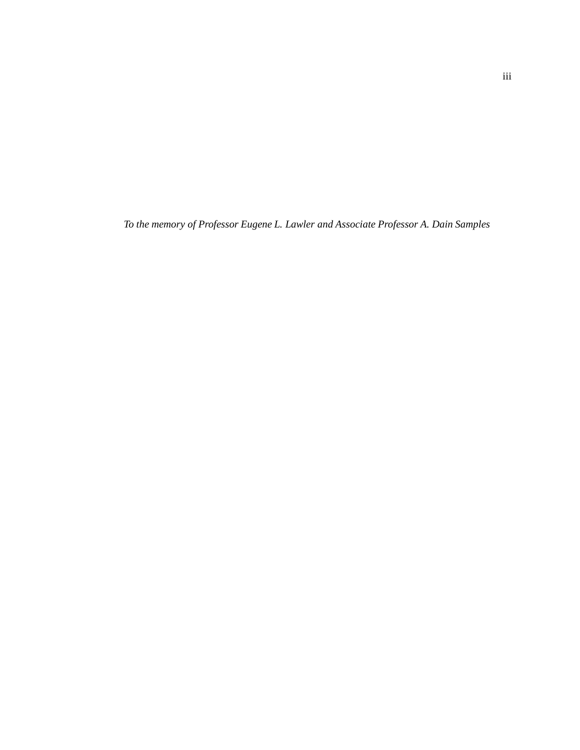*To the memory of Professor Eugene L. Lawler and Associate Professor A. Dain Samples*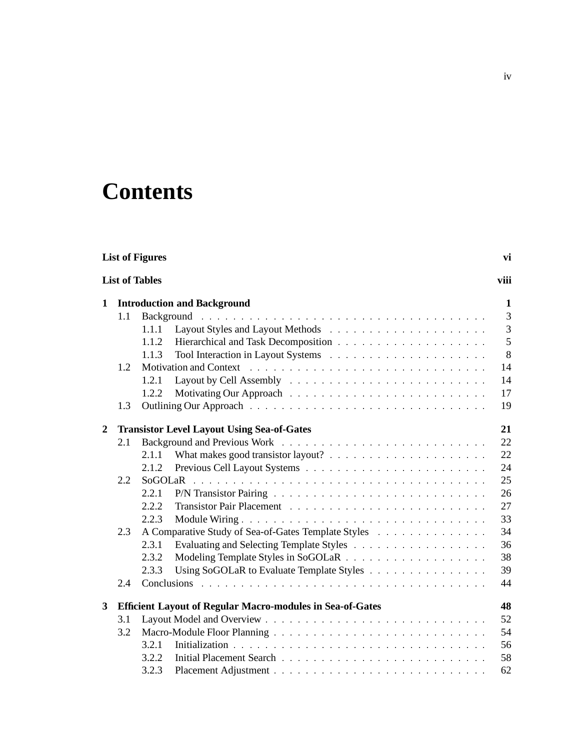# **Contents**

| <b>List of Figures</b><br>vi |                                    |                                                                                                                                                                                                                                |                |  |  |  |  |  |
|------------------------------|------------------------------------|--------------------------------------------------------------------------------------------------------------------------------------------------------------------------------------------------------------------------------|----------------|--|--|--|--|--|
|                              | <b>List of Tables</b><br>viii      |                                                                                                                                                                                                                                |                |  |  |  |  |  |
| 1                            | <b>Introduction and Background</b> |                                                                                                                                                                                                                                |                |  |  |  |  |  |
|                              | 1.1                                |                                                                                                                                                                                                                                | 3              |  |  |  |  |  |
|                              |                                    | 1.1.1                                                                                                                                                                                                                          | $\overline{3}$ |  |  |  |  |  |
|                              |                                    | 1.1.2                                                                                                                                                                                                                          | 5              |  |  |  |  |  |
|                              |                                    | 1.1.3                                                                                                                                                                                                                          | 8              |  |  |  |  |  |
|                              | 1.2                                | Motivation and Context (Alexander Alexander Alexander Alexander Alexander Alexander Alexander Alexander Alexander Alexander Alexander Alexander Alexander Alexander Alexander Alexander Alexander Alexander Alexander Alexande | 14             |  |  |  |  |  |
|                              |                                    | 1.2.1                                                                                                                                                                                                                          | 14             |  |  |  |  |  |
|                              |                                    | 1.2.2                                                                                                                                                                                                                          | 17             |  |  |  |  |  |
|                              | 1.3                                |                                                                                                                                                                                                                                | 19             |  |  |  |  |  |
| 2                            |                                    | <b>Transistor Level Layout Using Sea-of-Gates</b>                                                                                                                                                                              | 21             |  |  |  |  |  |
|                              | 2.1                                |                                                                                                                                                                                                                                | 22             |  |  |  |  |  |
|                              |                                    | 2.1.1                                                                                                                                                                                                                          | 22             |  |  |  |  |  |
|                              |                                    | 2.1.2                                                                                                                                                                                                                          | 24             |  |  |  |  |  |
|                              | 2.2                                |                                                                                                                                                                                                                                | 25             |  |  |  |  |  |
|                              |                                    | 2.2.1                                                                                                                                                                                                                          | 26             |  |  |  |  |  |
|                              |                                    | 2.2.2                                                                                                                                                                                                                          | 27             |  |  |  |  |  |
|                              |                                    | 2.2.3                                                                                                                                                                                                                          | 33             |  |  |  |  |  |
|                              | 2.3                                | A Comparative Study of Sea-of-Gates Template Styles                                                                                                                                                                            | 34             |  |  |  |  |  |
|                              |                                    | 2.3.1                                                                                                                                                                                                                          | 36             |  |  |  |  |  |
|                              |                                    | 2.3.2                                                                                                                                                                                                                          | 38             |  |  |  |  |  |
|                              |                                    | Using SoGOLaR to Evaluate Template Styles<br>2.3.3                                                                                                                                                                             | 39             |  |  |  |  |  |
|                              | 2.4                                |                                                                                                                                                                                                                                | 44             |  |  |  |  |  |
| 3                            |                                    | <b>Efficient Layout of Regular Macro-modules in Sea-of-Gates</b>                                                                                                                                                               | 48             |  |  |  |  |  |
|                              | 3.1                                |                                                                                                                                                                                                                                | 52             |  |  |  |  |  |
|                              | 3.2                                |                                                                                                                                                                                                                                | 54             |  |  |  |  |  |
|                              |                                    | 3.2.1                                                                                                                                                                                                                          | 56             |  |  |  |  |  |
|                              |                                    | 3.2.2                                                                                                                                                                                                                          | 58             |  |  |  |  |  |
|                              |                                    | 3.2.3                                                                                                                                                                                                                          | 62             |  |  |  |  |  |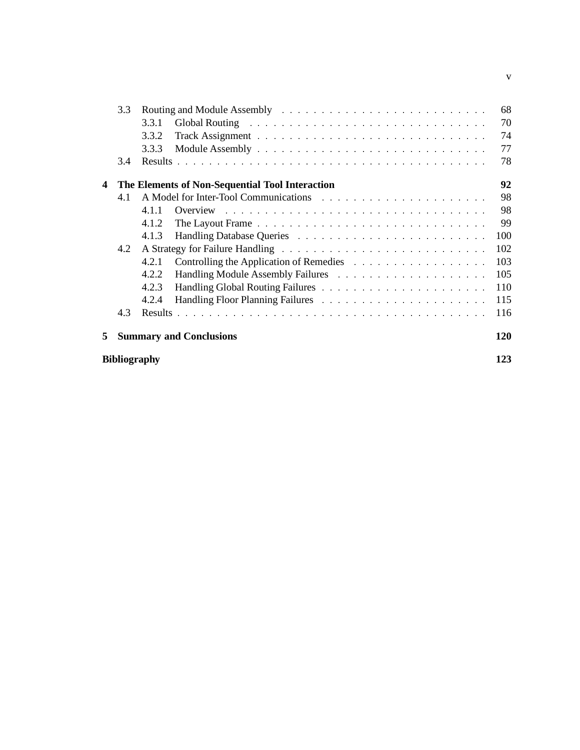|                     | 3.3 |       |                                                 | 68  |  |  |  |  |  |  |
|---------------------|-----|-------|-------------------------------------------------|-----|--|--|--|--|--|--|
|                     |     | 3.3.1 |                                                 | 70  |  |  |  |  |  |  |
|                     |     | 3.3.2 |                                                 | 74  |  |  |  |  |  |  |
|                     |     | 3.3.3 |                                                 | 77  |  |  |  |  |  |  |
|                     | 3.4 |       |                                                 | 78  |  |  |  |  |  |  |
| 4                   |     |       | The Elements of Non-Sequential Tool Interaction | 92  |  |  |  |  |  |  |
|                     | 4.1 |       |                                                 | 98  |  |  |  |  |  |  |
|                     |     | 411   |                                                 | 98  |  |  |  |  |  |  |
|                     |     | 4.1.2 |                                                 | 99  |  |  |  |  |  |  |
|                     |     | 4.1.3 |                                                 | 100 |  |  |  |  |  |  |
|                     | 4.2 |       |                                                 | 102 |  |  |  |  |  |  |
|                     |     | 4.2.1 |                                                 | 103 |  |  |  |  |  |  |
|                     |     | 4.2.2 |                                                 | 105 |  |  |  |  |  |  |
|                     |     | 4.2.3 |                                                 | 110 |  |  |  |  |  |  |
|                     |     | 4.2.4 |                                                 | 115 |  |  |  |  |  |  |
|                     | 4.3 |       |                                                 | 116 |  |  |  |  |  |  |
| 5                   |     |       | <b>Summary and Conclusions</b>                  | 120 |  |  |  |  |  |  |
| <b>Bibliography</b> |     |       |                                                 |     |  |  |  |  |  |  |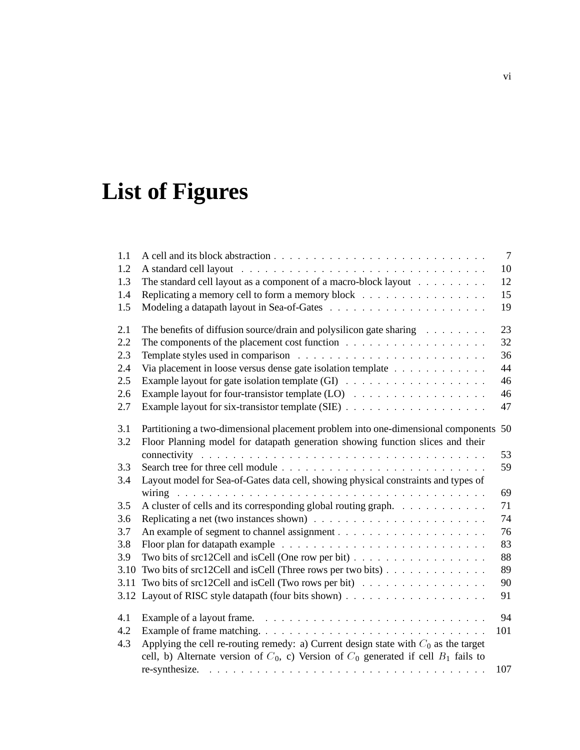# **List of Figures**

| 1.1        |                                                                                                                                                                       | $7\phantom{.0}$ |
|------------|-----------------------------------------------------------------------------------------------------------------------------------------------------------------------|-----------------|
| 1.2        |                                                                                                                                                                       | 10              |
| 1.3        | The standard cell layout as a component of a macro-block layout                                                                                                       | 12              |
| 1.4        | Replicating a memory cell to form a memory block                                                                                                                      | 15              |
| 1.5        |                                                                                                                                                                       | 19              |
| 2.1        | The benefits of diffusion source/drain and polysilicon gate sharing                                                                                                   | 23              |
| 2.2        |                                                                                                                                                                       | 32              |
| 2.3        |                                                                                                                                                                       | 36              |
| 2.4        | Via placement in loose versus dense gate isolation template                                                                                                           | 44              |
| 2.5        |                                                                                                                                                                       | 46              |
| 2.6        |                                                                                                                                                                       | 46              |
| 2.7        |                                                                                                                                                                       | 47              |
| 3.1<br>3.2 | Partitioning a two-dimensional placement problem into one-dimensional components 50<br>Floor Planning model for datapath generation showing function slices and their |                 |
|            |                                                                                                                                                                       | 53              |
| 3.3        |                                                                                                                                                                       | 59              |
| 3.4        | Layout model for Sea-of-Gates data cell, showing physical constraints and types of                                                                                    |                 |
|            |                                                                                                                                                                       | 69              |
| 3.5        | A cluster of cells and its corresponding global routing graph.                                                                                                        | 71              |
| 3.6        |                                                                                                                                                                       | 74              |
| 3.7        |                                                                                                                                                                       | 76              |
| 3.8        |                                                                                                                                                                       | 83              |
| 3.9        | Two bits of src12Cell and isCell (One row per bit)                                                                                                                    | 88              |
| 3.10       | Two bits of src12Cell and isCell (Three rows per two bits)                                                                                                            | 89              |
| 3.11       | Two bits of src12Cell and isCell (Two rows per bit)                                                                                                                   | 90              |
| 3.12       |                                                                                                                                                                       | 91              |
| 4.1        |                                                                                                                                                                       | 94              |
| 4.2        |                                                                                                                                                                       | 101             |
| 4.3        | Applying the cell re-routing remedy: a) Current design state with $C_0$ as the target                                                                                 |                 |
|            | cell, b) Alternate version of $C_0$ , c) Version of $C_0$ generated if cell $B_1$ fails to                                                                            |                 |
|            |                                                                                                                                                                       | 107             |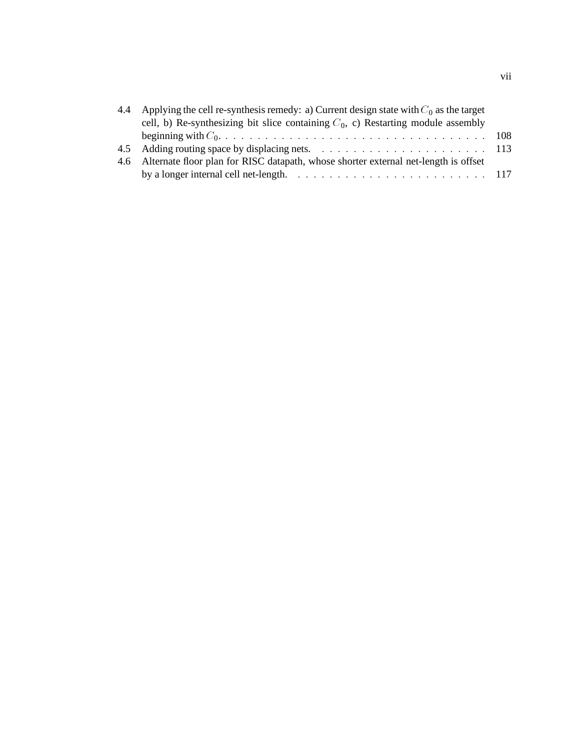| 4.4 Applying the cell re-synthesis remedy: a) Current design state with $C_0$ as the target                       |  |
|-------------------------------------------------------------------------------------------------------------------|--|
| cell, b) Re-synthesizing bit slice containing $C_0$ , c) Restarting module assembly                               |  |
|                                                                                                                   |  |
|                                                                                                                   |  |
| 4.6 Alternate floor plan for RISC datapath, whose shorter external net-length is offset                           |  |
| by a longer internal cell net-length. $\ldots \ldots \ldots \ldots \ldots \ldots \ldots \ldots \ldots \ldots 117$ |  |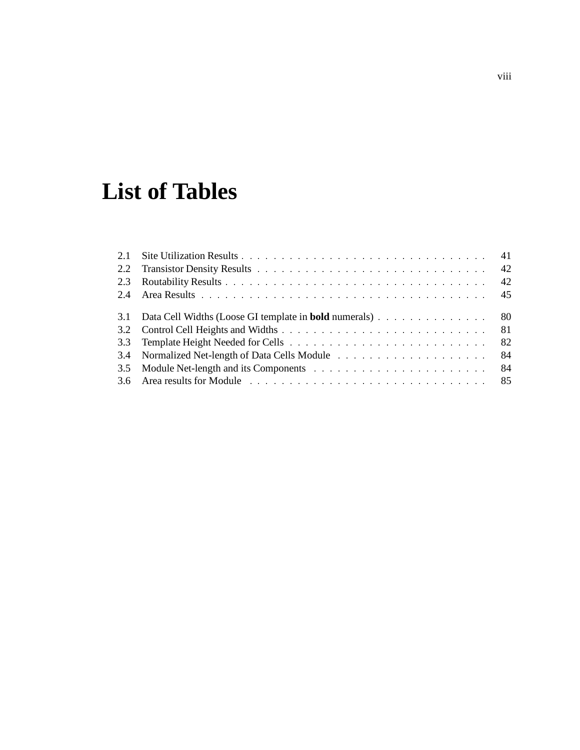# **List of Tables**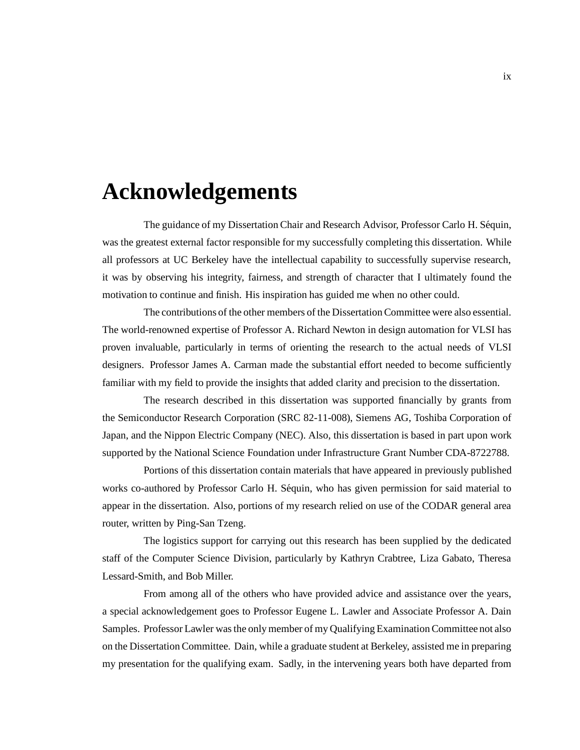# **Acknowledgements**

The guidance of my Dissertation Chair and Research Advisor, Professor Carlo H. Séquin, was the greatest external factor responsible for my successfully completing this dissertation. While all professors at UC Berkeley have the intellectual capability to successfully supervise research, it was by observing his integrity, fairness, and strength of character that I ultimately found the motivation to continue and finish. His inspiration has guided me when no other could.

The contributions of the other members of the Dissertation Committee were also essential. The world-renowned expertise of Professor A. Richard Newton in design automation for VLSI has proven invaluable, particularly in terms of orienting the research to the actual needs of VLSI designers. Professor James A. Carman made the substantial effort needed to become sufficiently familiar with my field to provide the insights that added clarity and precision to the dissertation.

The research described in this dissertation was supported financially by grants from the Semiconductor Research Corporation (SRC 82-11-008), Siemens AG, Toshiba Corporation of Japan, and the Nippon Electric Company (NEC). Also, this dissertation is based in part upon work supported by the National Science Foundation under Infrastructure Grant Number CDA-8722788.

Portions of this dissertation contain materials that have appeared in previously published works co-authored by Professor Carlo H. Séquin, who has given permission for said material to appear in the dissertation. Also, portions of my research relied on use of the CODAR general area router, written by Ping-San Tzeng.

The logistics support for carrying out this research has been supplied by the dedicated staff of the Computer Science Division, particularly by Kathryn Crabtree, Liza Gabato, Theresa Lessard-Smith, and Bob Miller.

From among all of the others who have provided advice and assistance over the years, a special acknowledgement goes to Professor Eugene L. Lawler and Associate Professor A. Dain Samples. Professor Lawler was the only member of my Qualifying Examination Committee not also on the Dissertation Committee. Dain, while a graduate student at Berkeley, assisted me in preparing my presentation for the qualifying exam. Sadly, in the intervening years both have departed from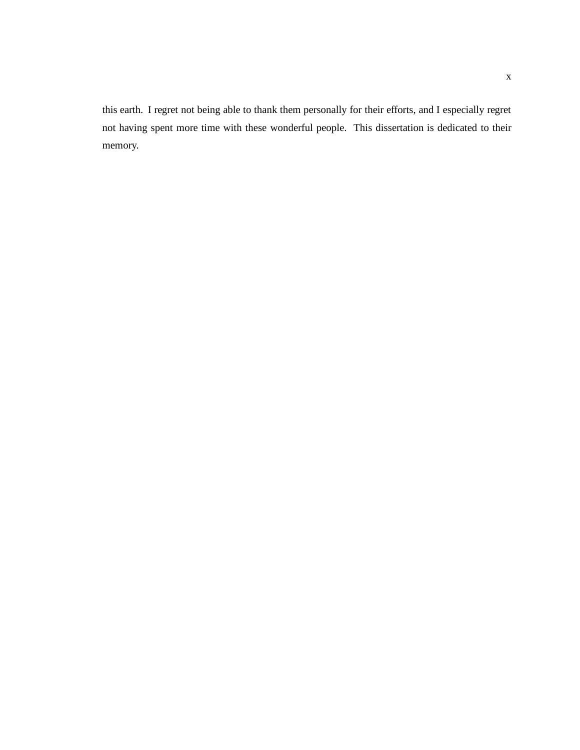this earth. I regret not being able to thank them personally for their efforts, and I especially regret not having spent more time with these wonderful people. This dissertation is dedicated to their memory.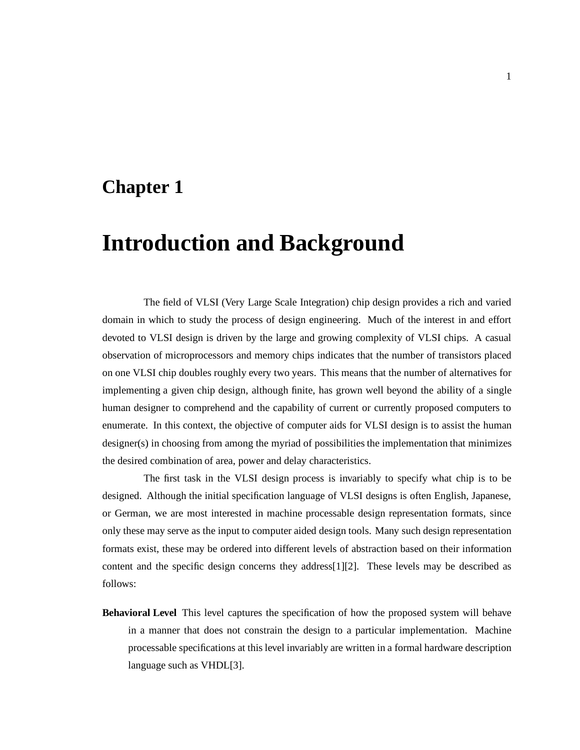### **Chapter 1**

## **Introduction and Background**

The field of VLSI (Very Large Scale Integration) chip design provides a rich and varied domain in which to study the process of design engineering. Much of the interest in and effort devoted to VLSI design is driven by the large and growing complexity of VLSI chips. A casual observation of microprocessors and memory chips indicates that the number of transistors placed on one VLSI chip doubles roughly every two years. This means that the number of alternatives for implementing a given chip design, although finite, has grown well beyond the ability of a single human designer to comprehend and the capability of current or currently proposed computers to enumerate. In this context, the objective of computer aids for VLSI design is to assist the human designer(s) in choosing from among the myriad of possibilities the implementation that minimizes the desired combination of area, power and delay characteristics.

The first task in the VLSI design process is invariably to specify what chip is to be designed. Although the initial specification language of VLSI designs is often English, Japanese, or German, we are most interested in machine processable design representation formats, since only these may serve as the input to computer aided design tools. Many such design representation formats exist, these may be ordered into different levels of abstraction based on their information content and the specific design concerns they address[1][2]. These levels may be described as follows:

**Behavioral Level** This level captures the specification of how the proposed system will behave in a manner that does not constrain the design to a particular implementation. Machine processable specifications at this level invariably are written in a formal hardware description language such as VHDL[3].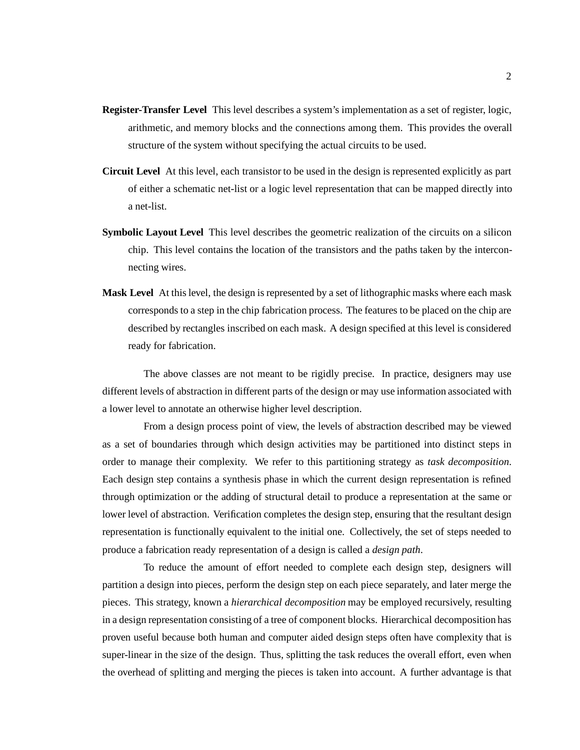- **Register-Transfer Level** This level describes a system's implementation as a set of register, logic, arithmetic, and memory blocks and the connections among them. This provides the overall structure of the system without specifying the actual circuits to be used.
- **Circuit Level** At this level, each transistor to be used in the design is represented explicitly as part of either a schematic net-list or a logic level representation that can be mapped directly into a net-list.
- **Symbolic Layout Level** This level describes the geometric realization of the circuits on a silicon chip. This level contains the location of the transistors and the paths taken by the interconnecting wires.
- **Mask Level** At this level, the design is represented by a set of lithographic masks where each mask corresponds to a step in the chip fabrication process. The features to be placed on the chip are described by rectangles inscribed on each mask. A design specified at this level is considered ready for fabrication.

The above classes are not meant to be rigidly precise. In practice, designers may use different levels of abstraction in different parts of the design or may use information associated with a lower level to annotate an otherwise higher level description.

From a design process point of view, the levels of abstraction described may be viewed as a set of boundaries through which design activities may be partitioned into distinct steps in order to manage their complexity. We refer to this partitioning strategy as *task decomposition*. Each design step contains a synthesis phase in which the current design representation is refined through optimization or the adding of structural detail to produce a representation at the same or lower level of abstraction. Verification completes the design step, ensuring that the resultant design representation is functionally equivalent to the initial one. Collectively, the set of steps needed to produce a fabrication ready representation of a design is called a *design path*.

To reduce the amount of effort needed to complete each design step, designers will partition a design into pieces, perform the design step on each piece separately, and later merge the pieces. This strategy, known a *hierarchical decomposition* may be employed recursively, resulting in a design representation consisting of a tree of component blocks. Hierarchical decomposition has proven useful because both human and computer aided design steps often have complexity that is super-linear in the size of the design. Thus, splitting the task reduces the overall effort, even when the overhead of splitting and merging the pieces is taken into account. A further advantage is that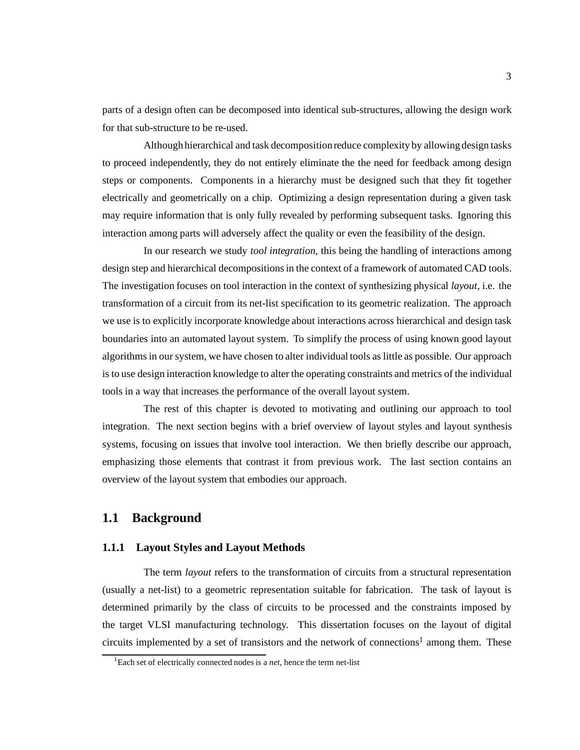parts of a design often can be decomposed into identical sub-structures, allowing the design work for that sub-structure to be re-used.

Although hierarchical and task decompositionreduce complexity by allowing design tasks to proceed independently, they do not entirely eliminate the the need for feedback among design steps or components. Components in a hierarchy must be designed such that they fit together electrically and geometrically on a chip. Optimizing a design representation during a given task may require information that is only fully revealed by performing subsequent tasks. Ignoring this interaction among parts will adversely affect the quality or even the feasibility of the design.

In our research we study *tool integration*, this being the handling of interactions among design step and hierarchical decompositions in the context of a framework of automated CAD tools. The investigation focuses on tool interaction in the context of synthesizing physical *layout*, i.e. the transformation of a circuit from its net-list specification to its geometric realization. The approach we use is to explicitly incorporate knowledge about interactions across hierarchical and design task boundaries into an automated layout system. To simplify the process of using known good layout algorithms in our system, we have chosen to alter individual tools as little as possible. Our approach is to use design interaction knowledge to alter the operating constraints and metrics of the individual tools in a way that increases the performance of the overall layout system.

The rest of this chapter is devoted to motivating and outlining our approach to tool integration. The next section begins with a brief overview of layout styles and layout synthesis systems, focusing on issues that involve tool interaction. We then briefly describe our approach, emphasizing those elements that contrast it from previous work. The last section contains an overview of the layout system that embodies our approach.

#### **1.1 Background**

#### **1.1.1 Layout Styles and Layout Methods**

The term *layout* refers to the transformation of circuits from a structural representation (usually a net-list) to a geometric representation suitable for fabrication. The task of layout is determined primarily by the class of circuits to be processed and the constraints imposed by the target VLSI manufacturing technology. This dissertation focuses on the layout of digital circuits implemented by a set of transistors and the network of connections<sup>1</sup> among them. These

<sup>1</sup> Each set of electrically connected nodes is a *net*, hence the term net-list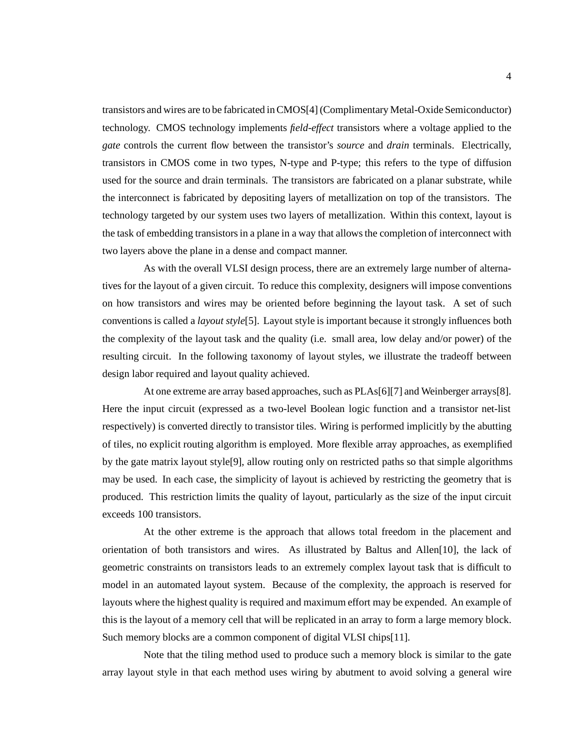transistors and wires are to be fabricated in CMOS[4] (Complimentary Metal-Oxide Semiconductor) technology. CMOS technology implements *field-effect* transistors where a voltage applied to the *gate* controls the current flow between the transistor's *source* and *drain* terminals. Electrically, transistors in CMOS come in two types, N-type and P-type; this refers to the type of diffusion used for the source and drain terminals. The transistors are fabricated on a planar substrate, while the interconnect is fabricated by depositing layers of metallization on top of the transistors. The technology targeted by our system uses two layers of metallization. Within this context, layout is the task of embedding transistors in a plane in a way that allows the completion of interconnect with two layers above the plane in a dense and compact manner.

As with the overall VLSI design process, there are an extremely large number of alternatives for the layout of a given circuit. To reduce this complexity, designers will impose conventions on how transistors and wires may be oriented before beginning the layout task. A set of such conventions is called a *layout style*[5]. Layout style is important because it strongly influences both the complexity of the layout task and the quality (i.e. small area, low delay and/or power) of the resulting circuit. In the following taxonomy of layout styles, we illustrate the tradeoff between design labor required and layout quality achieved.

At one extreme are array based approaches, such as PLAs[6][7] and Weinberger arrays[8]. Here the input circuit (expressed as a two-level Boolean logic function and a transistor net-list respectively) is converted directly to transistor tiles. Wiring is performed implicitly by the abutting of tiles, no explicit routing algorithm is employed. More flexible array approaches, as exemplified by the gate matrix layout style[9], allow routing only on restricted paths so that simple algorithms may be used. In each case, the simplicity of layout is achieved by restricting the geometry that is produced. This restriction limits the quality of layout, particularly as the size of the input circuit exceeds 100 transistors.

At the other extreme is the approach that allows total freedom in the placement and orientation of both transistors and wires. As illustrated by Baltus and Allen[10], the lack of geometric constraints on transistors leads to an extremely complex layout task that is difficult to model in an automated layout system. Because of the complexity, the approach is reserved for layouts where the highest quality is required and maximum effort may be expended. An example of this is the layout of a memory cell that will be replicated in an array to form a large memory block. Such memory blocks are a common component of digital VLSI chips[11].

Note that the tiling method used to produce such a memory block is similar to the gate array layout style in that each method uses wiring by abutment to avoid solving a general wire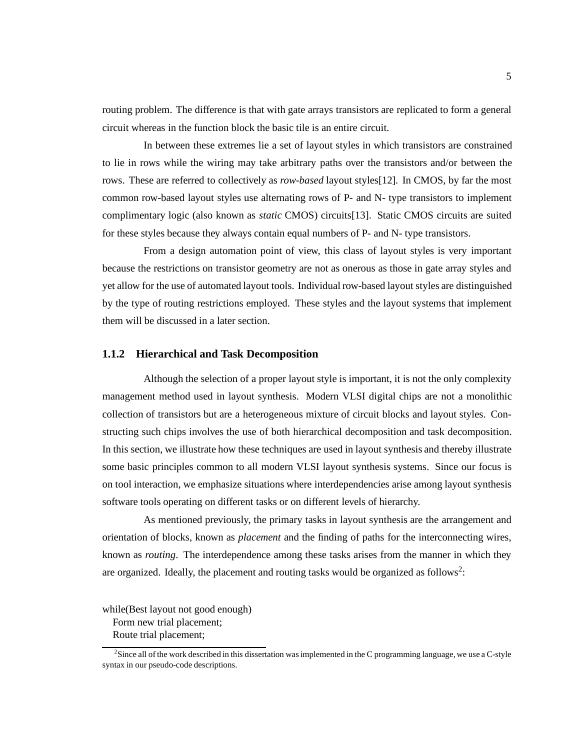routing problem. The difference is that with gate arrays transistors are replicated to form a general circuit whereas in the function block the basic tile is an entire circuit.

In between these extremes lie a set of layout styles in which transistors are constrained to lie in rows while the wiring may take arbitrary paths over the transistors and/or between the rows. These are referred to collectively as *row-based* layout styles[12]. In CMOS, by far the most common row-based layout styles use alternating rows of P- and N- type transistors to implement complimentary logic (also known as *static* CMOS) circuits[13]. Static CMOS circuits are suited for these styles because they always contain equal numbers of P- and N- type transistors.

From a design automation point of view, this class of layout styles is very important because the restrictions on transistor geometry are not as onerous as those in gate array styles and yet allow for the use of automated layout tools. Individual row-based layout styles are distinguished by the type of routing restrictions employed. These styles and the layout systems that implement them will be discussed in a later section.

#### **1.1.2 Hierarchical and Task Decomposition**

Although the selection of a proper layout style is important, it is not the only complexity management method used in layout synthesis. Modern VLSI digital chips are not a monolithic collection of transistors but are a heterogeneous mixture of circuit blocks and layout styles. Constructing such chips involves the use of both hierarchical decomposition and task decomposition. In this section, we illustrate how these techniques are used in layout synthesis and thereby illustrate some basic principles common to all modern VLSI layout synthesis systems. Since our focus is on tool interaction, we emphasize situations where interdependencies arise among layout synthesis software tools operating on different tasks or on different levels of hierarchy.

As mentioned previously, the primary tasks in layout synthesis are the arrangement and orientation of blocks, known as *placement* and the finding of paths for the interconnecting wires, known as *routing*. The interdependence among these tasks arises from the manner in which they are organized. Ideally, the placement and routing tasks would be organized as follows<sup>2</sup>:

while(Best layout not good enough) Form new trial placement; Route trial placement;

<sup>&</sup>lt;sup>2</sup>Since all of the work described in this dissertation was implemented in the C programming language, we use a C-style syntax in our pseudo-code descriptions.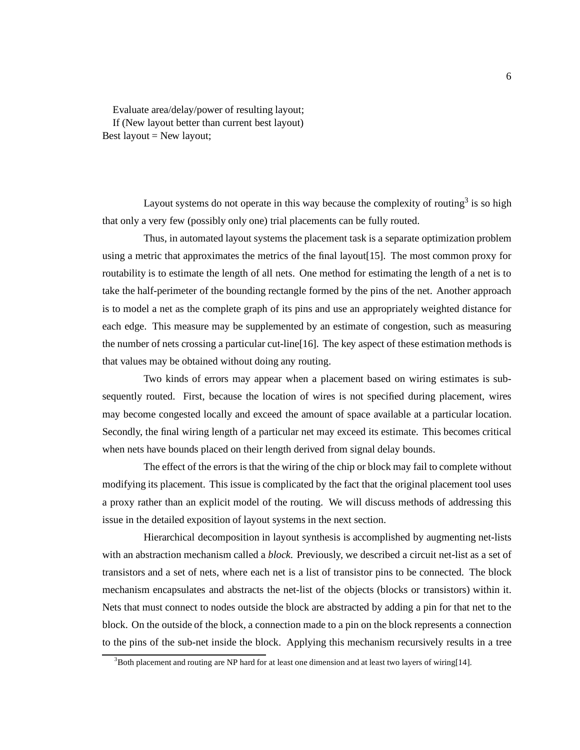Evaluate area/delay/power of resulting layout; If (New layout better than current best layout) Best layout  $=$  New layout;

Layout systems do not operate in this way because the complexity of routing<sup>3</sup> is so high that only a very few (possibly only one) trial placements can be fully routed.

Thus, in automated layout systems the placement task is a separate optimization problem using a metric that approximates the metrics of the final layout[15]. The most common proxy for routability is to estimate the length of all nets. One method for estimating the length of a net is to take the half-perimeter of the bounding rectangle formed by the pins of the net. Another approach is to model a net as the complete graph of its pins and use an appropriately weighted distance for each edge. This measure may be supplemented by an estimate of congestion, such as measuring the number of nets crossing a particular cut-line[16]. The key aspect of these estimation methods is that values may be obtained without doing any routing.

Two kinds of errors may appear when a placement based on wiring estimates is subsequently routed. First, because the location of wires is not specified during placement, wires may become congested locally and exceed the amount of space available at a particular location. Secondly, the final wiring length of a particular net may exceed its estimate. This becomes critical when nets have bounds placed on their length derived from signal delay bounds.

The effect of the errors is that the wiring of the chip or block may fail to complete without modifying its placement. This issue is complicated by the fact that the original placement tool uses a proxy rather than an explicit model of the routing. We will discuss methods of addressing this issue in the detailed exposition of layout systems in the next section.

Hierarchical decomposition in layout synthesis is accomplished by augmenting net-lists with an abstraction mechanism called a *block*. Previously, we described a circuit net-list as a set of transistors and a set of nets, where each net is a list of transistor pins to be connected. The block mechanism encapsulates and abstracts the net-list of the objects (blocks or transistors) within it. Nets that must connect to nodes outside the block are abstracted by adding a pin for that net to the block. On the outside of the block, a connection made to a pin on the block represents a connection to the pins of the sub-net inside the block. Applying this mechanism recursively results in a tree

 $3$ Both placement and routing are NP hard for at least one dimension and at least two layers of wiring[14].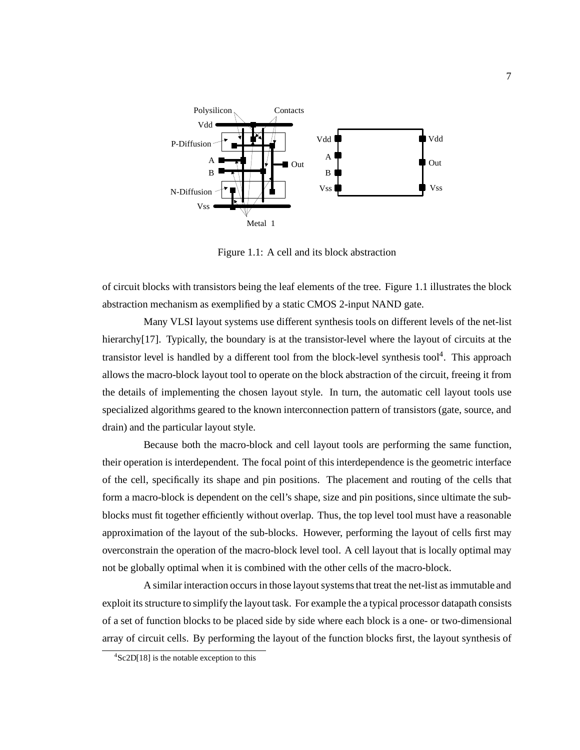

Figure 1.1: A cell and its block abstraction

of circuit blocks with transistors being the leaf elements of the tree. Figure 1.1 illustrates the block abstraction mechanism as exemplified by a static CMOS 2-input NAND gate.

Many VLSI layout systems use different synthesis tools on different levels of the net-list hierarchy<sup>[17]</sup>. Typically, the boundary is at the transistor-level where the layout of circuits at the transistor level is handled by a different tool from the block-level synthesis tool<sup>4</sup>. This approach allows the macro-block layout tool to operate on the block abstraction of the circuit, freeing it from the details of implementing the chosen layout style. In turn, the automatic cell layout tools use specialized algorithms geared to the known interconnection pattern of transistors (gate, source, and drain) and the particular layout style.

Because both the macro-block and cell layout tools are performing the same function, their operation is interdependent. The focal point of this interdependence is the geometric interface of the cell, specifically its shape and pin positions. The placement and routing of the cells that form a macro-block is dependent on the cell's shape, size and pin positions, since ultimate the subblocks must fit together efficiently without overlap. Thus, the top level tool must have a reasonable approximation of the layout of the sub-blocks. However, performing the layout of cells first may overconstrain the operation of the macro-block level tool. A cell layout that is locally optimal may not be globally optimal when it is combined with the other cells of the macro-block.

A similar interaction occurs in those layout systems that treat the net-list as immutable and exploit its structure to simplify the layout task. For example the a typical processor datapath consists of a set of function blocks to be placed side by side where each block is a one- or two-dimensional array of circuit cells. By performing the layout of the function blocks first, the layout synthesis of

 ${}^{4}$ Sc2D[18] is the notable exception to this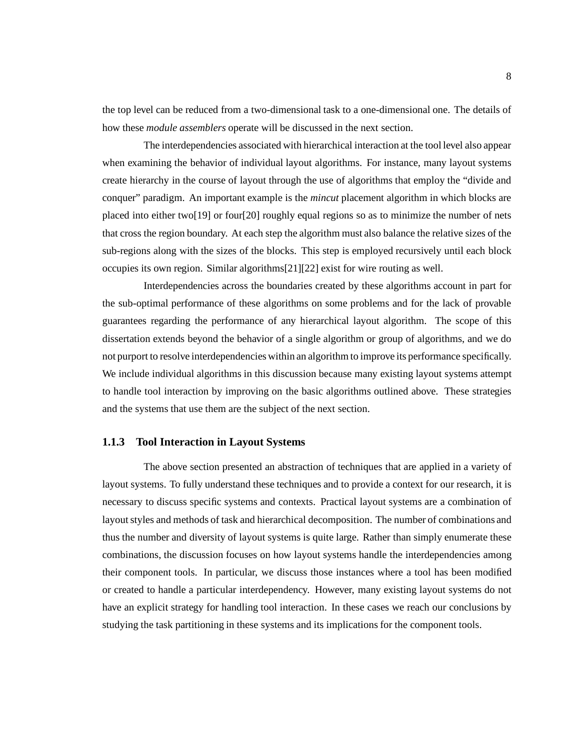the top level can be reduced from a two-dimensional task to a one-dimensional one. The details of how these *module assemblers* operate will be discussed in the next section.

The interdependencies associated with hierarchical interaction at the tool level also appear when examining the behavior of individual layout algorithms. For instance, many layout systems create hierarchy in the course of layout through the use of algorithms that employ the "divide and conquer" paradigm. An important example is the *mincut* placement algorithm in which blocks are placed into either two[19] or four[20] roughly equal regions so as to minimize the number of nets that cross the region boundary. At each step the algorithm must also balance the relative sizes of the sub-regions along with the sizes of the blocks. This step is employed recursively until each block occupies its own region. Similar algorithms[21][22] exist for wire routing as well.

Interdependencies across the boundaries created by these algorithms account in part for the sub-optimal performance of these algorithms on some problems and for the lack of provable guarantees regarding the performance of any hierarchical layout algorithm. The scope of this dissertation extends beyond the behavior of a single algorithm or group of algorithms, and we do not purport to resolve interdependencies within an algorithm to improve its performance specifically. We include individual algorithms in this discussion because many existing layout systems attempt to handle tool interaction by improving on the basic algorithms outlined above. These strategies and the systems that use them are the subject of the next section.

#### **1.1.3 Tool Interaction in Layout Systems**

The above section presented an abstraction of techniques that are applied in a variety of layout systems. To fully understand these techniques and to provide a context for our research, it is necessary to discuss specific systems and contexts. Practical layout systems are a combination of layout styles and methods of task and hierarchical decomposition. The number of combinations and thus the number and diversity of layout systems is quite large. Rather than simply enumerate these combinations, the discussion focuses on how layout systems handle the interdependencies among their component tools. In particular, we discuss those instances where a tool has been modified or created to handle a particular interdependency. However, many existing layout systems do not have an explicit strategy for handling tool interaction. In these cases we reach our conclusions by studying the task partitioning in these systems and its implications for the component tools.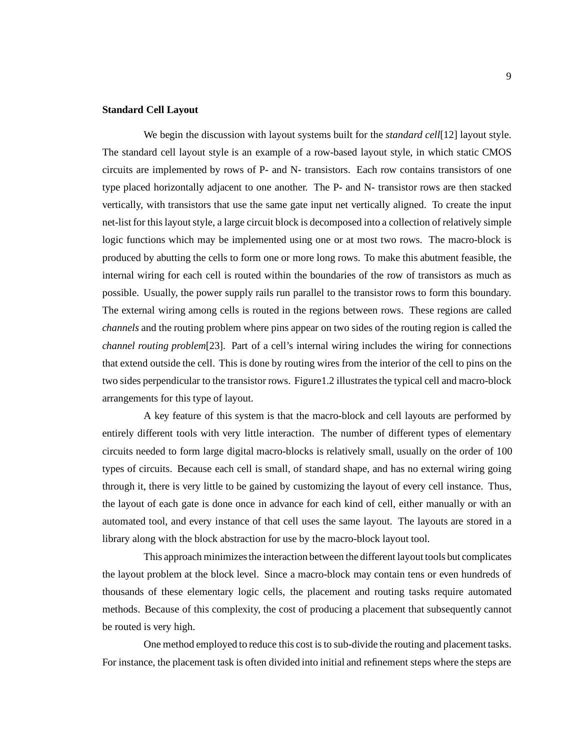#### **Standard Cell Layout**

We begin the discussion with layout systems built for the *standard cell*[12] layout style. The standard cell layout style is an example of a row-based layout style, in which static CMOS circuits are implemented by rows of P- and N- transistors. Each row contains transistors of one type placed horizontally adjacent to one another. The P- and N- transistor rows are then stacked vertically, with transistors that use the same gate input net vertically aligned. To create the input net-list for this layout style, a large circuit block is decomposed into a collection of relatively simple logic functions which may be implemented using one or at most two rows. The macro-block is produced by abutting the cells to form one or more long rows. To make this abutment feasible, the internal wiring for each cell is routed within the boundaries of the row of transistors as much as possible. Usually, the power supply rails run parallel to the transistor rows to form this boundary. The external wiring among cells is routed in the regions between rows. These regions are called *channels* and the routing problem where pins appear on two sides of the routing region is called the *channel routing problem*[23]. Part of a cell's internal wiring includes the wiring for connections that extend outside the cell. This is done by routing wires from the interior of the cell to pins on the two sides perpendicular to the transistor rows. Figure1.2 illustrates the typical cell and macro-block arrangements for this type of layout.

A key feature of this system is that the macro-block and cell layouts are performed by entirely different tools with very little interaction. The number of different types of elementary circuits needed to form large digital macro-blocks is relatively small, usually on the order of 100 types of circuits. Because each cell is small, of standard shape, and has no external wiring going through it, there is very little to be gained by customizing the layout of every cell instance. Thus, the layout of each gate is done once in advance for each kind of cell, either manually or with an automated tool, and every instance of that cell uses the same layout. The layouts are stored in a library along with the block abstraction for use by the macro-block layout tool.

This approach minimizes the interaction between the different layout tools but complicates the layout problem at the block level. Since a macro-block may contain tens or even hundreds of thousands of these elementary logic cells, the placement and routing tasks require automated methods. Because of this complexity, the cost of producing a placement that subsequently cannot be routed is very high.

One method employed to reduce this cost is to sub-divide the routing and placement tasks. For instance, the placement task is often divided into initial and refinement steps where the steps are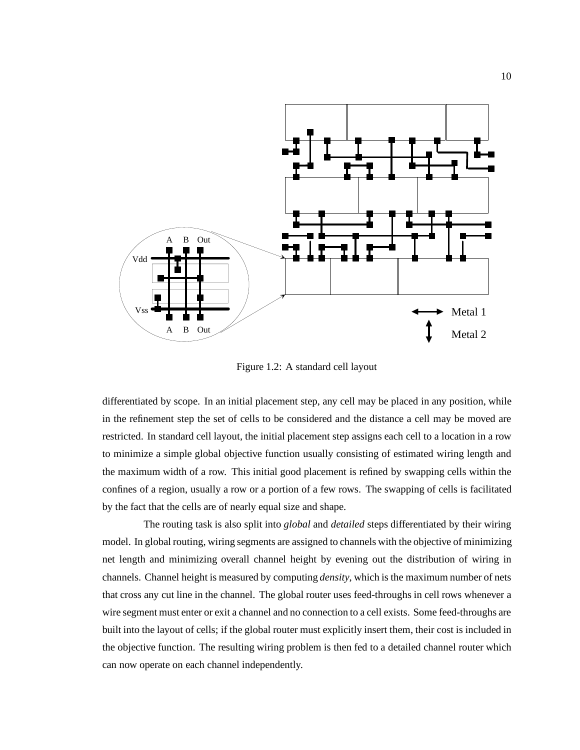

Figure 1.2: A standard cell layout

differentiated by scope. In an initial placement step, any cell may be placed in any position, while in the refinement step the set of cells to be considered and the distance a cell may be moved are restricted. In standard cell layout, the initial placement step assigns each cell to a location in a row to minimize a simple global objective function usually consisting of estimated wiring length and the maximum width of a row. This initial good placement is refined by swapping cells within the confines of a region, usually a row or a portion of a few rows. The swapping of cells is facilitated by the fact that the cells are of nearly equal size and shape.

The routing task is also split into *global* and *detailed* steps differentiated by their wiring model. In global routing, wiring segments are assigned to channels with the objective of minimizing net length and minimizing overall channel height by evening out the distribution of wiring in channels. Channel height is measured by computing *density*, which is the maximum number of nets that cross any cut line in the channel. The global router uses feed-throughs in cell rows whenever a wire segment must enter or exit a channel and no connection to a cell exists. Some feed-throughs are built into the layout of cells; if the global router must explicitly insert them, their cost is included in the objective function. The resulting wiring problem is then fed to a detailed channel router which can now operate on each channel independently.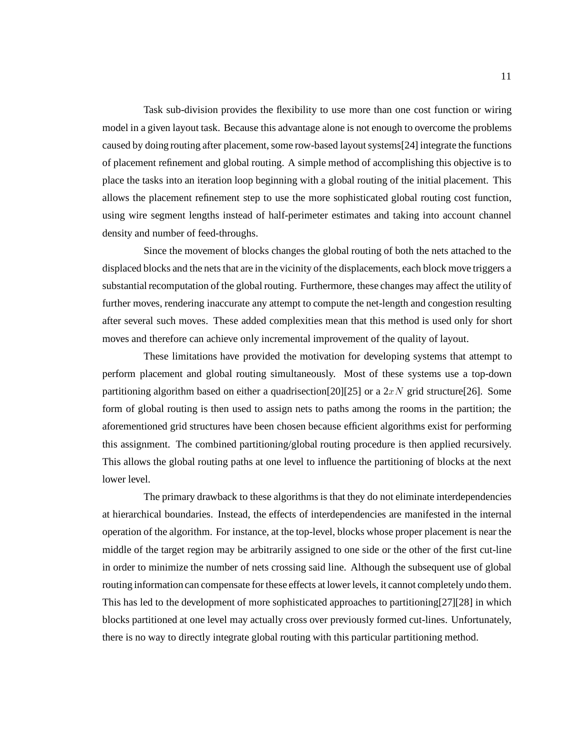Task sub-division provides the flexibility to use more than one cost function or wiring model in a given layout task. Because this advantage alone is not enough to overcome the problems caused by doing routing after placement, some row-based layout systems[24] integrate the functions of placement refinement and global routing. A simple method of accomplishing this objective is to place the tasks into an iteration loop beginning with a global routing of the initial placement. This allows the placement refinement step to use the more sophisticated global routing cost function, using wire segment lengths instead of half-perimeter estimates and taking into account channel density and number of feed-throughs.

Since the movement of blocks changes the global routing of both the nets attached to the displaced blocks and the nets that are in the vicinity of the displacements, each block move triggers a substantial recomputation of the global routing. Furthermore, these changes may affect the utility of further moves, rendering inaccurate any attempt to compute the net-length and congestion resulting after several such moves. These added complexities mean that this method is used only for short moves and therefore can achieve only incremental improvement of the quality of layout.

These limitations have provided the motivation for developing systems that attempt to perform placement and global routing simultaneously. Most of these systems use a top-down partitioning algorithm based on either a quadrisection [20] [25] or a  $2xN$  grid structure [26]. Some form of global routing is then used to assign nets to paths among the rooms in the partition; the aforementioned grid structures have been chosen because efficient algorithms exist for performing this assignment. The combined partitioning/global routing procedure is then applied recursively. This allows the global routing paths at one level to influence the partitioning of blocks at the next lower level.

The primary drawback to these algorithms is that they do not eliminate interdependencies at hierarchical boundaries. Instead, the effects of interdependencies are manifested in the internal operation of the algorithm. For instance, at the top-level, blocks whose proper placement is near the middle of the target region may be arbitrarily assigned to one side or the other of the first cut-line in order to minimize the number of nets crossing said line. Although the subsequent use of global routing information can compensate for these effects at lower levels, it cannot completely undo them. This has led to the development of more sophisticated approaches to partitioning[27][28] in which blocks partitioned at one level may actually cross over previously formed cut-lines. Unfortunately, there is no way to directly integrate global routing with this particular partitioning method.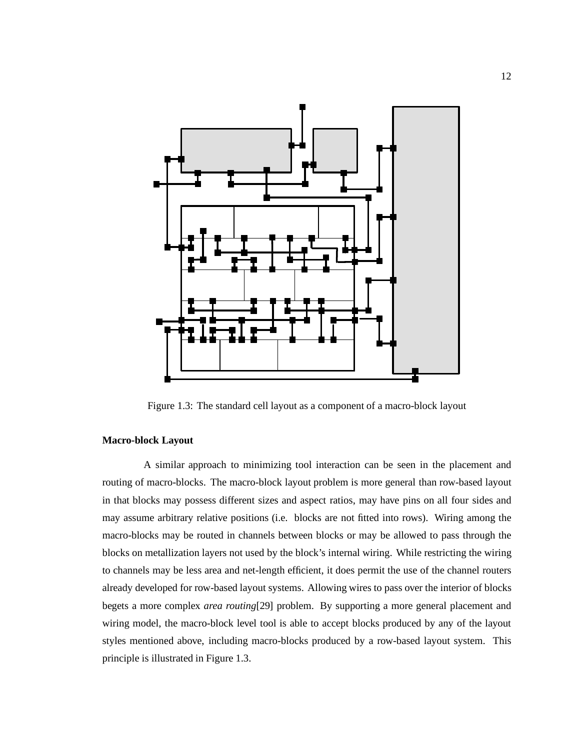

Figure 1.3: The standard cell layout as a component of a macro-block layout

#### **Macro-block Layout**

A similar approach to minimizing tool interaction can be seen in the placement and routing of macro-blocks. The macro-block layout problem is more general than row-based layout in that blocks may possess different sizes and aspect ratios, may have pins on all four sides and may assume arbitrary relative positions (i.e. blocks are not fitted into rows). Wiring among the macro-blocks may be routed in channels between blocks or may be allowed to pass through the blocks on metallization layers not used by the block's internal wiring. While restricting the wiring to channels may be less area and net-length efficient, it does permit the use of the channel routers already developed for row-based layout systems. Allowing wires to pass over the interior of blocks begets a more complex *area routing*[29] problem. By supporting a more general placement and wiring model, the macro-block level tool is able to accept blocks produced by any of the layout styles mentioned above, including macro-blocks produced by a row-based layout system. This principle is illustrated in Figure 1.3.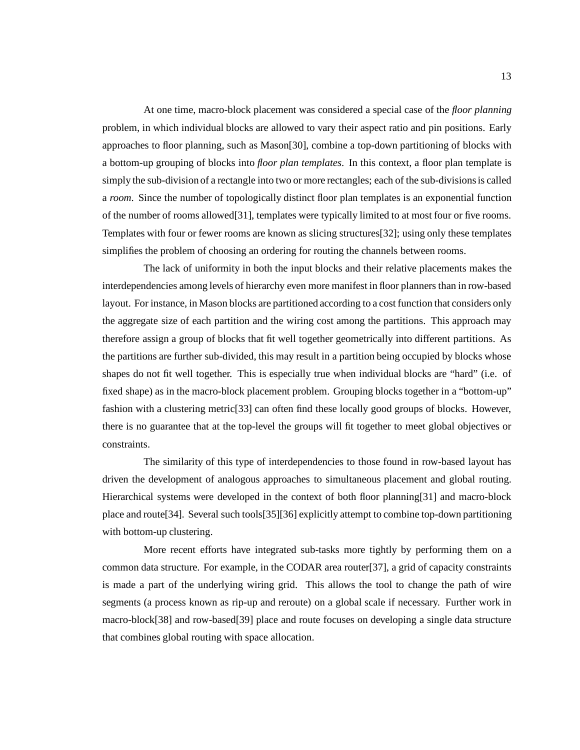At one time, macro-block placement was considered a special case of the *floor planning* problem, in which individual blocks are allowed to vary their aspect ratio and pin positions. Early approaches to floor planning, such as Mason[30], combine a top-down partitioning of blocks with a bottom-up grouping of blocks into *floor plan templates*. In this context, a floor plan template is simply the sub-division of a rectangle into two or more rectangles; each of the sub-divisions is called a *room*. Since the number of topologically distinct floor plan templates is an exponential function of the number of rooms allowed[31], templates were typically limited to at most four or five rooms. Templates with four or fewer rooms are known as slicing structures[32]; using only these templates simplifies the problem of choosing an ordering for routing the channels between rooms.

The lack of uniformity in both the input blocks and their relative placements makes the interdependencies among levels of hierarchy even more manifest in floor planners than in row-based layout. For instance, in Mason blocks are partitioned according to a cost function that considers only the aggregate size of each partition and the wiring cost among the partitions. This approach may therefore assign a group of blocks that fit well together geometrically into different partitions. As the partitions are further sub-divided, this may result in a partition being occupied by blocks whose shapes do not fit well together. This is especially true when individual blocks are "hard" (i.e. of fixed shape) as in the macro-block placement problem. Grouping blocks together in a "bottom-up" fashion with a clustering metric[33] can often find these locally good groups of blocks. However, there is no guarantee that at the top-level the groups will fit together to meet global objectives or constraints.

The similarity of this type of interdependencies to those found in row-based layout has driven the development of analogous approaches to simultaneous placement and global routing. Hierarchical systems were developed in the context of both floor planning[31] and macro-block place and route[34]. Several such tools[35][36] explicitly attempt to combine top-down partitioning with bottom-up clustering.

More recent efforts have integrated sub-tasks more tightly by performing them on a common data structure. For example, in the CODAR area router[37], a grid of capacity constraints is made a part of the underlying wiring grid. This allows the tool to change the path of wire segments (a process known as rip-up and reroute) on a global scale if necessary. Further work in macro-block[38] and row-based[39] place and route focuses on developing a single data structure that combines global routing with space allocation.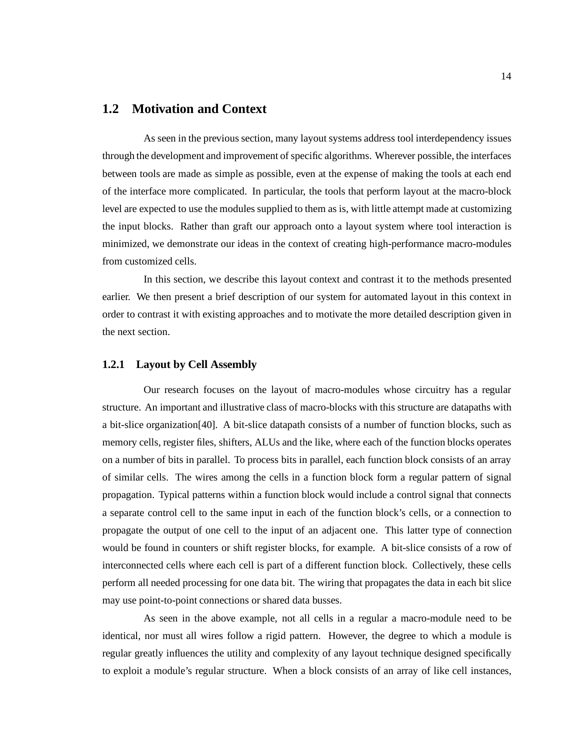#### **1.2 Motivation and Context**

As seen in the previous section, many layout systems address tool interdependency issues through the development and improvement of specific algorithms. Wherever possible, the interfaces between tools are made as simple as possible, even at the expense of making the tools at each end of the interface more complicated. In particular, the tools that perform layout at the macro-block level are expected to use the modules supplied to them as is, with little attempt made at customizing the input blocks. Rather than graft our approach onto a layout system where tool interaction is minimized, we demonstrate our ideas in the context of creating high-performance macro-modules from customized cells.

In this section, we describe this layout context and contrast it to the methods presented earlier. We then present a brief description of our system for automated layout in this context in order to contrast it with existing approaches and to motivate the more detailed description given in the next section.

#### **1.2.1 Layout by Cell Assembly**

Our research focuses on the layout of macro-modules whose circuitry has a regular structure. An important and illustrative class of macro-blocks with this structure are datapaths with a bit-slice organization[40]. A bit-slice datapath consists of a number of function blocks, such as memory cells, register files, shifters, ALUs and the like, where each of the function blocks operates on a number of bits in parallel. To process bits in parallel, each function block consists of an array of similar cells. The wires among the cells in a function block form a regular pattern of signal propagation. Typical patterns within a function block would include a control signal that connects a separate control cell to the same input in each of the function block's cells, or a connection to propagate the output of one cell to the input of an adjacent one. This latter type of connection would be found in counters or shift register blocks, for example. A bit-slice consists of a row of interconnected cells where each cell is part of a different function block. Collectively, these cells perform all needed processing for one data bit. The wiring that propagates the data in each bit slice may use point-to-point connections or shared data busses.

As seen in the above example, not all cells in a regular a macro-module need to be identical, nor must all wires follow a rigid pattern. However, the degree to which a module is regular greatly influences the utility and complexity of any layout technique designed specifically to exploit a module's regular structure. When a block consists of an array of like cell instances,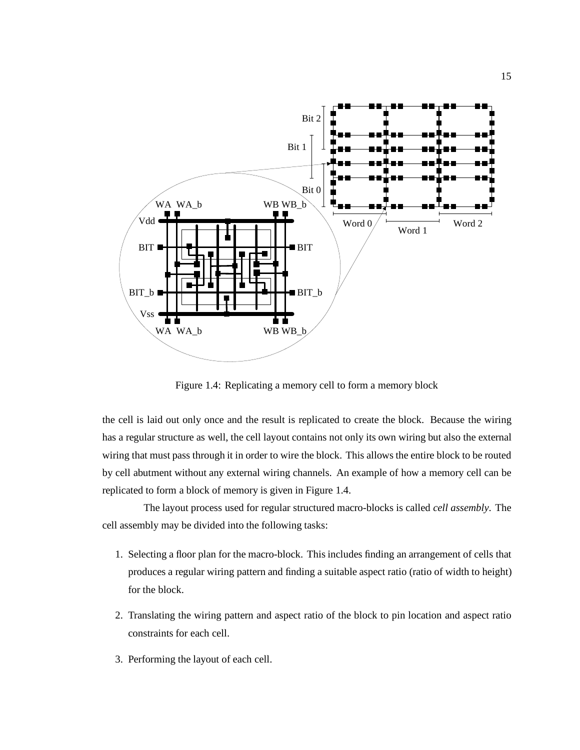

Figure 1.4: Replicating a memory cell to form a memory block

the cell is laid out only once and the result is replicated to create the block. Because the wiring has a regular structure as well, the cell layout contains not only its own wiring but also the external wiring that must pass through it in order to wire the block. This allows the entire block to be routed by cell abutment without any external wiring channels. An example of how a memory cell can be replicated to form a block of memory is given in Figure 1.4.

The layout process used for regular structured macro-blocks is called *cell assembly*. The cell assembly may be divided into the following tasks:

- 1. Selecting a floor plan for the macro-block. This includes finding an arrangement of cells that produces a regular wiring pattern and finding a suitable aspect ratio (ratio of width to height) for the block.
- 2. Translating the wiring pattern and aspect ratio of the block to pin location and aspect ratio constraints for each cell.
- 3. Performing the layout of each cell.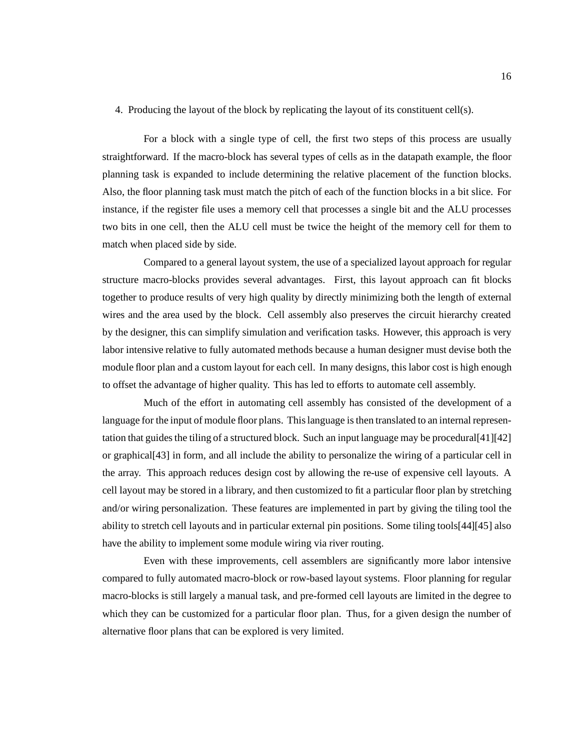#### 4. Producing the layout of the block by replicating the layout of its constituent cell(s).

For a block with a single type of cell, the first two steps of this process are usually straightforward. If the macro-block has several types of cells as in the datapath example, the floor planning task is expanded to include determining the relative placement of the function blocks. Also, the floor planning task must match the pitch of each of the function blocks in a bit slice. For instance, if the register file uses a memory cell that processes a single bit and the ALU processes two bits in one cell, then the ALU cell must be twice the height of the memory cell for them to match when placed side by side.

Compared to a general layout system, the use of a specialized layout approach for regular structure macro-blocks provides several advantages. First, this layout approach can fit blocks together to produce results of very high quality by directly minimizing both the length of external wires and the area used by the block. Cell assembly also preserves the circuit hierarchy created by the designer, this can simplify simulation and verification tasks. However, this approach is very labor intensive relative to fully automated methods because a human designer must devise both the module floor plan and a custom layout for each cell. In many designs, this labor cost is high enough to offset the advantage of higher quality. This has led to efforts to automate cell assembly.

Much of the effort in automating cell assembly has consisted of the development of a language for the input of module floor plans. This language is then translated to an internal representation that guides the tiling of a structured block. Such an input language may be procedural[41][42] or graphical[43] in form, and all include the ability to personalize the wiring of a particular cell in the array. This approach reduces design cost by allowing the re-use of expensive cell layouts. A cell layout may be stored in a library, and then customized to fit a particular floor plan by stretching and/or wiring personalization. These features are implemented in part by giving the tiling tool the ability to stretch cell layouts and in particular external pin positions. Some tiling tools[44][45] also have the ability to implement some module wiring via river routing.

Even with these improvements, cell assemblers are significantly more labor intensive compared to fully automated macro-block or row-based layout systems. Floor planning for regular macro-blocks is still largely a manual task, and pre-formed cell layouts are limited in the degree to which they can be customized for a particular floor plan. Thus, for a given design the number of alternative floor plans that can be explored is very limited.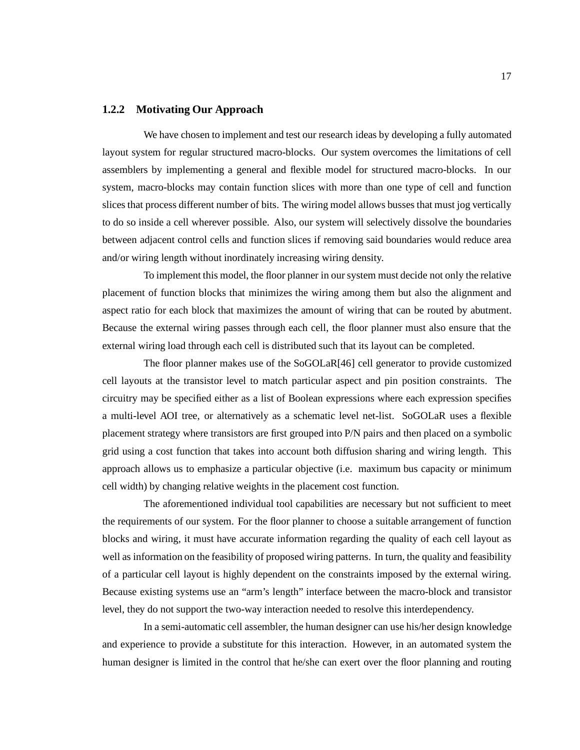#### **1.2.2 Motivating Our Approach**

We have chosen to implement and test our research ideas by developing a fully automated layout system for regular structured macro-blocks. Our system overcomes the limitations of cell assemblers by implementing a general and flexible model for structured macro-blocks. In our system, macro-blocks may contain function slices with more than one type of cell and function slices that process different number of bits. The wiring model allows busses that must jog vertically to do so inside a cell wherever possible. Also, our system will selectively dissolve the boundaries between adjacent control cells and function slices if removing said boundaries would reduce area and/or wiring length without inordinately increasing wiring density.

To implement this model, the floor planner in our system must decide not only the relative placement of function blocks that minimizes the wiring among them but also the alignment and aspect ratio for each block that maximizes the amount of wiring that can be routed by abutment. Because the external wiring passes through each cell, the floor planner must also ensure that the external wiring load through each cell is distributed such that its layout can be completed.

The floor planner makes use of the SoGOLaR[46] cell generator to provide customized cell layouts at the transistor level to match particular aspect and pin position constraints. The circuitry may be specified either as a list of Boolean expressions where each expression specifies a multi-level AOI tree, or alternatively as a schematic level net-list. SoGOLaR uses a flexible placement strategy where transistors are first grouped into P/N pairs and then placed on a symbolic grid using a cost function that takes into account both diffusion sharing and wiring length. This approach allows us to emphasize a particular objective (i.e. maximum bus capacity or minimum cell width) by changing relative weights in the placement cost function.

The aforementioned individual tool capabilities are necessary but not sufficient to meet the requirements of our system. For the floor planner to choose a suitable arrangement of function blocks and wiring, it must have accurate information regarding the quality of each cell layout as well as information on the feasibility of proposed wiring patterns. In turn, the quality and feasibility of a particular cell layout is highly dependent on the constraints imposed by the external wiring. Because existing systems use an "arm's length" interface between the macro-block and transistor level, they do not support the two-way interaction needed to resolve this interdependency.

In a semi-automatic cell assembler, the human designer can use his/her design knowledge and experience to provide a substitute for this interaction. However, in an automated system the human designer is limited in the control that he/she can exert over the floor planning and routing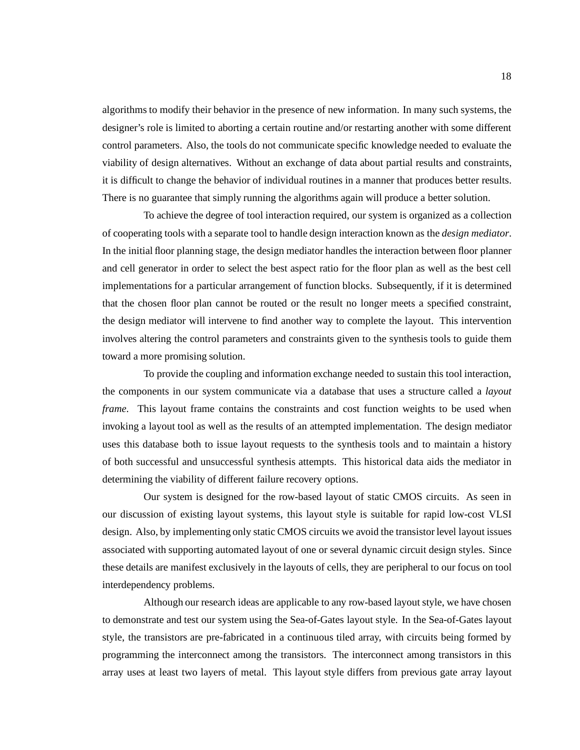algorithms to modify their behavior in the presence of new information. In many such systems, the designer's role is limited to aborting a certain routine and/or restarting another with some different control parameters. Also, the tools do not communicate specific knowledge needed to evaluate the viability of design alternatives. Without an exchange of data about partial results and constraints, it is difficult to change the behavior of individual routines in a manner that produces better results. There is no guarantee that simply running the algorithms again will produce a better solution.

To achieve the degree of tool interaction required, our system is organized as a collection of cooperating tools with a separate tool to handle design interaction known as the *design mediator*. In the initial floor planning stage, the design mediator handles the interaction between floor planner and cell generator in order to select the best aspect ratio for the floor plan as well as the best cell implementations for a particular arrangement of function blocks. Subsequently, if it is determined that the chosen floor plan cannot be routed or the result no longer meets a specified constraint, the design mediator will intervene to find another way to complete the layout. This intervention involves altering the control parameters and constraints given to the synthesis tools to guide them toward a more promising solution.

To provide the coupling and information exchange needed to sustain this tool interaction, the components in our system communicate via a database that uses a structure called a *layout frame*. This layout frame contains the constraints and cost function weights to be used when invoking a layout tool as well as the results of an attempted implementation. The design mediator uses this database both to issue layout requests to the synthesis tools and to maintain a history of both successful and unsuccessful synthesis attempts. This historical data aids the mediator in determining the viability of different failure recovery options.

Our system is designed for the row-based layout of static CMOS circuits. As seen in our discussion of existing layout systems, this layout style is suitable for rapid low-cost VLSI design. Also, by implementing only static CMOS circuits we avoid the transistor level layout issues associated with supporting automated layout of one or several dynamic circuit design styles. Since these details are manifest exclusively in the layouts of cells, they are peripheral to our focus on tool interdependency problems.

Although our research ideas are applicable to any row-based layout style, we have chosen to demonstrate and test our system using the Sea-of-Gates layout style. In the Sea-of-Gates layout style, the transistors are pre-fabricated in a continuous tiled array, with circuits being formed by programming the interconnect among the transistors. The interconnect among transistors in this array uses at least two layers of metal. This layout style differs from previous gate array layout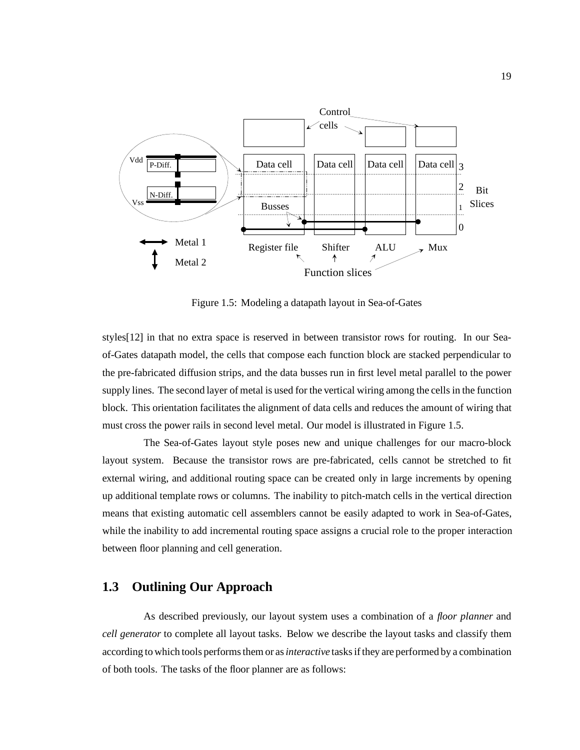

Figure 1.5: Modeling a datapath layout in Sea-of-Gates

styles[12] in that no extra space is reserved in between transistor rows for routing. In our Seaof-Gates datapath model, the cells that compose each function block are stacked perpendicular to the pre-fabricated diffusion strips, and the data busses run in first level metal parallel to the power supply lines. The second layer of metal is used for the vertical wiring among the cells in the function block. This orientation facilitates the alignment of data cells and reduces the amount of wiring that must cross the power rails in second level metal. Our model is illustrated in Figure 1.5.

The Sea-of-Gates layout style poses new and unique challenges for our macro-block layout system. Because the transistor rows are pre-fabricated, cells cannot be stretched to fit external wiring, and additional routing space can be created only in large increments by opening up additional template rows or columns. The inability to pitch-match cells in the vertical direction means that existing automatic cell assemblers cannot be easily adapted to work in Sea-of-Gates, while the inability to add incremental routing space assigns a crucial role to the proper interaction between floor planning and cell generation.

### **1.3 Outlining Our Approach**

As described previously, our layout system uses a combination of a *floor planner* and *cell generator* to complete all layout tasks. Below we describe the layout tasks and classify them according to which tools performs them or as*interactive* tasks if they are performed by a combination of both tools. The tasks of the floor planner are as follows: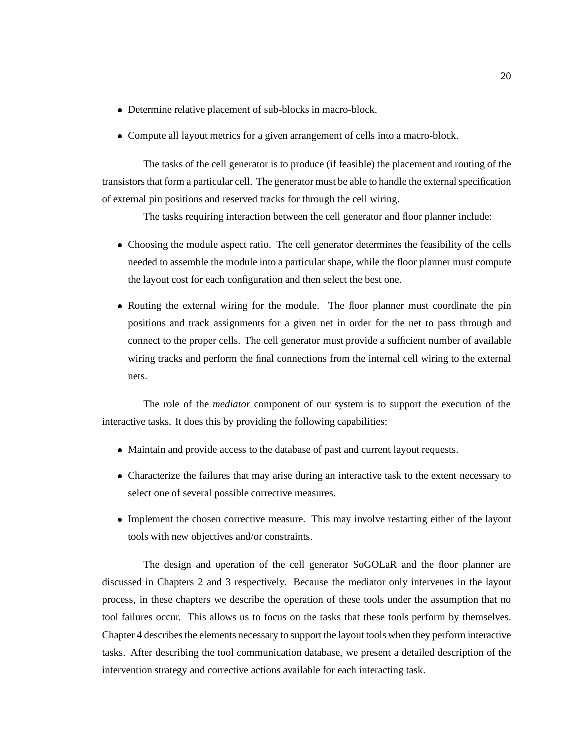- Determine relative placement of sub-blocks in macro-block.
- Compute all layout metrics for a given arrangement of cells into a macro-block.

The tasks of the cell generator is to produce (if feasible) the placement and routing of the transistors that form a particular cell. The generator must be able to handle the external specification of external pin positions and reserved tracks for through the cell wiring.

The tasks requiring interaction between the cell generator and floor planner include:

- Choosing the module aspect ratio. The cell generator determines the feasibility of the cells needed to assemble the module into a particular shape, while the floor planner must compute the layout cost for each configuration and then select the best one.
- Routing the external wiring for the module. The floor planner must coordinate the pin positions and track assignments for a given net in order for the net to pass through and connect to the proper cells. The cell generator must provide a sufficient number of available wiring tracks and perform the final connections from the internal cell wiring to the external nets.

The role of the *mediator* component of our system is to support the execution of the interactive tasks. It does this by providing the following capabilities:

- Maintain and provide access to the database of past and current layout requests.
- Characterize the failures that may arise during an interactive task to the extent necessary to select one of several possible corrective measures.
- Implement the chosen corrective measure. This may involve restarting either of the layout tools with new objectives and/or constraints.

The design and operation of the cell generator SoGOLaR and the floor planner are discussed in Chapters 2 and 3 respectively. Because the mediator only intervenes in the layout process, in these chapters we describe the operation of these tools under the assumption that no tool failures occur. This allows us to focus on the tasks that these tools perform by themselves. Chapter 4 describes the elements necessary to support the layout tools when they perform interactive tasks. After describing the tool communication database, we present a detailed description of the intervention strategy and corrective actions available for each interacting task.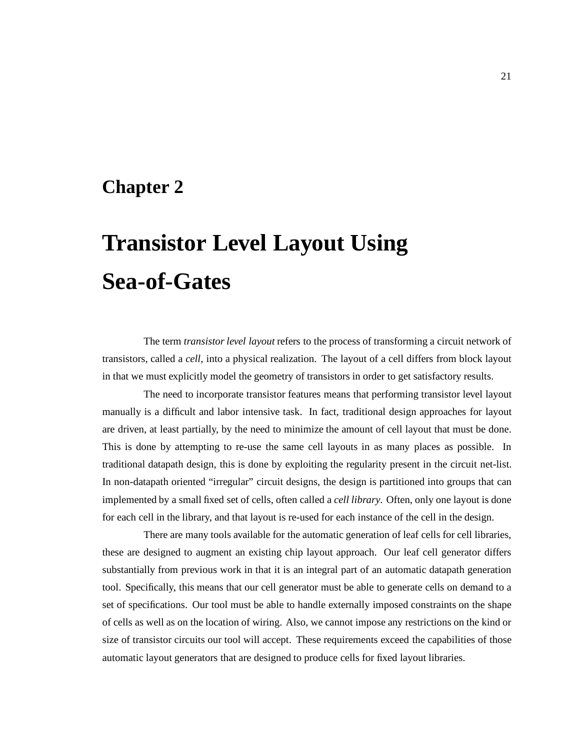### **Chapter 2**

# **Transistor Level Layout Using Sea-of-Gates**

The term *transistor level layout* refers to the process of transforming a circuit network of transistors, called a *cell*, into a physical realization. The layout of a cell differs from block layout in that we must explicitly model the geometry of transistors in order to get satisfactory results.

The need to incorporate transistor features means that performing transistor level layout manually is a difficult and labor intensive task. In fact, traditional design approaches for layout are driven, at least partially, by the need to minimize the amount of cell layout that must be done. This is done by attempting to re-use the same cell layouts in as many places as possible. In traditional datapath design, this is done by exploiting the regularity present in the circuit net-list. In non-datapath oriented "irregular" circuit designs, the design is partitioned into groups that can implemented by a small fixed set of cells, often called a *cell library*. Often, only one layout is done for each cell in the library, and that layout is re-used for each instance of the cell in the design.

There are many tools available for the automatic generation of leaf cells for cell libraries, these are designed to augment an existing chip layout approach. Our leaf cell generator differs substantially from previous work in that it is an integral part of an automatic datapath generation tool. Specifically, this means that our cell generator must be able to generate cells on demand to a set of specifications. Our tool must be able to handle externally imposed constraints on the shape of cells as well as on the location of wiring. Also, we cannot impose any restrictions on the kind or size of transistor circuits our tool will accept. These requirements exceed the capabilities of those automatic layout generators that are designed to produce cells for fixed layout libraries.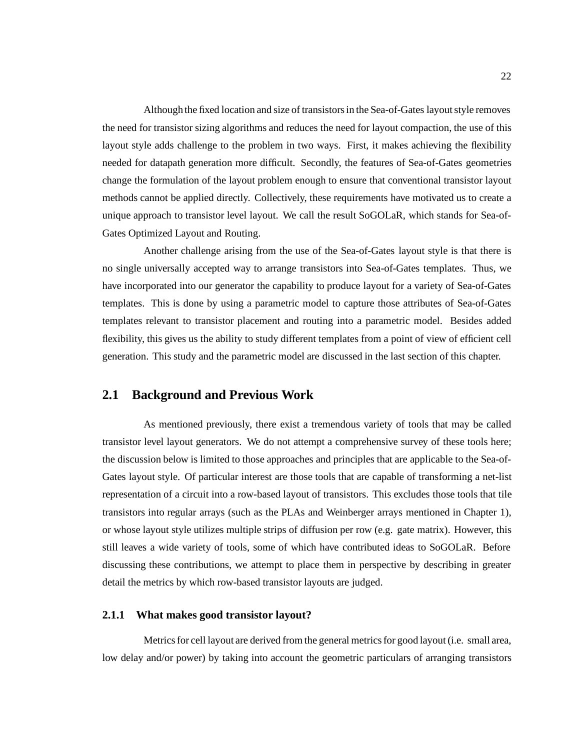Although the fixed location and size of transistors in the Sea-of-Gates layout style removes the need for transistor sizing algorithms and reduces the need for layout compaction, the use of this layout style adds challenge to the problem in two ways. First, it makes achieving the flexibility needed for datapath generation more difficult. Secondly, the features of Sea-of-Gates geometries change the formulation of the layout problem enough to ensure that conventional transistor layout methods cannot be applied directly. Collectively, these requirements have motivated us to create a unique approach to transistor level layout. We call the result SoGOLaR, which stands for Sea-of-Gates Optimized Layout and Routing.

Another challenge arising from the use of the Sea-of-Gates layout style is that there is no single universally accepted way to arrange transistors into Sea-of-Gates templates. Thus, we have incorporated into our generator the capability to produce layout for a variety of Sea-of-Gates templates. This is done by using a parametric model to capture those attributes of Sea-of-Gates templates relevant to transistor placement and routing into a parametric model. Besides added flexibility, this gives us the ability to study different templates from a point of view of efficient cell generation. This study and the parametric model are discussed in the last section of this chapter.

#### **2.1 Background and Previous Work**

As mentioned previously, there exist a tremendous variety of tools that may be called transistor level layout generators. We do not attempt a comprehensive survey of these tools here; the discussion below is limited to those approaches and principles that are applicable to the Sea-of-Gates layout style. Of particular interest are those tools that are capable of transforming a net-list representation of a circuit into a row-based layout of transistors. This excludes those tools that tile transistors into regular arrays (such as the PLAs and Weinberger arrays mentioned in Chapter 1), or whose layout style utilizes multiple strips of diffusion per row (e.g. gate matrix). However, this still leaves a wide variety of tools, some of which have contributed ideas to SoGOLaR. Before discussing these contributions, we attempt to place them in perspective by describing in greater detail the metrics by which row-based transistor layouts are judged.

#### **2.1.1 What makes good transistor layout?**

Metrics for cell layout are derived from the general metrics for good layout (i.e. small area, low delay and/or power) by taking into account the geometric particulars of arranging transistors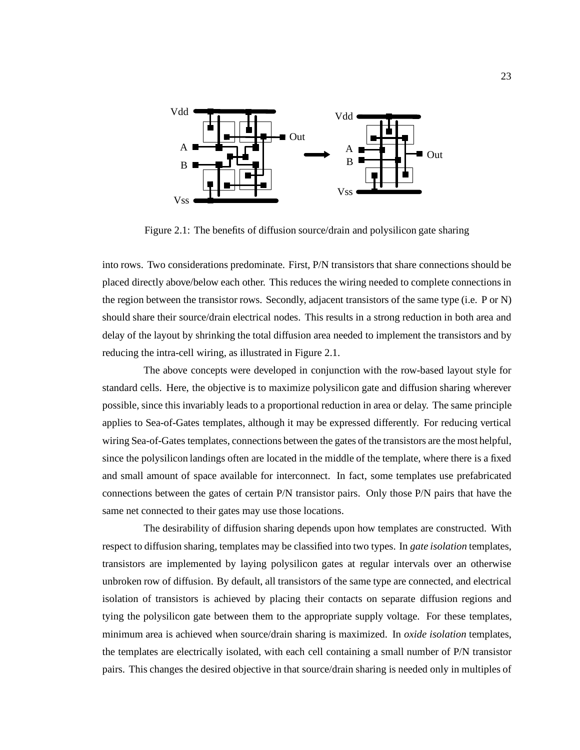

Figure 2.1: The benefits of diffusion source/drain and polysilicon gate sharing

into rows. Two considerations predominate. First, P/N transistors that share connections should be placed directly above/below each other. This reduces the wiring needed to complete connections in the region between the transistor rows. Secondly, adjacent transistors of the same type (i.e. P or N) should share their source/drain electrical nodes. This results in a strong reduction in both area and delay of the layout by shrinking the total diffusion area needed to implement the transistors and by reducing the intra-cell wiring, as illustrated in Figure 2.1.

The above concepts were developed in conjunction with the row-based layout style for standard cells. Here, the objective is to maximize polysilicon gate and diffusion sharing wherever possible, since this invariably leads to a proportional reduction in area or delay. The same principle applies to Sea-of-Gates templates, although it may be expressed differently. For reducing vertical wiring Sea-of-Gates templates, connections between the gates of the transistors are the most helpful, since the polysilicon landings often are located in the middle of the template, where there is a fixed and small amount of space available for interconnect. In fact, some templates use prefabricated connections between the gates of certain P/N transistor pairs. Only those P/N pairs that have the same net connected to their gates may use those locations.

The desirability of diffusion sharing depends upon how templates are constructed. With respect to diffusion sharing, templates may be classified into two types. In *gate isolation* templates, transistors are implemented by laying polysilicon gates at regular intervals over an otherwise unbroken row of diffusion. By default, all transistors of the same type are connected, and electrical isolation of transistors is achieved by placing their contacts on separate diffusion regions and tying the polysilicon gate between them to the appropriate supply voltage. For these templates, minimum area is achieved when source/drain sharing is maximized. In *oxide isolation* templates, the templates are electrically isolated, with each cell containing a small number of P/N transistor pairs. This changes the desired objective in that source/drain sharing is needed only in multiples of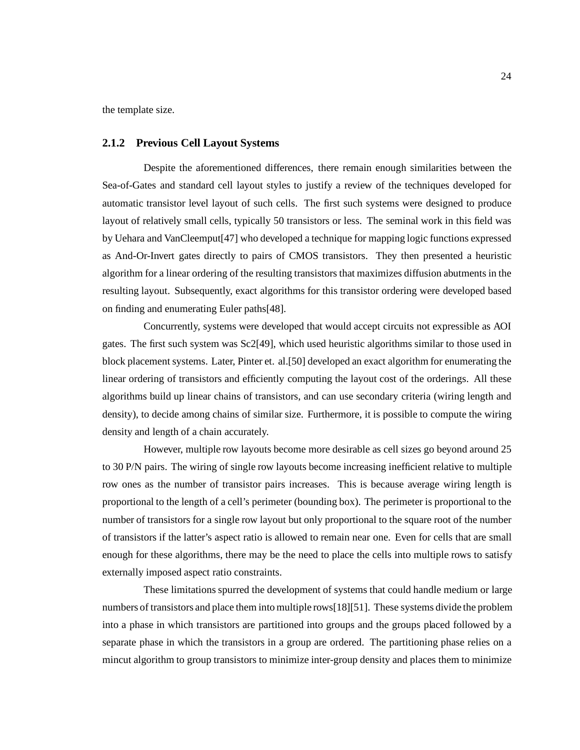the template size.

#### **2.1.2 Previous Cell Layout Systems**

Despite the aforementioned differences, there remain enough similarities between the Sea-of-Gates and standard cell layout styles to justify a review of the techniques developed for automatic transistor level layout of such cells. The first such systems were designed to produce layout of relatively small cells, typically 50 transistors or less. The seminal work in this field was by Uehara and VanCleemput[47] who developed a technique for mapping logic functions expressed as And-Or-Invert gates directly to pairs of CMOS transistors. They then presented a heuristic algorithm for a linear ordering of the resulting transistors that maximizes diffusion abutments in the resulting layout. Subsequently, exact algorithms for this transistor ordering were developed based on finding and enumerating Euler paths[48].

Concurrently, systems were developed that would accept circuits not expressible as AOI gates. The first such system was Sc2[49], which used heuristic algorithms similar to those used in block placement systems. Later, Pinter et. al.[50] developed an exact algorithm for enumerating the linear ordering of transistors and efficiently computing the layout cost of the orderings. All these algorithms build up linear chains of transistors, and can use secondary criteria (wiring length and density), to decide among chains of similar size. Furthermore, it is possible to compute the wiring density and length of a chain accurately.

However, multiple row layouts become more desirable as cell sizes go beyond around 25 to 30 P/N pairs. The wiring of single row layouts become increasing inefficient relative to multiple row ones as the number of transistor pairs increases. This is because average wiring length is proportional to the length of a cell's perimeter (bounding box). The perimeter is proportional to the number of transistors for a single row layout but only proportional to the square root of the number of transistors if the latter's aspect ratio is allowed to remain near one. Even for cells that are small enough for these algorithms, there may be the need to place the cells into multiple rows to satisfy externally imposed aspect ratio constraints.

These limitations spurred the development of systems that could handle medium or large numbers of transistors and place them into multiple rows[18][51]. These systems divide the problem into a phase in which transistors are partitioned into groups and the groups placed followed by a separate phase in which the transistors in a group are ordered. The partitioning phase relies on a mincut algorithm to group transistors to minimize inter-group density and places them to minimize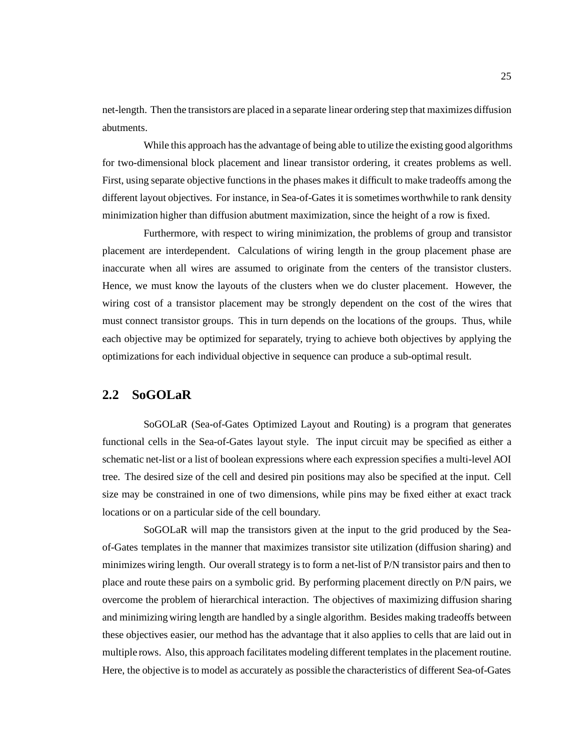net-length. Then the transistors are placed in a separate linear ordering step that maximizes diffusion abutments.

While this approach has the advantage of being able to utilize the existing good algorithms for two-dimensional block placement and linear transistor ordering, it creates problems as well. First, using separate objective functions in the phases makes it difficult to make tradeoffs among the different layout objectives. For instance, in Sea-of-Gates it is sometimes worthwhile to rank density minimization higher than diffusion abutment maximization, since the height of a row is fixed.

Furthermore, with respect to wiring minimization, the problems of group and transistor placement are interdependent. Calculations of wiring length in the group placement phase are inaccurate when all wires are assumed to originate from the centers of the transistor clusters. Hence, we must know the layouts of the clusters when we do cluster placement. However, the wiring cost of a transistor placement may be strongly dependent on the cost of the wires that must connect transistor groups. This in turn depends on the locations of the groups. Thus, while each objective may be optimized for separately, trying to achieve both objectives by applying the optimizations for each individual objective in sequence can produce a sub-optimal result.

# **2.2 SoGOLaR**

SoGOLaR (Sea-of-Gates Optimized Layout and Routing) is a program that generates functional cells in the Sea-of-Gates layout style. The input circuit may be specified as either a schematic net-list or a list of boolean expressions where each expression specifies a multi-level AOI tree. The desired size of the cell and desired pin positions may also be specified at the input. Cell size may be constrained in one of two dimensions, while pins may be fixed either at exact track locations or on a particular side of the cell boundary.

SoGOLaR will map the transistors given at the input to the grid produced by the Seaof-Gates templates in the manner that maximizes transistor site utilization (diffusion sharing) and minimizes wiring length. Our overall strategy is to form a net-list of P/N transistor pairs and then to place and route these pairs on a symbolic grid. By performing placement directly on P/N pairs, we overcome the problem of hierarchical interaction. The objectives of maximizing diffusion sharing and minimizing wiring length are handled by a single algorithm. Besides making tradeoffs between these objectives easier, our method has the advantage that it also applies to cells that are laid out in multiple rows. Also, this approach facilitates modeling different templates in the placement routine. Here, the objective is to model as accurately as possible the characteristics of different Sea-of-Gates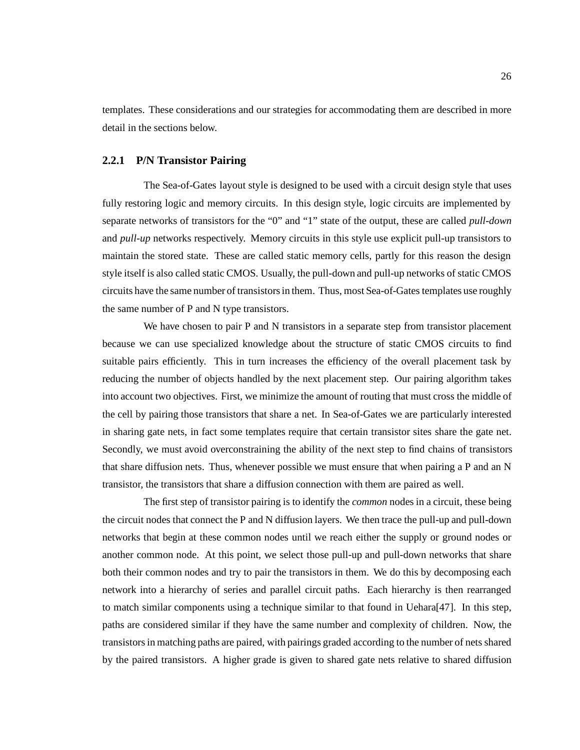templates. These considerations and our strategies for accommodating them are described in more detail in the sections below.

#### **2.2.1 P/N Transistor Pairing**

The Sea-of-Gates layout style is designed to be used with a circuit design style that uses fully restoring logic and memory circuits. In this design style, logic circuits are implemented by separate networks of transistors for the "0" and "1" state of the output, these are called *pull-down* and *pull-up* networks respectively. Memory circuits in this style use explicit pull-up transistors to maintain the stored state. These are called static memory cells, partly for this reason the design style itself is also called static CMOS. Usually, the pull-down and pull-up networks of static CMOS circuits have the same number of transistors in them. Thus, most Sea-of-Gates templates use roughly the same number of P and N type transistors.

We have chosen to pair P and N transistors in a separate step from transistor placement because we can use specialized knowledge about the structure of static CMOS circuits to find suitable pairs efficiently. This in turn increases the efficiency of the overall placement task by reducing the number of objects handled by the next placement step. Our pairing algorithm takes into account two objectives. First, we minimize the amount of routing that must cross the middle of the cell by pairing those transistors that share a net. In Sea-of-Gates we are particularly interested in sharing gate nets, in fact some templates require that certain transistor sites share the gate net. Secondly, we must avoid overconstraining the ability of the next step to find chains of transistors that share diffusion nets. Thus, whenever possible we must ensure that when pairing a P and an N transistor, the transistors that share a diffusion connection with them are paired as well.

The first step of transistor pairing is to identify the *common* nodes in a circuit, these being the circuit nodes that connect the P and N diffusion layers. We then trace the pull-up and pull-down networks that begin at these common nodes until we reach either the supply or ground nodes or another common node. At this point, we select those pull-up and pull-down networks that share both their common nodes and try to pair the transistors in them. We do this by decomposing each network into a hierarchy of series and parallel circuit paths. Each hierarchy is then rearranged to match similar components using a technique similar to that found in Uehara[47]. In this step, paths are considered similar if they have the same number and complexity of children. Now, the transistors in matching paths are paired, with pairings graded according to the number of nets shared by the paired transistors. A higher grade is given to shared gate nets relative to shared diffusion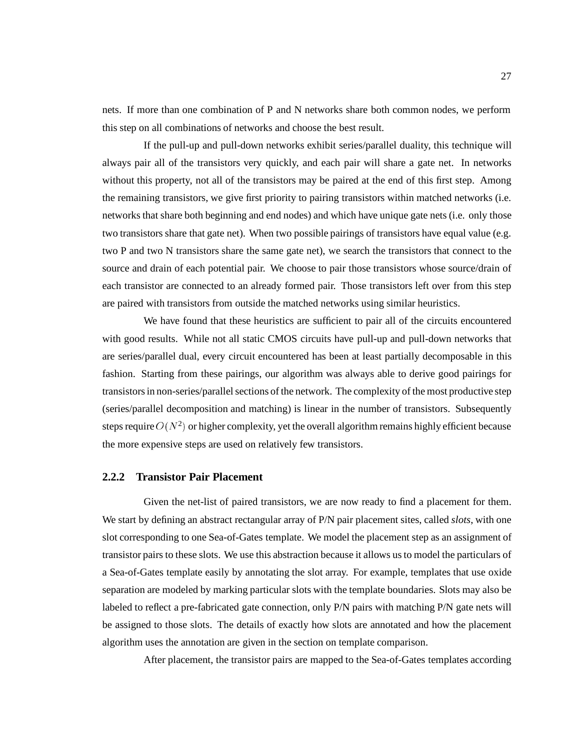nets. If more than one combination of P and N networks share both common nodes, we perform this step on all combinations of networks and choose the best result.

If the pull-up and pull-down networks exhibit series/parallel duality, this technique will always pair all of the transistors very quickly, and each pair will share a gate net. In networks without this property, not all of the transistors may be paired at the end of this first step. Among the remaining transistors, we give first priority to pairing transistors within matched networks (i.e. networks that share both beginning and end nodes) and which have unique gate nets (i.e. only those two transistors share that gate net). When two possible pairings of transistors have equal value (e.g. two P and two N transistors share the same gate net), we search the transistors that connect to the source and drain of each potential pair. We choose to pair those transistors whose source/drain of each transistor are connected to an already formed pair. Those transistors left over from this step are paired with transistors from outside the matched networks using similar heuristics.

We have found that these heuristics are sufficient to pair all of the circuits encountered with good results. While not all static CMOS circuits have pull-up and pull-down networks that are series/parallel dual, every circuit encountered has been at least partially decomposable in this fashion. Starting from these pairings, our algorithm was always able to derive good pairings for transistors in non-series/parallel sections of the network. The complexity of the most productive step (series/parallel decomposition and matching) is linear in the number of transistors. Subsequently steps require  $O(N^2)$  or higher complexity, yet the overall algorithm remains highly efficient because the more expensive steps are used on relatively few transistors.

#### **2.2.2 Transistor Pair Placement**

Given the net-list of paired transistors, we are now ready to find a placement for them. We start by defining an abstract rectangular array of P/N pair placement sites, called *slots*, with one slot corresponding to one Sea-of-Gates template. We model the placement step as an assignment of transistor pairs to these slots. We use this abstraction because it allows us to model the particulars of a Sea-of-Gates template easily by annotating the slot array. For example, templates that use oxide separation are modeled by marking particular slots with the template boundaries. Slots may also be labeled to reflect a pre-fabricated gate connection, only P/N pairs with matching P/N gate nets will be assigned to those slots. The details of exactly how slots are annotated and how the placement algorithm uses the annotation are given in the section on template comparison.

After placement, the transistor pairs are mapped to the Sea-of-Gates templates according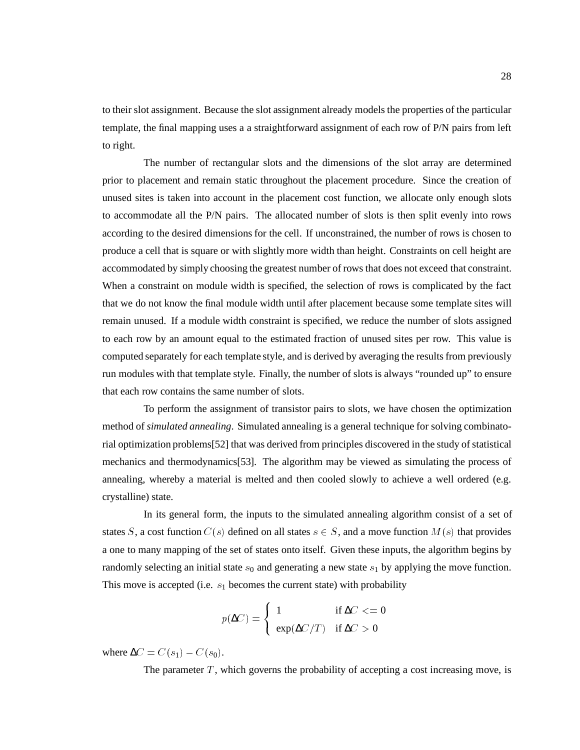to their slot assignment. Because the slot assignment already models the properties of the particular template, the final mapping uses a a straightforward assignment of each row of P/N pairs from left to right.

The number of rectangular slots and the dimensions of the slot array are determined prior to placement and remain static throughout the placement procedure. Since the creation of unused sites is taken into account in the placement cost function, we allocate only enough slots to accommodate all the P/N pairs. The allocated number of slots is then split evenly into rows according to the desired dimensions for the cell. If unconstrained, the number of rows is chosen to produce a cell that is square or with slightly more width than height. Constraints on cell height are accommodated by simply choosing the greatest number of rows that does not exceed that constraint. When a constraint on module width is specified, the selection of rows is complicated by the fact that we do not know the final module width until after placement because some template sites will remain unused. If a module width constraint is specified, we reduce the number of slots assigned to each row by an amount equal to the estimated fraction of unused sites per row. This value is computed separately for each template style, and is derived by averaging the results from previously run modules with that template style. Finally, the number of slots is always "rounded up" to ensure that each row contains the same number of slots.

To perform the assignment of transistor pairs to slots, we have chosen the optimization method of *simulated annealing*. Simulated annealing is a general technique for solving combinatorial optimization problems[52] that was derived from principles discovered in the study of statistical mechanics and thermodynamics[53]. The algorithm may be viewed as simulating the process of annealing, whereby a material is melted and then cooled slowly to achieve a well ordered (e.g. crystalline) state.

In its general form, the inputs to the simulated annealing algorithm consist of a set of states S, a cost function  $C(s)$  defined on all states  $s \in S$ , and a move function  $M(s)$  that provides a one to many mapping of the set of states onto itself. Given these inputs, the algorithm begins by randomly selecting an initial state  $s_0$  and generating a new state  $s_1$  by applying the move function. This move is accepted (i.e.  $s_1$  becomes the current state) with probability

$$
p(\Delta C) = \begin{cases} 1 & \text{if } \Delta C < = 0\\ \exp(\Delta C/T) & \text{if } \Delta C > 0 \end{cases}
$$

where  $\Delta C = C(s_1) - C(s_0)$ .

The parameter  $T$ , which governs the probability of accepting a cost increasing move, is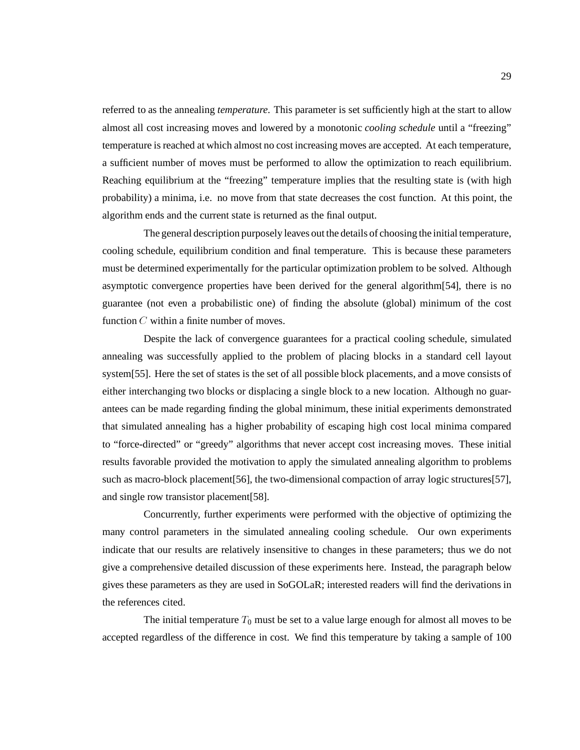referred to as the annealing *temperature*. This parameter is set sufficiently high at the start to allow almost all cost increasing moves and lowered by a monotonic *cooling schedule* until a "freezing" temperature is reached at which almost no cost increasing moves are accepted. At each temperature, a sufficient number of moves must be performed to allow the optimization to reach equilibrium. Reaching equilibrium at the "freezing" temperature implies that the resulting state is (with high probability) a minima, i.e. no move from that state decreases the cost function. At this point, the algorithm ends and the current state is returned as the final output.

The general description purposely leaves out the details of choosing the initial temperature, cooling schedule, equilibrium condition and final temperature. This is because these parameters must be determined experimentally for the particular optimization problem to be solved. Although asymptotic convergence properties have been derived for the general algorithm[54], there is no guarantee (not even a probabilistic one) of finding the absolute (global) minimum of the cost function  $C$  within a finite number of moves.

Despite the lack of convergence guarantees for a practical cooling schedule, simulated annealing was successfully applied to the problem of placing blocks in a standard cell layout system[55]. Here the set of states is the set of all possible block placements, and a move consists of either interchanging two blocks or displacing a single block to a new location. Although no guarantees can be made regarding finding the global minimum, these initial experiments demonstrated that simulated annealing has a higher probability of escaping high cost local minima compared to "force-directed" or "greedy" algorithms that never accept cost increasing moves. These initial results favorable provided the motivation to apply the simulated annealing algorithm to problems such as macro-block placement[56], the two-dimensional compaction of array logic structures[57], and single row transistor placement[58].

Concurrently, further experiments were performed with the objective of optimizing the many control parameters in the simulated annealing cooling schedule. Our own experiments indicate that our results are relatively insensitive to changes in these parameters; thus we do not give a comprehensive detailed discussion of these experiments here. Instead, the paragraph below gives these parameters as they are used in SoGOLaR; interested readers will find the derivations in the references cited.

The initial temperature  $T_0$  must be set to a value large enough for almost all moves to be accepted regardless of the difference in cost. We find this temperature by taking a sample of 100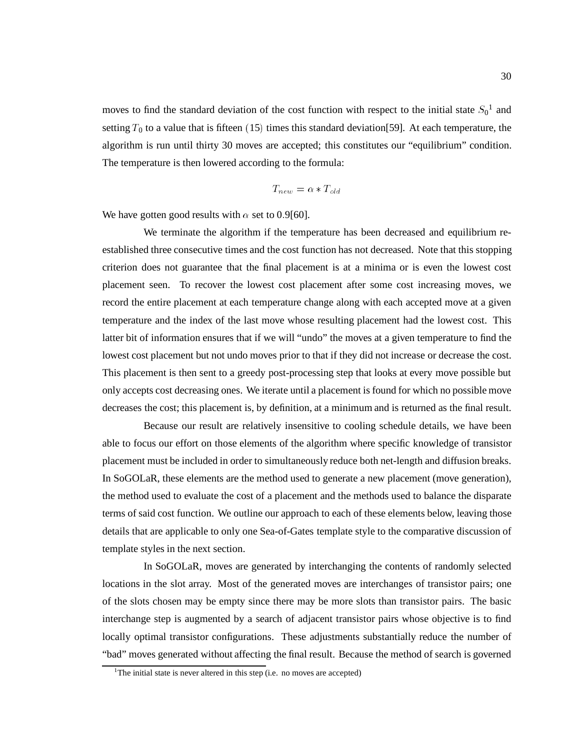moves to find the standard deviation of the cost function with respect to the initial state  $S_0^1$  and setting  $T_0$  to a value that is fifteen (15) times this standard deviation [59]. At each temperature, the algorithm is run until thirty 30 moves are accepted; this constitutes our "equilibrium" condition. The temperature is then lowered according to the formula:

$$
T_{new} = \alpha * T_{old}
$$

We have gotten good results with  $\alpha$  set to 0.9[60].

We terminate the algorithm if the temperature has been decreased and equilibrium reestablished three consecutive times and the cost function has not decreased. Note that this stopping criterion does not guarantee that the final placement is at a minima or is even the lowest cost placement seen. To recover the lowest cost placement after some cost increasing moves, we record the entire placement at each temperature change along with each accepted move at a given temperature and the index of the last move whose resulting placement had the lowest cost. This latter bit of information ensures that if we will "undo" the moves at a given temperature to find the lowest cost placement but not undo moves prior to that if they did not increase or decrease the cost. This placement is then sent to a greedy post-processing step that looks at every move possible but only accepts cost decreasing ones. We iterate until a placement is found for which no possible move decreases the cost; this placement is, by definition, at a minimum and is returned as the final result.

Because our result are relatively insensitive to cooling schedule details, we have been able to focus our effort on those elements of the algorithm where specific knowledge of transistor placement must be included in order to simultaneously reduce both net-length and diffusion breaks. In SoGOLaR, these elements are the method used to generate a new placement (move generation), the method used to evaluate the cost of a placement and the methods used to balance the disparate terms of said cost function. We outline our approach to each of these elements below, leaving those details that are applicable to only one Sea-of-Gates template style to the comparative discussion of template styles in the next section.

In SoGOLaR, moves are generated by interchanging the contents of randomly selected locations in the slot array. Most of the generated moves are interchanges of transistor pairs; one of the slots chosen may be empty since there may be more slots than transistor pairs. The basic interchange step is augmented by a search of adjacent transistor pairs whose objective is to find locally optimal transistor configurations. These adjustments substantially reduce the number of "bad" moves generated without affecting the final result. Because the method of search is governed

<sup>&</sup>lt;sup>1</sup>The initial state is never altered in this step (i.e. no moves are accepted)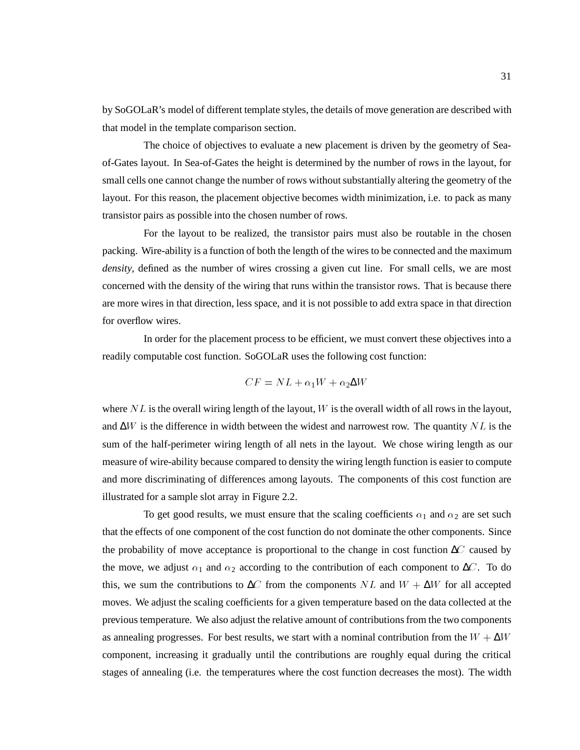by SoGOLaR's model of different template styles, the details of move generation are described with that model in the template comparison section.

The choice of objectives to evaluate a new placement is driven by the geometry of Seaof-Gates layout. In Sea-of-Gates the height is determined by the number of rows in the layout, for small cells one cannot change the number of rows without substantially altering the geometry of the layout. For this reason, the placement objective becomes width minimization, i.e. to pack as many transistor pairs as possible into the chosen number of rows.

For the layout to be realized, the transistor pairs must also be routable in the chosen packing. Wire-ability is a function of both the length of the wires to be connected and the maximum *density*, defined as the number of wires crossing a given cut line. For small cells, we are most concerned with the density of the wiring that runs within the transistor rows. That is because there are more wires in that direction, less space, and it is not possible to add extra space in that direction for overflow wires.

In order for the placement process to be efficient, we must convert these objectives into a readily computable cost function. SoGOLaR uses the following cost function:

$$
CF = NL + \alpha_1 W + \alpha_2 \Delta W
$$

where  $NL$  is the overall wiring length of the layout, W is the overall width of all rows in the layout, and  $\Delta W$  is the difference in width between the widest and narrowest row. The quantity NL is the sum of the half-perimeter wiring length of all nets in the layout. We chose wiring length as our measure of wire-ability because compared to density the wiring length function is easier to compute and more discriminating of differences among layouts. The components of this cost function are illustrated for a sample slot array in Figure 2.2.

To get good results, we must ensure that the scaling coefficients  $\alpha_1$  and  $\alpha_2$  are set such that the effects of one component of the cost function do not dominate the other components. Since the probability of move acceptance is proportional to the change in cost function  $\Delta C$  caused by the move, we adjust  $\alpha_1$  and  $\alpha_2$  according to the contribution of each component to  $\Delta C$ . To do this, we sum the contributions to  $\Delta C$  from the components NL and  $W + \Delta W$  for all accepted moves. We adjust the scaling coefficients for a given temperature based on the data collected at the previous temperature. We also adjust the relative amount of contributions from the two components as annealing progresses. For best results, we start with a nominal contribution from the  $W + \Delta W$ component, increasing it gradually until the contributions are roughly equal during the critical stages of annealing (i.e. the temperatures where the cost function decreases the most). The width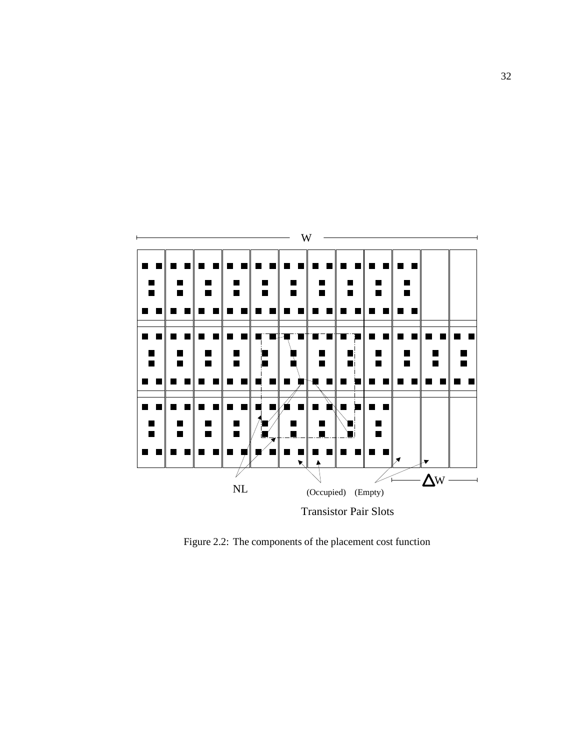

Figure 2.2: The components of the placement cost function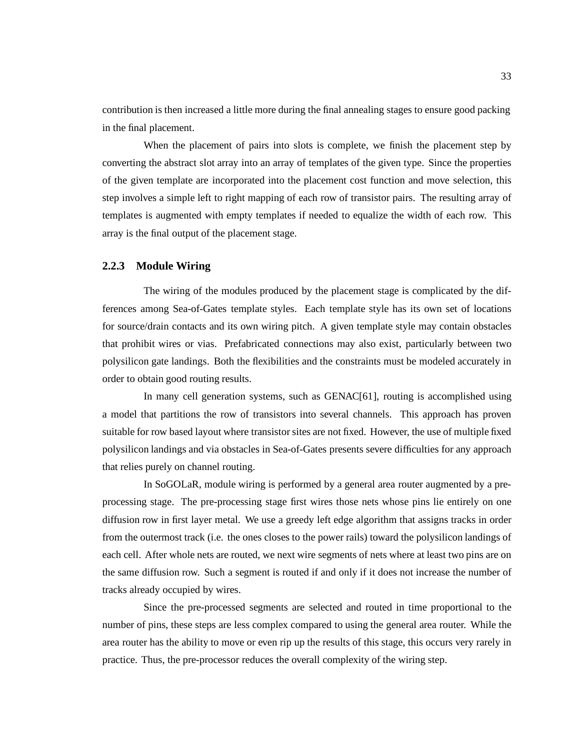contribution is then increased a little more during the final annealing stages to ensure good packing in the final placement.

When the placement of pairs into slots is complete, we finish the placement step by converting the abstract slot array into an array of templates of the given type. Since the properties of the given template are incorporated into the placement cost function and move selection, this step involves a simple left to right mapping of each row of transistor pairs. The resulting array of templates is augmented with empty templates if needed to equalize the width of each row. This array is the final output of the placement stage.

#### **2.2.3 Module Wiring**

The wiring of the modules produced by the placement stage is complicated by the differences among Sea-of-Gates template styles. Each template style has its own set of locations for source/drain contacts and its own wiring pitch. A given template style may contain obstacles that prohibit wires or vias. Prefabricated connections may also exist, particularly between two polysilicon gate landings. Both the flexibilities and the constraints must be modeled accurately in order to obtain good routing results.

In many cell generation systems, such as GENAC[61], routing is accomplished using a model that partitions the row of transistors into several channels. This approach has proven suitable for row based layout where transistor sites are not fixed. However, the use of multiple fixed polysilicon landings and via obstacles in Sea-of-Gates presents severe difficulties for any approach that relies purely on channel routing.

In SoGOLaR, module wiring is performed by a general area router augmented by a preprocessing stage. The pre-processing stage first wires those nets whose pins lie entirely on one diffusion row in first layer metal. We use a greedy left edge algorithm that assigns tracks in order from the outermost track (i.e. the ones closes to the power rails) toward the polysilicon landings of each cell. After whole nets are routed, we next wire segments of nets where at least two pins are on the same diffusion row. Such a segment is routed if and only if it does not increase the number of tracks already occupied by wires.

Since the pre-processed segments are selected and routed in time proportional to the number of pins, these steps are less complex compared to using the general area router. While the area router has the ability to move or even rip up the results of this stage, this occurs very rarely in practice. Thus, the pre-processor reduces the overall complexity of the wiring step.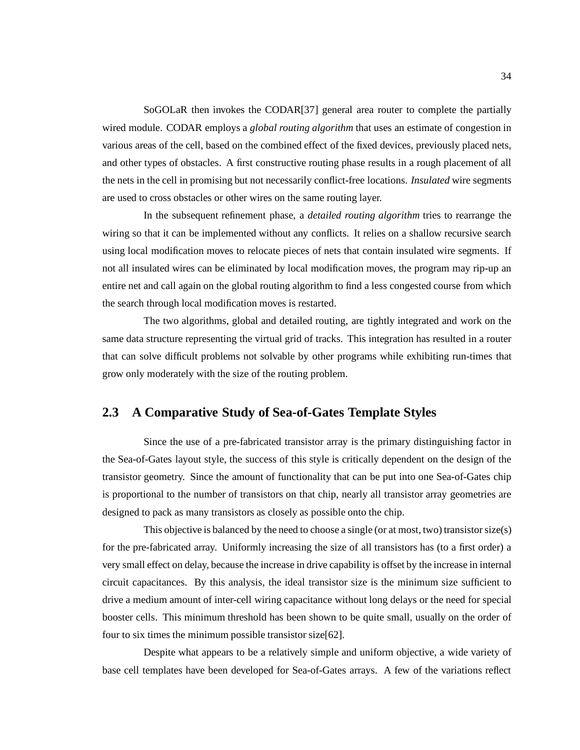SoGOLaR then invokes the CODAR[37] general area router to complete the partially wired module. CODAR employs a *global routing algorithm* that uses an estimate of congestion in various areas of the cell, based on the combined effect of the fixed devices, previously placed nets, and other types of obstacles. A first constructive routing phase results in a rough placement of all the nets in the cell in promising but not necessarily conflict-free locations. *Insulated* wire segments are used to cross obstacles or other wires on the same routing layer.

In the subsequent refinement phase, a *detailed routing algorithm* tries to rearrange the wiring so that it can be implemented without any conflicts. It relies on a shallow recursive search using local modification moves to relocate pieces of nets that contain insulated wire segments. If not all insulated wires can be eliminated by local modification moves, the program may rip-up an entire net and call again on the global routing algorithm to find a less congested course from which the search through local modification moves is restarted.

The two algorithms, global and detailed routing, are tightly integrated and work on the same data structure representing the virtual grid of tracks. This integration has resulted in a router that can solve difficult problems not solvable by other programs while exhibiting run-times that grow only moderately with the size of the routing problem.

# **2.3 A Comparative Study of Sea-of-Gates Template Styles**

Since the use of a pre-fabricated transistor array is the primary distinguishing factor in the Sea-of-Gates layout style, the success of this style is critically dependent on the design of the transistor geometry. Since the amount of functionality that can be put into one Sea-of-Gates chip is proportional to the number of transistors on that chip, nearly all transistor array geometries are designed to pack as many transistors as closely as possible onto the chip.

This objective is balanced by the need to choose a single (or at most, two) transistor size(s) for the pre-fabricated array. Uniformly increasing the size of all transistors has (to a first order) a very small effect on delay, because the increase in drive capability is offset by the increase in internal circuit capacitances. By this analysis, the ideal transistor size is the minimum size sufficient to drive a medium amount of inter-cell wiring capacitance without long delays or the need for special booster cells. This minimum threshold has been shown to be quite small, usually on the order of four to six times the minimum possible transistor size[62].

Despite what appears to be a relatively simple and uniform objective, a wide variety of base cell templates have been developed for Sea-of-Gates arrays. A few of the variations reflect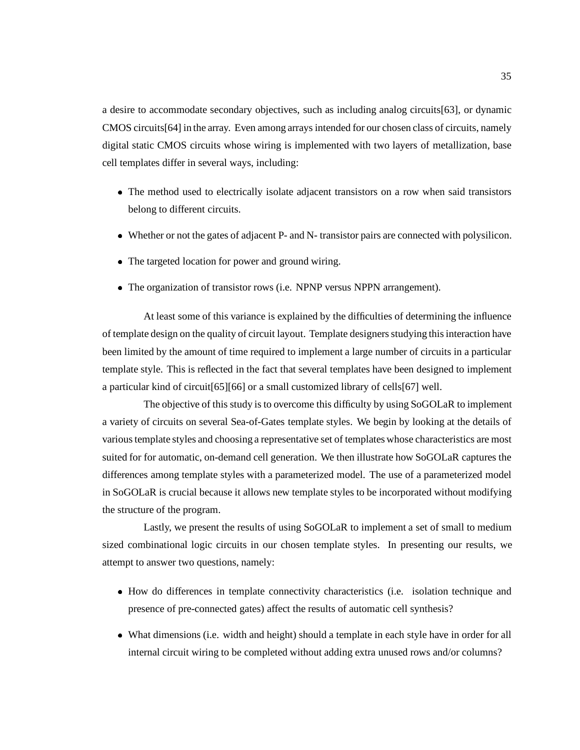a desire to accommodate secondary objectives, such as including analog circuits[63], or dynamic CMOS circuits[64] in the array. Even among arrays intended for our chosen class of circuits, namely digital static CMOS circuits whose wiring is implemented with two layers of metallization, base cell templates differ in several ways, including:

- The method used to electrically isolate adjacent transistors on a row when said transistors belong to different circuits.
- Whether or not the gates of adjacent P- and N- transistor pairs are connected with polysilicon.
- The targeted location for power and ground wiring.
- The organization of transistor rows (i.e. NPNP versus NPPN arrangement).

At least some of this variance is explained by the difficulties of determining the influence of template design on the quality of circuit layout. Template designers studying this interaction have been limited by the amount of time required to implement a large number of circuits in a particular template style. This is reflected in the fact that several templates have been designed to implement a particular kind of circuit[65][66] or a small customized library of cells[67] well.

The objective of this study is to overcome this difficulty by using SoGOLaR to implement a variety of circuits on several Sea-of-Gates template styles. We begin by looking at the details of various template styles and choosing a representative set of templates whose characteristics are most suited for for automatic, on-demand cell generation. We then illustrate how SoGOLaR captures the differences among template styles with a parameterized model. The use of a parameterized model in SoGOLaR is crucial because it allows new template styles to be incorporated without modifying the structure of the program.

Lastly, we present the results of using SoGOLaR to implement a set of small to medium sized combinational logic circuits in our chosen template styles. In presenting our results, we attempt to answer two questions, namely:

- How do differences in template connectivity characteristics (i.e. isolation technique and presence of pre-connected gates) affect the results of automatic cell synthesis?
- What dimensions (i.e. width and height) should a template in each style have in order for all internal circuit wiring to be completed without adding extra unused rows and/or columns?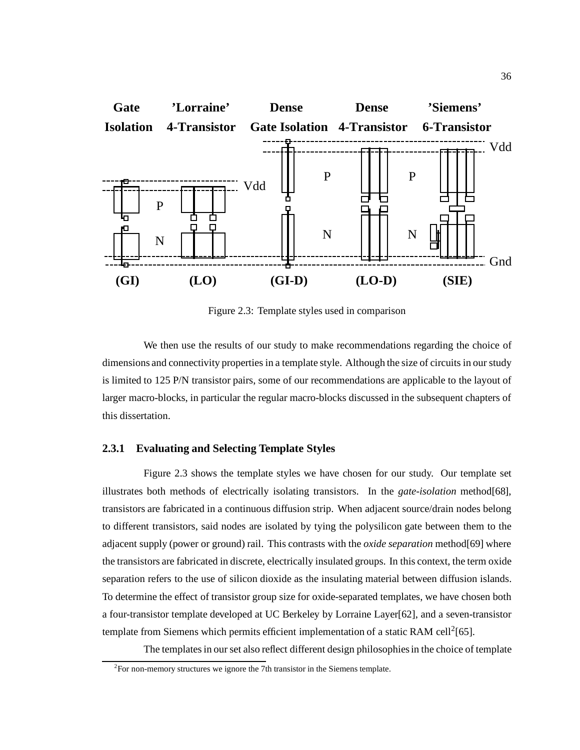

Figure 2.3: Template styles used in comparison

We then use the results of our study to make recommendations regarding the choice of dimensions and connectivity properties in a template style. Although the size of circuits in our study is limited to 125 P/N transistor pairs, some of our recommendations are applicable to the layout of larger macro-blocks, in particular the regular macro-blocks discussed in the subsequent chapters of this dissertation.

#### **2.3.1 Evaluating and Selecting Template Styles**

Figure 2.3 shows the template styles we have chosen for our study. Our template set illustrates both methods of electrically isolating transistors. In the *gate-isolation* method[68], transistors are fabricated in a continuous diffusion strip. When adjacent source/drain nodes belong to different transistors, said nodes are isolated by tying the polysilicon gate between them to the adjacent supply (power or ground) rail. This contrasts with the *oxide separation* method[69] where the transistors are fabricated in discrete, electrically insulated groups. In this context, the term oxide separation refers to the use of silicon dioxide as the insulating material between diffusion islands. To determine the effect of transistor group size for oxide-separated templates, we have chosen both a four-transistor template developed at UC Berkeley by Lorraine Layer[62], and a seven-transistor template from Siemens which permits efficient implementation of a static RAM cell<sup>2</sup>[65].

The templates in our set also reflect different design philosophies in the choice of template

 $2^2$ For non-memory structures we ignore the 7th transistor in the Siemens template.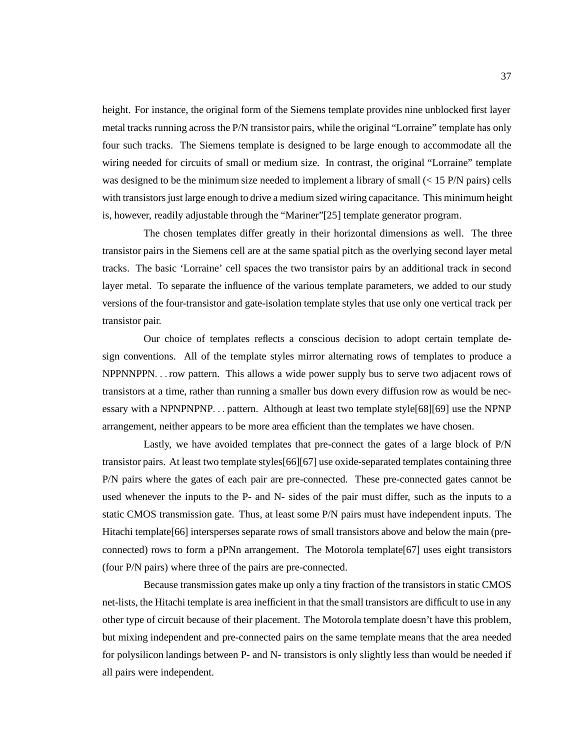height. For instance, the original form of the Siemens template provides nine unblocked first layer metal tracks running across the P/N transistor pairs, while the original "Lorraine" template has only four such tracks. The Siemens template is designed to be large enough to accommodate all the wiring needed for circuits of small or medium size. In contrast, the original "Lorraine" template was designed to be the minimum size needed to implement a library of small (< 15 P/N pairs) cells with transistors just large enough to drive a medium sized wiring capacitance. This minimum height is, however, readily adjustable through the "Mariner"[25] template generator program.

The chosen templates differ greatly in their horizontal dimensions as well. The three transistor pairs in the Siemens cell are at the same spatial pitch as the overlying second layer metal tracks. The basic 'Lorraine' cell spaces the two transistor pairs by an additional track in second layer metal. To separate the influence of the various template parameters, we added to our study versions of the four-transistor and gate-isolation template styles that use only one vertical track per transistor pair.

Our choice of templates reflects a conscious decision to adopt certain template design conventions. All of the template styles mirror alternating rows of templates to produce a NPPNNPPN::: row pattern. This allows a wide power supply bus to serve two adjacent rows of transistors at a time, rather than running a smaller bus down every diffusion row as would be necessary with a NPNPNPNP... pattern. Although at least two template style [68] [69] use the NPNP arrangement, neither appears to be more area efficient than the templates we have chosen.

Lastly, we have avoided templates that pre-connect the gates of a large block of P/N transistor pairs. At least two template styles[66][67] use oxide-separated templates containing three P/N pairs where the gates of each pair are pre-connected. These pre-connected gates cannot be used whenever the inputs to the P- and N- sides of the pair must differ, such as the inputs to a static CMOS transmission gate. Thus, at least some P/N pairs must have independent inputs. The Hitachi template<sup>[66]</sup> intersperses separate rows of small transistors above and below the main (preconnected) rows to form a pPNn arrangement. The Motorola template[67] uses eight transistors (four P/N pairs) where three of the pairs are pre-connected.

Because transmission gates make up only a tiny fraction of the transistors in static CMOS net-lists, the Hitachi template is area inefficient in that the small transistors are difficult to use in any other type of circuit because of their placement. The Motorola template doesn't have this problem, but mixing independent and pre-connected pairs on the same template means that the area needed for polysilicon landings between P- and N- transistors is only slightly less than would be needed if all pairs were independent.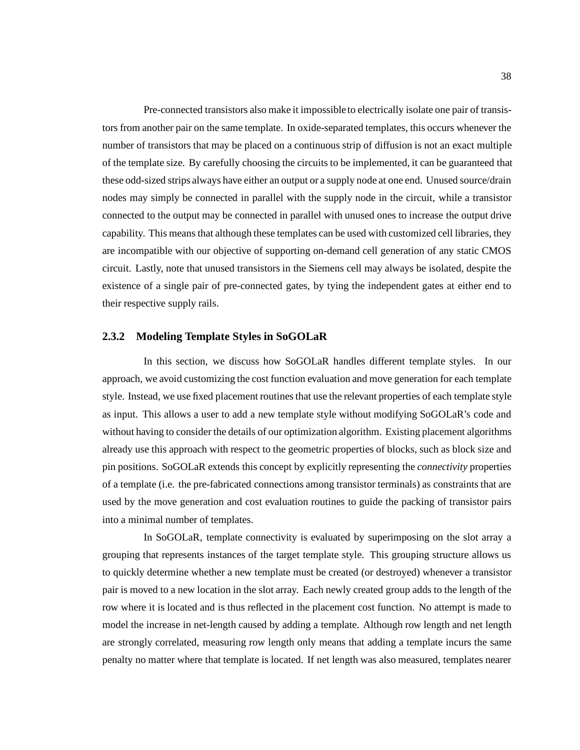Pre-connected transistors also make it impossibleto electrically isolate one pair of transistors from another pair on the same template. In oxide-separated templates, this occurs whenever the number of transistors that may be placed on a continuous strip of diffusion is not an exact multiple of the template size. By carefully choosing the circuits to be implemented, it can be guaranteed that these odd-sized strips always have either an output or a supply node at one end. Unused source/drain nodes may simply be connected in parallel with the supply node in the circuit, while a transistor connected to the output may be connected in parallel with unused ones to increase the output drive capability. This means that although these templates can be used with customized cell libraries, they are incompatible with our objective of supporting on-demand cell generation of any static CMOS circuit. Lastly, note that unused transistors in the Siemens cell may always be isolated, despite the existence of a single pair of pre-connected gates, by tying the independent gates at either end to their respective supply rails.

#### **2.3.2 Modeling Template Styles in SoGOLaR**

In this section, we discuss how SoGOLaR handles different template styles. In our approach, we avoid customizing the cost function evaluation and move generation for each template style. Instead, we use fixed placement routines that use the relevant properties of each template style as input. This allows a user to add a new template style without modifying SoGOLaR's code and without having to consider the details of our optimization algorithm. Existing placement algorithms already use this approach with respect to the geometric properties of blocks, such as block size and pin positions. SoGOLaR extends this concept by explicitly representing the *connectivity* properties of a template (i.e. the pre-fabricated connections among transistor terminals) as constraints that are used by the move generation and cost evaluation routines to guide the packing of transistor pairs into a minimal number of templates.

In SoGOLaR, template connectivity is evaluated by superimposing on the slot array a grouping that represents instances of the target template style. This grouping structure allows us to quickly determine whether a new template must be created (or destroyed) whenever a transistor pair is moved to a new location in the slot array. Each newly created group adds to the length of the row where it is located and is thus reflected in the placement cost function. No attempt is made to model the increase in net-length caused by adding a template. Although row length and net length are strongly correlated, measuring row length only means that adding a template incurs the same penalty no matter where that template is located. If net length was also measured, templates nearer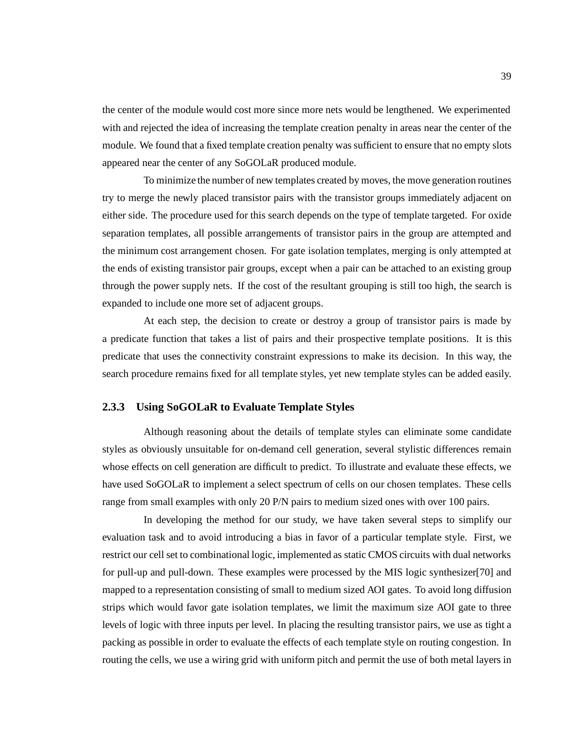the center of the module would cost more since more nets would be lengthened. We experimented with and rejected the idea of increasing the template creation penalty in areas near the center of the module. We found that a fixed template creation penalty was sufficient to ensure that no empty slots appeared near the center of any SoGOLaR produced module.

To minimize the number of new templates created by moves, the move generation routines try to merge the newly placed transistor pairs with the transistor groups immediately adjacent on either side. The procedure used for this search depends on the type of template targeted. For oxide separation templates, all possible arrangements of transistor pairs in the group are attempted and the minimum cost arrangement chosen. For gate isolation templates, merging is only attempted at the ends of existing transistor pair groups, except when a pair can be attached to an existing group through the power supply nets. If the cost of the resultant grouping is still too high, the search is expanded to include one more set of adjacent groups.

At each step, the decision to create or destroy a group of transistor pairs is made by a predicate function that takes a list of pairs and their prospective template positions. It is this predicate that uses the connectivity constraint expressions to make its decision. In this way, the search procedure remains fixed for all template styles, yet new template styles can be added easily.

#### **2.3.3 Using SoGOLaR to Evaluate Template Styles**

Although reasoning about the details of template styles can eliminate some candidate styles as obviously unsuitable for on-demand cell generation, several stylistic differences remain whose effects on cell generation are difficult to predict. To illustrate and evaluate these effects, we have used SoGOLaR to implement a select spectrum of cells on our chosen templates. These cells range from small examples with only 20 P/N pairs to medium sized ones with over 100 pairs.

In developing the method for our study, we have taken several steps to simplify our evaluation task and to avoid introducing a bias in favor of a particular template style. First, we restrict our cell set to combinational logic, implemented as static CMOS circuits with dual networks for pull-up and pull-down. These examples were processed by the MIS logic synthesizer[70] and mapped to a representation consisting of small to medium sized AOI gates. To avoid long diffusion strips which would favor gate isolation templates, we limit the maximum size AOI gate to three levels of logic with three inputs per level. In placing the resulting transistor pairs, we use as tight a packing as possible in order to evaluate the effects of each template style on routing congestion. In routing the cells, we use a wiring grid with uniform pitch and permit the use of both metal layers in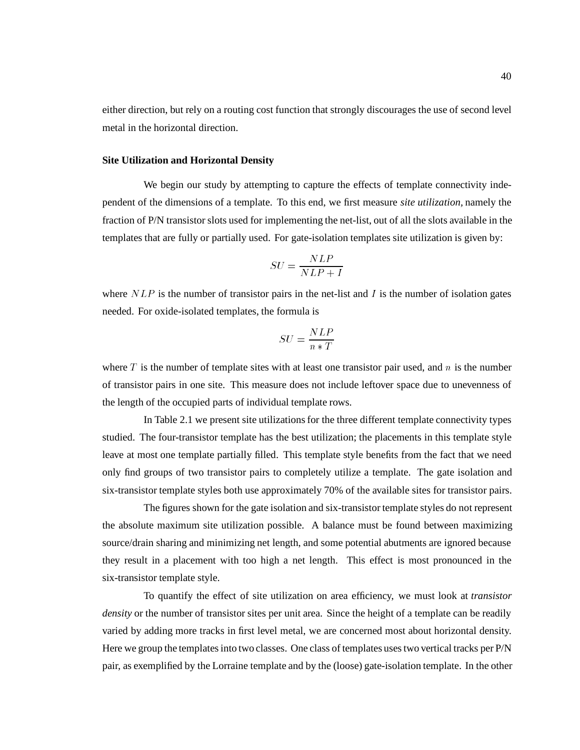either direction, but rely on a routing cost function that strongly discourages the use of second level metal in the horizontal direction.

#### **Site Utilization and Horizontal Density**

We begin our study by attempting to capture the effects of template connectivity independent of the dimensions of a template. To this end, we first measure *site utilization,* namely the fraction of P/N transistor slots used for implementing the net-list, out of all the slots available in the templates that are fully or partially used. For gate-isolation templates site utilization is given by:

$$
SU = \frac{NLP}{NLP+I}
$$

where  $NLP$  is the number of transistor pairs in the net-list and I is the number of isolation gates needed. For oxide-isolated templates, the formula is

$$
SU = \frac{NLP}{n*T}
$$

where  $T$  is the number of template sites with at least one transistor pair used, and  $n$  is the number of transistor pairs in one site. This measure does not include leftover space due to unevenness of the length of the occupied parts of individual template rows.

In Table 2.1 we present site utilizations for the three different template connectivity types studied. The four-transistor template has the best utilization; the placements in this template style leave at most one template partially filled. This template style benefits from the fact that we need only find groups of two transistor pairs to completely utilize a template. The gate isolation and six-transistor template styles both use approximately 70% of the available sites for transistor pairs.

The figures shown for the gate isolation and six-transistor template styles do not represent the absolute maximum site utilization possible. A balance must be found between maximizing source/drain sharing and minimizing net length, and some potential abutments are ignored because they result in a placement with too high a net length. This effect is most pronounced in the six-transistor template style.

To quantify the effect of site utilization on area efficiency, we must look at *transistor density* or the number of transistor sites per unit area. Since the height of a template can be readily varied by adding more tracks in first level metal, we are concerned most about horizontal density. Here we group the templates into two classes. One class of templates uses two vertical tracks per P/N pair, as exemplified by the Lorraine template and by the (loose) gate-isolation template. In the other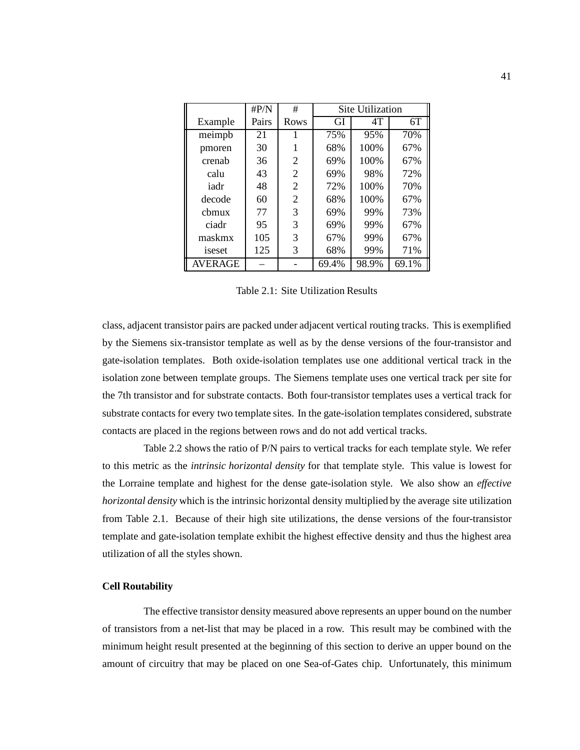|                | $\rm{H}P/N$ | #              | <b>Site Utilization</b> |       |       |  |  |  |
|----------------|-------------|----------------|-------------------------|-------|-------|--|--|--|
| Example        | Pairs       | Rows           | GI                      | 4T    | 6T    |  |  |  |
| meimpb         | 21          |                | 75%                     | 95%   | 70%   |  |  |  |
| pmoren         | 30          | 1              | 68%                     | 100%  | 67%   |  |  |  |
| crenab         | 36          | 2              | 69%                     | 100%  | 67%   |  |  |  |
| calu           | 43          | $\mathfrak{2}$ | 69%                     | 98%   | 72%   |  |  |  |
| iadr           | 48          | 2              | 72%                     | 100%  | 70%   |  |  |  |
| decode         | 60          | $\overline{2}$ | 68%                     | 100%  | 67%   |  |  |  |
| chmux          | 77          | 3              | 69%                     | 99%   | 73%   |  |  |  |
| ciadr          | 95          | 3              | 69%                     | 99%   | 67%   |  |  |  |
| maskmx         | 105         | 3              | 67%                     | 99%   | 67%   |  |  |  |
| iseset         | 125         | 3              | 68%                     | 99%   | 71%   |  |  |  |
| <b>AVERAGE</b> |             |                | 69.4%                   | 98.9% | 69.1% |  |  |  |

Table 2.1: Site Utilization Results

class, adjacent transistor pairs are packed under adjacent vertical routing tracks. This is exemplified by the Siemens six-transistor template as well as by the dense versions of the four-transistor and gate-isolation templates. Both oxide-isolation templates use one additional vertical track in the isolation zone between template groups. The Siemens template uses one vertical track per site for the 7th transistor and for substrate contacts. Both four-transistor templates uses a vertical track for substrate contacts for every two template sites. In the gate-isolation templates considered, substrate contacts are placed in the regions between rows and do not add vertical tracks.

Table 2.2 shows the ratio of P/N pairs to vertical tracks for each template style. We refer to this metric as the *intrinsic horizontal density* for that template style. This value is lowest for the Lorraine template and highest for the dense gate-isolation style. We also show an *effective horizontal density* which is the intrinsic horizontal density multiplied by the average site utilization from Table 2.1. Because of their high site utilizations, the dense versions of the four-transistor template and gate-isolation template exhibit the highest effective density and thus the highest area utilization of all the styles shown.

#### **Cell Routability**

The effective transistor density measured above represents an upper bound on the number of transistors from a net-list that may be placed in a row. This result may be combined with the minimum height result presented at the beginning of this section to derive an upper bound on the amount of circuitry that may be placed on one Sea-of-Gates chip. Unfortunately, this minimum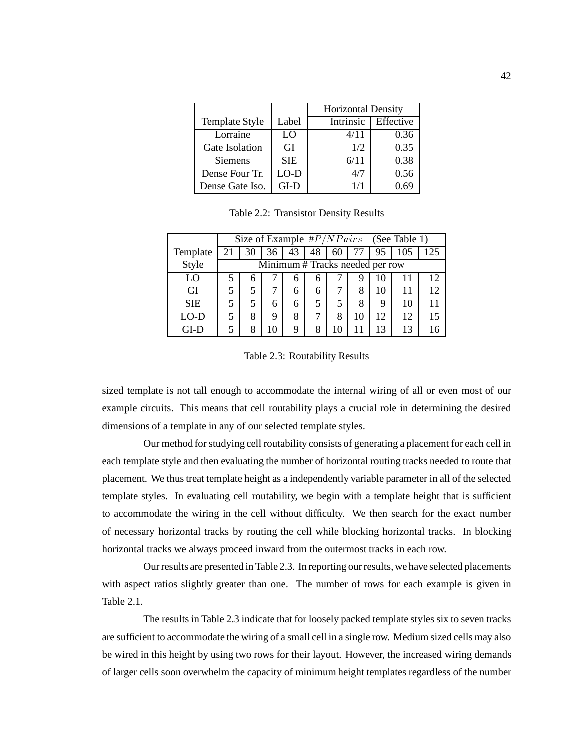|                 |            | <b>Horizontal Density</b> |           |  |  |
|-----------------|------------|---------------------------|-----------|--|--|
| Template Style  | Label      | Intrinsic                 | Effective |  |  |
| Lorraine        | LO         | 4/11                      | 0.36      |  |  |
| Gate Isolation  | GI         | 1/2                       | 0.35      |  |  |
| <b>Siemens</b>  | <b>SIE</b> | 6/11                      | 0.38      |  |  |
| Dense Four Tr.  | LO-D       | 4/7                       | 0.56      |  |  |
| Dense Gate Iso. | GL-D       | 1/1                       | ) 69      |  |  |

Table 2.2: Transistor Density Results

|            | Size of Example $\#P/NPairs$ (See Table 1) |                                 |    |    |    |    |    |    |     |     |  |
|------------|--------------------------------------------|---------------------------------|----|----|----|----|----|----|-----|-----|--|
| Template   | 21                                         | 30                              | 36 | 43 | 48 | 60 |    | 95 | 105 | 125 |  |
| Style      |                                            | Minimum # Tracks needed per row |    |    |    |    |    |    |     |     |  |
| LO         |                                            | h                               |    | 6  | 6  |    | Ч  | 10 |     | 12  |  |
| GI         |                                            |                                 |    | 6  | 6  |    | 8  | 10 | 11  | 12  |  |
| <b>SIE</b> |                                            |                                 | 6  | 6  | 5  | 5  | 8  | 9  | 10  | 11  |  |
| $LO-D$     |                                            | 8                               | 9  | 8  | 7  | 8  | 10 | 12 | 12  | 15  |  |
| GI-D       |                                            | 8                               | 10 | 9  | 8  | 10 |    | 13 | 13  | 16  |  |

Table 2.3: Routability Results

sized template is not tall enough to accommodate the internal wiring of all or even most of our example circuits. This means that cell routability plays a crucial role in determining the desired dimensions of a template in any of our selected template styles.

Our method for studying cell routability consists of generating a placement for each cell in each template style and then evaluating the number of horizontal routing tracks needed to route that placement. We thus treat template height as a independently variable parameter in all of the selected template styles. In evaluating cell routability, we begin with a template height that is sufficient to accommodate the wiring in the cell without difficulty. We then search for the exact number of necessary horizontal tracks by routing the cell while blocking horizontal tracks. In blocking horizontal tracks we always proceed inward from the outermost tracks in each row.

Our results are presented in Table 2.3. In reporting our results, we have selected placements with aspect ratios slightly greater than one. The number of rows for each example is given in Table 2.1.

The results in Table 2.3 indicate that for loosely packed template styles six to seven tracks are sufficient to accommodate the wiring of a small cell in a single row. Medium sized cells may also be wired in this height by using two rows for their layout. However, the increased wiring demands of larger cells soon overwhelm the capacity of minimum height templates regardless of the number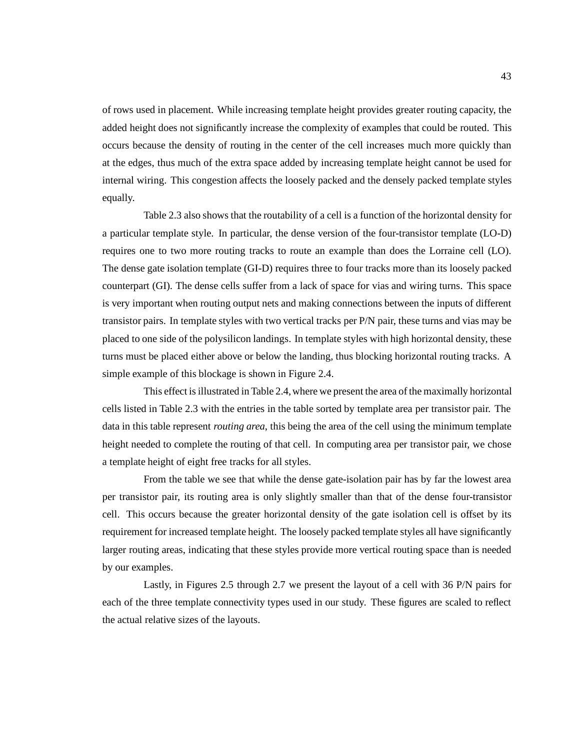of rows used in placement. While increasing template height provides greater routing capacity, the added height does not significantly increase the complexity of examples that could be routed. This occurs because the density of routing in the center of the cell increases much more quickly than at the edges, thus much of the extra space added by increasing template height cannot be used for internal wiring. This congestion affects the loosely packed and the densely packed template styles equally.

Table 2.3 also shows that the routability of a cell is a function of the horizontal density for a particular template style. In particular, the dense version of the four-transistor template (LO-D) requires one to two more routing tracks to route an example than does the Lorraine cell (LO). The dense gate isolation template (GI-D) requires three to four tracks more than its loosely packed counterpart (GI). The dense cells suffer from a lack of space for vias and wiring turns. This space is very important when routing output nets and making connections between the inputs of different transistor pairs. In template styles with two vertical tracks per P/N pair, these turns and vias may be placed to one side of the polysilicon landings. In template styles with high horizontal density, these turns must be placed either above or below the landing, thus blocking horizontal routing tracks. A simple example of this blockage is shown in Figure 2.4.

This effect is illustrated in Table 2.4, where we present the area of the maximally horizontal cells listed in Table 2.3 with the entries in the table sorted by template area per transistor pair. The data in this table represent *routing area*, this being the area of the cell using the minimum template height needed to complete the routing of that cell. In computing area per transistor pair, we chose a template height of eight free tracks for all styles.

From the table we see that while the dense gate-isolation pair has by far the lowest area per transistor pair, its routing area is only slightly smaller than that of the dense four-transistor cell. This occurs because the greater horizontal density of the gate isolation cell is offset by its requirement for increased template height. The loosely packed template styles all have significantly larger routing areas, indicating that these styles provide more vertical routing space than is needed by our examples.

Lastly, in Figures 2.5 through 2.7 we present the layout of a cell with 36 P/N pairs for each of the three template connectivity types used in our study. These figures are scaled to reflect the actual relative sizes of the layouts.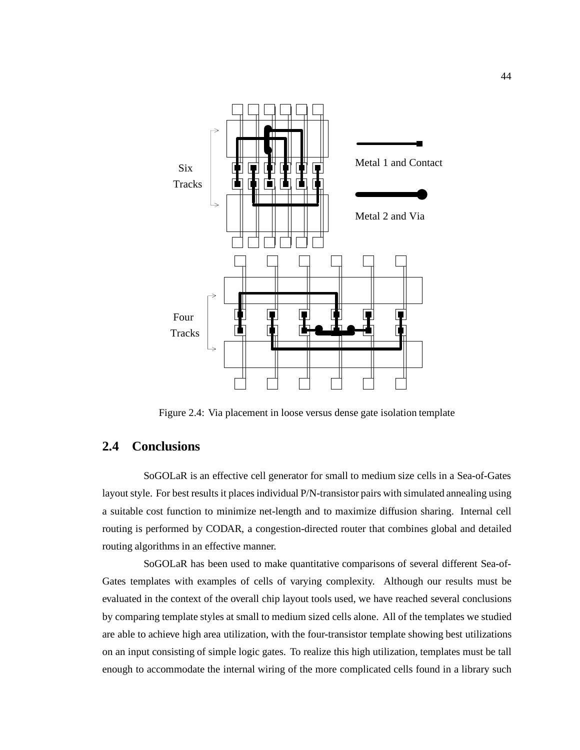

Figure 2.4: Via placement in loose versus dense gate isolation template

# **2.4 Conclusions**

SoGOLaR is an effective cell generator for small to medium size cells in a Sea-of-Gates layout style. For best results it places individual P/N-transistor pairs with simulated annealing using a suitable cost function to minimize net-length and to maximize diffusion sharing. Internal cell routing is performed by CODAR, a congestion-directed router that combines global and detailed routing algorithms in an effective manner.

SoGOLaR has been used to make quantitative comparisons of several different Sea-of-Gates templates with examples of cells of varying complexity. Although our results must be evaluated in the context of the overall chip layout tools used, we have reached several conclusions by comparing template styles at small to medium sized cells alone. All of the templates we studied are able to achieve high area utilization, with the four-transistor template showing best utilizations on an input consisting of simple logic gates. To realize this high utilization, templates must be tall enough to accommodate the internal wiring of the more complicated cells found in a library such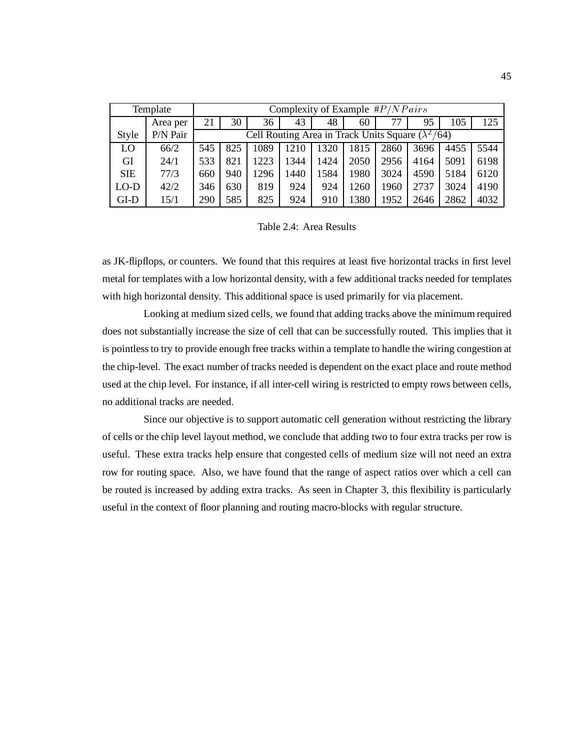|            | Template | Complexity of Example $\#P/NPairs$ |                                                          |      |      |      |      |      |      |      |      |
|------------|----------|------------------------------------|----------------------------------------------------------|------|------|------|------|------|------|------|------|
|            | Area per | 21                                 | 30                                                       | 36   | 43   | 48   | 60   | 77   | 95   | 105  | 125  |
| Style      | P/N Pair |                                    | Cell Routing Area in Track Units Square $(\lambda^2/64)$ |      |      |      |      |      |      |      |      |
| LO         | 66/2     | 545                                | 825                                                      | 1089 | 1210 | 1320 | 1815 | 2860 | 3696 | 4455 | 5544 |
| GI         | 24/1     | 533                                | 821                                                      | 1223 | 1344 | 1424 | 2050 | 2956 | 4164 | 5091 | 6198 |
| <b>SIE</b> | 77/3     | 660                                | 940                                                      | 1296 | 1440 | 1584 | 1980 | 3024 | 4590 | 5184 | 6120 |
| $LO-D$     | 42/2     | 346                                | 630                                                      | 819  | 924  | 924  | 1260 | 1960 | 2737 | 3024 | 4190 |
| GLD        | 15/1     | 290                                | 585                                                      | 825  | 924  | 910  | 1380 | 1952 | 2646 | 2862 | 4032 |

Table 2.4: Area Results

as JK-flipflops, or counters. We found that this requires at least five horizontal tracks in first level metal for templates with a low horizontal density, with a few additional tracks needed for templates with high horizontal density. This additional space is used primarily for via placement.

Looking at medium sized cells, we found that adding tracks above the minimum required does not substantially increase the size of cell that can be successfully routed. This implies that it is pointless to try to provide enough free tracks within a template to handle the wiring congestion at the chip-level. The exact number of tracks needed is dependent on the exact place and route method used at the chip level. For instance, if all inter-cell wiring is restricted to empty rows between cells, no additional tracks are needed.

Since our objective is to support automatic cell generation without restricting the library of cells or the chip level layout method, we conclude that adding two to four extra tracks per row is useful. These extra tracks help ensure that congested cells of medium size will not need an extra row for routing space. Also, we have found that the range of aspect ratios over which a cell can be routed is increased by adding extra tracks. As seen in Chapter 3, this flexibility is particularly useful in the context of floor planning and routing macro-blocks with regular structure.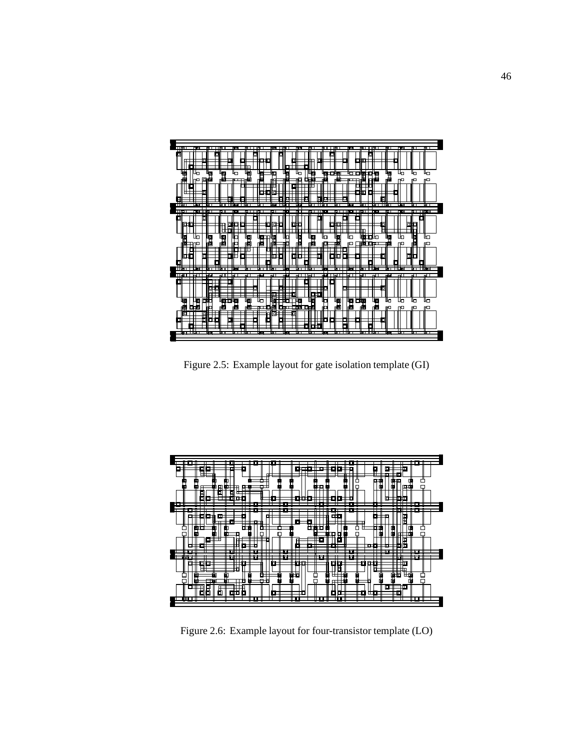

Figure 2.5: Example layout for gate isolation template (GI)



Figure 2.6: Example layout for four-transistor template (LO)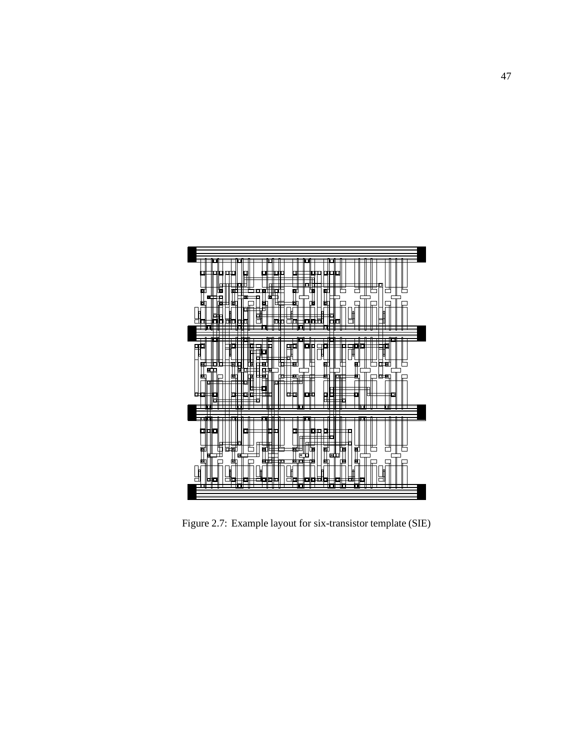

Figure 2.7: Example layout for six-transistor template (SIE)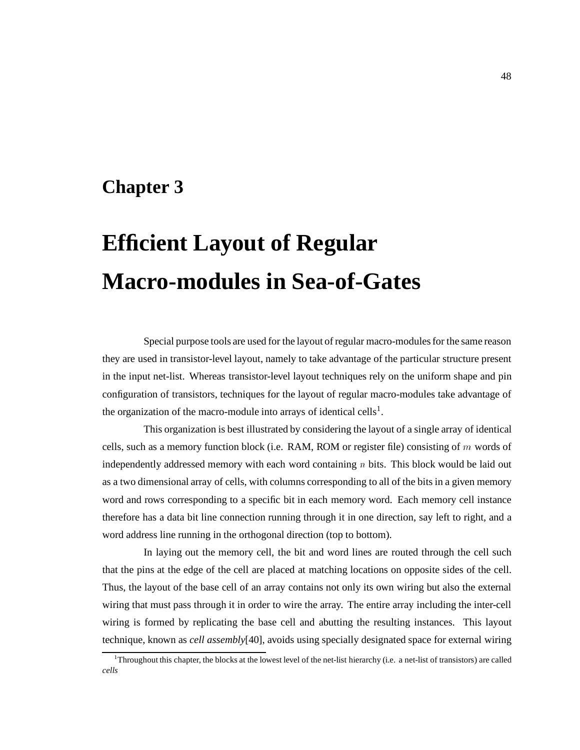# **Chapter 3**

# **Efficient Layout of Regular Macro-modules in Sea-of-Gates**

Special purpose tools are used for the layout of regular macro-modules for the same reason they are used in transistor-level layout, namely to take advantage of the particular structure present in the input net-list. Whereas transistor-level layout techniques rely on the uniform shape and pin configuration of transistors, techniques for the layout of regular macro-modules take advantage of the organization of the macro-module into arrays of identical cells<sup>1</sup>.

This organization is best illustrated by considering the layout of a single array of identical cells, such as a memory function block (i.e. RAM, ROM or register file) consisting of m words of independently addressed memory with each word containing  $n$  bits. This block would be laid out as a two dimensional array of cells, with columns corresponding to all of the bits in a given memory word and rows corresponding to a specific bit in each memory word. Each memory cell instance therefore has a data bit line connection running through it in one direction, say left to right, and a word address line running in the orthogonal direction (top to bottom).

In laying out the memory cell, the bit and word lines are routed through the cell such that the pins at the edge of the cell are placed at matching locations on opposite sides of the cell. Thus, the layout of the base cell of an array contains not only its own wiring but also the external wiring that must pass through it in order to wire the array. The entire array including the inter-cell wiring is formed by replicating the base cell and abutting the resulting instances. This layout technique, known as *cell assembly*[40], avoids using specially designated space for external wiring

<sup>1</sup> Throughout this chapter, the blocks at the lowest level of the net-list hierarchy (i.e. a net-list of transistors) are called *cells*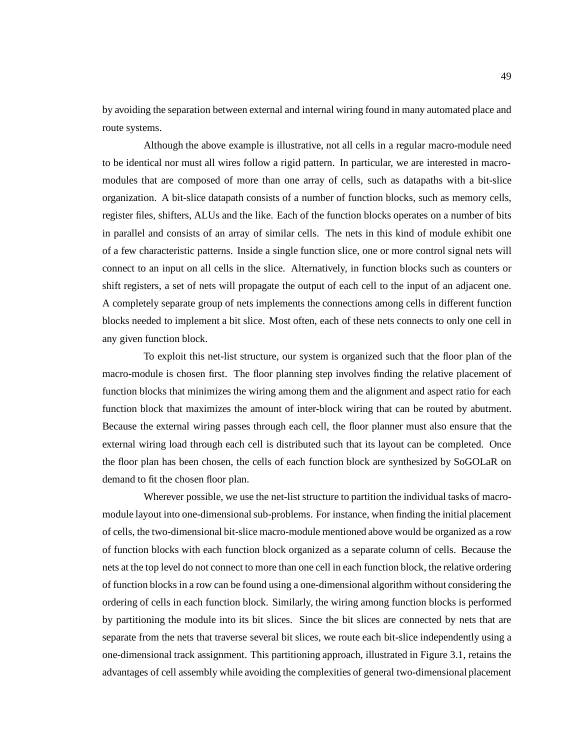by avoiding the separation between external and internal wiring found in many automated place and route systems.

Although the above example is illustrative, not all cells in a regular macro-module need to be identical nor must all wires follow a rigid pattern. In particular, we are interested in macromodules that are composed of more than one array of cells, such as datapaths with a bit-slice organization. A bit-slice datapath consists of a number of function blocks, such as memory cells, register files, shifters, ALUs and the like. Each of the function blocks operates on a number of bits in parallel and consists of an array of similar cells. The nets in this kind of module exhibit one of a few characteristic patterns. Inside a single function slice, one or more control signal nets will connect to an input on all cells in the slice. Alternatively, in function blocks such as counters or shift registers, a set of nets will propagate the output of each cell to the input of an adjacent one. A completely separate group of nets implements the connections among cells in different function blocks needed to implement a bit slice. Most often, each of these nets connects to only one cell in any given function block.

To exploit this net-list structure, our system is organized such that the floor plan of the macro-module is chosen first. The floor planning step involves finding the relative placement of function blocks that minimizes the wiring among them and the alignment and aspect ratio for each function block that maximizes the amount of inter-block wiring that can be routed by abutment. Because the external wiring passes through each cell, the floor planner must also ensure that the external wiring load through each cell is distributed such that its layout can be completed. Once the floor plan has been chosen, the cells of each function block are synthesized by SoGOLaR on demand to fit the chosen floor plan.

Wherever possible, we use the net-list structure to partition the individual tasks of macromodule layout into one-dimensional sub-problems. For instance, when finding the initial placement of cells, the two-dimensional bit-slice macro-module mentioned above would be organized as a row of function blocks with each function block organized as a separate column of cells. Because the nets at the top level do not connect to more than one cell in each function block, the relative ordering of function blocks in a row can be found using a one-dimensional algorithm without considering the ordering of cells in each function block. Similarly, the wiring among function blocks is performed by partitioning the module into its bit slices. Since the bit slices are connected by nets that are separate from the nets that traverse several bit slices, we route each bit-slice independently using a one-dimensional track assignment. This partitioning approach, illustrated in Figure 3.1, retains the advantages of cell assembly while avoiding the complexities of general two-dimensional placement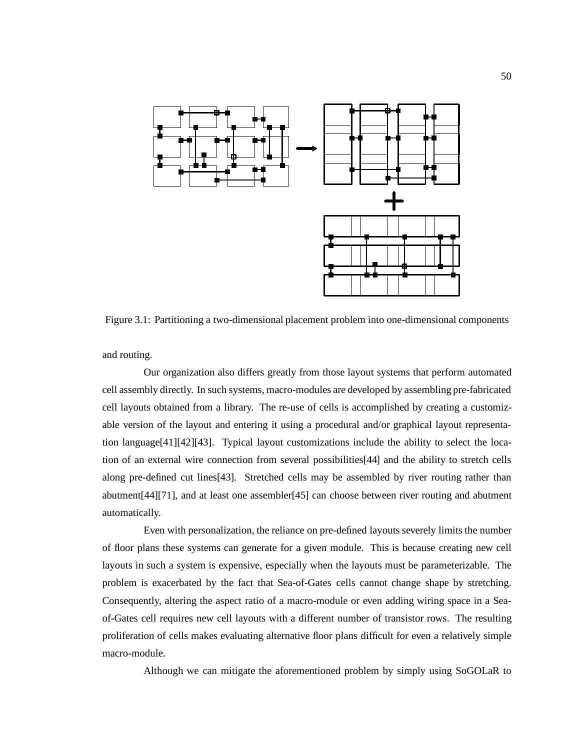

Figure 3.1: Partitioning a two-dimensional placement problem into one-dimensional components

and routing.

Our organization also differs greatly from those layout systems that perform automated cell assembly directly. In such systems, macro-modules are developed by assembling pre-fabricated cell layouts obtained from a library. The re-use of cells is accomplished by creating a customizable version of the layout and entering it using a procedural and/or graphical layout representation language[41][42][43]. Typical layout customizations include the ability to select the location of an external wire connection from several possibilities[44] and the ability to stretch cells along pre-defined cut lines[43]. Stretched cells may be assembled by river routing rather than abutment[44][71], and at least one assembler[45] can choose between river routing and abutment automatically.

Even with personalization, the reliance on pre-defined layouts severely limits the number of floor plans these systems can generate for a given module. This is because creating new cell layouts in such a system is expensive, especially when the layouts must be parameterizable. The problem is exacerbated by the fact that Sea-of-Gates cells cannot change shape by stretching. Consequently, altering the aspect ratio of a macro-module or even adding wiring space in a Seaof-Gates cell requires new cell layouts with a different number of transistor rows. The resulting proliferation of cells makes evaluating alternative floor plans difficult for even a relatively simple macro-module.

Although we can mitigate the aforementioned problem by simply using SoGOLaR to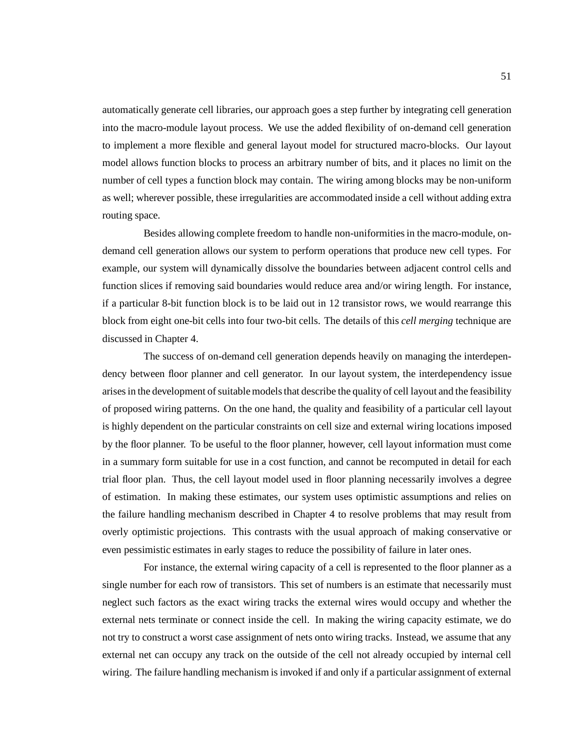automatically generate cell libraries, our approach goes a step further by integrating cell generation into the macro-module layout process. We use the added flexibility of on-demand cell generation to implement a more flexible and general layout model for structured macro-blocks. Our layout model allows function blocks to process an arbitrary number of bits, and it places no limit on the number of cell types a function block may contain. The wiring among blocks may be non-uniform as well; wherever possible, these irregularities are accommodated inside a cell without adding extra routing space.

Besides allowing complete freedom to handle non-uniformities in the macro-module, ondemand cell generation allows our system to perform operations that produce new cell types. For example, our system will dynamically dissolve the boundaries between adjacent control cells and function slices if removing said boundaries would reduce area and/or wiring length. For instance, if a particular 8-bit function block is to be laid out in 12 transistor rows, we would rearrange this block from eight one-bit cells into four two-bit cells. The details of this *cell merging* technique are discussed in Chapter 4.

The success of on-demand cell generation depends heavily on managing the interdependency between floor planner and cell generator. In our layout system, the interdependency issue arises in the development of suitable models that describe the quality of cell layout and the feasibility of proposed wiring patterns. On the one hand, the quality and feasibility of a particular cell layout is highly dependent on the particular constraints on cell size and external wiring locations imposed by the floor planner. To be useful to the floor planner, however, cell layout information must come in a summary form suitable for use in a cost function, and cannot be recomputed in detail for each trial floor plan. Thus, the cell layout model used in floor planning necessarily involves a degree of estimation. In making these estimates, our system uses optimistic assumptions and relies on the failure handling mechanism described in Chapter 4 to resolve problems that may result from overly optimistic projections. This contrasts with the usual approach of making conservative or even pessimistic estimates in early stages to reduce the possibility of failure in later ones.

For instance, the external wiring capacity of a cell is represented to the floor planner as a single number for each row of transistors. This set of numbers is an estimate that necessarily must neglect such factors as the exact wiring tracks the external wires would occupy and whether the external nets terminate or connect inside the cell. In making the wiring capacity estimate, we do not try to construct a worst case assignment of nets onto wiring tracks. Instead, we assume that any external net can occupy any track on the outside of the cell not already occupied by internal cell wiring. The failure handling mechanism is invoked if and only if a particular assignment of external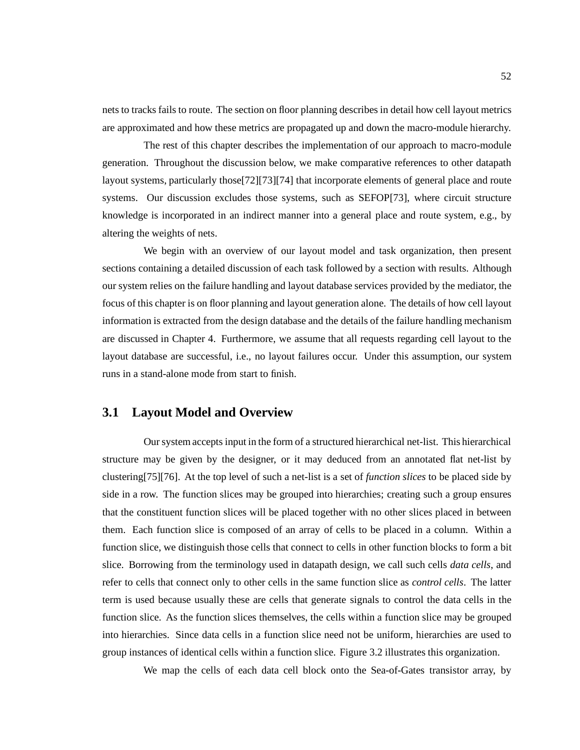nets to tracks fails to route. The section on floor planning describes in detail how cell layout metrics are approximated and how these metrics are propagated up and down the macro-module hierarchy.

The rest of this chapter describes the implementation of our approach to macro-module generation. Throughout the discussion below, we make comparative references to other datapath layout systems, particularly those[72][73][74] that incorporate elements of general place and route systems. Our discussion excludes those systems, such as SEFOP[73], where circuit structure knowledge is incorporated in an indirect manner into a general place and route system, e.g., by altering the weights of nets.

We begin with an overview of our layout model and task organization, then present sections containing a detailed discussion of each task followed by a section with results. Although our system relies on the failure handling and layout database services provided by the mediator, the focus of this chapter is on floor planning and layout generation alone. The details of how cell layout information is extracted from the design database and the details of the failure handling mechanism are discussed in Chapter 4. Furthermore, we assume that all requests regarding cell layout to the layout database are successful, i.e., no layout failures occur. Under this assumption, our system runs in a stand-alone mode from start to finish.

### **3.1 Layout Model and Overview**

Our system accepts input in the form of a structured hierarchical net-list. This hierarchical structure may be given by the designer, or it may deduced from an annotated flat net-list by clustering[75][76]. At the top level of such a net-list is a set of *function slices* to be placed side by side in a row. The function slices may be grouped into hierarchies; creating such a group ensures that the constituent function slices will be placed together with no other slices placed in between them. Each function slice is composed of an array of cells to be placed in a column. Within a function slice, we distinguish those cells that connect to cells in other function blocks to form a bit slice. Borrowing from the terminology used in datapath design, we call such cells *data cells*, and refer to cells that connect only to other cells in the same function slice as *control cells*. The latter term is used because usually these are cells that generate signals to control the data cells in the function slice. As the function slices themselves, the cells within a function slice may be grouped into hierarchies. Since data cells in a function slice need not be uniform, hierarchies are used to group instances of identical cells within a function slice. Figure 3.2 illustrates this organization.

We map the cells of each data cell block onto the Sea-of-Gates transistor array, by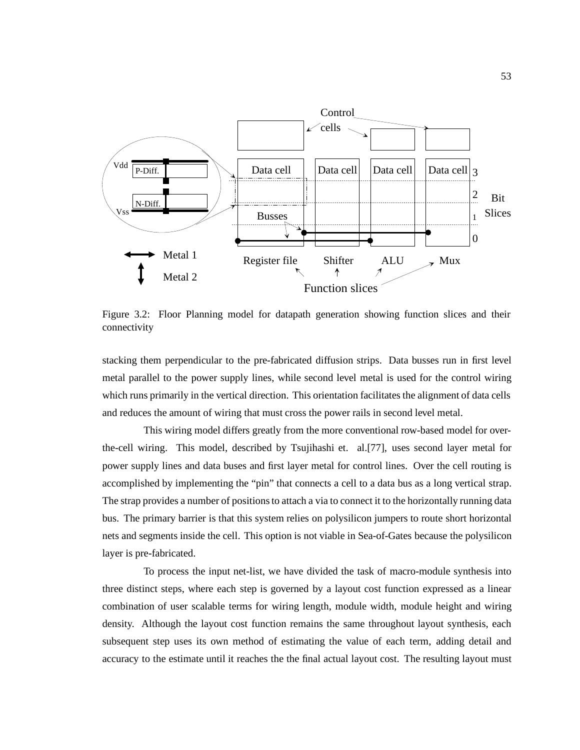

Figure 3.2: Floor Planning model for datapath generation showing function slices and their connectivity

stacking them perpendicular to the pre-fabricated diffusion strips. Data busses run in first level metal parallel to the power supply lines, while second level metal is used for the control wiring which runs primarily in the vertical direction. This orientation facilitates the alignment of data cells and reduces the amount of wiring that must cross the power rails in second level metal.

This wiring model differs greatly from the more conventional row-based model for overthe-cell wiring. This model, described by Tsujihashi et. al.[77], uses second layer metal for power supply lines and data buses and first layer metal for control lines. Over the cell routing is accomplished by implementing the "pin" that connects a cell to a data bus as a long vertical strap. The strap provides a number of positions to attach a via to connect it to the horizontally running data bus. The primary barrier is that this system relies on polysilicon jumpers to route short horizontal nets and segments inside the cell. This option is not viable in Sea-of-Gates because the polysilicon layer is pre-fabricated.

To process the input net-list, we have divided the task of macro-module synthesis into three distinct steps, where each step is governed by a layout cost function expressed as a linear combination of user scalable terms for wiring length, module width, module height and wiring density. Although the layout cost function remains the same throughout layout synthesis, each subsequent step uses its own method of estimating the value of each term, adding detail and accuracy to the estimate until it reaches the the final actual layout cost. The resulting layout must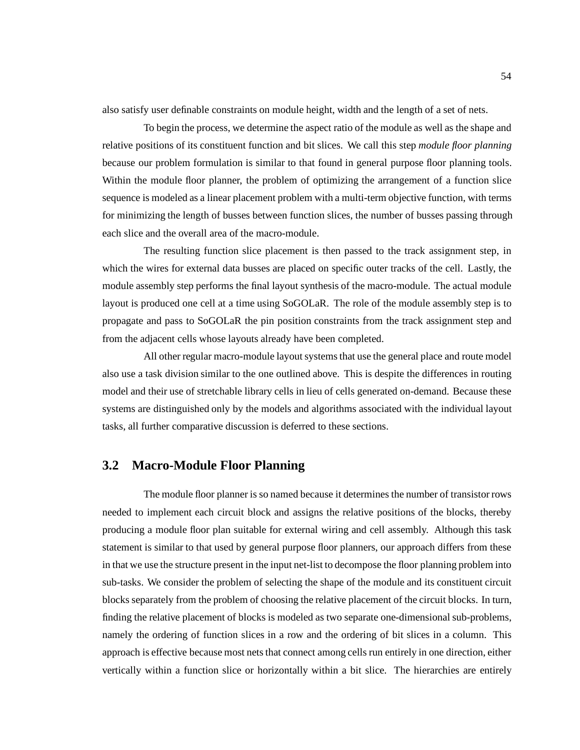also satisfy user definable constraints on module height, width and the length of a set of nets.

To begin the process, we determine the aspect ratio of the module as well as the shape and relative positions of its constituent function and bit slices. We call this step *module floor planning* because our problem formulation is similar to that found in general purpose floor planning tools. Within the module floor planner, the problem of optimizing the arrangement of a function slice sequence is modeled as a linear placement problem with a multi-term objective function, with terms for minimizing the length of busses between function slices, the number of busses passing through each slice and the overall area of the macro-module.

The resulting function slice placement is then passed to the track assignment step, in which the wires for external data busses are placed on specific outer tracks of the cell. Lastly, the module assembly step performs the final layout synthesis of the macro-module. The actual module layout is produced one cell at a time using SoGOLaR. The role of the module assembly step is to propagate and pass to SoGOLaR the pin position constraints from the track assignment step and from the adjacent cells whose layouts already have been completed.

All other regular macro-module layout systems that use the general place and route model also use a task division similar to the one outlined above. This is despite the differences in routing model and their use of stretchable library cells in lieu of cells generated on-demand. Because these systems are distinguished only by the models and algorithms associated with the individual layout tasks, all further comparative discussion is deferred to these sections.

# **3.2 Macro-Module Floor Planning**

The module floor planner is so named because it determines the number of transistor rows needed to implement each circuit block and assigns the relative positions of the blocks, thereby producing a module floor plan suitable for external wiring and cell assembly. Although this task statement is similar to that used by general purpose floor planners, our approach differs from these in that we use the structure present in the input net-list to decompose the floor planning problem into sub-tasks. We consider the problem of selecting the shape of the module and its constituent circuit blocks separately from the problem of choosing the relative placement of the circuit blocks. In turn, finding the relative placement of blocks is modeled as two separate one-dimensional sub-problems, namely the ordering of function slices in a row and the ordering of bit slices in a column. This approach is effective because most nets that connect among cells run entirely in one direction, either vertically within a function slice or horizontally within a bit slice. The hierarchies are entirely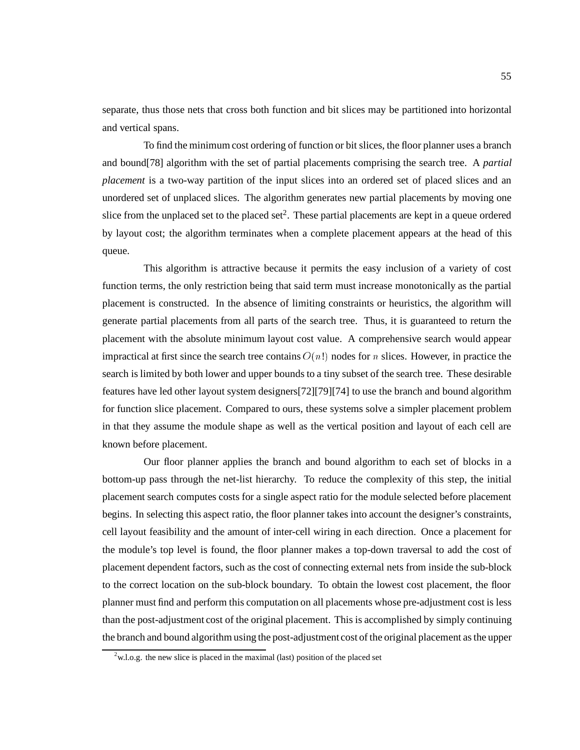separate, thus those nets that cross both function and bit slices may be partitioned into horizontal and vertical spans.

To find the minimum cost ordering of function or bit slices, the floor planner uses a branch and bound[78] algorithm with the set of partial placements comprising the search tree. A *partial placement* is a two-way partition of the input slices into an ordered set of placed slices and an unordered set of unplaced slices. The algorithm generates new partial placements by moving one slice from the unplaced set to the placed set<sup>2</sup>. These partial placements are kept in a queue ordered by layout cost; the algorithm terminates when a complete placement appears at the head of this queue.

This algorithm is attractive because it permits the easy inclusion of a variety of cost function terms, the only restriction being that said term must increase monotonically as the partial placement is constructed. In the absence of limiting constraints or heuristics, the algorithm will generate partial placements from all parts of the search tree. Thus, it is guaranteed to return the placement with the absolute minimum layout cost value. A comprehensive search would appear impractical at first since the search tree contains  $O(n!)$  nodes for n slices. However, in practice the search is limited by both lower and upper bounds to a tiny subset of the search tree. These desirable features have led other layout system designers[72][79][74] to use the branch and bound algorithm for function slice placement. Compared to ours, these systems solve a simpler placement problem in that they assume the module shape as well as the vertical position and layout of each cell are known before placement.

Our floor planner applies the branch and bound algorithm to each set of blocks in a bottom-up pass through the net-list hierarchy. To reduce the complexity of this step, the initial placement search computes costs for a single aspect ratio for the module selected before placement begins. In selecting this aspect ratio, the floor planner takes into account the designer's constraints, cell layout feasibility and the amount of inter-cell wiring in each direction. Once a placement for the module's top level is found, the floor planner makes a top-down traversal to add the cost of placement dependent factors, such as the cost of connecting external nets from inside the sub-block to the correct location on the sub-block boundary. To obtain the lowest cost placement, the floor planner must find and perform this computation on all placements whose pre-adjustment cost is less than the post-adjustment cost of the original placement. This is accomplished by simply continuing the branch and bound algorithm using the post-adjustment cost of the original placement as the upper

 $2$ w.l.o.g. the new slice is placed in the maximal (last) position of the placed set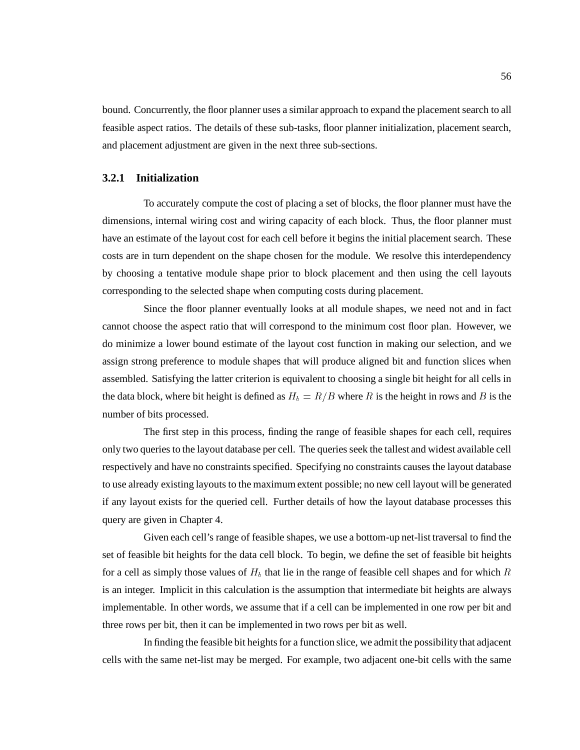bound. Concurrently, the floor planner uses a similar approach to expand the placement search to all feasible aspect ratios. The details of these sub-tasks, floor planner initialization, placement search, and placement adjustment are given in the next three sub-sections.

#### **3.2.1 Initialization**

To accurately compute the cost of placing a set of blocks, the floor planner must have the dimensions, internal wiring cost and wiring capacity of each block. Thus, the floor planner must have an estimate of the layout cost for each cell before it begins the initial placement search. These costs are in turn dependent on the shape chosen for the module. We resolve this interdependency by choosing a tentative module shape prior to block placement and then using the cell layouts corresponding to the selected shape when computing costs during placement.

Since the floor planner eventually looks at all module shapes, we need not and in fact cannot choose the aspect ratio that will correspond to the minimum cost floor plan. However, we do minimize a lower bound estimate of the layout cost function in making our selection, and we assign strong preference to module shapes that will produce aligned bit and function slices when assembled. Satisfying the latter criterion is equivalent to choosing a single bit height for all cells in the data block, where bit height is defined as  $H_b = R/B$  where R is the height in rows and B is the number of bits processed.

The first step in this process, finding the range of feasible shapes for each cell, requires only two queries to the layout database per cell. The queries seek the tallest and widest available cell respectively and have no constraints specified. Specifying no constraints causes the layout database to use already existing layouts to the maximum extent possible; no new cell layout will be generated if any layout exists for the queried cell. Further details of how the layout database processes this query are given in Chapter 4.

Given each cell's range of feasible shapes, we use a bottom-up net-list traversal to find the set of feasible bit heights for the data cell block. To begin, we define the set of feasible bit heights for a cell as simply those values of  $H_b$  that lie in the range of feasible cell shapes and for which R is an integer. Implicit in this calculation is the assumption that intermediate bit heights are always implementable. In other words, we assume that if a cell can be implemented in one row per bit and three rows per bit, then it can be implemented in two rows per bit as well.

In finding the feasible bit heights for a function slice, we admit the possibility that adjacent cells with the same net-list may be merged. For example, two adjacent one-bit cells with the same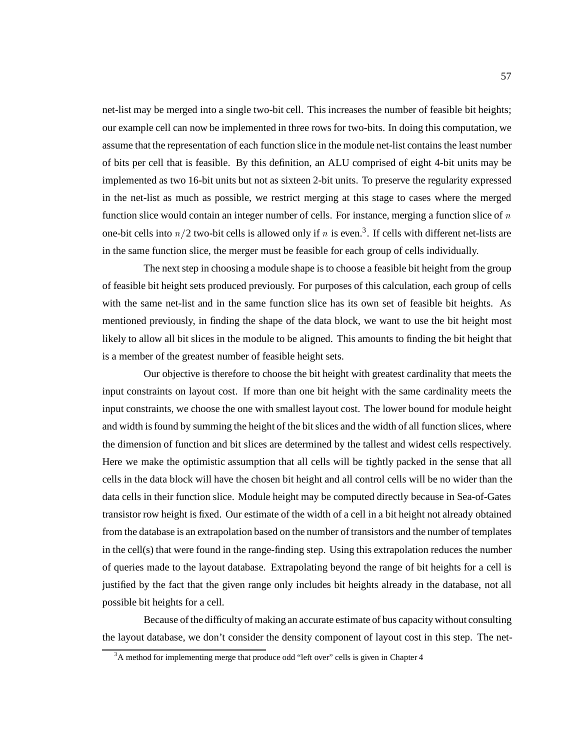net-list may be merged into a single two-bit cell. This increases the number of feasible bit heights; our example cell can now be implemented in three rows for two-bits. In doing this computation, we assume that the representation of each function slice in the module net-list contains the least number of bits per cell that is feasible. By this definition, an ALU comprised of eight 4-bit units may be implemented as two 16-bit units but not as sixteen 2-bit units. To preserve the regularity expressed in the net-list as much as possible, we restrict merging at this stage to cases where the merged function slice would contain an integer number of cells. For instance, merging a function slice of  $n$ one-bit cells into  $n/2$  two-bit cells is allowed only if n is even.<sup>3</sup>. If cells with different net-lists are in the same function slice, the merger must be feasible for each group of cells individually.

The next step in choosing a module shape is to choose a feasible bit height from the group of feasible bit height sets produced previously. For purposes of this calculation, each group of cells with the same net-list and in the same function slice has its own set of feasible bit heights. As mentioned previously, in finding the shape of the data block, we want to use the bit height most likely to allow all bit slices in the module to be aligned. This amounts to finding the bit height that is a member of the greatest number of feasible height sets.

Our objective is therefore to choose the bit height with greatest cardinality that meets the input constraints on layout cost. If more than one bit height with the same cardinality meets the input constraints, we choose the one with smallest layout cost. The lower bound for module height and width is found by summing the height of the bit slices and the width of all function slices, where the dimension of function and bit slices are determined by the tallest and widest cells respectively. Here we make the optimistic assumption that all cells will be tightly packed in the sense that all cells in the data block will have the chosen bit height and all control cells will be no wider than the data cells in their function slice. Module height may be computed directly because in Sea-of-Gates transistor row height is fixed. Our estimate of the width of a cell in a bit height not already obtained from the database is an extrapolation based on the number of transistors and the number of templates in the cell(s) that were found in the range-finding step. Using this extrapolation reduces the number of queries made to the layout database. Extrapolating beyond the range of bit heights for a cell is justified by the fact that the given range only includes bit heights already in the database, not all possible bit heights for a cell.

Because of the difficulty of making an accurate estimate of bus capacity without consulting the layout database, we don't consider the density component of layout cost in this step. The net-

 $3A$  method for implementing merge that produce odd "left over" cells is given in Chapter 4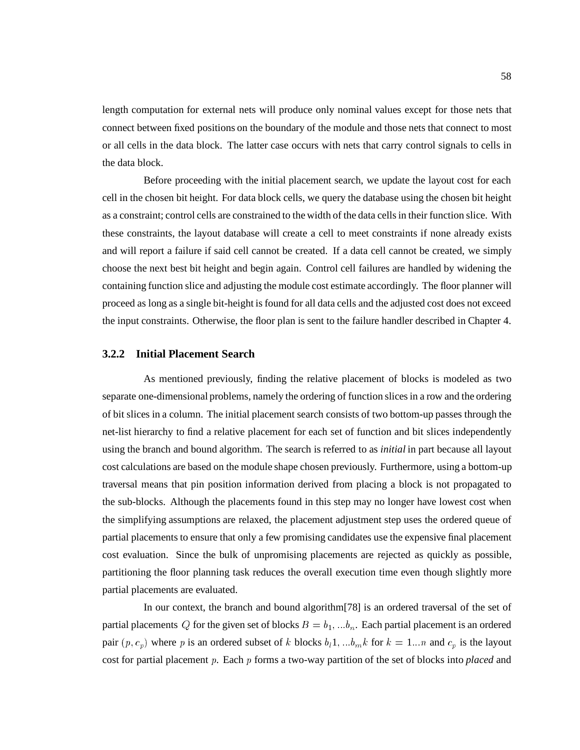length computation for external nets will produce only nominal values except for those nets that connect between fixed positions on the boundary of the module and those nets that connect to most or all cells in the data block. The latter case occurs with nets that carry control signals to cells in the data block.

Before proceeding with the initial placement search, we update the layout cost for each cell in the chosen bit height. For data block cells, we query the database using the chosen bit height as a constraint; control cells are constrained to the width of the data cells in their function slice. With these constraints, the layout database will create a cell to meet constraints if none already exists and will report a failure if said cell cannot be created. If a data cell cannot be created, we simply choose the next best bit height and begin again. Control cell failures are handled by widening the containing function slice and adjusting the module cost estimate accordingly. The floor planner will proceed as long as a single bit-height is found for all data cells and the adjusted cost does not exceed the input constraints. Otherwise, the floor plan is sent to the failure handler described in Chapter 4.

#### **3.2.2 Initial Placement Search**

As mentioned previously, finding the relative placement of blocks is modeled as two separate one-dimensional problems, namely the ordering of function slices in a row and the ordering of bit slices in a column. The initial placement search consists of two bottom-up passes through the net-list hierarchy to find a relative placement for each set of function and bit slices independently using the branch and bound algorithm. The search is referred to as *initial* in part because all layout cost calculations are based on the module shape chosen previously. Furthermore, using a bottom-up traversal means that pin position information derived from placing a block is not propagated to the sub-blocks. Although the placements found in this step may no longer have lowest cost when the simplifying assumptions are relaxed, the placement adjustment step uses the ordered queue of partial placements to ensure that only a few promising candidates use the expensive final placement cost evaluation. Since the bulk of unpromising placements are rejected as quickly as possible, partitioning the floor planning task reduces the overall execution time even though slightly more partial placements are evaluated.

In our context, the branch and bound algorithm[78] is an ordered traversal of the set of partial placements Q for the given set of blocks  $B = b_1, \ldots, b_n$ . Each partial placement is an ordered pair  $(p, c_p)$  where p is an ordered subset of k blocks  $b_l 1, \ldots b_m k$  for  $k = 1 \ldots n$  and  $c_p$  is the layout cost for partial placement <sup>p</sup>. Each <sup>p</sup> forms a two-way partition of the set of blocks into *placed* and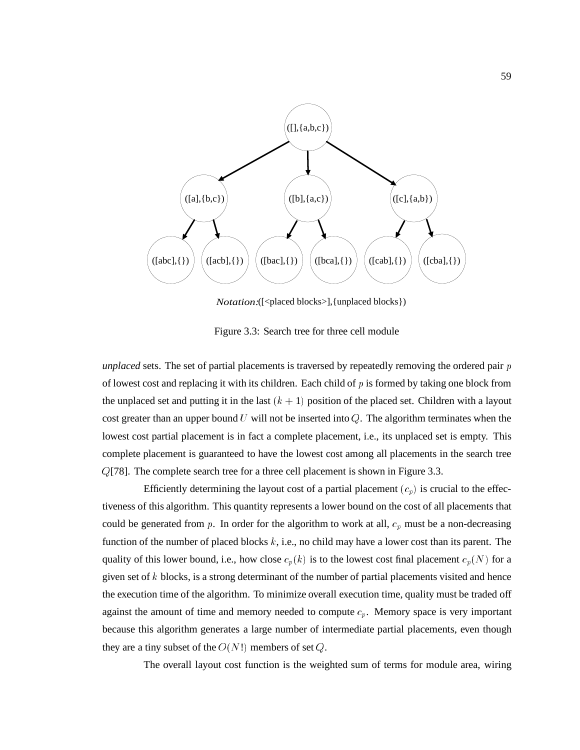

*Notation:*([<placed blocks>],{unplaced blocks})

Figure 3.3: Search tree for three cell module

*unplaced* sets. The set of partial placements is traversed by repeatedly removing the ordered pair <sup>p</sup> of lowest cost and replacing it with its children. Each child of  $p$  is formed by taking one block from the unplaced set and putting it in the last  $(k + 1)$  position of the placed set. Children with a layout cost greater than an upper bound U will not be inserted into  $Q$ . The algorithm terminates when the lowest cost partial placement is in fact a complete placement, i.e., its unplaced set is empty. This complete placement is guaranteed to have the lowest cost among all placements in the search tree <sup>Q</sup>[78]. The complete search tree for a three cell placement is shown in Figure 3.3.

Efficiently determining the layout cost of a partial placement  $(c_p)$  is crucial to the effectiveness of this algorithm. This quantity represents a lower bound on the cost of all placements that could be generated from p. In order for the algorithm to work at all,  $c_p$  must be a non-decreasing function of the number of placed blocks  $k$ , i.e., no child may have a lower cost than its parent. The quality of this lower bound, i.e., how close  $c_p(k)$  is to the lowest cost final placement  $c_p(N)$  for a given set of  $k$  blocks, is a strong determinant of the number of partial placements visited and hence the execution time of the algorithm. To minimize overall execution time, quality must be traded off against the amount of time and memory needed to compute  $c_p$ . Memory space is very important because this algorithm generates a large number of intermediate partial placements, even though they are a tiny subset of the  $O(N!)$  members of set Q.

The overall layout cost function is the weighted sum of terms for module area, wiring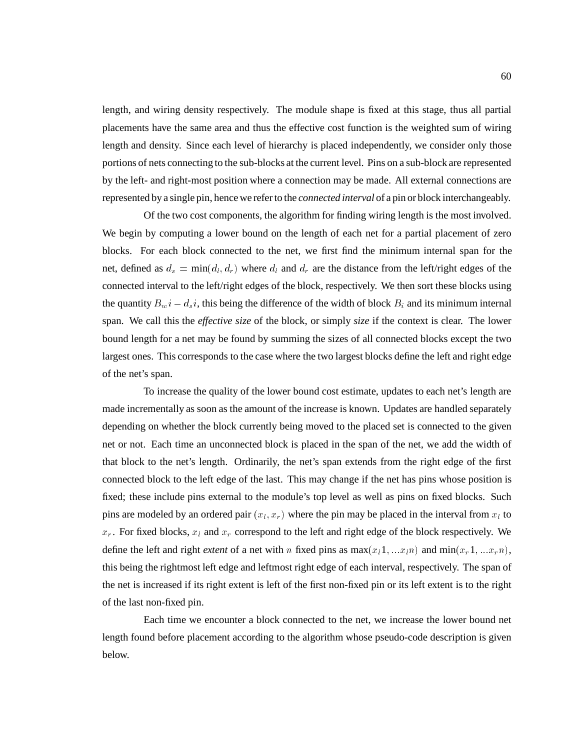length, and wiring density respectively. The module shape is fixed at this stage, thus all partial placements have the same area and thus the effective cost function is the weighted sum of wiring length and density. Since each level of hierarchy is placed independently, we consider only those portions of nets connecting to the sub-blocks at the current level. Pins on a sub-block are represented by the left- and right-most position where a connection may be made. All external connections are represented by a single pin, hence we refer to the *connected interval* of a pin or block interchangeably.

Of the two cost components, the algorithm for finding wiring length is the most involved. We begin by computing a lower bound on the length of each net for a partial placement of zero blocks. For each block connected to the net, we first find the minimum internal span for the net, defined as  $d_s = \min(d_l, d_r)$  where  $d_l$  and  $d_r$  are the distance from the left/right edges of the connected interval to the left/right edges of the block, respectively. We then sort these blocks using the quantity  $B_w i - d_s i$ , this being the difference of the width of block  $B_i$  and its minimum internal span. We call this the *effective size* of the block, or simply *size* if the context is clear. The lower bound length for a net may be found by summing the sizes of all connected blocks except the two largest ones. This corresponds to the case where the two largest blocks define the left and right edge of the net's span.

To increase the quality of the lower bound cost estimate, updates to each net's length are made incrementally as soon as the amount of the increase is known. Updates are handled separately depending on whether the block currently being moved to the placed set is connected to the given net or not. Each time an unconnected block is placed in the span of the net, we add the width of that block to the net's length. Ordinarily, the net's span extends from the right edge of the first connected block to the left edge of the last. This may change if the net has pins whose position is fixed; these include pins external to the module's top level as well as pins on fixed blocks. Such pins are modeled by an ordered pair  $(x_l, x_r)$  where the pin may be placed in the interval from  $x_l$  to  $x_r$ . For fixed blocks,  $x_l$  and  $x_r$  correspond to the left and right edge of the block respectively. We define the left and right *extent* of a net with n fixed pins as  $max(x_11, ...x_1n)$  and  $min(x_r1, ...x_rn)$ , this being the rightmost left edge and leftmost right edge of each interval, respectively. The span of the net is increased if its right extent is left of the first non-fixed pin or its left extent is to the right of the last non-fixed pin.

Each time we encounter a block connected to the net, we increase the lower bound net length found before placement according to the algorithm whose pseudo-code description is given below.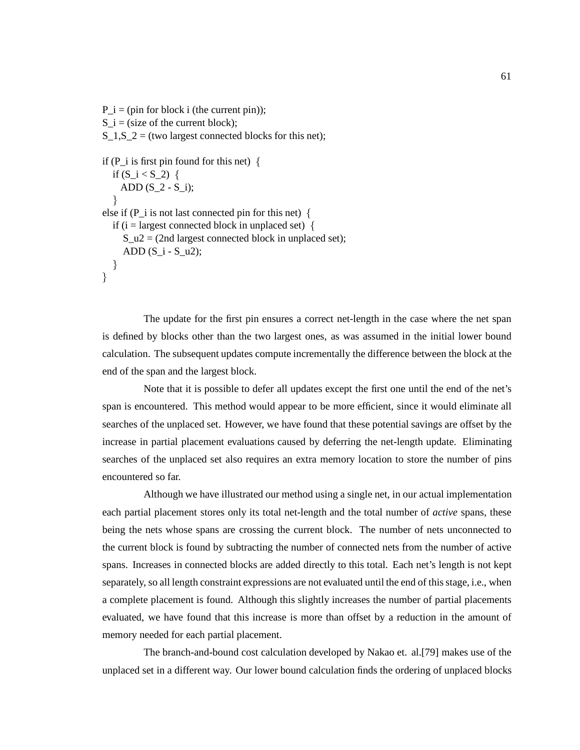P  $i = (pin for block i (the current pin));$ S i = (size of the current block);  $S_1, S_2 =$  (two largest connected blocks for this net); if (P\_i is first pin found for this net)  $\{$ if  $(S_i < S_2)$  { ADD  $(S_2 - S_i);$ <sup>}</sup> else if (P i is not last connected pin for this net)  $\{$ if (i = largest connected block in unplaced set) {  $S_u^2 = (2nd \text{ largest connected block in unplaced set});$ ADD  $(S_i - S_u2);$  $\}$  $\}$ 

The update for the first pin ensures a correct net-length in the case where the net span is defined by blocks other than the two largest ones, as was assumed in the initial lower bound calculation. The subsequent updates compute incrementally the difference between the block at the end of the span and the largest block.

Note that it is possible to defer all updates except the first one until the end of the net's span is encountered. This method would appear to be more efficient, since it would eliminate all searches of the unplaced set. However, we have found that these potential savings are offset by the increase in partial placement evaluations caused by deferring the net-length update. Eliminating searches of the unplaced set also requires an extra memory location to store the number of pins encountered so far.

Although we have illustrated our method using a single net, in our actual implementation each partial placement stores only its total net-length and the total number of *active* spans, these being the nets whose spans are crossing the current block. The number of nets unconnected to the current block is found by subtracting the number of connected nets from the number of active spans. Increases in connected blocks are added directly to this total. Each net's length is not kept separately, so all length constraint expressions are not evaluated until the end of this stage, i.e., when a complete placement is found. Although this slightly increases the number of partial placements evaluated, we have found that this increase is more than offset by a reduction in the amount of memory needed for each partial placement.

The branch-and-bound cost calculation developed by Nakao et. al.[79] makes use of the unplaced set in a different way. Our lower bound calculation finds the ordering of unplaced blocks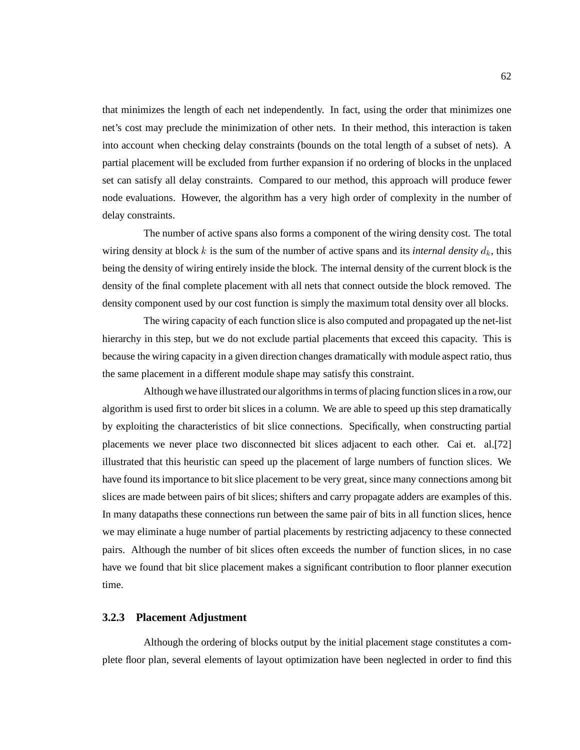that minimizes the length of each net independently. In fact, using the order that minimizes one net's cost may preclude the minimization of other nets. In their method, this interaction is taken into account when checking delay constraints (bounds on the total length of a subset of nets). A partial placement will be excluded from further expansion if no ordering of blocks in the unplaced set can satisfy all delay constraints. Compared to our method, this approach will produce fewer node evaluations. However, the algorithm has a very high order of complexity in the number of delay constraints.

The number of active spans also forms a component of the wiring density cost. The total wiring density at block k is the sum of the number of active spans and its *internal density*  $d_k$ , this being the density of wiring entirely inside the block. The internal density of the current block is the density of the final complete placement with all nets that connect outside the block removed. The density component used by our cost function is simply the maximum total density over all blocks.

The wiring capacity of each function slice is also computed and propagated up the net-list hierarchy in this step, but we do not exclude partial placements that exceed this capacity. This is because the wiring capacity in a given direction changes dramatically with module aspect ratio, thus the same placement in a different module shape may satisfy this constraint.

Although we have illustrated our algorithms in terms of placing function slices in a row,our algorithm is used first to order bit slices in a column. We are able to speed up this step dramatically by exploiting the characteristics of bit slice connections. Specifically, when constructing partial placements we never place two disconnected bit slices adjacent to each other. Cai et. al.[72] illustrated that this heuristic can speed up the placement of large numbers of function slices. We have found its importance to bit slice placement to be very great, since many connections among bit slices are made between pairs of bit slices; shifters and carry propagate adders are examples of this. In many datapaths these connections run between the same pair of bits in all function slices, hence we may eliminate a huge number of partial placements by restricting adjacency to these connected pairs. Although the number of bit slices often exceeds the number of function slices, in no case have we found that bit slice placement makes a significant contribution to floor planner execution time.

#### **3.2.3 Placement Adjustment**

Although the ordering of blocks output by the initial placement stage constitutes a complete floor plan, several elements of layout optimization have been neglected in order to find this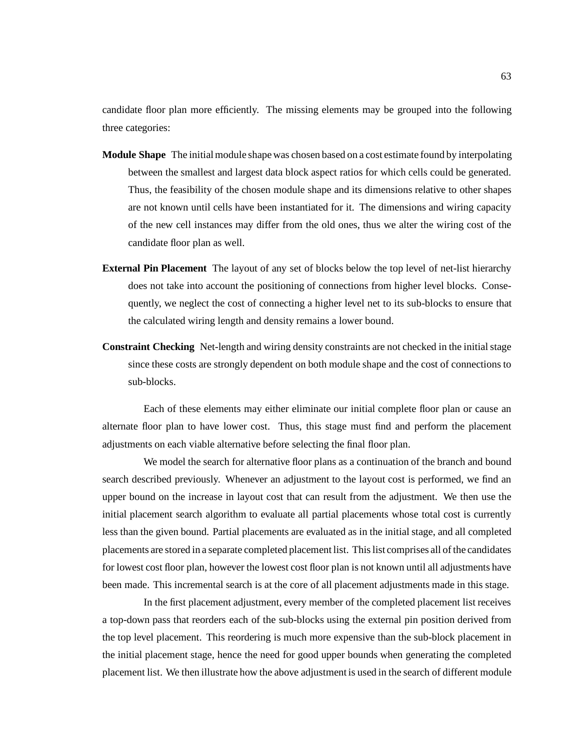candidate floor plan more efficiently. The missing elements may be grouped into the following three categories:

- **Module Shape** The initial module shape was chosen based on a cost estimate found by interpolating between the smallest and largest data block aspect ratios for which cells could be generated. Thus, the feasibility of the chosen module shape and its dimensions relative to other shapes are not known until cells have been instantiated for it. The dimensions and wiring capacity of the new cell instances may differ from the old ones, thus we alter the wiring cost of the candidate floor plan as well.
- **External Pin Placement** The layout of any set of blocks below the top level of net-list hierarchy does not take into account the positioning of connections from higher level blocks. Consequently, we neglect the cost of connecting a higher level net to its sub-blocks to ensure that the calculated wiring length and density remains a lower bound.
- **Constraint Checking** Net-length and wiring density constraints are not checked in the initial stage since these costs are strongly dependent on both module shape and the cost of connections to sub-blocks.

Each of these elements may either eliminate our initial complete floor plan or cause an alternate floor plan to have lower cost. Thus, this stage must find and perform the placement adjustments on each viable alternative before selecting the final floor plan.

We model the search for alternative floor plans as a continuation of the branch and bound search described previously. Whenever an adjustment to the layout cost is performed, we find an upper bound on the increase in layout cost that can result from the adjustment. We then use the initial placement search algorithm to evaluate all partial placements whose total cost is currently less than the given bound. Partial placements are evaluated as in the initial stage, and all completed placements are stored in a separate completed placement list. This list comprises all of the candidates for lowest cost floor plan, however the lowest cost floor plan is not known until all adjustments have been made. This incremental search is at the core of all placement adjustments made in this stage.

In the first placement adjustment, every member of the completed placement list receives a top-down pass that reorders each of the sub-blocks using the external pin position derived from the top level placement. This reordering is much more expensive than the sub-block placement in the initial placement stage, hence the need for good upper bounds when generating the completed placement list. We then illustrate how the above adjustment is used in the search of different module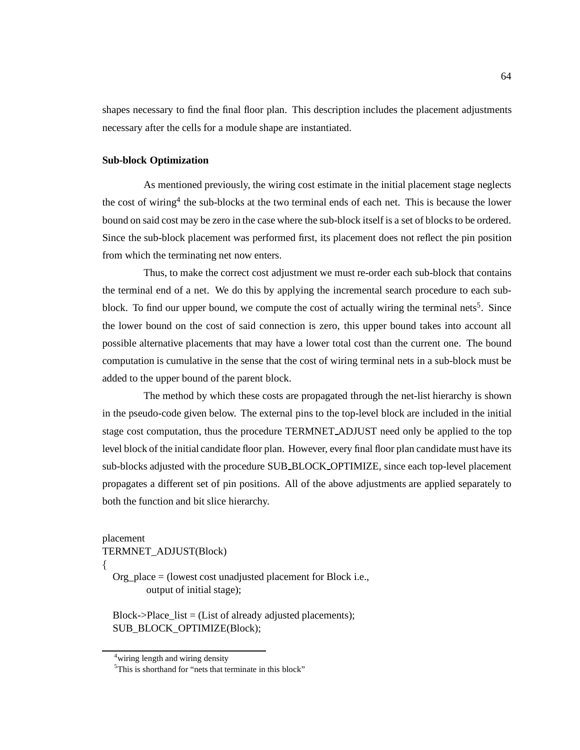shapes necessary to find the final floor plan. This description includes the placement adjustments necessary after the cells for a module shape are instantiated.

#### **Sub-block Optimization**

As mentioned previously, the wiring cost estimate in the initial placement stage neglects the cost of wiring<sup>4</sup> the sub-blocks at the two terminal ends of each net. This is because the lower bound on said cost may be zero in the case where the sub-block itself is a set of blocks to be ordered. Since the sub-block placement was performed first, its placement does not reflect the pin position from which the terminating net now enters.

Thus, to make the correct cost adjustment we must re-order each sub-block that contains the terminal end of a net. We do this by applying the incremental search procedure to each subblock. To find our upper bound, we compute the cost of actually wiring the terminal nets<sup>5</sup>. Since the lower bound on the cost of said connection is zero, this upper bound takes into account all possible alternative placements that may have a lower total cost than the current one. The bound computation is cumulative in the sense that the cost of wiring terminal nets in a sub-block must be added to the upper bound of the parent block.

The method by which these costs are propagated through the net-list hierarchy is shown in the pseudo-code given below. The external pins to the top-level block are included in the initial stage cost computation, thus the procedure TERMNET ADJUST need only be applied to the top level block of the initial candidate floor plan. However, every final floor plan candidate must have its sub-blocks adjusted with the procedure SUB BLOCK OPTIMIZE, since each top-level placement propagates a different set of pin positions. All of the above adjustments are applied separately to both the function and bit slice hierarchy.

placement

TERMNET\_ADJUST(Block)

 $\{$ 

Org\_place = (lowest cost unadjusted placement for Block i.e., output of initial stage);

Block->Place list  $=$  (List of already adjusted placements); SUB\_BLOCK\_OPTIMIZE(Block);

<sup>&</sup>lt;sup>4</sup> wiring length and wiring density

<sup>&</sup>lt;sup>5</sup>This is shorthand for "nets that terminate in this block"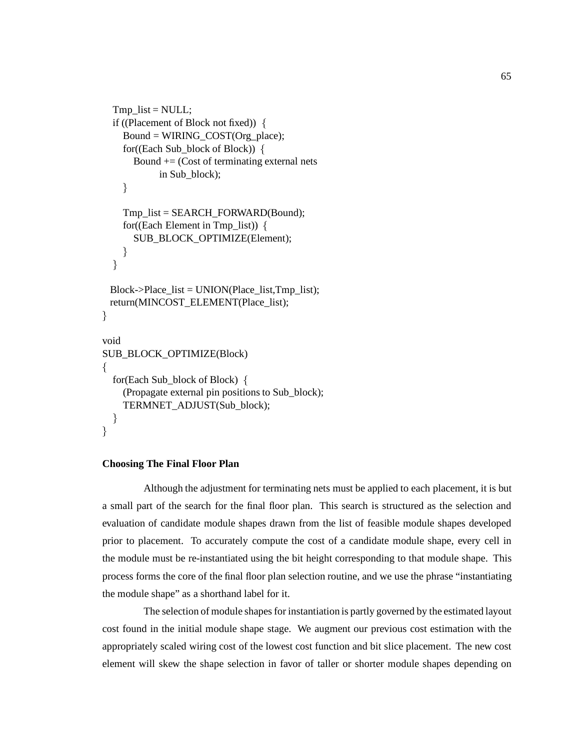```
Tmp list = NULL;
  if ((Placement of Block not fixed)) \{Bound = WIRING_COST(Org_place);
    for((Each Sub_block of Block)) \{Bound += (Cost of terminating external nets
           in Sub_block);
    \}Tmp_list = SEARCH_FORWARD(Bound);
    for((Each Element in Tmp_list)) \{SUB_BLOCK_OPTIMIZE(Element);
    \}\}Block->Place_list = UNION(Place_list,Tmp_list);
 return(MINCOST_ELEMENT(Place_list);
}
void
SUB_BLOCK_OPTIMIZE(Block)
f
  for(Each Sub_block of Block) {
    (Propagate external pin positions to Sub_block);
    TERMNET_ADJUST(Sub_block);
  \}\}
```
#### **Choosing The Final Floor Plan**

Although the adjustment for terminating nets must be applied to each placement, it is but a small part of the search for the final floor plan. This search is structured as the selection and evaluation of candidate module shapes drawn from the list of feasible module shapes developed prior to placement. To accurately compute the cost of a candidate module shape, every cell in the module must be re-instantiated using the bit height corresponding to that module shape. This process forms the core of the final floor plan selection routine, and we use the phrase "instantiating the module shape" as a shorthand label for it.

The selection of module shapes for instantiation is partly governed by the estimated layout cost found in the initial module shape stage. We augment our previous cost estimation with the appropriately scaled wiring cost of the lowest cost function and bit slice placement. The new cost element will skew the shape selection in favor of taller or shorter module shapes depending on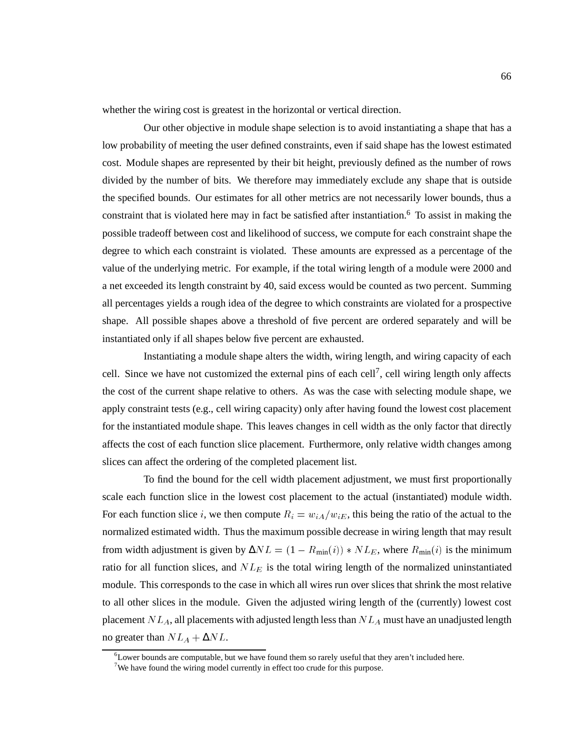whether the wiring cost is greatest in the horizontal or vertical direction.

Our other objective in module shape selection is to avoid instantiating a shape that has a low probability of meeting the user defined constraints, even if said shape has the lowest estimated cost. Module shapes are represented by their bit height, previously defined as the number of rows divided by the number of bits. We therefore may immediately exclude any shape that is outside the specified bounds. Our estimates for all other metrics are not necessarily lower bounds, thus a constraint that is violated here may in fact be satisfied after instantiation.<sup>6</sup> To assist in making the possible tradeoff between cost and likelihood of success, we compute for each constraint shape the degree to which each constraint is violated. These amounts are expressed as a percentage of the value of the underlying metric. For example, if the total wiring length of a module were 2000 and a net exceeded its length constraint by 40, said excess would be counted as two percent. Summing all percentages yields a rough idea of the degree to which constraints are violated for a prospective shape. All possible shapes above a threshold of five percent are ordered separately and will be instantiated only if all shapes below five percent are exhausted.

Instantiating a module shape alters the width, wiring length, and wiring capacity of each cell. Since we have not customized the external pins of each cell<sup>7</sup>, cell wiring length only affects the cost of the current shape relative to others. As was the case with selecting module shape, we apply constraint tests (e.g., cell wiring capacity) only after having found the lowest cost placement for the instantiated module shape. This leaves changes in cell width as the only factor that directly affects the cost of each function slice placement. Furthermore, only relative width changes among slices can affect the ordering of the completed placement list.

To find the bound for the cell width placement adjustment, we must first proportionally scale each function slice in the lowest cost placement to the actual (instantiated) module width. For each function slice i, we then compute  $R_i=w_{iA}/w_{iE}$ , this being the ratio of the actual to the normalized estimated width. Thus the maximum possible decrease in wiring length that may result from width adjustment is given by  $\Delta NL = (1 - R_{\min}(i)) * NL_E$ , where  $R_{\min}(i)$  is the minimum ratio for all function slices, and  $NL<sub>E</sub>$  is the total wiring length of the normalized uninstantiated module. This corresponds to the case in which all wires run over slices that shrink the most relative to all other slices in the module. Given the adjusted wiring length of the (currently) lowest cost placement  $NL_A$ , all placements with adjusted length less than  $NL_A$  must have an unadjusted length no greater than  $NL_A + \Delta NL$ .

 ${}^{6}$ Lower bounds are computable, but we have found them so rarely useful that they aren't included here.

<sup>&</sup>lt;sup>7</sup>We have found the wiring model currently in effect too crude for this purpose.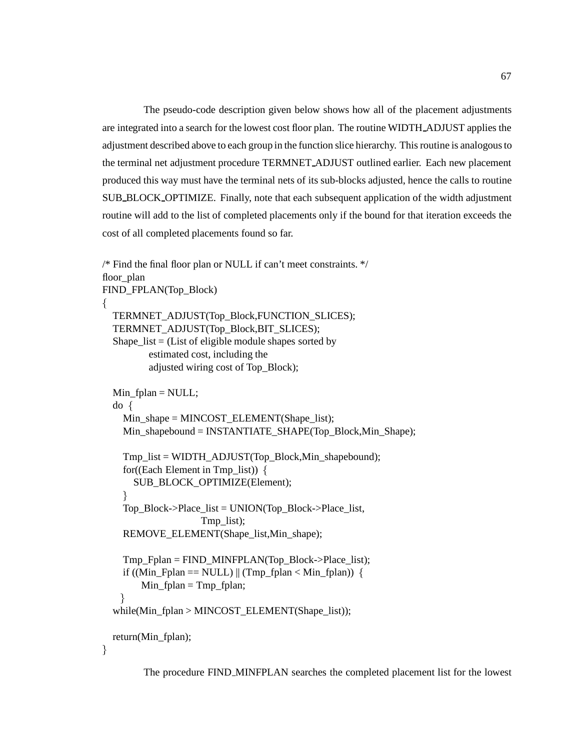The pseudo-code description given below shows how all of the placement adjustments are integrated into a search for the lowest cost floor plan. The routine WIDTH ADJUST applies the adjustment described above to each group in the function slice hierarchy. This routine is analogous to the terminal net adjustment procedure TERMNET ADJUST outlined earlier. Each new placement produced this way must have the terminal nets of its sub-blocks adjusted, hence the calls to routine SUB BLOCK OPTIMIZE. Finally, note that each subsequent application of the width adjustment routine will add to the list of completed placements only if the bound for that iteration exceeds the cost of all completed placements found so far.

```
/* Find the final floor plan or NULL if can't meet constraints. */
floor_plan
FIND_FPLAN(Top_Block)
f
  TERMNET_ADJUST(Top_Block,FUNCTION_SLICES);
  TERMNET_ADJUST(Top_Block,BIT_SLICES);
  Shape_list = (List of eligible module shapes sorted by
         estimated cost, including the
         adjusted wiring cost of Top_Block);
  Min fplan = NULL;do f
    Min_shape = MINCOST_ELEMENT(Shape_list);
    Min_shapebound = INSTANTIATE_SHAPE(Top_Block,Min_Shape);
    Tmp_list = WIDTH_ADJUST(Top_Block,Min_shapebound);
    for((Each Element in Tmp_list)) \{SUB_BLOCK_OPTIMIZE(Element);
    \}Top_Block->Place_list = UNION(Top_Block->Place_list,
                    Tmp_list);
    REMOVE_ELEMENT(Shape_list,Min_shape);
    Tmp_Fplan = FIND_MINFPLAN(Top_Block->Place_list);
    if ((Min_Fplan == NULL) || (Tmp_Fplan < Min_fplan)) {
        Min fplan = Tmp fplan;
    \}while(Min_fplan > MINCOST_ELEMENT(Shape_list));
  return(Min_fplan);
\}
```
The procedure FIND MINFPLAN searches the completed placement list for the lowest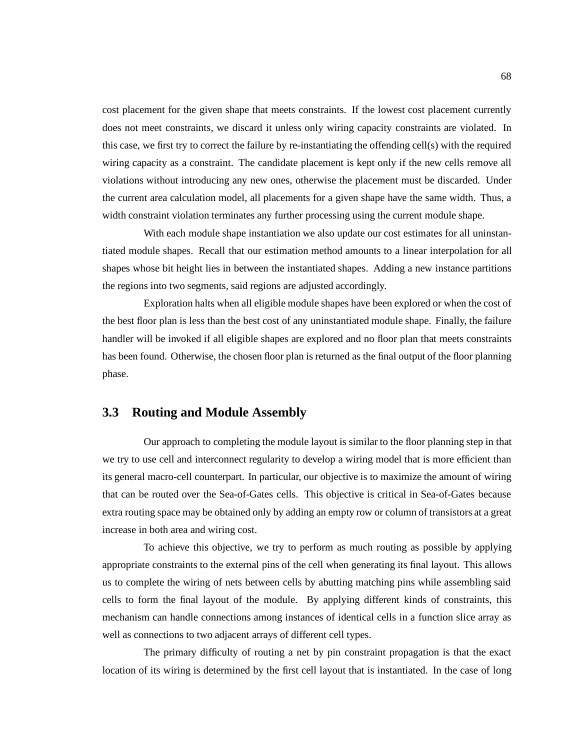cost placement for the given shape that meets constraints. If the lowest cost placement currently does not meet constraints, we discard it unless only wiring capacity constraints are violated. In this case, we first try to correct the failure by re-instantiating the offending cell(s) with the required wiring capacity as a constraint. The candidate placement is kept only if the new cells remove all violations without introducing any new ones, otherwise the placement must be discarded. Under the current area calculation model, all placements for a given shape have the same width. Thus, a width constraint violation terminates any further processing using the current module shape.

With each module shape instantiation we also update our cost estimates for all uninstantiated module shapes. Recall that our estimation method amounts to a linear interpolation for all shapes whose bit height lies in between the instantiated shapes. Adding a new instance partitions the regions into two segments, said regions are adjusted accordingly.

Exploration halts when all eligible module shapes have been explored or when the cost of the best floor plan is less than the best cost of any uninstantiated module shape. Finally, the failure handler will be invoked if all eligible shapes are explored and no floor plan that meets constraints has been found. Otherwise, the chosen floor plan is returned as the final output of the floor planning phase.

#### **3.3 Routing and Module Assembly**

Our approach to completing the module layout is similar to the floor planning step in that we try to use cell and interconnect regularity to develop a wiring model that is more efficient than its general macro-cell counterpart. In particular, our objective is to maximize the amount of wiring that can be routed over the Sea-of-Gates cells. This objective is critical in Sea-of-Gates because extra routing space may be obtained only by adding an empty row or column of transistors at a great increase in both area and wiring cost.

To achieve this objective, we try to perform as much routing as possible by applying appropriate constraints to the external pins of the cell when generating its final layout. This allows us to complete the wiring of nets between cells by abutting matching pins while assembling said cells to form the final layout of the module. By applying different kinds of constraints, this mechanism can handle connections among instances of identical cells in a function slice array as well as connections to two adjacent arrays of different cell types.

The primary difficulty of routing a net by pin constraint propagation is that the exact location of its wiring is determined by the first cell layout that is instantiated. In the case of long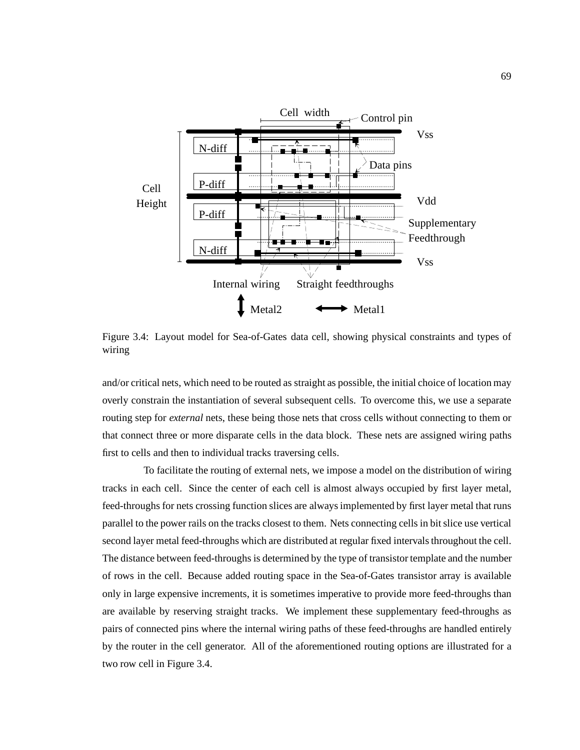

Figure 3.4: Layout model for Sea-of-Gates data cell, showing physical constraints and types of wiring

and/or critical nets, which need to be routed as straight as possible, the initial choice of location may overly constrain the instantiation of several subsequent cells. To overcome this, we use a separate routing step for *external* nets, these being those nets that cross cells without connecting to them or that connect three or more disparate cells in the data block. These nets are assigned wiring paths first to cells and then to individual tracks traversing cells.

To facilitate the routing of external nets, we impose a model on the distribution of wiring tracks in each cell. Since the center of each cell is almost always occupied by first layer metal, feed-throughs for nets crossing function slices are always implemented by first layer metal that runs parallel to the power rails on the tracks closest to them. Nets connecting cells in bit slice use vertical second layer metal feed-throughs which are distributed at regular fixed intervals throughout the cell. The distance between feed-throughs is determined by the type of transistor template and the number of rows in the cell. Because added routing space in the Sea-of-Gates transistor array is available only in large expensive increments, it is sometimes imperative to provide more feed-throughs than are available by reserving straight tracks. We implement these supplementary feed-throughs as pairs of connected pins where the internal wiring paths of these feed-throughs are handled entirely by the router in the cell generator. All of the aforementioned routing options are illustrated for a two row cell in Figure 3.4.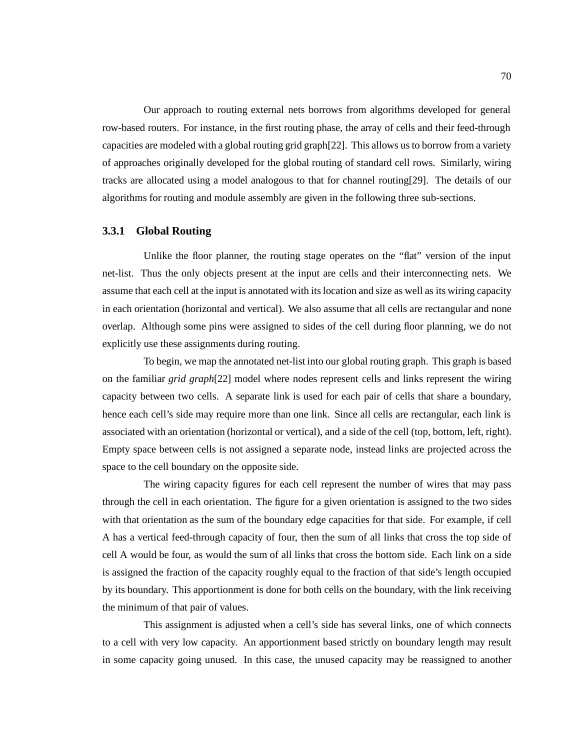Our approach to routing external nets borrows from algorithms developed for general row-based routers. For instance, in the first routing phase, the array of cells and their feed-through capacities are modeled with a global routing grid graph[22]. This allows us to borrow from a variety of approaches originally developed for the global routing of standard cell rows. Similarly, wiring tracks are allocated using a model analogous to that for channel routing[29]. The details of our algorithms for routing and module assembly are given in the following three sub-sections.

#### **3.3.1 Global Routing**

Unlike the floor planner, the routing stage operates on the "flat" version of the input net-list. Thus the only objects present at the input are cells and their interconnecting nets. We assume that each cell at the input is annotated with its location and size as well as its wiring capacity in each orientation (horizontal and vertical). We also assume that all cells are rectangular and none overlap. Although some pins were assigned to sides of the cell during floor planning, we do not explicitly use these assignments during routing.

To begin, we map the annotated net-list into our global routing graph. This graph is based on the familiar *grid graph*[22] model where nodes represent cells and links represent the wiring capacity between two cells. A separate link is used for each pair of cells that share a boundary, hence each cell's side may require more than one link. Since all cells are rectangular, each link is associated with an orientation (horizontal or vertical), and a side of the cell (top, bottom, left, right). Empty space between cells is not assigned a separate node, instead links are projected across the space to the cell boundary on the opposite side.

The wiring capacity figures for each cell represent the number of wires that may pass through the cell in each orientation. The figure for a given orientation is assigned to the two sides with that orientation as the sum of the boundary edge capacities for that side. For example, if cell A has a vertical feed-through capacity of four, then the sum of all links that cross the top side of cell A would be four, as would the sum of all links that cross the bottom side. Each link on a side is assigned the fraction of the capacity roughly equal to the fraction of that side's length occupied by its boundary. This apportionment is done for both cells on the boundary, with the link receiving the minimum of that pair of values.

This assignment is adjusted when a cell's side has several links, one of which connects to a cell with very low capacity. An apportionment based strictly on boundary length may result in some capacity going unused. In this case, the unused capacity may be reassigned to another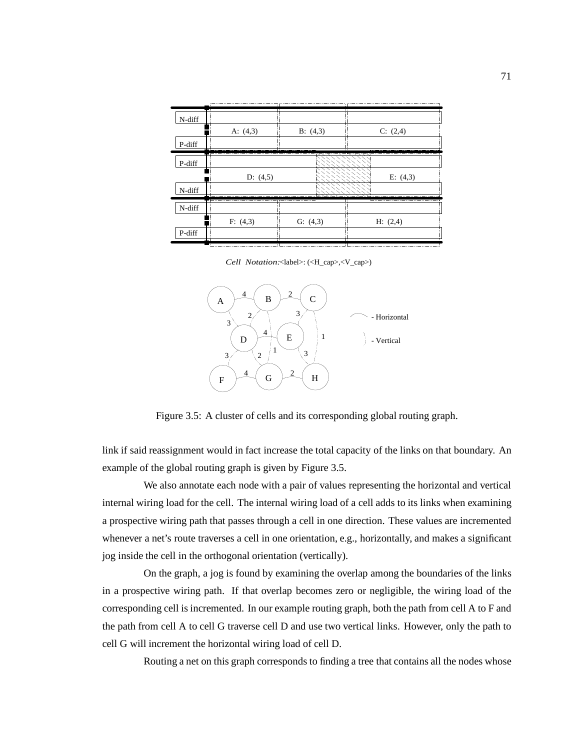| N-diff | A: $(4,3)$ | B: (4,3) | -7<br>C: (2,4) |
|--------|------------|----------|----------------|
| P-diff |            |          | -------        |
| P-diff |            |          | ----           |
|        | D: $(4,5)$ |          | E: $(4,3)$     |
| N-diff |            |          |                |
|        |            |          |                |
| N-diff |            |          |                |
|        | F: (4,3)   | G: (4,3) | H: (2,4)       |
| P-diff | - 1<br>Τ.  |          | ÷              |
|        |            |          |                |

*Cell Notation:*<label>: (<H\_cap>,<V\_cap>)



Figure 3.5: A cluster of cells and its corresponding global routing graph.

link if said reassignment would in fact increase the total capacity of the links on that boundary. An example of the global routing graph is given by Figure 3.5.

We also annotate each node with a pair of values representing the horizontal and vertical internal wiring load for the cell. The internal wiring load of a cell adds to its links when examining a prospective wiring path that passes through a cell in one direction. These values are incremented whenever a net's route traverses a cell in one orientation, e.g., horizontally, and makes a significant jog inside the cell in the orthogonal orientation (vertically).

On the graph, a jog is found by examining the overlap among the boundaries of the links in a prospective wiring path. If that overlap becomes zero or negligible, the wiring load of the corresponding cell is incremented. In our example routing graph, both the path from cell A to F and the path from cell A to cell G traverse cell D and use two vertical links. However, only the path to cell G will increment the horizontal wiring load of cell D.

Routing a net on this graph corresponds to finding a tree that contains all the nodes whose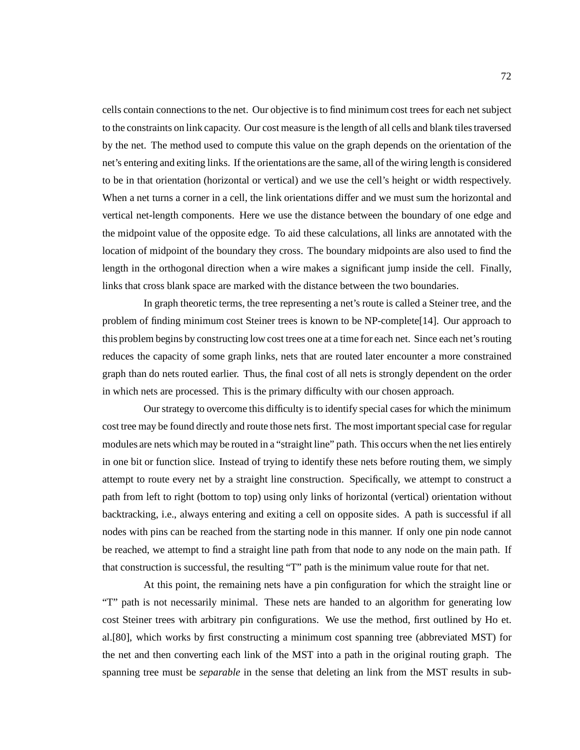cells contain connections to the net. Our objective is to find minimum cost trees for each net subject to the constraints on link capacity. Our cost measure is the length of all cells and blank tiles traversed by the net. The method used to compute this value on the graph depends on the orientation of the net's entering and exiting links. If the orientations are the same, all of the wiring length is considered to be in that orientation (horizontal or vertical) and we use the cell's height or width respectively. When a net turns a corner in a cell, the link orientations differ and we must sum the horizontal and vertical net-length components. Here we use the distance between the boundary of one edge and the midpoint value of the opposite edge. To aid these calculations, all links are annotated with the location of midpoint of the boundary they cross. The boundary midpoints are also used to find the length in the orthogonal direction when a wire makes a significant jump inside the cell. Finally, links that cross blank space are marked with the distance between the two boundaries.

In graph theoretic terms, the tree representing a net's route is called a Steiner tree, and the problem of finding minimum cost Steiner trees is known to be NP-complete[14]. Our approach to this problem begins by constructing low cost trees one at a time for each net. Since each net's routing reduces the capacity of some graph links, nets that are routed later encounter a more constrained graph than do nets routed earlier. Thus, the final cost of all nets is strongly dependent on the order in which nets are processed. This is the primary difficulty with our chosen approach.

Our strategy to overcome this difficulty is to identify special cases for which the minimum cost tree may be found directly and route those nets first. The most important special case for regular modules are nets which may be routed in a "straight line" path. This occurs when the net lies entirely in one bit or function slice. Instead of trying to identify these nets before routing them, we simply attempt to route every net by a straight line construction. Specifically, we attempt to construct a path from left to right (bottom to top) using only links of horizontal (vertical) orientation without backtracking, i.e., always entering and exiting a cell on opposite sides. A path is successful if all nodes with pins can be reached from the starting node in this manner. If only one pin node cannot be reached, we attempt to find a straight line path from that node to any node on the main path. If that construction is successful, the resulting "T" path is the minimum value route for that net.

At this point, the remaining nets have a pin configuration for which the straight line or "T" path is not necessarily minimal. These nets are handed to an algorithm for generating low cost Steiner trees with arbitrary pin configurations. We use the method, first outlined by Ho et. al.[80], which works by first constructing a minimum cost spanning tree (abbreviated MST) for the net and then converting each link of the MST into a path in the original routing graph. The spanning tree must be *separable* in the sense that deleting an link from the MST results in sub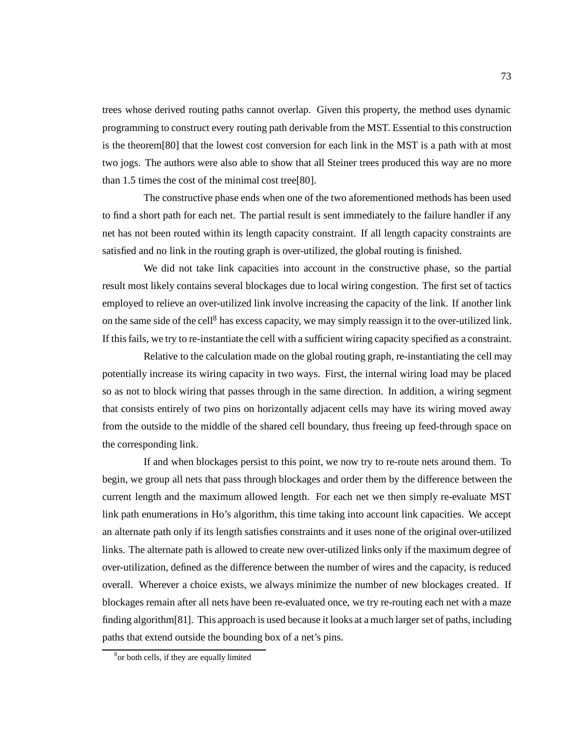trees whose derived routing paths cannot overlap. Given this property, the method uses dynamic programming to construct every routing path derivable from the MST. Essential to this construction is the theorem[80] that the lowest cost conversion for each link in the MST is a path with at most two jogs. The authors were also able to show that all Steiner trees produced this way are no more than 1.5 times the cost of the minimal cost tree[80].

The constructive phase ends when one of the two aforementioned methods has been used to find a short path for each net. The partial result is sent immediately to the failure handler if any net has not been routed within its length capacity constraint. If all length capacity constraints are satisfied and no link in the routing graph is over-utilized, the global routing is finished.

We did not take link capacities into account in the constructive phase, so the partial result most likely contains several blockages due to local wiring congestion. The first set of tactics employed to relieve an over-utilized link involve increasing the capacity of the link. If another link on the same side of the cell<sup>8</sup> has excess capacity, we may simply reassign it to the over-utilized link. If this fails, we try to re-instantiate the cell with a sufficient wiring capacity specified as a constraint.

Relative to the calculation made on the global routing graph, re-instantiating the cell may potentially increase its wiring capacity in two ways. First, the internal wiring load may be placed so as not to block wiring that passes through in the same direction. In addition, a wiring segment that consists entirely of two pins on horizontally adjacent cells may have its wiring moved away from the outside to the middle of the shared cell boundary, thus freeing up feed-through space on the corresponding link.

If and when blockages persist to this point, we now try to re-route nets around them. To begin, we group all nets that pass through blockages and order them by the difference between the current length and the maximum allowed length. For each net we then simply re-evaluate MST link path enumerations in Ho's algorithm, this time taking into account link capacities. We accept an alternate path only if its length satisfies constraints and it uses none of the original over-utilized links. The alternate path is allowed to create new over-utilized links only if the maximum degree of over-utilization, defined as the difference between the number of wires and the capacity, is reduced overall. Wherever a choice exists, we always minimize the number of new blockages created. If blockages remain after all nets have been re-evaluated once, we try re-routing each net with a maze finding algorithm[81]. This approach is used because it looks at a much larger set of paths, including paths that extend outside the bounding box of a net's pins.

<sup>8</sup> or both cells, if they are equally limited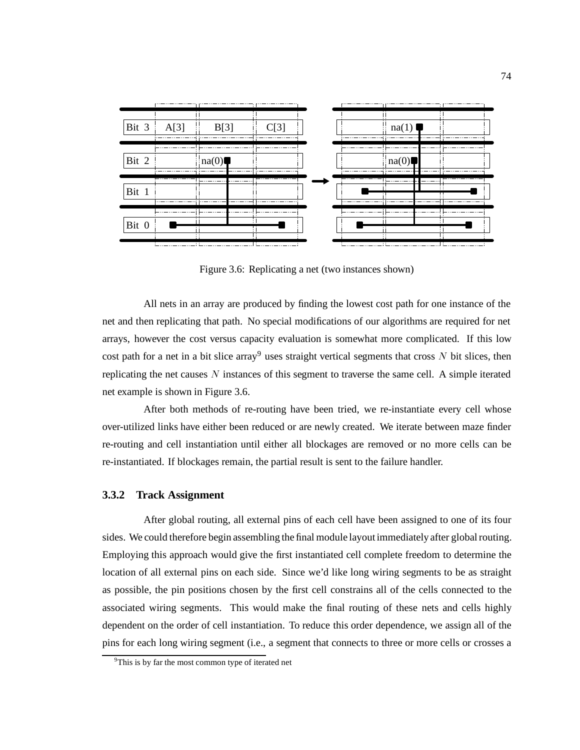

Figure 3.6: Replicating a net (two instances shown)

All nets in an array are produced by finding the lowest cost path for one instance of the net and then replicating that path. No special modifications of our algorithms are required for net arrays, however the cost versus capacity evaluation is somewhat more complicated. If this low cost path for a net in a bit slice array<sup>9</sup> uses straight vertical segments that cross N bit slices, then replicating the net causes  $N$  instances of this segment to traverse the same cell. A simple iterated net example is shown in Figure 3.6.

After both methods of re-routing have been tried, we re-instantiate every cell whose over-utilized links have either been reduced or are newly created. We iterate between maze finder re-routing and cell instantiation until either all blockages are removed or no more cells can be re-instantiated. If blockages remain, the partial result is sent to the failure handler.

#### **3.3.2 Track Assignment**

After global routing, all external pins of each cell have been assigned to one of its four sides. We could therefore begin assembling the final module layout immediately after global routing. Employing this approach would give the first instantiated cell complete freedom to determine the location of all external pins on each side. Since we'd like long wiring segments to be as straight as possible, the pin positions chosen by the first cell constrains all of the cells connected to the associated wiring segments. This would make the final routing of these nets and cells highly dependent on the order of cell instantiation. To reduce this order dependence, we assign all of the pins for each long wiring segment (i.e., a segment that connects to three or more cells or crosses a

<sup>&</sup>lt;sup>9</sup>This is by far the most common type of iterated net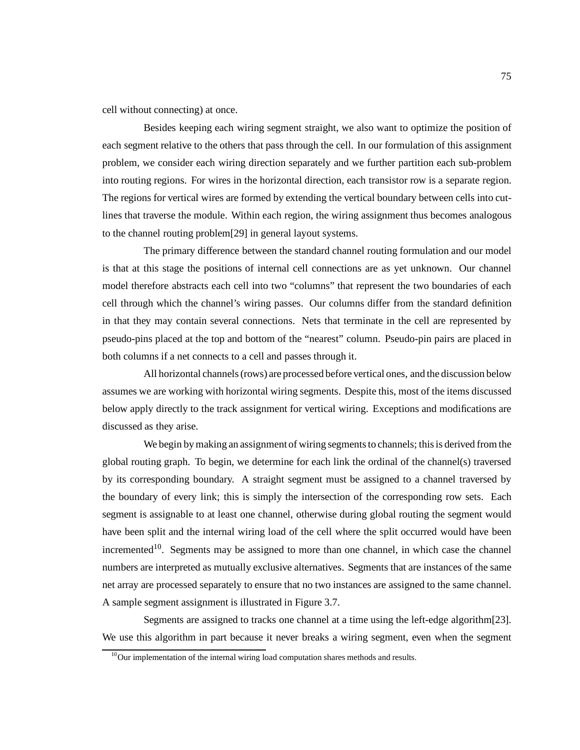cell without connecting) at once.

Besides keeping each wiring segment straight, we also want to optimize the position of each segment relative to the others that pass through the cell. In our formulation of this assignment problem, we consider each wiring direction separately and we further partition each sub-problem into routing regions. For wires in the horizontal direction, each transistor row is a separate region. The regions for vertical wires are formed by extending the vertical boundary between cells into cutlines that traverse the module. Within each region, the wiring assignment thus becomes analogous to the channel routing problem[29] in general layout systems.

The primary difference between the standard channel routing formulation and our model is that at this stage the positions of internal cell connections are as yet unknown. Our channel model therefore abstracts each cell into two "columns" that represent the two boundaries of each cell through which the channel's wiring passes. Our columns differ from the standard definition in that they may contain several connections. Nets that terminate in the cell are represented by pseudo-pins placed at the top and bottom of the "nearest" column. Pseudo-pin pairs are placed in both columns if a net connects to a cell and passes through it.

All horizontal channels (rows) are processed before vertical ones, and the discussion below assumes we are working with horizontal wiring segments. Despite this, most of the items discussed below apply directly to the track assignment for vertical wiring. Exceptions and modifications are discussed as they arise.

We begin by making an assignment of wiring segments to channels; this is derived from the global routing graph. To begin, we determine for each link the ordinal of the channel(s) traversed by its corresponding boundary. A straight segment must be assigned to a channel traversed by the boundary of every link; this is simply the intersection of the corresponding row sets. Each segment is assignable to at least one channel, otherwise during global routing the segment would have been split and the internal wiring load of the cell where the split occurred would have been incremented<sup>10</sup>. Segments may be assigned to more than one channel, in which case the channel numbers are interpreted as mutually exclusive alternatives. Segments that are instances of the same net array are processed separately to ensure that no two instances are assigned to the same channel. A sample segment assignment is illustrated in Figure 3.7.

Segments are assigned to tracks one channel at a time using the left-edge algorithm[23]. We use this algorithm in part because it never breaks a wiring segment, even when the segment

 $10$ Our implementation of the internal wiring load computation shares methods and results.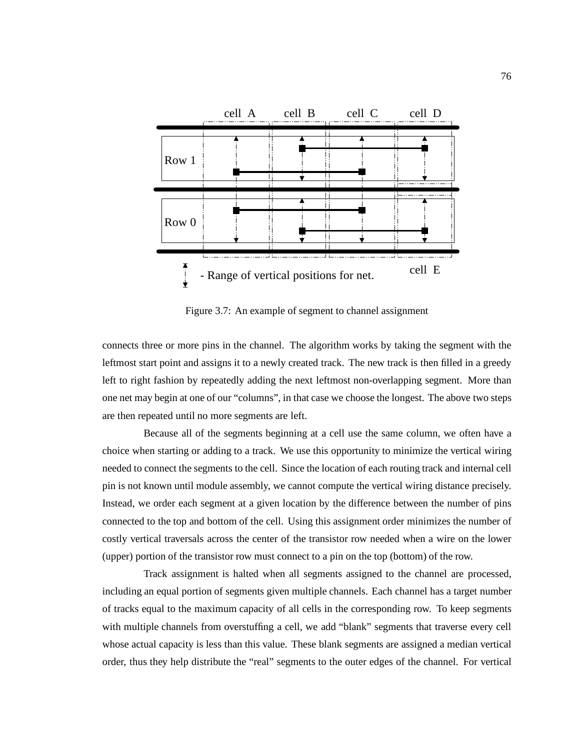

Figure 3.7: An example of segment to channel assignment

connects three or more pins in the channel. The algorithm works by taking the segment with the leftmost start point and assigns it to a newly created track. The new track is then filled in a greedy left to right fashion by repeatedly adding the next leftmost non-overlapping segment. More than one net may begin at one of our "columns", in that case we choose the longest. The above two steps are then repeated until no more segments are left.

Because all of the segments beginning at a cell use the same column, we often have a choice when starting or adding to a track. We use this opportunity to minimize the vertical wiring needed to connect the segments to the cell. Since the location of each routing track and internal cell pin is not known until module assembly, we cannot compute the vertical wiring distance precisely. Instead, we order each segment at a given location by the difference between the number of pins connected to the top and bottom of the cell. Using this assignment order minimizes the number of costly vertical traversals across the center of the transistor row needed when a wire on the lower (upper) portion of the transistor row must connect to a pin on the top (bottom) of the row.

Track assignment is halted when all segments assigned to the channel are processed, including an equal portion of segments given multiple channels. Each channel has a target number of tracks equal to the maximum capacity of all cells in the corresponding row. To keep segments with multiple channels from overstuffing a cell, we add "blank" segments that traverse every cell whose actual capacity is less than this value. These blank segments are assigned a median vertical order, thus they help distribute the "real" segments to the outer edges of the channel. For vertical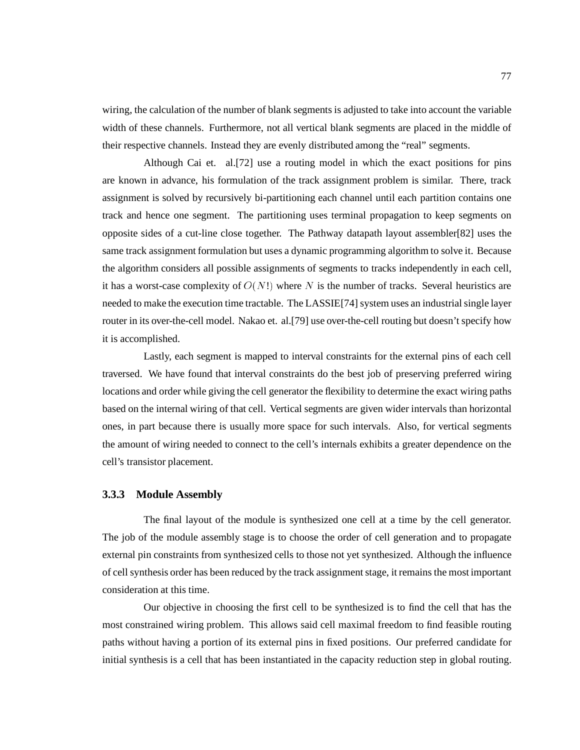wiring, the calculation of the number of blank segments is adjusted to take into account the variable width of these channels. Furthermore, not all vertical blank segments are placed in the middle of their respective channels. Instead they are evenly distributed among the "real" segments.

Although Cai et. al.[72] use a routing model in which the exact positions for pins are known in advance, his formulation of the track assignment problem is similar. There, track assignment is solved by recursively bi-partitioning each channel until each partition contains one track and hence one segment. The partitioning uses terminal propagation to keep segments on opposite sides of a cut-line close together. The Pathway datapath layout assembler[82] uses the same track assignment formulation but uses a dynamic programming algorithm to solve it. Because the algorithm considers all possible assignments of segments to tracks independently in each cell, it has a worst-case complexity of  $O(N!)$  where N is the number of tracks. Several heuristics are needed to make the execution time tractable. The LASSIE[74] system uses an industrial single layer router in its over-the-cell model. Nakao et. al.[79] use over-the-cell routing but doesn't specify how it is accomplished.

Lastly, each segment is mapped to interval constraints for the external pins of each cell traversed. We have found that interval constraints do the best job of preserving preferred wiring locations and order while giving the cell generator the flexibility to determine the exact wiring paths based on the internal wiring of that cell. Vertical segments are given wider intervals than horizontal ones, in part because there is usually more space for such intervals. Also, for vertical segments the amount of wiring needed to connect to the cell's internals exhibits a greater dependence on the cell's transistor placement.

#### **3.3.3 Module Assembly**

The final layout of the module is synthesized one cell at a time by the cell generator. The job of the module assembly stage is to choose the order of cell generation and to propagate external pin constraints from synthesized cells to those not yet synthesized. Although the influence of cell synthesis order has been reduced by the track assignment stage, it remains the most important consideration at this time.

Our objective in choosing the first cell to be synthesized is to find the cell that has the most constrained wiring problem. This allows said cell maximal freedom to find feasible routing paths without having a portion of its external pins in fixed positions. Our preferred candidate for initial synthesis is a cell that has been instantiated in the capacity reduction step in global routing.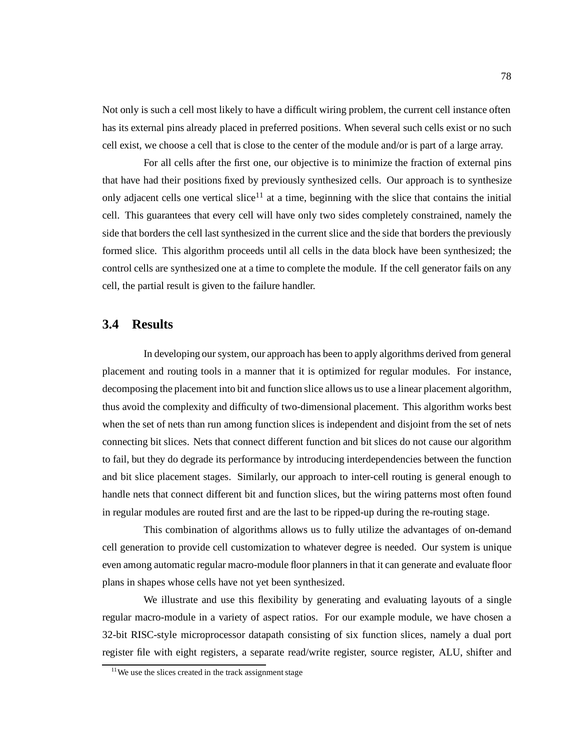Not only is such a cell most likely to have a difficult wiring problem, the current cell instance often has its external pins already placed in preferred positions. When several such cells exist or no such cell exist, we choose a cell that is close to the center of the module and/or is part of a large array.

For all cells after the first one, our objective is to minimize the fraction of external pins that have had their positions fixed by previously synthesized cells. Our approach is to synthesize only adjacent cells one vertical slice<sup>11</sup> at a time, beginning with the slice that contains the initial cell. This guarantees that every cell will have only two sides completely constrained, namely the side that borders the cell last synthesized in the current slice and the side that borders the previously formed slice. This algorithm proceeds until all cells in the data block have been synthesized; the control cells are synthesized one at a time to complete the module. If the cell generator fails on any cell, the partial result is given to the failure handler.

### **3.4 Results**

In developing our system, our approach has been to apply algorithms derived from general placement and routing tools in a manner that it is optimized for regular modules. For instance, decomposing the placement into bit and function slice allows us to use a linear placement algorithm, thus avoid the complexity and difficulty of two-dimensional placement. This algorithm works best when the set of nets than run among function slices is independent and disjoint from the set of nets connecting bit slices. Nets that connect different function and bit slices do not cause our algorithm to fail, but they do degrade its performance by introducing interdependencies between the function and bit slice placement stages. Similarly, our approach to inter-cell routing is general enough to handle nets that connect different bit and function slices, but the wiring patterns most often found in regular modules are routed first and are the last to be ripped-up during the re-routing stage.

This combination of algorithms allows us to fully utilize the advantages of on-demand cell generation to provide cell customization to whatever degree is needed. Our system is unique even among automatic regular macro-module floor planners in that it can generate and evaluate floor plans in shapes whose cells have not yet been synthesized.

We illustrate and use this flexibility by generating and evaluating layouts of a single regular macro-module in a variety of aspect ratios. For our example module, we have chosen a 32-bit RISC-style microprocessor datapath consisting of six function slices, namely a dual port register file with eight registers, a separate read/write register, source register, ALU, shifter and

 $11$ We use the slices created in the track assignment stage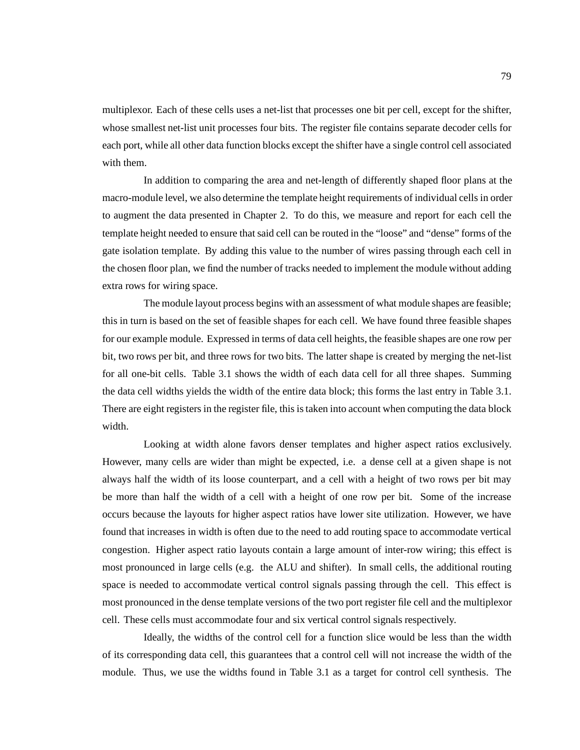multiplexor. Each of these cells uses a net-list that processes one bit per cell, except for the shifter, whose smallest net-list unit processes four bits. The register file contains separate decoder cells for each port, while all other data function blocks except the shifter have a single control cell associated with them.

In addition to comparing the area and net-length of differently shaped floor plans at the macro-module level, we also determine the template height requirements of individual cells in order to augment the data presented in Chapter 2. To do this, we measure and report for each cell the template height needed to ensure that said cell can be routed in the "loose" and "dense" forms of the gate isolation template. By adding this value to the number of wires passing through each cell in the chosen floor plan, we find the number of tracks needed to implement the module without adding extra rows for wiring space.

The module layout process begins with an assessment of what module shapes are feasible; this in turn is based on the set of feasible shapes for each cell. We have found three feasible shapes for our example module. Expressed in terms of data cell heights, the feasible shapes are one row per bit, two rows per bit, and three rows for two bits. The latter shape is created by merging the net-list for all one-bit cells. Table 3.1 shows the width of each data cell for all three shapes. Summing the data cell widths yields the width of the entire data block; this forms the last entry in Table 3.1. There are eight registers in the register file, this is taken into account when computing the data block width.

Looking at width alone favors denser templates and higher aspect ratios exclusively. However, many cells are wider than might be expected, i.e. a dense cell at a given shape is not always half the width of its loose counterpart, and a cell with a height of two rows per bit may be more than half the width of a cell with a height of one row per bit. Some of the increase occurs because the layouts for higher aspect ratios have lower site utilization. However, we have found that increases in width is often due to the need to add routing space to accommodate vertical congestion. Higher aspect ratio layouts contain a large amount of inter-row wiring; this effect is most pronounced in large cells (e.g. the ALU and shifter). In small cells, the additional routing space is needed to accommodate vertical control signals passing through the cell. This effect is most pronounced in the dense template versions of the two port register file cell and the multiplexor cell. These cells must accommodate four and six vertical control signals respectively.

Ideally, the widths of the control cell for a function slice would be less than the width of its corresponding data cell, this guarantees that a control cell will not increase the width of the module. Thus, we use the widths found in Table 3.1 as a target for control cell synthesis. The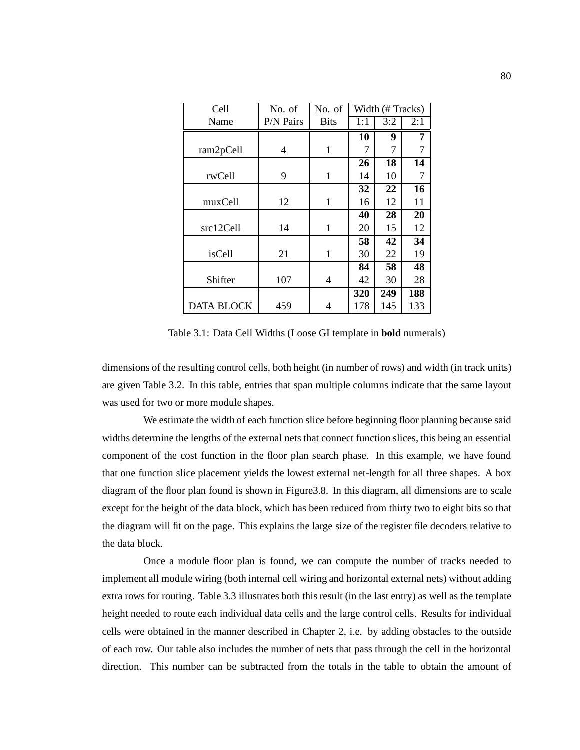| Cell              | No. of<br>No. of |              |     | Width (# Tracks) |     |  |
|-------------------|------------------|--------------|-----|------------------|-----|--|
| Name              | P/N Pairs        | <b>Bits</b>  | 1:1 | 3:2              | 2:1 |  |
|                   |                  |              | 10  | 9                | 7   |  |
| ram2pCell         | 4                | 1            | 7   | 7                | 7   |  |
|                   |                  |              | 26  | 18               | 14  |  |
| rwCell            | 9                | $\mathbf{1}$ | 14  | 10               | 7   |  |
|                   |                  |              | 32  | 22               | 16  |  |
| muxCell           | 12               | 1            | 16  | 12               | 11  |  |
|                   |                  |              | 40  | 28               | 20  |  |
| src12Cell         | 14               | 1            | 20  | 15               | 12  |  |
|                   |                  |              | 58  | 42               | 34  |  |
| isCell            | 21               | 1            | 30  | 22               | 19  |  |
|                   |                  |              | 84  | 58               | 48  |  |
| Shifter           | 107              | 4            | 42  | 30               | 28  |  |
|                   |                  |              | 320 | 249              | 188 |  |
| <b>DATA BLOCK</b> | 459              | 4            | 178 | 145              | 133 |  |

Table 3.1: Data Cell Widths (Loose GI template in **bold** numerals)

dimensions of the resulting control cells, both height (in number of rows) and width (in track units) are given Table 3.2. In this table, entries that span multiple columns indicate that the same layout was used for two or more module shapes.

We estimate the width of each function slice before beginning floor planning because said widths determine the lengths of the external nets that connect function slices, this being an essential component of the cost function in the floor plan search phase. In this example, we have found that one function slice placement yields the lowest external net-length for all three shapes. A box diagram of the floor plan found is shown in Figure3.8. In this diagram, all dimensions are to scale except for the height of the data block, which has been reduced from thirty two to eight bits so that the diagram will fit on the page. This explains the large size of the register file decoders relative to the data block.

Once a module floor plan is found, we can compute the number of tracks needed to implement all module wiring (both internal cell wiring and horizontal external nets) without adding extra rows for routing. Table 3.3 illustrates both this result (in the last entry) as well as the template height needed to route each individual data cells and the large control cells. Results for individual cells were obtained in the manner described in Chapter 2, i.e. by adding obstacles to the outside of each row. Our table also includes the number of nets that pass through the cell in the horizontal direction. This number can be subtracted from the totals in the table to obtain the amount of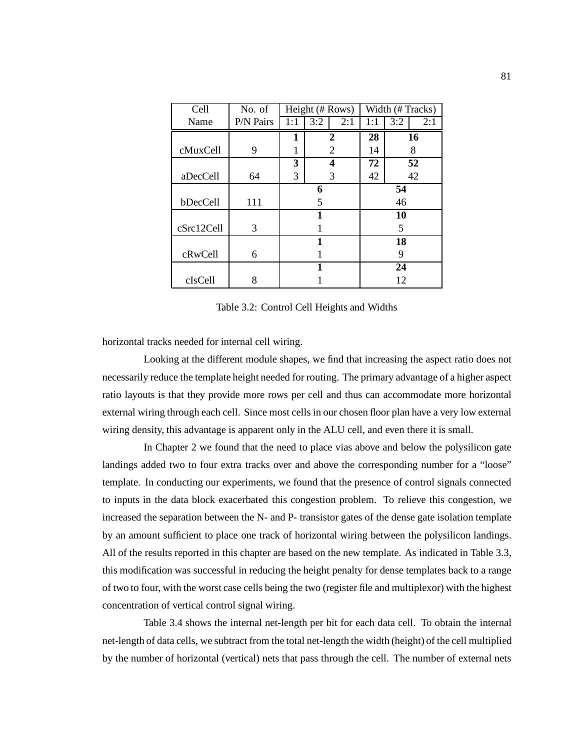| Cell       | No. of    | Height (# Rows) |     | Width (#Tracks) |     |     |     |
|------------|-----------|-----------------|-----|-----------------|-----|-----|-----|
| Name       | P/N Pairs | 1:1             | 3:2 | 2:1             | 1:1 | 3:2 | 2:1 |
|            |           | 1               |     | 2               | 28  |     | 16  |
| cMuxCell   | 9         | 1               |     | 2               | 14  |     | 8   |
|            |           | 3               |     | 4               | 72  |     | 52  |
| aDecCell   | 64        | 3               |     | 3               | 42  |     | 42  |
|            |           | 6               |     | 54              |     |     |     |
| bDecCell   | 111       | 5               |     |                 | 46  |     |     |
|            |           |                 |     |                 | 10  |     |     |
| cSrc12Cell | 3         |                 |     | 5               |     |     |     |
|            |           |                 |     | 18              |     |     |     |
| cRwCell    | 6         |                 |     | 9               |     |     |     |
|            |           | 1               |     | 24              |     |     |     |
| cIsCell    | 8         |                 |     | 12              |     |     |     |

Table 3.2: Control Cell Heights and Widths

horizontal tracks needed for internal cell wiring.

Looking at the different module shapes, we find that increasing the aspect ratio does not necessarily reduce the template height needed for routing. The primary advantage of a higher aspect ratio layouts is that they provide more rows per cell and thus can accommodate more horizontal external wiring through each cell. Since most cells in our chosen floor plan have a very low external wiring density, this advantage is apparent only in the ALU cell, and even there it is small.

In Chapter 2 we found that the need to place vias above and below the polysilicon gate landings added two to four extra tracks over and above the corresponding number for a "loose" template. In conducting our experiments, we found that the presence of control signals connected to inputs in the data block exacerbated this congestion problem. To relieve this congestion, we increased the separation between the N- and P- transistor gates of the dense gate isolation template by an amount sufficient to place one track of horizontal wiring between the polysilicon landings. All of the results reported in this chapter are based on the new template. As indicated in Table 3.3, this modification was successful in reducing the height penalty for dense templates back to a range of two to four, with the worst case cells being the two (register file and multiplexor) with the highest concentration of vertical control signal wiring.

Table 3.4 shows the internal net-length per bit for each data cell. To obtain the internal net-length of data cells, we subtract from the total net-length the width (height) of the cell multiplied by the number of horizontal (vertical) nets that pass through the cell. The number of external nets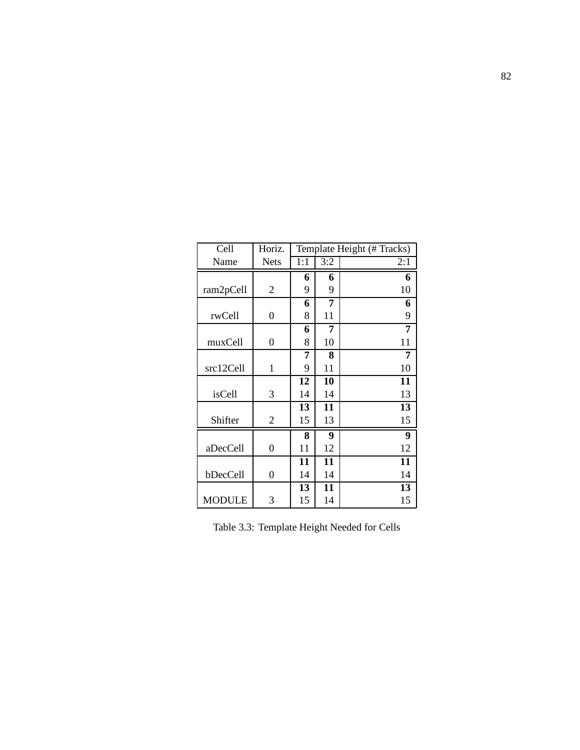| Cell          | Horiz.           | Template Height (# Tracks) |     |     |
|---------------|------------------|----------------------------|-----|-----|
| Name          | <b>Nets</b>      | 1:1                        | 3:2 | 2:1 |
|               |                  | 6                          | 6   | 6   |
| ram2pCell     | $\overline{2}$   | 9                          | 9   | 10  |
|               |                  | 6                          | 7   | 6   |
| rwCell        | 0                | 8                          | 11  | 9   |
|               |                  | 6                          | 7   | 7   |
| muxCell       | $\boldsymbol{0}$ | 8                          | 10  | 11  |
|               |                  | 7                          | 8   | 7   |
| src12Cell     | 1                | 9                          | 11  | 10  |
|               |                  | 12                         | 10  | 11  |
| isCell        | 3                | 14                         | 14  | 13  |
|               |                  | 13                         | 11  | 13  |
| Shifter       | $\overline{2}$   | 15                         | 13  | 15  |
|               |                  | 8                          | 9   | 9   |
| aDecCell      | 0                | 11                         | 12  | 12  |
|               |                  | 11                         | 11  | 11  |
| bDecCell      | 0                | 14                         | 14  | 14  |
|               |                  | 13                         | 11  | 13  |
| <b>MODULE</b> | 3                | 15                         | 14  | 15  |

Table 3.3: Template Height Needed for Cells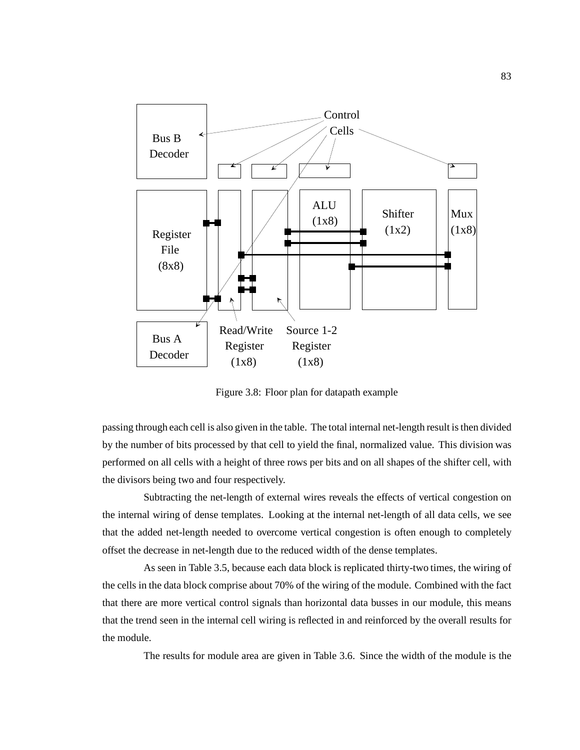

Figure 3.8: Floor plan for datapath example

passing through each cell is also given in the table. The total internal net-length result is then divided by the number of bits processed by that cell to yield the final, normalized value. This division was performed on all cells with a height of three rows per bits and on all shapes of the shifter cell, with the divisors being two and four respectively.

Subtracting the net-length of external wires reveals the effects of vertical congestion on the internal wiring of dense templates. Looking at the internal net-length of all data cells, we see that the added net-length needed to overcome vertical congestion is often enough to completely offset the decrease in net-length due to the reduced width of the dense templates.

As seen in Table 3.5, because each data block is replicated thirty-two times, the wiring of the cells in the data block comprise about 70% of the wiring of the module. Combined with the fact that there are more vertical control signals than horizontal data busses in our module, this means that the trend seen in the internal cell wiring is reflected in and reinforced by the overall results for the module.

The results for module area are given in Table 3.6. Since the width of the module is the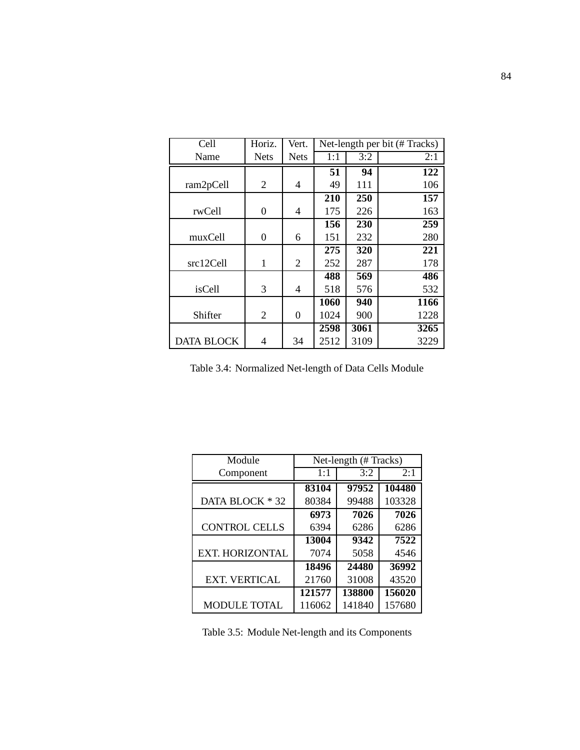| Cell              | Horiz.      | Vert.       | Net-length per bit (# Tracks) |      |      |
|-------------------|-------------|-------------|-------------------------------|------|------|
| Name              | <b>Nets</b> | <b>Nets</b> | 1:1                           | 3:2  | 2:1  |
|                   |             |             | 51                            | 94   | 122  |
| ram2pCell         | 2           | 4           | 49                            | 111  | 106  |
|                   |             |             | 210                           | 250  | 157  |
| rwCell            | 0           | 4           | 175                           | 226  | 163  |
|                   |             |             | 156                           | 230  | 259  |
| muxCell           | $\theta$    | 6           | 151                           | 232  | 280  |
|                   |             |             | 275                           | 320  | 221  |
| src12Cell         | 1           | 2           | 252                           | 287  | 178  |
|                   |             |             | 488                           | 569  | 486  |
| isCell            | 3           | 4           | 518                           | 576  | 532  |
|                   |             |             | 1060                          | 940  | 1166 |
| Shifter           | 2           | $\theta$    | 1024                          | 900  | 1228 |
|                   |             |             | 2598                          | 3061 | 3265 |
| <b>DATA BLOCK</b> | 4           | 34          | 2512                          | 3109 | 3229 |

Table 3.4: Normalized Net-length of Data Cells Module

| Module                 | Net-length (#Tracks) |        |        |  |
|------------------------|----------------------|--------|--------|--|
| Component              | 1:1                  | 3:2    | 2:1    |  |
|                        | 83104                | 97952  | 104480 |  |
| DATA BLOCK * 32        | 80384                | 99488  | 103328 |  |
|                        | 6973                 | 7026   | 7026   |  |
| <b>CONTROL CELLS</b>   | 6394                 | 6286   | 6286   |  |
|                        | 13004                | 9342   | 7522   |  |
| <b>EXT. HORIZONTAL</b> | 7074                 | 5058   | 4546   |  |
|                        | 18496                | 24480  | 36992  |  |
| <b>EXT. VERTICAL</b>   | 21760                | 31008  | 43520  |  |
|                        | 121577               | 138800 | 156020 |  |
| <b>MODULE TOTAL</b>    | 116062               | 141840 | 157680 |  |

Table 3.5: Module Net-length and its Components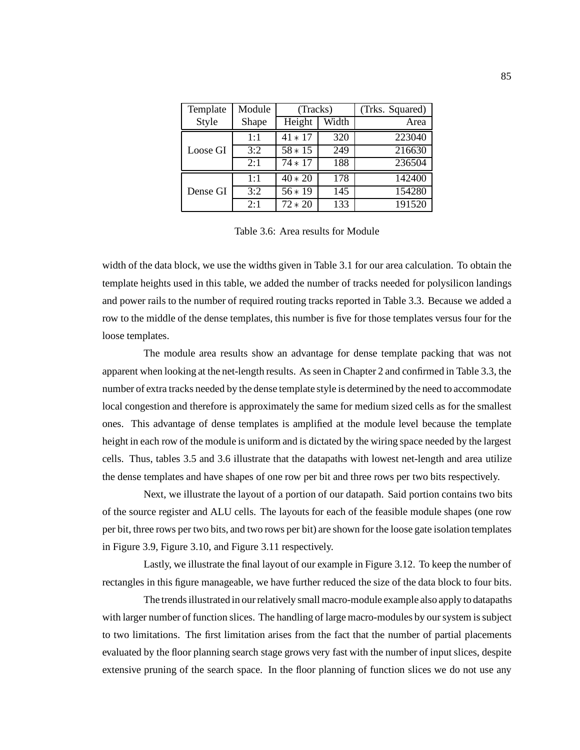| Template | Module | (Tracks)        |     | (Trks. Squared) |
|----------|--------|-----------------|-----|-----------------|
| Style    | Shape  | Width<br>Height |     | Area            |
|          | 1:1    | $41 * 17$       | 320 | 223040          |
| Loose GI | 3:2    | $58 * 15$       | 249 | 216630          |
|          | 2:1    | $74 * 17$       | 188 | 236504          |
|          | 1:1    | $40 * 20$       | 178 | 142400          |
| Dense GI | 3:2    | $56 * 19$       | 145 | 154280          |
|          | 2:1    | $72 * 20$       | 133 | 191520          |

Table 3.6: Area results for Module

width of the data block, we use the widths given in Table 3.1 for our area calculation. To obtain the template heights used in this table, we added the number of tracks needed for polysilicon landings and power rails to the number of required routing tracks reported in Table 3.3. Because we added a row to the middle of the dense templates, this number is five for those templates versus four for the loose templates.

The module area results show an advantage for dense template packing that was not apparent when looking at the net-length results. As seen in Chapter 2 and confirmed in Table 3.3, the number of extra tracks needed by the dense template style is determined by the need to accommodate local congestion and therefore is approximately the same for medium sized cells as for the smallest ones. This advantage of dense templates is amplified at the module level because the template height in each row of the module is uniform and is dictated by the wiring space needed by the largest cells. Thus, tables 3.5 and 3.6 illustrate that the datapaths with lowest net-length and area utilize the dense templates and have shapes of one row per bit and three rows per two bits respectively.

Next, we illustrate the layout of a portion of our datapath. Said portion contains two bits of the source register and ALU cells. The layouts for each of the feasible module shapes (one row per bit, three rows per two bits, and two rows per bit) are shown for the loose gate isolation templates in Figure 3.9, Figure 3.10, and Figure 3.11 respectively.

Lastly, we illustrate the final layout of our example in Figure 3.12. To keep the number of rectangles in this figure manageable, we have further reduced the size of the data block to four bits.

The trends illustrated in our relatively small macro-module example also apply to datapaths with larger number of function slices. The handling of large macro-modules by our system is subject to two limitations. The first limitation arises from the fact that the number of partial placements evaluated by the floor planning search stage grows very fast with the number of input slices, despite extensive pruning of the search space. In the floor planning of function slices we do not use any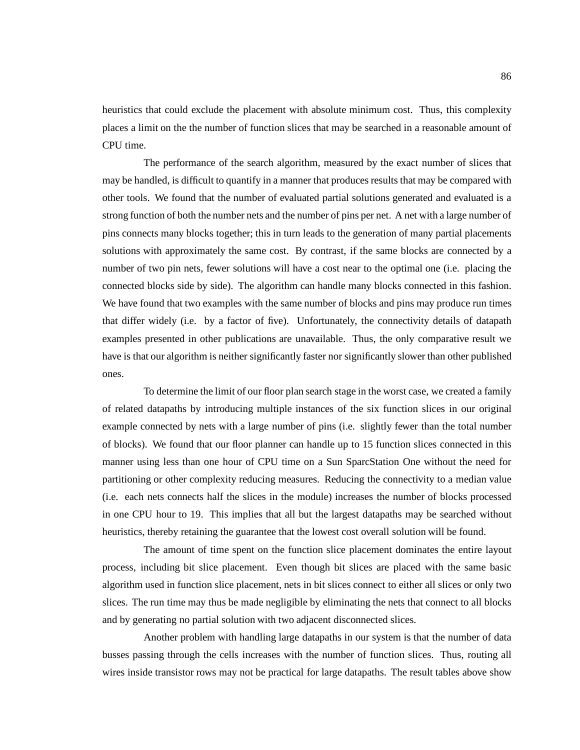heuristics that could exclude the placement with absolute minimum cost. Thus, this complexity places a limit on the the number of function slices that may be searched in a reasonable amount of CPU time.

The performance of the search algorithm, measured by the exact number of slices that may be handled, is difficult to quantify in a manner that produces results that may be compared with other tools. We found that the number of evaluated partial solutions generated and evaluated is a strong function of both the number nets and the number of pins per net. A net with a large number of pins connects many blocks together; this in turn leads to the generation of many partial placements solutions with approximately the same cost. By contrast, if the same blocks are connected by a number of two pin nets, fewer solutions will have a cost near to the optimal one (i.e. placing the connected blocks side by side). The algorithm can handle many blocks connected in this fashion. We have found that two examples with the same number of blocks and pins may produce run times that differ widely (i.e. by a factor of five). Unfortunately, the connectivity details of datapath examples presented in other publications are unavailable. Thus, the only comparative result we have is that our algorithm is neither significantly faster nor significantly slower than other published ones.

To determine the limit of our floor plan search stage in the worst case, we created a family of related datapaths by introducing multiple instances of the six function slices in our original example connected by nets with a large number of pins (i.e. slightly fewer than the total number of blocks). We found that our floor planner can handle up to 15 function slices connected in this manner using less than one hour of CPU time on a Sun SparcStation One without the need for partitioning or other complexity reducing measures. Reducing the connectivity to a median value (i.e. each nets connects half the slices in the module) increases the number of blocks processed in one CPU hour to 19. This implies that all but the largest datapaths may be searched without heuristics, thereby retaining the guarantee that the lowest cost overall solution will be found.

The amount of time spent on the function slice placement dominates the entire layout process, including bit slice placement. Even though bit slices are placed with the same basic algorithm used in function slice placement, nets in bit slices connect to either all slices or only two slices. The run time may thus be made negligible by eliminating the nets that connect to all blocks and by generating no partial solution with two adjacent disconnected slices.

Another problem with handling large datapaths in our system is that the number of data busses passing through the cells increases with the number of function slices. Thus, routing all wires inside transistor rows may not be practical for large datapaths. The result tables above show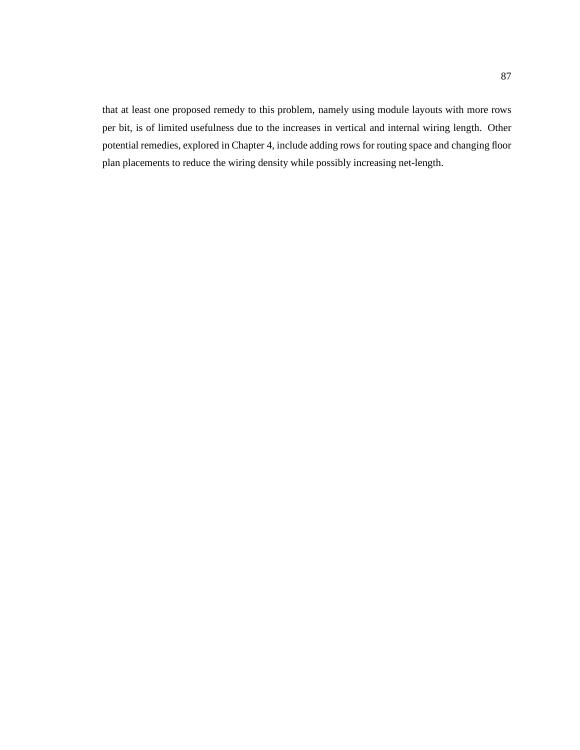that at least one proposed remedy to this problem, namely using module layouts with more rows per bit, is of limited usefulness due to the increases in vertical and internal wiring length. Other potential remedies, explored in Chapter 4, include adding rows for routing space and changing floor plan placements to reduce the wiring density while possibly increasing net-length.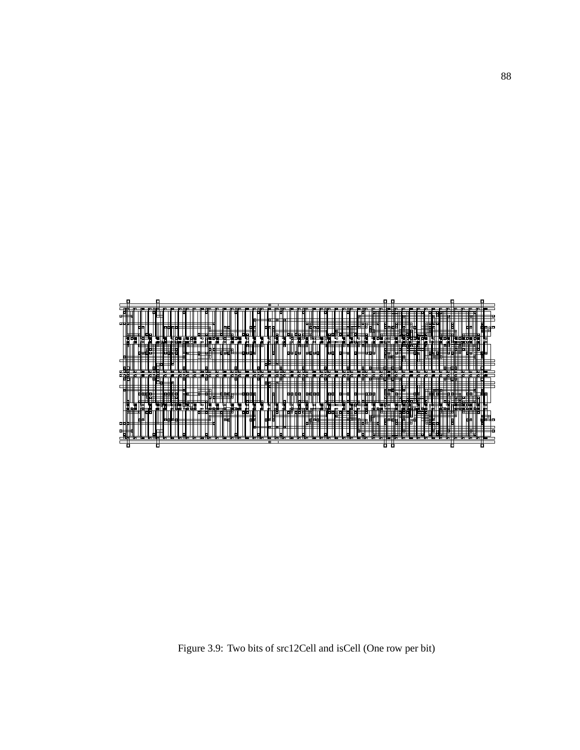

Figure 3.9: Two bits of src12Cell and isCell (One row per bit)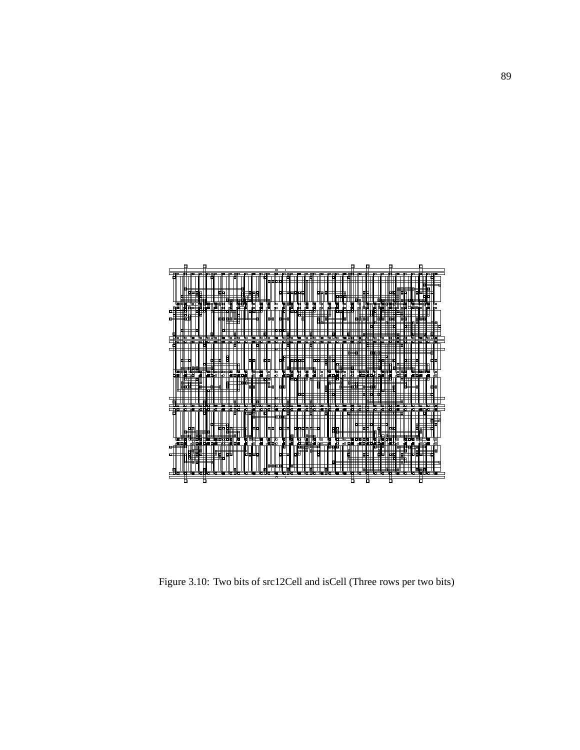

Figure 3.10: Two bits of src12Cell and isCell (Three rows per two bits)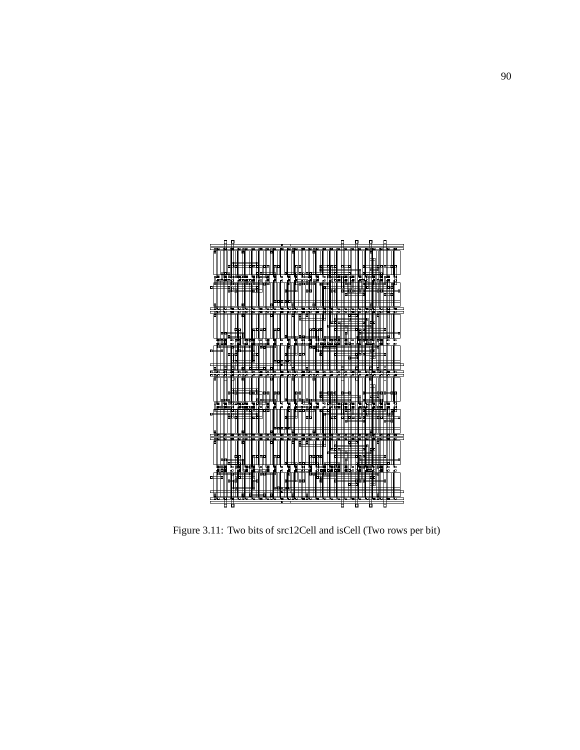

Figure 3.11: Two bits of src12Cell and isCell (Two rows per bit)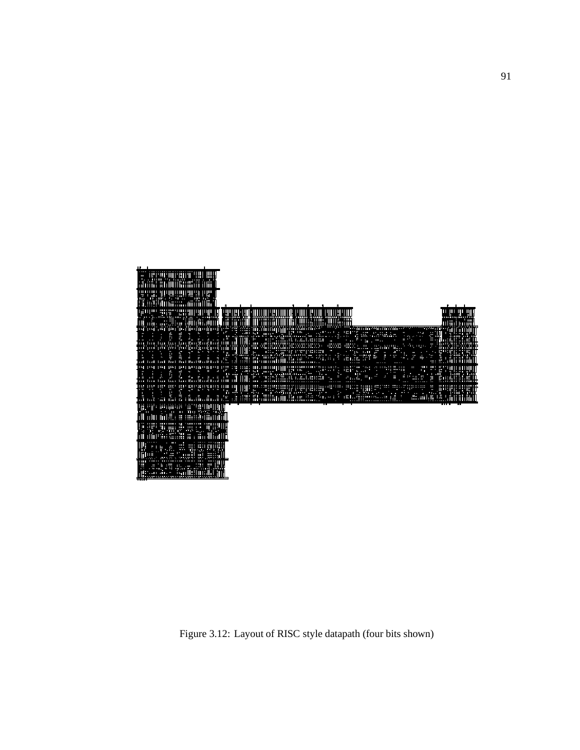

Figure 3.12: Layout of RISC style datapath (four bits shown)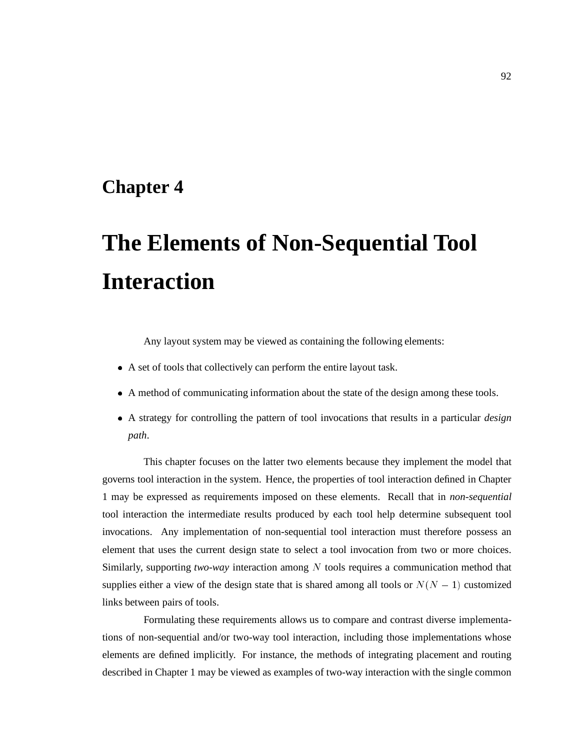## **Chapter 4**

# **The Elements of Non-Sequential Tool Interaction**

Any layout system may be viewed as containing the following elements:

- A set of tools that collectively can perform the entire layout task.
- A method of communicating information about the state of the design among these tools.
- A strategy for controlling the pattern of tool invocations that results in a particular *design path*.

This chapter focuses on the latter two elements because they implement the model that governs tool interaction in the system. Hence, the properties of tool interaction defined in Chapter 1 may be expressed as requirements imposed on these elements. Recall that in *non-sequential* tool interaction the intermediate results produced by each tool help determine subsequent tool invocations. Any implementation of non-sequential tool interaction must therefore possess an element that uses the current design state to select a tool invocation from two or more choices. Similarly, supporting *two-way* interaction among <sup>N</sup> tools requires a communication method that supplies either a view of the design state that is shared among all tools or  $N(N - 1)$  customized links between pairs of tools.

Formulating these requirements allows us to compare and contrast diverse implementations of non-sequential and/or two-way tool interaction, including those implementations whose elements are defined implicitly. For instance, the methods of integrating placement and routing described in Chapter 1 may be viewed as examples of two-way interaction with the single common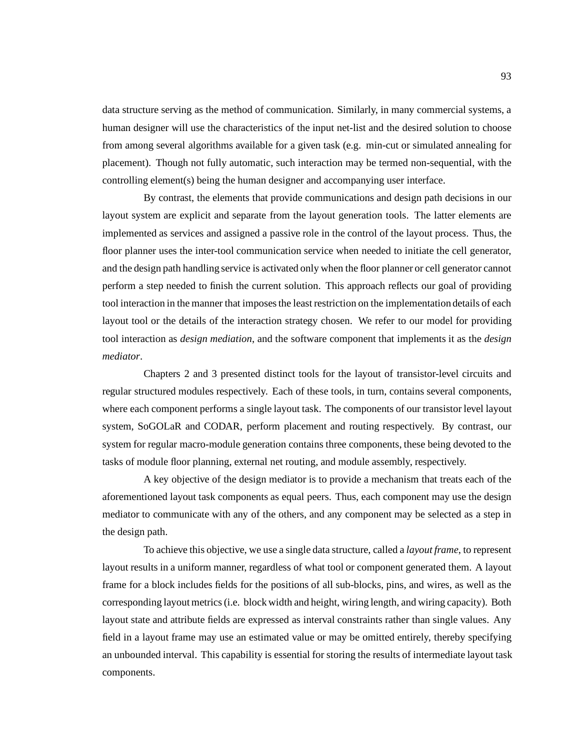data structure serving as the method of communication. Similarly, in many commercial systems, a human designer will use the characteristics of the input net-list and the desired solution to choose from among several algorithms available for a given task (e.g. min-cut or simulated annealing for placement). Though not fully automatic, such interaction may be termed non-sequential, with the controlling element(s) being the human designer and accompanying user interface.

By contrast, the elements that provide communications and design path decisions in our layout system are explicit and separate from the layout generation tools. The latter elements are implemented as services and assigned a passive role in the control of the layout process. Thus, the floor planner uses the inter-tool communication service when needed to initiate the cell generator, and the design path handling service is activated only when the floor planner or cell generator cannot perform a step needed to finish the current solution. This approach reflects our goal of providing tool interaction in the manner that imposes the least restriction on the implementation details of each layout tool or the details of the interaction strategy chosen. We refer to our model for providing tool interaction as *design mediation*, and the software component that implements it as the *design mediator*.

Chapters 2 and 3 presented distinct tools for the layout of transistor-level circuits and regular structured modules respectively. Each of these tools, in turn, contains several components, where each component performs a single layout task. The components of our transistor level layout system, SoGOLaR and CODAR, perform placement and routing respectively. By contrast, our system for regular macro-module generation contains three components, these being devoted to the tasks of module floor planning, external net routing, and module assembly, respectively.

A key objective of the design mediator is to provide a mechanism that treats each of the aforementioned layout task components as equal peers. Thus, each component may use the design mediator to communicate with any of the others, and any component may be selected as a step in the design path.

To achieve this objective, we use a single data structure, called a *layout frame*, to represent layout results in a uniform manner, regardless of what tool or component generated them. A layout frame for a block includes fields for the positions of all sub-blocks, pins, and wires, as well as the corresponding layout metrics (i.e. block width and height, wiring length, and wiring capacity). Both layout state and attribute fields are expressed as interval constraints rather than single values. Any field in a layout frame may use an estimated value or may be omitted entirely, thereby specifying an unbounded interval. This capability is essential for storing the results of intermediate layout task components.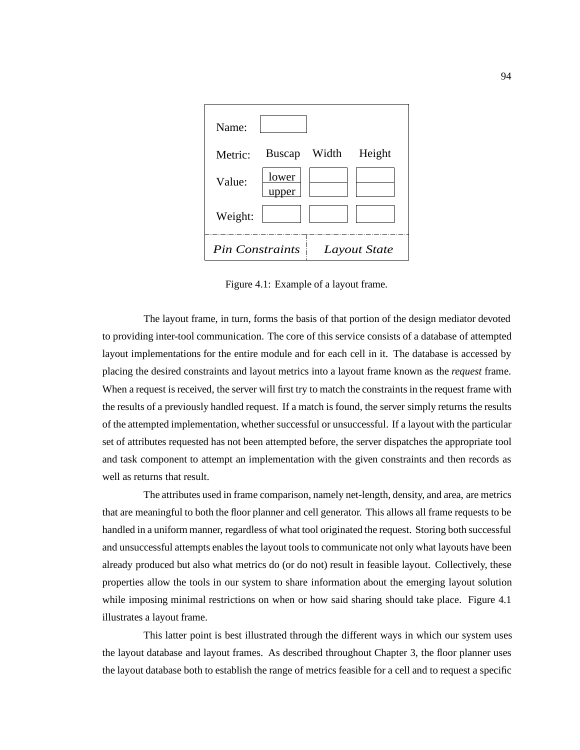| Name:                  |               |       |              |
|------------------------|---------------|-------|--------------|
| Metric:                | <b>Buscap</b> | Width | Height       |
| Value:                 | lower<br>er   |       |              |
| Weight:                |               |       |              |
| <b>Pin Constraints</b> |               |       | Layout State |

Figure 4.1: Example of a layout frame.

The layout frame, in turn, forms the basis of that portion of the design mediator devoted to providing inter-tool communication. The core of this service consists of a database of attempted layout implementations for the entire module and for each cell in it. The database is accessed by placing the desired constraints and layout metrics into a layout frame known as the *request* frame. When a request is received, the server will first try to match the constraints in the request frame with the results of a previously handled request. If a match is found, the server simply returns the results of the attempted implementation, whether successful or unsuccessful. If a layout with the particular set of attributes requested has not been attempted before, the server dispatches the appropriate tool and task component to attempt an implementation with the given constraints and then records as well as returns that result.

The attributes used in frame comparison, namely net-length, density, and area, are metrics that are meaningful to both the floor planner and cell generator. This allows all frame requests to be handled in a uniform manner, regardless of what tool originated the request. Storing both successful and unsuccessful attempts enables the layout tools to communicate not only what layouts have been already produced but also what metrics do (or do not) result in feasible layout. Collectively, these properties allow the tools in our system to share information about the emerging layout solution while imposing minimal restrictions on when or how said sharing should take place. Figure 4.1 illustrates a layout frame.

This latter point is best illustrated through the different ways in which our system uses the layout database and layout frames. As described throughout Chapter 3, the floor planner uses the layout database both to establish the range of metrics feasible for a cell and to request a specific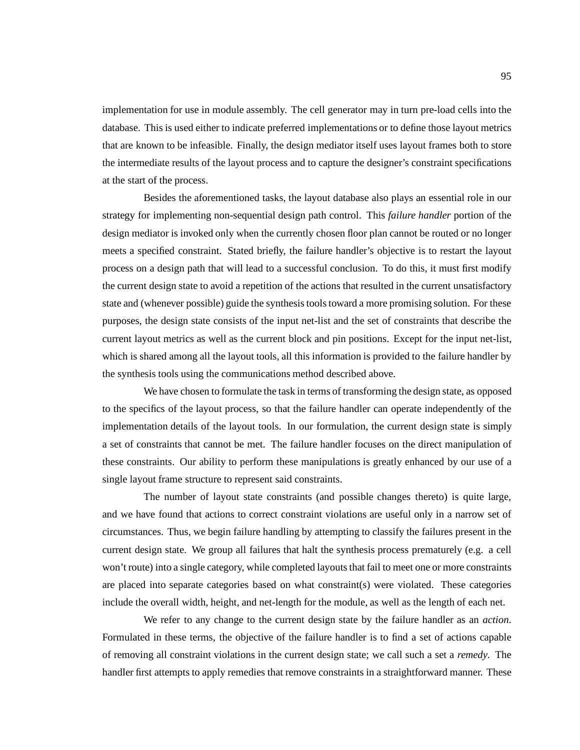implementation for use in module assembly. The cell generator may in turn pre-load cells into the database. This is used either to indicate preferred implementations or to define those layout metrics that are known to be infeasible. Finally, the design mediator itself uses layout frames both to store the intermediate results of the layout process and to capture the designer's constraint specifications at the start of the process.

Besides the aforementioned tasks, the layout database also plays an essential role in our strategy for implementing non-sequential design path control. This *failure handler* portion of the design mediator is invoked only when the currently chosen floor plan cannot be routed or no longer meets a specified constraint. Stated briefly, the failure handler's objective is to restart the layout process on a design path that will lead to a successful conclusion. To do this, it must first modify the current design state to avoid a repetition of the actions that resulted in the current unsatisfactory state and (whenever possible) guide the synthesis tools toward a more promising solution. For these purposes, the design state consists of the input net-list and the set of constraints that describe the current layout metrics as well as the current block and pin positions. Except for the input net-list, which is shared among all the layout tools, all this information is provided to the failure handler by the synthesis tools using the communications method described above.

We have chosen to formulate the task in terms of transforming the design state, as opposed to the specifics of the layout process, so that the failure handler can operate independently of the implementation details of the layout tools. In our formulation, the current design state is simply a set of constraints that cannot be met. The failure handler focuses on the direct manipulation of these constraints. Our ability to perform these manipulations is greatly enhanced by our use of a single layout frame structure to represent said constraints.

The number of layout state constraints (and possible changes thereto) is quite large, and we have found that actions to correct constraint violations are useful only in a narrow set of circumstances. Thus, we begin failure handling by attempting to classify the failures present in the current design state. We group all failures that halt the synthesis process prematurely (e.g. a cell won't route) into a single category, while completed layouts that fail to meet one or more constraints are placed into separate categories based on what constraint(s) were violated. These categories include the overall width, height, and net-length for the module, as well as the length of each net.

We refer to any change to the current design state by the failure handler as an *action*. Formulated in these terms, the objective of the failure handler is to find a set of actions capable of removing all constraint violations in the current design state; we call such a set a *remedy*. The handler first attempts to apply remedies that remove constraints in a straightforward manner. These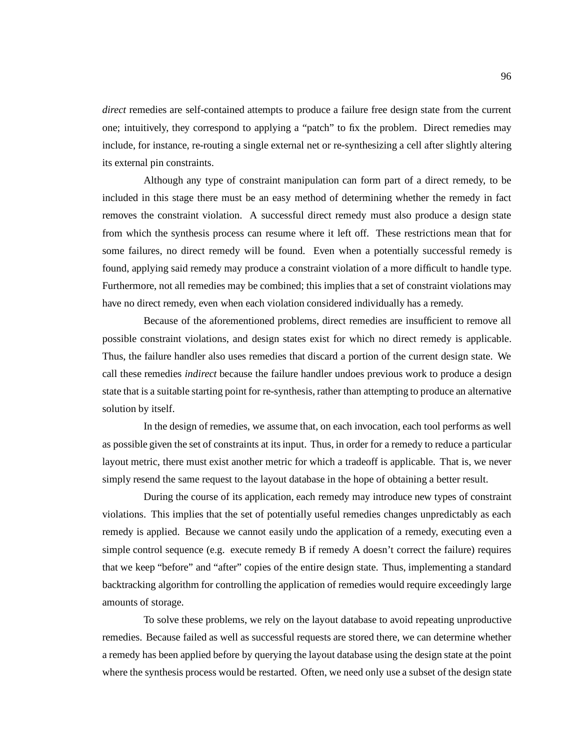*direct* remedies are self-contained attempts to produce a failure free design state from the current one; intuitively, they correspond to applying a "patch" to fix the problem. Direct remedies may include, for instance, re-routing a single external net or re-synthesizing a cell after slightly altering its external pin constraints.

Although any type of constraint manipulation can form part of a direct remedy, to be included in this stage there must be an easy method of determining whether the remedy in fact removes the constraint violation. A successful direct remedy must also produce a design state from which the synthesis process can resume where it left off. These restrictions mean that for some failures, no direct remedy will be found. Even when a potentially successful remedy is found, applying said remedy may produce a constraint violation of a more difficult to handle type. Furthermore, not all remedies may be combined; this implies that a set of constraint violations may have no direct remedy, even when each violation considered individually has a remedy.

Because of the aforementioned problems, direct remedies are insufficient to remove all possible constraint violations, and design states exist for which no direct remedy is applicable. Thus, the failure handler also uses remedies that discard a portion of the current design state. We call these remedies *indirect* because the failure handler undoes previous work to produce a design state that is a suitable starting point for re-synthesis, rather than attempting to produce an alternative solution by itself.

In the design of remedies, we assume that, on each invocation, each tool performs as well as possible given the set of constraints at its input. Thus, in order for a remedy to reduce a particular layout metric, there must exist another metric for which a tradeoff is applicable. That is, we never simply resend the same request to the layout database in the hope of obtaining a better result.

During the course of its application, each remedy may introduce new types of constraint violations. This implies that the set of potentially useful remedies changes unpredictably as each remedy is applied. Because we cannot easily undo the application of a remedy, executing even a simple control sequence (e.g. execute remedy B if remedy A doesn't correct the failure) requires that we keep "before" and "after" copies of the entire design state. Thus, implementing a standard backtracking algorithm for controlling the application of remedies would require exceedingly large amounts of storage.

To solve these problems, we rely on the layout database to avoid repeating unproductive remedies. Because failed as well as successful requests are stored there, we can determine whether a remedy has been applied before by querying the layout database using the design state at the point where the synthesis process would be restarted. Often, we need only use a subset of the design state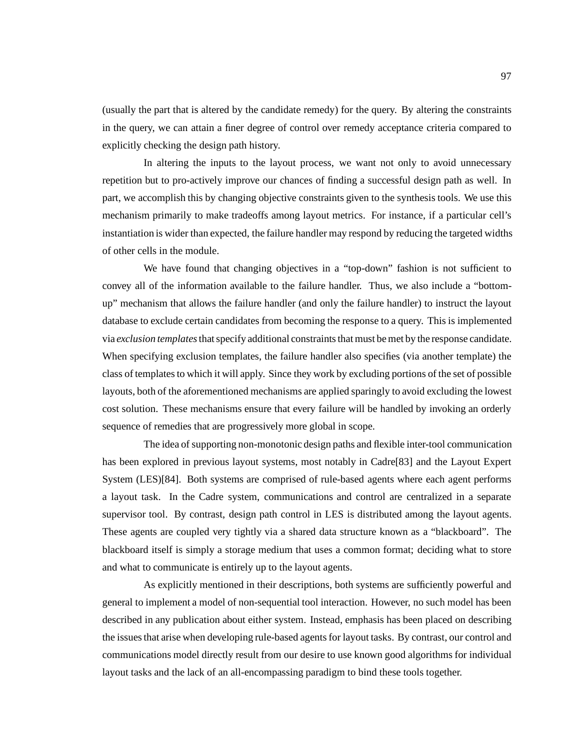(usually the part that is altered by the candidate remedy) for the query. By altering the constraints in the query, we can attain a finer degree of control over remedy acceptance criteria compared to explicitly checking the design path history.

In altering the inputs to the layout process, we want not only to avoid unnecessary repetition but to pro-actively improve our chances of finding a successful design path as well. In part, we accomplish this by changing objective constraints given to the synthesis tools. We use this mechanism primarily to make tradeoffs among layout metrics. For instance, if a particular cell's instantiation is wider than expected, the failure handler may respond by reducing the targeted widths of other cells in the module.

We have found that changing objectives in a "top-down" fashion is not sufficient to convey all of the information available to the failure handler. Thus, we also include a "bottomup" mechanism that allows the failure handler (and only the failure handler) to instruct the layout database to exclude certain candidates from becoming the response to a query. This is implemented via *exclusion templates*that specify additional constraints that must be met by the response candidate. When specifying exclusion templates, the failure handler also specifies (via another template) the class of templates to which it will apply. Since they work by excluding portions of the set of possible layouts, both of the aforementioned mechanisms are applied sparingly to avoid excluding the lowest cost solution. These mechanisms ensure that every failure will be handled by invoking an orderly sequence of remedies that are progressively more global in scope.

The idea of supporting non-monotonic design paths and flexible inter-tool communication has been explored in previous layout systems, most notably in Cadre[83] and the Layout Expert System (LES)[84]. Both systems are comprised of rule-based agents where each agent performs a layout task. In the Cadre system, communications and control are centralized in a separate supervisor tool. By contrast, design path control in LES is distributed among the layout agents. These agents are coupled very tightly via a shared data structure known as a "blackboard". The blackboard itself is simply a storage medium that uses a common format; deciding what to store and what to communicate is entirely up to the layout agents.

As explicitly mentioned in their descriptions, both systems are sufficiently powerful and general to implement a model of non-sequential tool interaction. However, no such model has been described in any publication about either system. Instead, emphasis has been placed on describing the issues that arise when developing rule-based agents for layout tasks. By contrast, our control and communications model directly result from our desire to use known good algorithms for individual layout tasks and the lack of an all-encompassing paradigm to bind these tools together.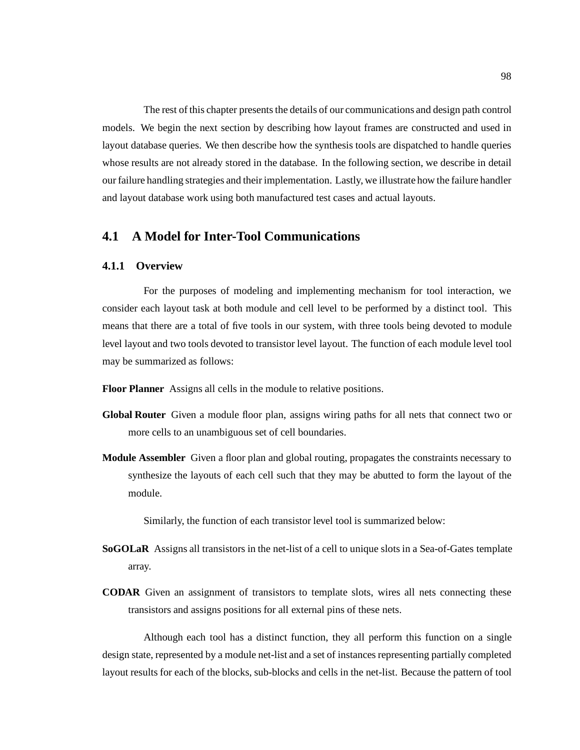The rest of this chapter presents the details of our communications and design path control models. We begin the next section by describing how layout frames are constructed and used in layout database queries. We then describe how the synthesis tools are dispatched to handle queries whose results are not already stored in the database. In the following section, we describe in detail our failure handling strategies and their implementation. Lastly, we illustrate how the failure handler and layout database work using both manufactured test cases and actual layouts.

## **4.1 A Model for Inter-Tool Communications**

### **4.1.1 Overview**

For the purposes of modeling and implementing mechanism for tool interaction, we consider each layout task at both module and cell level to be performed by a distinct tool. This means that there are a total of five tools in our system, with three tools being devoted to module level layout and two tools devoted to transistor level layout. The function of each module level tool may be summarized as follows:

**Floor Planner** Assigns all cells in the module to relative positions.

- **Global Router** Given a module floor plan, assigns wiring paths for all nets that connect two or more cells to an unambiguous set of cell boundaries.
- **Module Assembler** Given a floor plan and global routing, propagates the constraints necessary to synthesize the layouts of each cell such that they may be abutted to form the layout of the module.

Similarly, the function of each transistor level tool is summarized below:

- **SoGOLaR** Assigns all transistors in the net-list of a cell to unique slots in a Sea-of-Gates template array.
- **CODAR** Given an assignment of transistors to template slots, wires all nets connecting these transistors and assigns positions for all external pins of these nets.

Although each tool has a distinct function, they all perform this function on a single design state, represented by a module net-list and a set of instances representing partially completed layout results for each of the blocks, sub-blocks and cells in the net-list. Because the pattern of tool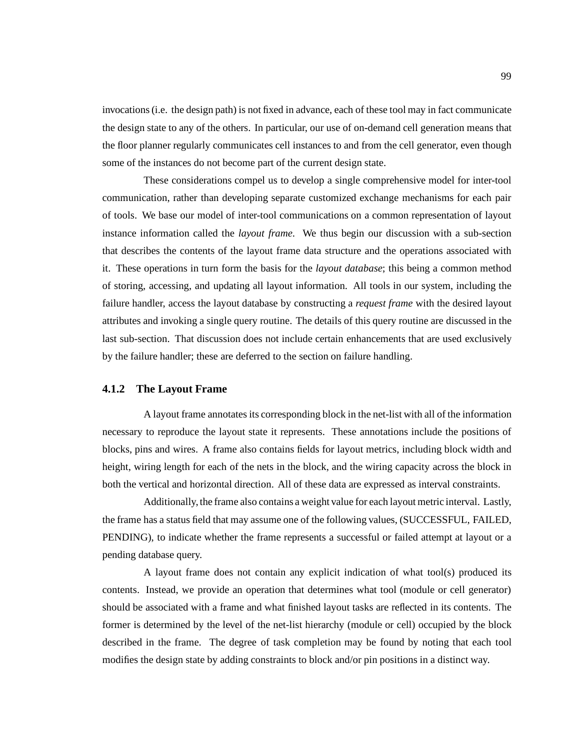invocations (i.e. the design path) is not fixed in advance, each of these tool may in fact communicate the design state to any of the others. In particular, our use of on-demand cell generation means that the floor planner regularly communicates cell instances to and from the cell generator, even though some of the instances do not become part of the current design state.

These considerations compel us to develop a single comprehensive model for inter-tool communication, rather than developing separate customized exchange mechanisms for each pair of tools. We base our model of inter-tool communications on a common representation of layout instance information called the *layout frame*. We thus begin our discussion with a sub-section that describes the contents of the layout frame data structure and the operations associated with it. These operations in turn form the basis for the *layout database*; this being a common method of storing, accessing, and updating all layout information. All tools in our system, including the failure handler, access the layout database by constructing a *request frame* with the desired layout attributes and invoking a single query routine. The details of this query routine are discussed in the last sub-section. That discussion does not include certain enhancements that are used exclusively by the failure handler; these are deferred to the section on failure handling.

#### **4.1.2 The Layout Frame**

A layout frame annotates its corresponding block in the net-list with all of the information necessary to reproduce the layout state it represents. These annotations include the positions of blocks, pins and wires. A frame also contains fields for layout metrics, including block width and height, wiring length for each of the nets in the block, and the wiring capacity across the block in both the vertical and horizontal direction. All of these data are expressed as interval constraints.

Additionally, the frame also contains a weight value for each layout metric interval. Lastly, the frame has a status field that may assume one of the following values, (SUCCESSFUL, FAILED, PENDING), to indicate whether the frame represents a successful or failed attempt at layout or a pending database query.

A layout frame does not contain any explicit indication of what tool(s) produced its contents. Instead, we provide an operation that determines what tool (module or cell generator) should be associated with a frame and what finished layout tasks are reflected in its contents. The former is determined by the level of the net-list hierarchy (module or cell) occupied by the block described in the frame. The degree of task completion may be found by noting that each tool modifies the design state by adding constraints to block and/or pin positions in a distinct way.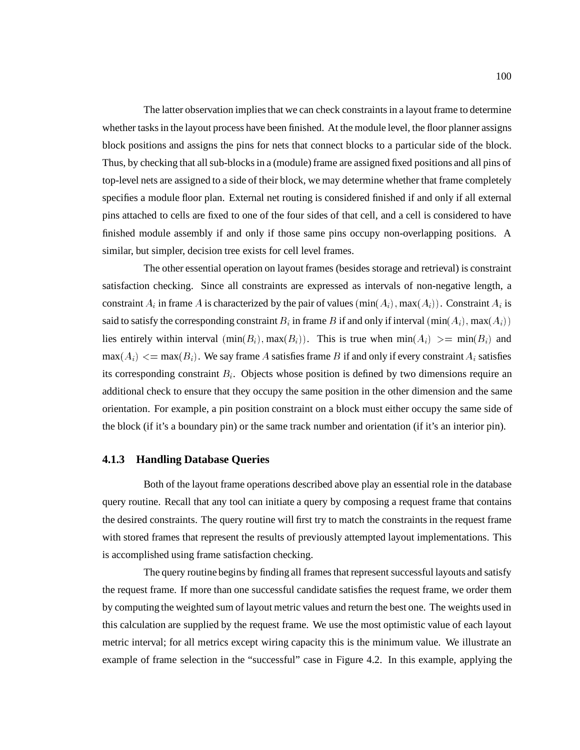The latter observation implies that we can check constraints in a layout frame to determine whether tasks in the layout process have been finished. At the module level, the floor planner assigns block positions and assigns the pins for nets that connect blocks to a particular side of the block. Thus, by checking that all sub-blocks in a (module) frame are assigned fixed positions and all pins of top-level nets are assigned to a side of their block, we may determine whether that frame completely specifies a module floor plan. External net routing is considered finished if and only if all external pins attached to cells are fixed to one of the four sides of that cell, and a cell is considered to have finished module assembly if and only if those same pins occupy non-overlapping positions. A similar, but simpler, decision tree exists for cell level frames.

The other essential operation on layout frames (besides storage and retrieval) is constraint satisfaction checking. Since all constraints are expressed as intervals of non-negative length, a constraint  $A_i$  in frame A is characterized by the pair of values  $(\min(A_i), \max(A_i))$ . Constraint  $A_i$  is said to satisfy the corresponding constraint  $B_i$  in frame B if and only if interval  $(\min(A_i), \max(A_i))$ lies entirely within interval  $(\min(B_i), \max(B_i))$ . This is true when  $\min(A_i) >= \min(B_i)$  and  $\max(A_i) \leq \max(B_i)$ . We say frame A satisfies frame B if and only if every constraint  $A_i$  satisfies its corresponding constraint  $B_i$ . Objects whose position is defined by two dimensions require an additional check to ensure that they occupy the same position in the other dimension and the same orientation. For example, a pin position constraint on a block must either occupy the same side of the block (if it's a boundary pin) or the same track number and orientation (if it's an interior pin).

#### **4.1.3 Handling Database Queries**

Both of the layout frame operations described above play an essential role in the database query routine. Recall that any tool can initiate a query by composing a request frame that contains the desired constraints. The query routine will first try to match the constraints in the request frame with stored frames that represent the results of previously attempted layout implementations. This is accomplished using frame satisfaction checking.

The query routine begins by finding all frames that represent successful layouts and satisfy the request frame. If more than one successful candidate satisfies the request frame, we order them by computing the weighted sum of layout metric values and return the best one. The weights used in this calculation are supplied by the request frame. We use the most optimistic value of each layout metric interval; for all metrics except wiring capacity this is the minimum value. We illustrate an example of frame selection in the "successful" case in Figure 4.2. In this example, applying the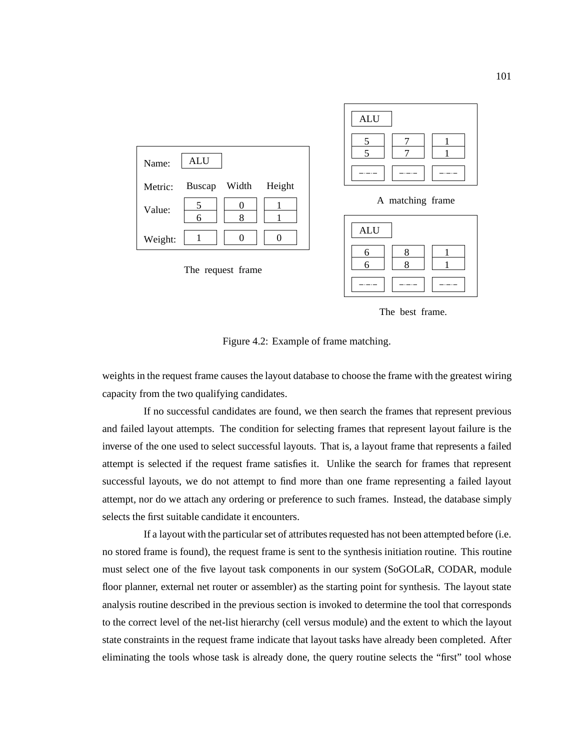

The best frame.

Figure 4.2: Example of frame matching.

weights in the request frame causes the layout database to choose the frame with the greatest wiring capacity from the two qualifying candidates.

If no successful candidates are found, we then search the frames that represent previous and failed layout attempts. The condition for selecting frames that represent layout failure is the inverse of the one used to select successful layouts. That is, a layout frame that represents a failed attempt is selected if the request frame satisfies it. Unlike the search for frames that represent successful layouts, we do not attempt to find more than one frame representing a failed layout attempt, nor do we attach any ordering or preference to such frames. Instead, the database simply selects the first suitable candidate it encounters.

If a layout with the particular set of attributes requested has not been attempted before (i.e. no stored frame is found), the request frame is sent to the synthesis initiation routine. This routine must select one of the five layout task components in our system (SoGOLaR, CODAR, module floor planner, external net router or assembler) as the starting point for synthesis. The layout state analysis routine described in the previous section is invoked to determine the tool that corresponds to the correct level of the net-list hierarchy (cell versus module) and the extent to which the layout state constraints in the request frame indicate that layout tasks have already been completed. After eliminating the tools whose task is already done, the query routine selects the "first" tool whose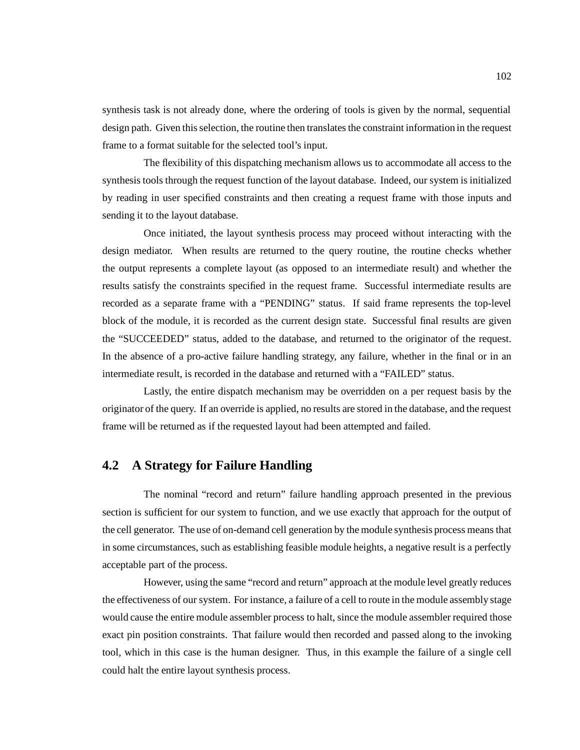synthesis task is not already done, where the ordering of tools is given by the normal, sequential design path. Given this selection, the routine then translates the constraint information in the request frame to a format suitable for the selected tool's input.

The flexibility of this dispatching mechanism allows us to accommodate all access to the synthesis tools through the request function of the layout database. Indeed, our system is initialized by reading in user specified constraints and then creating a request frame with those inputs and sending it to the layout database.

Once initiated, the layout synthesis process may proceed without interacting with the design mediator. When results are returned to the query routine, the routine checks whether the output represents a complete layout (as opposed to an intermediate result) and whether the results satisfy the constraints specified in the request frame. Successful intermediate results are recorded as a separate frame with a "PENDING" status. If said frame represents the top-level block of the module, it is recorded as the current design state. Successful final results are given the "SUCCEEDED" status, added to the database, and returned to the originator of the request. In the absence of a pro-active failure handling strategy, any failure, whether in the final or in an intermediate result, is recorded in the database and returned with a "FAILED" status.

Lastly, the entire dispatch mechanism may be overridden on a per request basis by the originator of the query. If an override is applied, no results are stored in the database, and the request frame will be returned as if the requested layout had been attempted and failed.

## **4.2 A Strategy for Failure Handling**

The nominal "record and return" failure handling approach presented in the previous section is sufficient for our system to function, and we use exactly that approach for the output of the cell generator. The use of on-demand cell generation by the module synthesis process means that in some circumstances, such as establishing feasible module heights, a negative result is a perfectly acceptable part of the process.

However, using the same "record and return" approach at the module level greatly reduces the effectiveness of our system. For instance, a failure of a cell to route in the module assembly stage would cause the entire module assembler process to halt, since the module assembler required those exact pin position constraints. That failure would then recorded and passed along to the invoking tool, which in this case is the human designer. Thus, in this example the failure of a single cell could halt the entire layout synthesis process.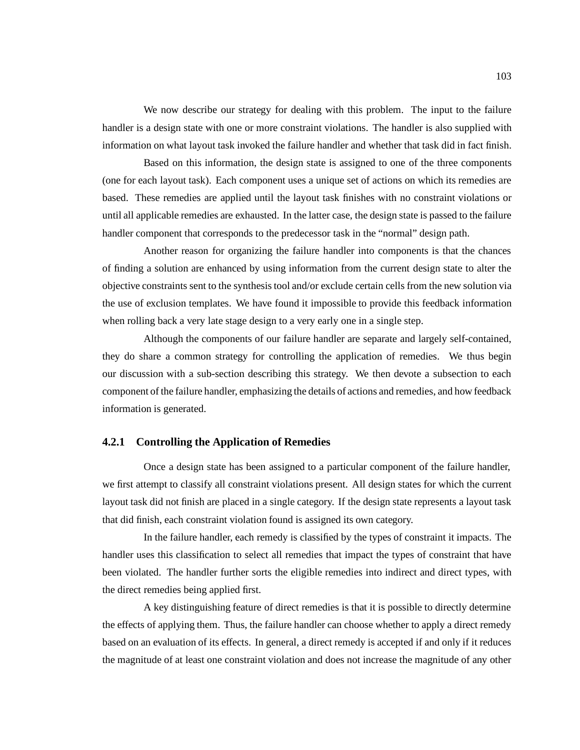We now describe our strategy for dealing with this problem. The input to the failure handler is a design state with one or more constraint violations. The handler is also supplied with information on what layout task invoked the failure handler and whether that task did in fact finish.

Based on this information, the design state is assigned to one of the three components (one for each layout task). Each component uses a unique set of actions on which its remedies are based. These remedies are applied until the layout task finishes with no constraint violations or until all applicable remedies are exhausted. In the latter case, the design state is passed to the failure handler component that corresponds to the predecessor task in the "normal" design path.

Another reason for organizing the failure handler into components is that the chances of finding a solution are enhanced by using information from the current design state to alter the objective constraints sent to the synthesis tool and/or exclude certain cells from the new solution via the use of exclusion templates. We have found it impossible to provide this feedback information when rolling back a very late stage design to a very early one in a single step.

Although the components of our failure handler are separate and largely self-contained, they do share a common strategy for controlling the application of remedies. We thus begin our discussion with a sub-section describing this strategy. We then devote a subsection to each component of the failure handler, emphasizing the details of actions and remedies, and how feedback information is generated.

#### **4.2.1 Controlling the Application of Remedies**

Once a design state has been assigned to a particular component of the failure handler, we first attempt to classify all constraint violations present. All design states for which the current layout task did not finish are placed in a single category. If the design state represents a layout task that did finish, each constraint violation found is assigned its own category.

In the failure handler, each remedy is classified by the types of constraint it impacts. The handler uses this classification to select all remedies that impact the types of constraint that have been violated. The handler further sorts the eligible remedies into indirect and direct types, with the direct remedies being applied first.

A key distinguishing feature of direct remedies is that it is possible to directly determine the effects of applying them. Thus, the failure handler can choose whether to apply a direct remedy based on an evaluation of its effects. In general, a direct remedy is accepted if and only if it reduces the magnitude of at least one constraint violation and does not increase the magnitude of any other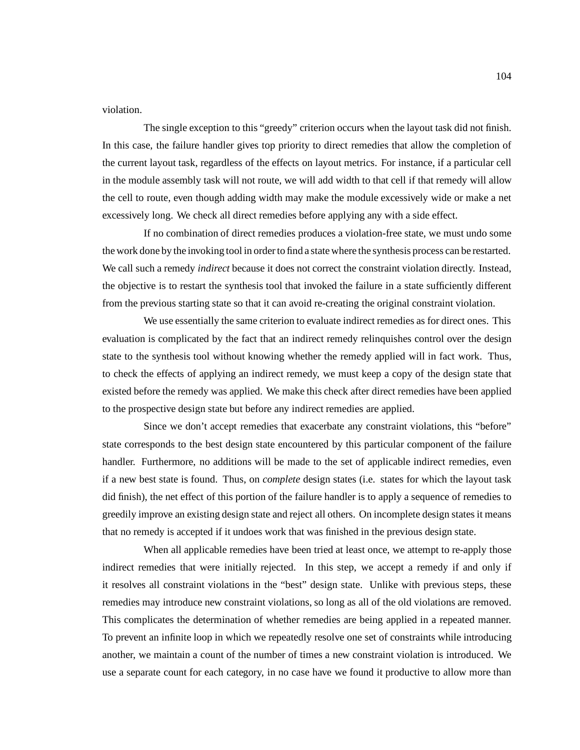violation.

The single exception to this "greedy" criterion occurs when the layout task did not finish. In this case, the failure handler gives top priority to direct remedies that allow the completion of the current layout task, regardless of the effects on layout metrics. For instance, if a particular cell in the module assembly task will not route, we will add width to that cell if that remedy will allow the cell to route, even though adding width may make the module excessively wide or make a net excessively long. We check all direct remedies before applying any with a side effect.

If no combination of direct remedies produces a violation-free state, we must undo some the work done by the invoking tool in order to find a state where the synthesis process can be restarted. We call such a remedy *indirect* because it does not correct the constraint violation directly. Instead, the objective is to restart the synthesis tool that invoked the failure in a state sufficiently different from the previous starting state so that it can avoid re-creating the original constraint violation.

We use essentially the same criterion to evaluate indirect remedies as for direct ones. This evaluation is complicated by the fact that an indirect remedy relinquishes control over the design state to the synthesis tool without knowing whether the remedy applied will in fact work. Thus, to check the effects of applying an indirect remedy, we must keep a copy of the design state that existed before the remedy was applied. We make this check after direct remedies have been applied to the prospective design state but before any indirect remedies are applied.

Since we don't accept remedies that exacerbate any constraint violations, this "before" state corresponds to the best design state encountered by this particular component of the failure handler. Furthermore, no additions will be made to the set of applicable indirect remedies, even if a new best state is found. Thus, on *complete* design states (i.e. states for which the layout task did finish), the net effect of this portion of the failure handler is to apply a sequence of remedies to greedily improve an existing design state and reject all others. On incomplete design states it means that no remedy is accepted if it undoes work that was finished in the previous design state.

When all applicable remedies have been tried at least once, we attempt to re-apply those indirect remedies that were initially rejected. In this step, we accept a remedy if and only if it resolves all constraint violations in the "best" design state. Unlike with previous steps, these remedies may introduce new constraint violations, so long as all of the old violations are removed. This complicates the determination of whether remedies are being applied in a repeated manner. To prevent an infinite loop in which we repeatedly resolve one set of constraints while introducing another, we maintain a count of the number of times a new constraint violation is introduced. We use a separate count for each category, in no case have we found it productive to allow more than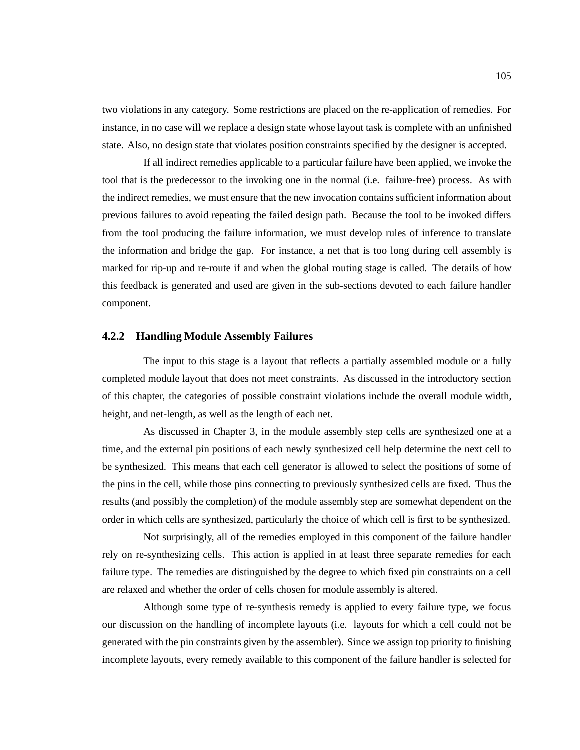two violations in any category. Some restrictions are placed on the re-application of remedies. For instance, in no case will we replace a design state whose layout task is complete with an unfinished state. Also, no design state that violates position constraints specified by the designer is accepted.

If all indirect remedies applicable to a particular failure have been applied, we invoke the tool that is the predecessor to the invoking one in the normal (i.e. failure-free) process. As with the indirect remedies, we must ensure that the new invocation contains sufficient information about previous failures to avoid repeating the failed design path. Because the tool to be invoked differs from the tool producing the failure information, we must develop rules of inference to translate the information and bridge the gap. For instance, a net that is too long during cell assembly is marked for rip-up and re-route if and when the global routing stage is called. The details of how this feedback is generated and used are given in the sub-sections devoted to each failure handler component.

#### **4.2.2 Handling Module Assembly Failures**

The input to this stage is a layout that reflects a partially assembled module or a fully completed module layout that does not meet constraints. As discussed in the introductory section of this chapter, the categories of possible constraint violations include the overall module width, height, and net-length, as well as the length of each net.

As discussed in Chapter 3, in the module assembly step cells are synthesized one at a time, and the external pin positions of each newly synthesized cell help determine the next cell to be synthesized. This means that each cell generator is allowed to select the positions of some of the pins in the cell, while those pins connecting to previously synthesized cells are fixed. Thus the results (and possibly the completion) of the module assembly step are somewhat dependent on the order in which cells are synthesized, particularly the choice of which cell is first to be synthesized.

Not surprisingly, all of the remedies employed in this component of the failure handler rely on re-synthesizing cells. This action is applied in at least three separate remedies for each failure type. The remedies are distinguished by the degree to which fixed pin constraints on a cell are relaxed and whether the order of cells chosen for module assembly is altered.

Although some type of re-synthesis remedy is applied to every failure type, we focus our discussion on the handling of incomplete layouts (i.e. layouts for which a cell could not be generated with the pin constraints given by the assembler). Since we assign top priority to finishing incomplete layouts, every remedy available to this component of the failure handler is selected for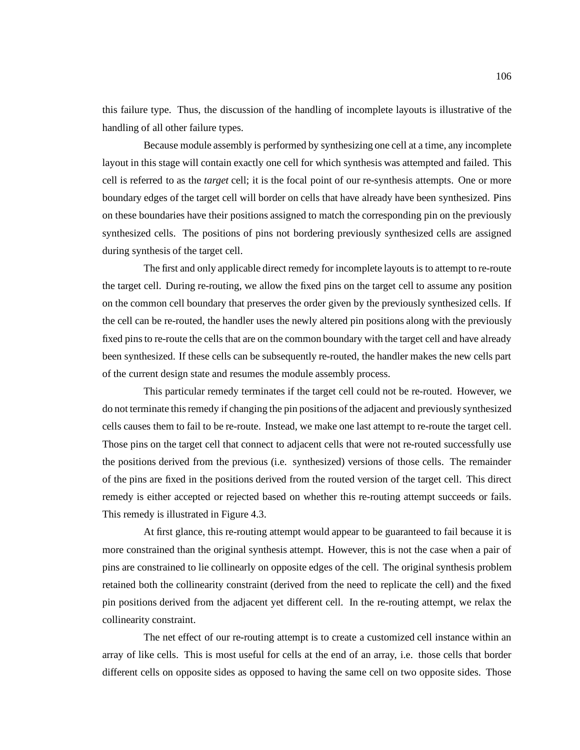this failure type. Thus, the discussion of the handling of incomplete layouts is illustrative of the handling of all other failure types.

Because module assembly is performed by synthesizing one cell at a time, any incomplete layout in this stage will contain exactly one cell for which synthesis was attempted and failed. This cell is referred to as the *target* cell; it is the focal point of our re-synthesis attempts. One or more boundary edges of the target cell will border on cells that have already have been synthesized. Pins on these boundaries have their positions assigned to match the corresponding pin on the previously synthesized cells. The positions of pins not bordering previously synthesized cells are assigned during synthesis of the target cell.

The first and only applicable direct remedy for incomplete layouts is to attempt to re-route the target cell. During re-routing, we allow the fixed pins on the target cell to assume any position on the common cell boundary that preserves the order given by the previously synthesized cells. If the cell can be re-routed, the handler uses the newly altered pin positions along with the previously fixed pins to re-route the cells that are on the common boundary with the target cell and have already been synthesized. If these cells can be subsequently re-routed, the handler makes the new cells part of the current design state and resumes the module assembly process.

This particular remedy terminates if the target cell could not be re-routed. However, we do not terminate this remedy if changing the pin positions of the adjacent and previously synthesized cells causes them to fail to be re-route. Instead, we make one last attempt to re-route the target cell. Those pins on the target cell that connect to adjacent cells that were not re-routed successfully use the positions derived from the previous (i.e. synthesized) versions of those cells. The remainder of the pins are fixed in the positions derived from the routed version of the target cell. This direct remedy is either accepted or rejected based on whether this re-routing attempt succeeds or fails. This remedy is illustrated in Figure 4.3.

At first glance, this re-routing attempt would appear to be guaranteed to fail because it is more constrained than the original synthesis attempt. However, this is not the case when a pair of pins are constrained to lie collinearly on opposite edges of the cell. The original synthesis problem retained both the collinearity constraint (derived from the need to replicate the cell) and the fixed pin positions derived from the adjacent yet different cell. In the re-routing attempt, we relax the collinearity constraint.

The net effect of our re-routing attempt is to create a customized cell instance within an array of like cells. This is most useful for cells at the end of an array, i.e. those cells that border different cells on opposite sides as opposed to having the same cell on two opposite sides. Those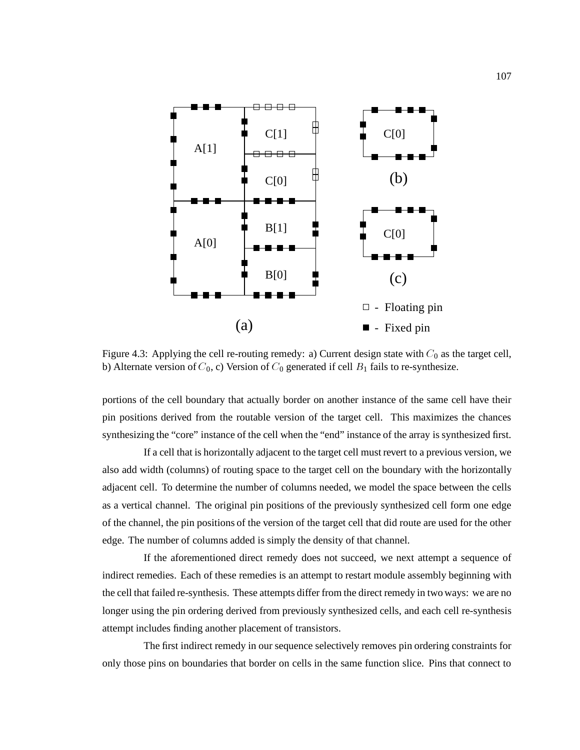

Figure 4.3: Applying the cell re-routing remedy: a) Current design state with  $C_0$  as the target cell, b) Alternate version of  $C_0$ , c) Version of  $C_0$  generated if cell  $B_1$  fails to re-synthesize.

portions of the cell boundary that actually border on another instance of the same cell have their pin positions derived from the routable version of the target cell. This maximizes the chances synthesizing the "core" instance of the cell when the "end" instance of the array is synthesized first.

If a cell that is horizontally adjacent to the target cell must revert to a previous version, we also add width (columns) of routing space to the target cell on the boundary with the horizontally adjacent cell. To determine the number of columns needed, we model the space between the cells as a vertical channel. The original pin positions of the previously synthesized cell form one edge of the channel, the pin positions of the version of the target cell that did route are used for the other edge. The number of columns added is simply the density of that channel.

If the aforementioned direct remedy does not succeed, we next attempt a sequence of indirect remedies. Each of these remedies is an attempt to restart module assembly beginning with the cell that failed re-synthesis. These attempts differ from the direct remedy in two ways: we are no longer using the pin ordering derived from previously synthesized cells, and each cell re-synthesis attempt includes finding another placement of transistors.

The first indirect remedy in our sequence selectively removes pin ordering constraints for only those pins on boundaries that border on cells in the same function slice. Pins that connect to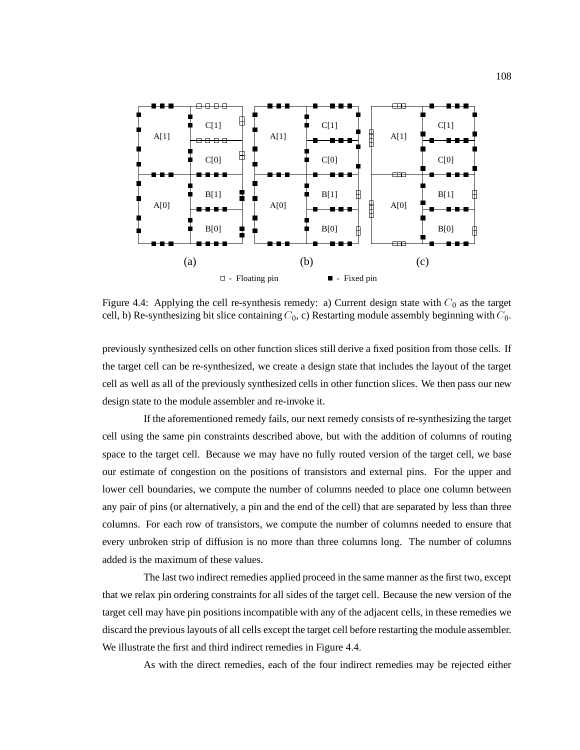

Figure 4.4: Applying the cell re-synthesis remedy: a) Current design state with  $C_0$  as the target cell, b) Re-synthesizing bit slice containing  $C_0$ , c) Restarting module assembly beginning with  $C_0$ .

previously synthesized cells on other function slices still derive a fixed position from those cells. If the target cell can be re-synthesized, we create a design state that includes the layout of the target cell as well as all of the previously synthesized cells in other function slices. We then pass our new design state to the module assembler and re-invoke it.

If the aforementioned remedy fails, our next remedy consists of re-synthesizing the target cell using the same pin constraints described above, but with the addition of columns of routing space to the target cell. Because we may have no fully routed version of the target cell, we base our estimate of congestion on the positions of transistors and external pins. For the upper and lower cell boundaries, we compute the number of columns needed to place one column between any pair of pins (or alternatively, a pin and the end of the cell) that are separated by less than three columns. For each row of transistors, we compute the number of columns needed to ensure that every unbroken strip of diffusion is no more than three columns long. The number of columns added is the maximum of these values.

The last two indirect remedies applied proceed in the same manner as the first two, except that we relax pin ordering constraints for all sides of the target cell. Because the new version of the target cell may have pin positions incompatible with any of the adjacent cells, in these remedies we discard the previous layouts of all cells except the target cell before restarting the module assembler. We illustrate the first and third indirect remedies in Figure 4.4.

As with the direct remedies, each of the four indirect remedies may be rejected either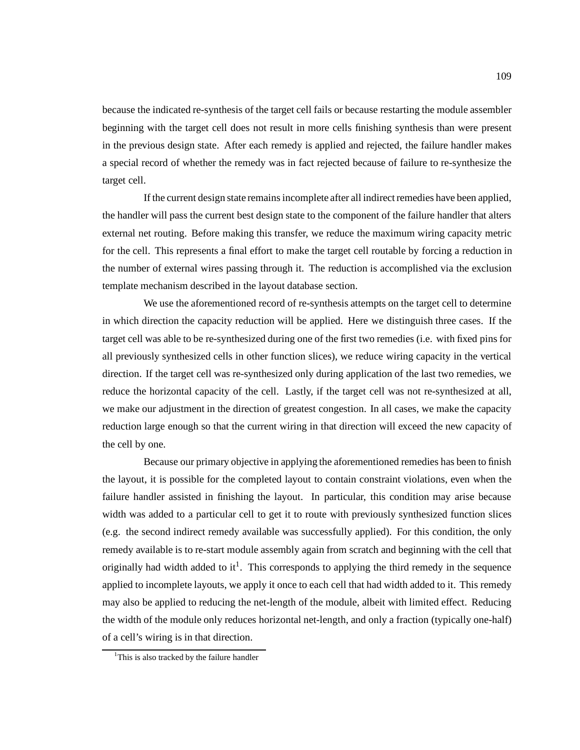because the indicated re-synthesis of the target cell fails or because restarting the module assembler beginning with the target cell does not result in more cells finishing synthesis than were present in the previous design state. After each remedy is applied and rejected, the failure handler makes a special record of whether the remedy was in fact rejected because of failure to re-synthesize the target cell.

If the current design state remains incomplete after all indirect remedies have been applied, the handler will pass the current best design state to the component of the failure handler that alters external net routing. Before making this transfer, we reduce the maximum wiring capacity metric for the cell. This represents a final effort to make the target cell routable by forcing a reduction in the number of external wires passing through it. The reduction is accomplished via the exclusion template mechanism described in the layout database section.

We use the aforementioned record of re-synthesis attempts on the target cell to determine in which direction the capacity reduction will be applied. Here we distinguish three cases. If the target cell was able to be re-synthesized during one of the first two remedies (i.e. with fixed pins for all previously synthesized cells in other function slices), we reduce wiring capacity in the vertical direction. If the target cell was re-synthesized only during application of the last two remedies, we reduce the horizontal capacity of the cell. Lastly, if the target cell was not re-synthesized at all, we make our adjustment in the direction of greatest congestion. In all cases, we make the capacity reduction large enough so that the current wiring in that direction will exceed the new capacity of the cell by one.

Because our primary objective in applying the aforementioned remedies has been to finish the layout, it is possible for the completed layout to contain constraint violations, even when the failure handler assisted in finishing the layout. In particular, this condition may arise because width was added to a particular cell to get it to route with previously synthesized function slices (e.g. the second indirect remedy available was successfully applied). For this condition, the only remedy available is to re-start module assembly again from scratch and beginning with the cell that originally had width added to it<sup>1</sup>. This corresponds to applying the third remedy in the sequence applied to incomplete layouts, we apply it once to each cell that had width added to it. This remedy may also be applied to reducing the net-length of the module, albeit with limited effect. Reducing the width of the module only reduces horizontal net-length, and only a fraction (typically one-half) of a cell's wiring is in that direction.

<sup>&</sup>lt;sup>1</sup>This is also tracked by the failure handler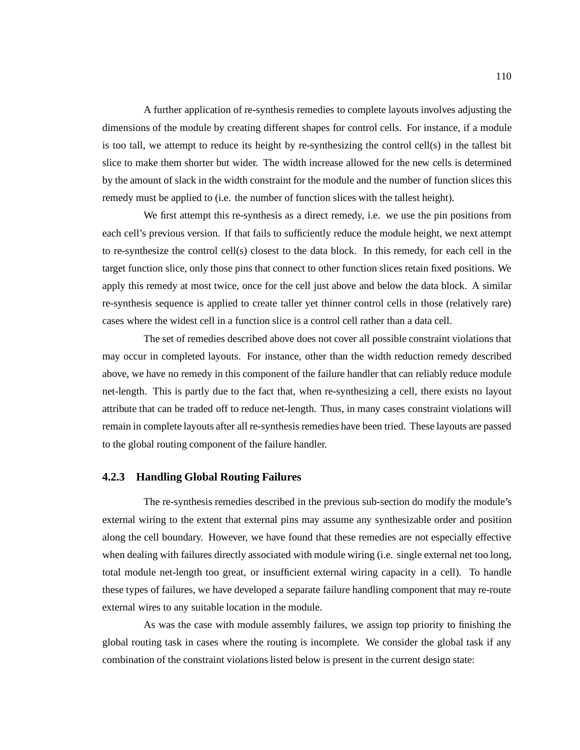A further application of re-synthesis remedies to complete layouts involves adjusting the dimensions of the module by creating different shapes for control cells. For instance, if a module is too tall, we attempt to reduce its height by re-synthesizing the control cell(s) in the tallest bit slice to make them shorter but wider. The width increase allowed for the new cells is determined by the amount of slack in the width constraint for the module and the number of function slices this remedy must be applied to (i.e. the number of function slices with the tallest height).

We first attempt this re-synthesis as a direct remedy, i.e. we use the pin positions from each cell's previous version. If that fails to sufficiently reduce the module height, we next attempt to re-synthesize the control cell(s) closest to the data block. In this remedy, for each cell in the target function slice, only those pins that connect to other function slices retain fixed positions. We apply this remedy at most twice, once for the cell just above and below the data block. A similar re-synthesis sequence is applied to create taller yet thinner control cells in those (relatively rare) cases where the widest cell in a function slice is a control cell rather than a data cell.

The set of remedies described above does not cover all possible constraint violations that may occur in completed layouts. For instance, other than the width reduction remedy described above, we have no remedy in this component of the failure handler that can reliably reduce module net-length. This is partly due to the fact that, when re-synthesizing a cell, there exists no layout attribute that can be traded off to reduce net-length. Thus, in many cases constraint violations will remain in complete layouts after all re-synthesis remedies have been tried. These layouts are passed to the global routing component of the failure handler.

#### **4.2.3 Handling Global Routing Failures**

The re-synthesis remedies described in the previous sub-section do modify the module's external wiring to the extent that external pins may assume any synthesizable order and position along the cell boundary. However, we have found that these remedies are not especially effective when dealing with failures directly associated with module wiring (i.e. single external net too long, total module net-length too great, or insufficient external wiring capacity in a cell). To handle these types of failures, we have developed a separate failure handling component that may re-route external wires to any suitable location in the module.

As was the case with module assembly failures, we assign top priority to finishing the global routing task in cases where the routing is incomplete. We consider the global task if any combination of the constraint violations listed below is present in the current design state: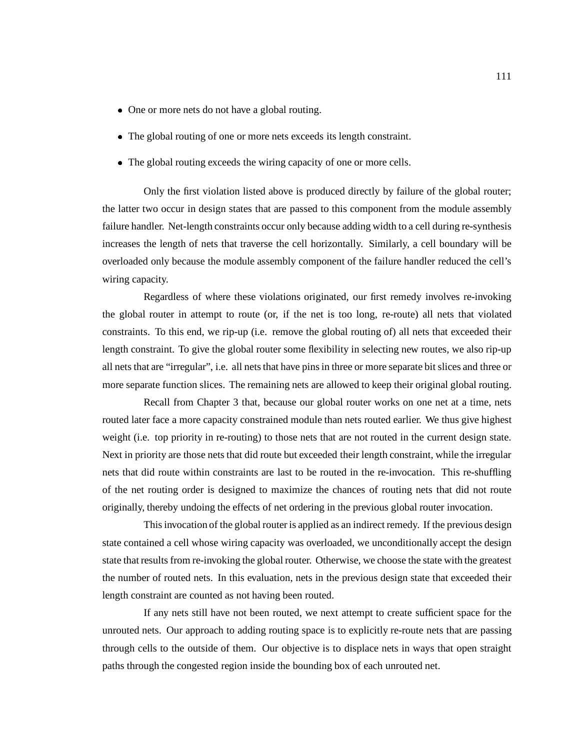- One or more nets do not have a global routing.
- The global routing of one or more nets exceeds its length constraint.
- The global routing exceeds the wiring capacity of one or more cells.

Only the first violation listed above is produced directly by failure of the global router; the latter two occur in design states that are passed to this component from the module assembly failure handler. Net-length constraints occur only because adding width to a cell during re-synthesis increases the length of nets that traverse the cell horizontally. Similarly, a cell boundary will be overloaded only because the module assembly component of the failure handler reduced the cell's wiring capacity.

Regardless of where these violations originated, our first remedy involves re-invoking the global router in attempt to route (or, if the net is too long, re-route) all nets that violated constraints. To this end, we rip-up (i.e. remove the global routing of) all nets that exceeded their length constraint. To give the global router some flexibility in selecting new routes, we also rip-up all nets that are "irregular", i.e. all nets that have pins in three or more separate bit slices and three or more separate function slices. The remaining nets are allowed to keep their original global routing.

Recall from Chapter 3 that, because our global router works on one net at a time, nets routed later face a more capacity constrained module than nets routed earlier. We thus give highest weight (i.e. top priority in re-routing) to those nets that are not routed in the current design state. Next in priority are those nets that did route but exceeded their length constraint, while the irregular nets that did route within constraints are last to be routed in the re-invocation. This re-shuffling of the net routing order is designed to maximize the chances of routing nets that did not route originally, thereby undoing the effects of net ordering in the previous global router invocation.

This invocation of the global router is applied as an indirect remedy. If the previous design state contained a cell whose wiring capacity was overloaded, we unconditionally accept the design state that results from re-invoking the global router. Otherwise, we choose the state with the greatest the number of routed nets. In this evaluation, nets in the previous design state that exceeded their length constraint are counted as not having been routed.

If any nets still have not been routed, we next attempt to create sufficient space for the unrouted nets. Our approach to adding routing space is to explicitly re-route nets that are passing through cells to the outside of them. Our objective is to displace nets in ways that open straight paths through the congested region inside the bounding box of each unrouted net.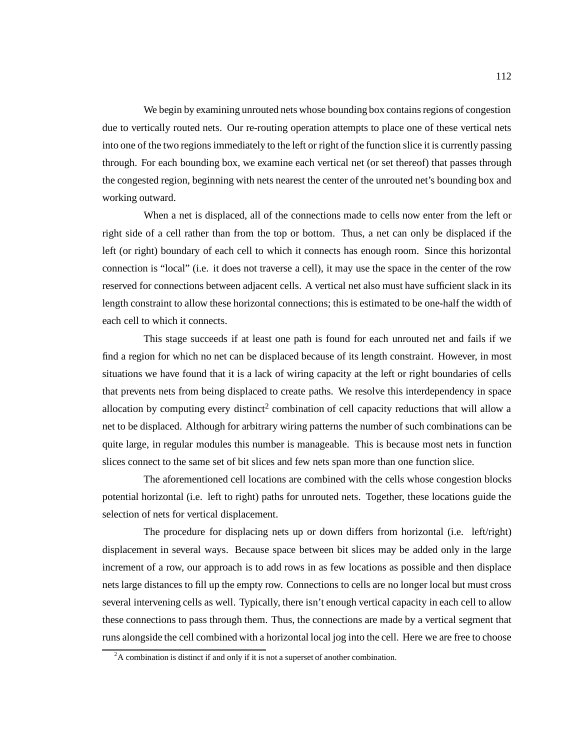We begin by examining unrouted nets whose bounding box contains regions of congestion due to vertically routed nets. Our re-routing operation attempts to place one of these vertical nets into one of the two regions immediately to the left or right of the function slice it is currently passing through. For each bounding box, we examine each vertical net (or set thereof) that passes through the congested region, beginning with nets nearest the center of the unrouted net's bounding box and working outward.

When a net is displaced, all of the connections made to cells now enter from the left or right side of a cell rather than from the top or bottom. Thus, a net can only be displaced if the left (or right) boundary of each cell to which it connects has enough room. Since this horizontal connection is "local" (i.e. it does not traverse a cell), it may use the space in the center of the row reserved for connections between adjacent cells. A vertical net also must have sufficient slack in its length constraint to allow these horizontal connections; this is estimated to be one-half the width of each cell to which it connects.

This stage succeeds if at least one path is found for each unrouted net and fails if we find a region for which no net can be displaced because of its length constraint. However, in most situations we have found that it is a lack of wiring capacity at the left or right boundaries of cells that prevents nets from being displaced to create paths. We resolve this interdependency in space allocation by computing every distinct<sup>2</sup> combination of cell capacity reductions that will allow a net to be displaced. Although for arbitrary wiring patterns the number of such combinations can be quite large, in regular modules this number is manageable. This is because most nets in function slices connect to the same set of bit slices and few nets span more than one function slice.

The aforementioned cell locations are combined with the cells whose congestion blocks potential horizontal (i.e. left to right) paths for unrouted nets. Together, these locations guide the selection of nets for vertical displacement.

The procedure for displacing nets up or down differs from horizontal (i.e. left/right) displacement in several ways. Because space between bit slices may be added only in the large increment of a row, our approach is to add rows in as few locations as possible and then displace nets large distances to fill up the empty row. Connections to cells are no longer local but must cross several intervening cells as well. Typically, there isn't enough vertical capacity in each cell to allow these connections to pass through them. Thus, the connections are made by a vertical segment that runs alongside the cell combined with a horizontal local jog into the cell. Here we are free to choose

 $2A$  combination is distinct if and only if it is not a superset of another combination.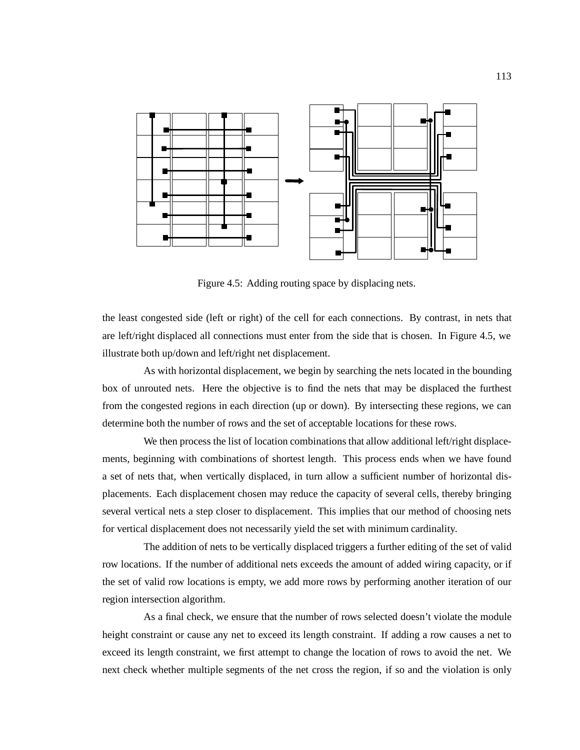

Figure 4.5: Adding routing space by displacing nets.

the least congested side (left or right) of the cell for each connections. By contrast, in nets that are left/right displaced all connections must enter from the side that is chosen. In Figure 4.5, we illustrate both up/down and left/right net displacement.

As with horizontal displacement, we begin by searching the nets located in the bounding box of unrouted nets. Here the objective is to find the nets that may be displaced the furthest from the congested regions in each direction (up or down). By intersecting these regions, we can determine both the number of rows and the set of acceptable locations for these rows.

We then process the list of location combinations that allow additional left/right displacements, beginning with combinations of shortest length. This process ends when we have found a set of nets that, when vertically displaced, in turn allow a sufficient number of horizontal displacements. Each displacement chosen may reduce the capacity of several cells, thereby bringing several vertical nets a step closer to displacement. This implies that our method of choosing nets for vertical displacement does not necessarily yield the set with minimum cardinality.

The addition of nets to be vertically displaced triggers a further editing of the set of valid row locations. If the number of additional nets exceeds the amount of added wiring capacity, or if the set of valid row locations is empty, we add more rows by performing another iteration of our region intersection algorithm.

As a final check, we ensure that the number of rows selected doesn't violate the module height constraint or cause any net to exceed its length constraint. If adding a row causes a net to exceed its length constraint, we first attempt to change the location of rows to avoid the net. We next check whether multiple segments of the net cross the region, if so and the violation is only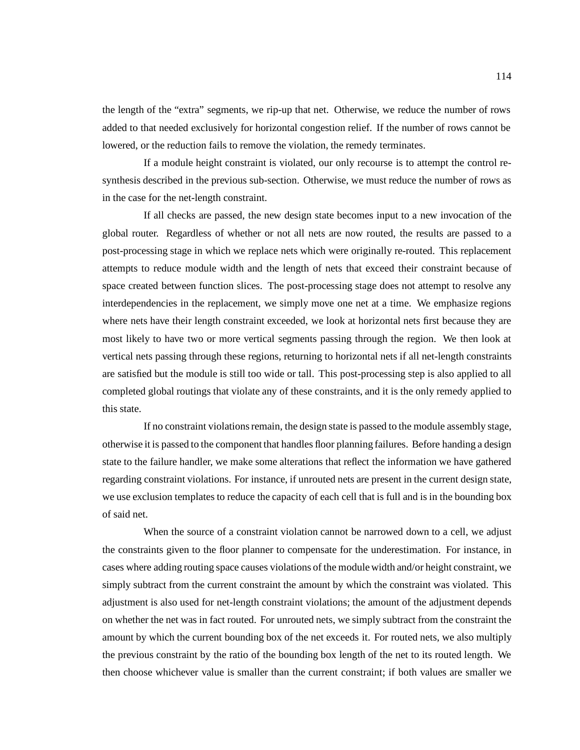the length of the "extra" segments, we rip-up that net. Otherwise, we reduce the number of rows added to that needed exclusively for horizontal congestion relief. If the number of rows cannot be lowered, or the reduction fails to remove the violation, the remedy terminates.

If a module height constraint is violated, our only recourse is to attempt the control resynthesis described in the previous sub-section. Otherwise, we must reduce the number of rows as in the case for the net-length constraint.

If all checks are passed, the new design state becomes input to a new invocation of the global router. Regardless of whether or not all nets are now routed, the results are passed to a post-processing stage in which we replace nets which were originally re-routed. This replacement attempts to reduce module width and the length of nets that exceed their constraint because of space created between function slices. The post-processing stage does not attempt to resolve any interdependencies in the replacement, we simply move one net at a time. We emphasize regions where nets have their length constraint exceeded, we look at horizontal nets first because they are most likely to have two or more vertical segments passing through the region. We then look at vertical nets passing through these regions, returning to horizontal nets if all net-length constraints are satisfied but the module is still too wide or tall. This post-processing step is also applied to all completed global routings that violate any of these constraints, and it is the only remedy applied to this state.

If no constraint violations remain, the design state is passed to the module assembly stage, otherwise it is passed to the component that handles floor planning failures. Before handing a design state to the failure handler, we make some alterations that reflect the information we have gathered regarding constraint violations. For instance, if unrouted nets are present in the current design state, we use exclusion templates to reduce the capacity of each cell that is full and is in the bounding box of said net.

When the source of a constraint violation cannot be narrowed down to a cell, we adjust the constraints given to the floor planner to compensate for the underestimation. For instance, in cases where adding routing space causes violations of the module width and/or height constraint, we simply subtract from the current constraint the amount by which the constraint was violated. This adjustment is also used for net-length constraint violations; the amount of the adjustment depends on whether the net was in fact routed. For unrouted nets, we simply subtract from the constraint the amount by which the current bounding box of the net exceeds it. For routed nets, we also multiply the previous constraint by the ratio of the bounding box length of the net to its routed length. We then choose whichever value is smaller than the current constraint; if both values are smaller we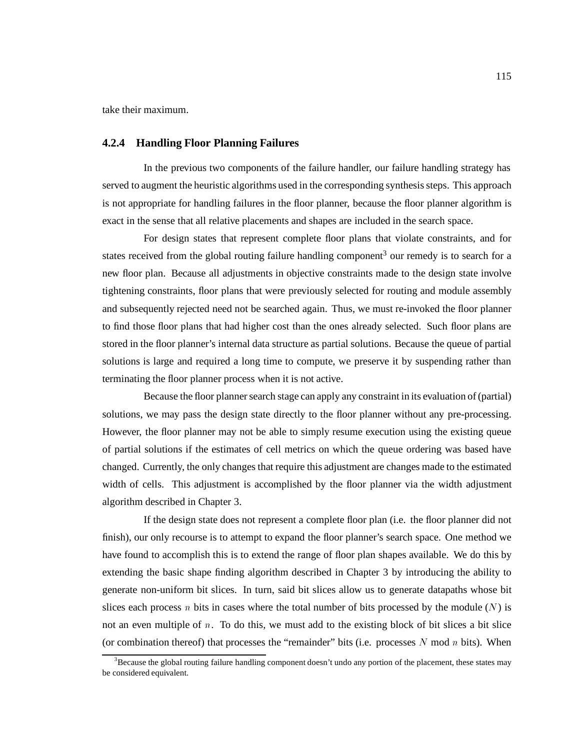take their maximum.

### **4.2.4 Handling Floor Planning Failures**

In the previous two components of the failure handler, our failure handling strategy has served to augment the heuristic algorithms used in the corresponding synthesis steps. This approach is not appropriate for handling failures in the floor planner, because the floor planner algorithm is exact in the sense that all relative placements and shapes are included in the search space.

For design states that represent complete floor plans that violate constraints, and for states received from the global routing failure handling component<sup>3</sup> our remedy is to search for a new floor plan. Because all adjustments in objective constraints made to the design state involve tightening constraints, floor plans that were previously selected for routing and module assembly and subsequently rejected need not be searched again. Thus, we must re-invoked the floor planner to find those floor plans that had higher cost than the ones already selected. Such floor plans are stored in the floor planner's internal data structure as partial solutions. Because the queue of partial solutions is large and required a long time to compute, we preserve it by suspending rather than terminating the floor planner process when it is not active.

Because the floor planner search stage can apply any constraint in its evaluation of (partial) solutions, we may pass the design state directly to the floor planner without any pre-processing. However, the floor planner may not be able to simply resume execution using the existing queue of partial solutions if the estimates of cell metrics on which the queue ordering was based have changed. Currently, the only changes that require this adjustment are changes made to the estimated width of cells. This adjustment is accomplished by the floor planner via the width adjustment algorithm described in Chapter 3.

If the design state does not represent a complete floor plan (i.e. the floor planner did not finish), our only recourse is to attempt to expand the floor planner's search space. One method we have found to accomplish this is to extend the range of floor plan shapes available. We do this by extending the basic shape finding algorithm described in Chapter 3 by introducing the ability to generate non-uniform bit slices. In turn, said bit slices allow us to generate datapaths whose bit slices each process n bits in cases where the total number of bits processed by the module  $(N)$  is not an even multiple of n. To do this, we must add to the existing block of bit slices a bit slice (or combination thereof) that processes the "remainder" bits (i.e. processes N mod n bits). When

<sup>&</sup>lt;sup>3</sup>Because the global routing failure handling component doesn't undo any portion of the placement, these states may be considered equivalent.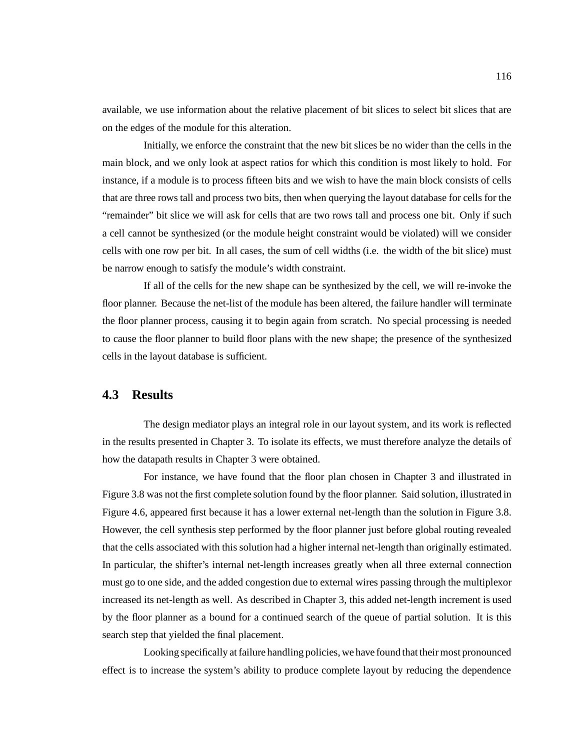available, we use information about the relative placement of bit slices to select bit slices that are on the edges of the module for this alteration.

Initially, we enforce the constraint that the new bit slices be no wider than the cells in the main block, and we only look at aspect ratios for which this condition is most likely to hold. For instance, if a module is to process fifteen bits and we wish to have the main block consists of cells that are three rows tall and process two bits, then when querying the layout database for cells for the "remainder" bit slice we will ask for cells that are two rows tall and process one bit. Only if such a cell cannot be synthesized (or the module height constraint would be violated) will we consider cells with one row per bit. In all cases, the sum of cell widths (i.e. the width of the bit slice) must be narrow enough to satisfy the module's width constraint.

If all of the cells for the new shape can be synthesized by the cell, we will re-invoke the floor planner. Because the net-list of the module has been altered, the failure handler will terminate the floor planner process, causing it to begin again from scratch. No special processing is needed to cause the floor planner to build floor plans with the new shape; the presence of the synthesized cells in the layout database is sufficient.

## **4.3 Results**

The design mediator plays an integral role in our layout system, and its work is reflected in the results presented in Chapter 3. To isolate its effects, we must therefore analyze the details of how the datapath results in Chapter 3 were obtained.

For instance, we have found that the floor plan chosen in Chapter 3 and illustrated in Figure 3.8 was not the first complete solution found by the floor planner. Said solution, illustrated in Figure 4.6, appeared first because it has a lower external net-length than the solution in Figure 3.8. However, the cell synthesis step performed by the floor planner just before global routing revealed that the cells associated with this solution had a higher internal net-length than originally estimated. In particular, the shifter's internal net-length increases greatly when all three external connection must go to one side, and the added congestion due to external wires passing through the multiplexor increased its net-length as well. As described in Chapter 3, this added net-length increment is used by the floor planner as a bound for a continued search of the queue of partial solution. It is this search step that yielded the final placement.

Looking specifically at failure handling policies, we have found that their most pronounced effect is to increase the system's ability to produce complete layout by reducing the dependence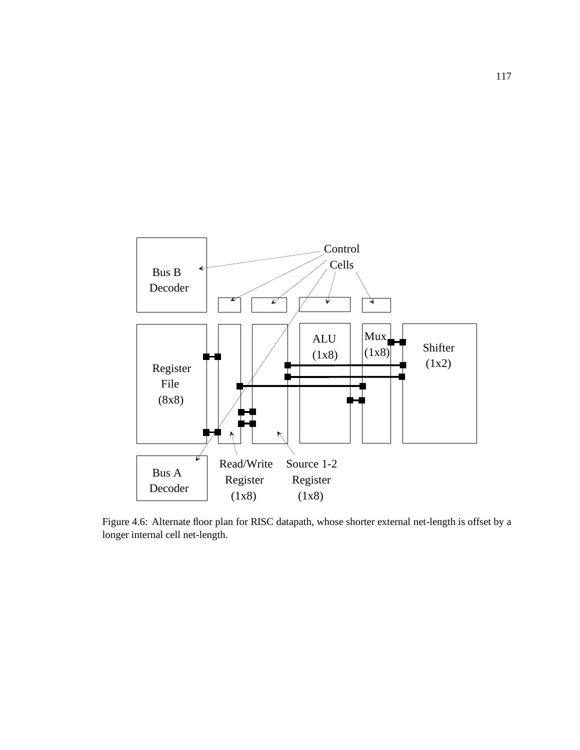

Figure 4.6: Alternate floor plan for RISC datapath, whose shorter external net-length is offset by a longer internal cell net-length.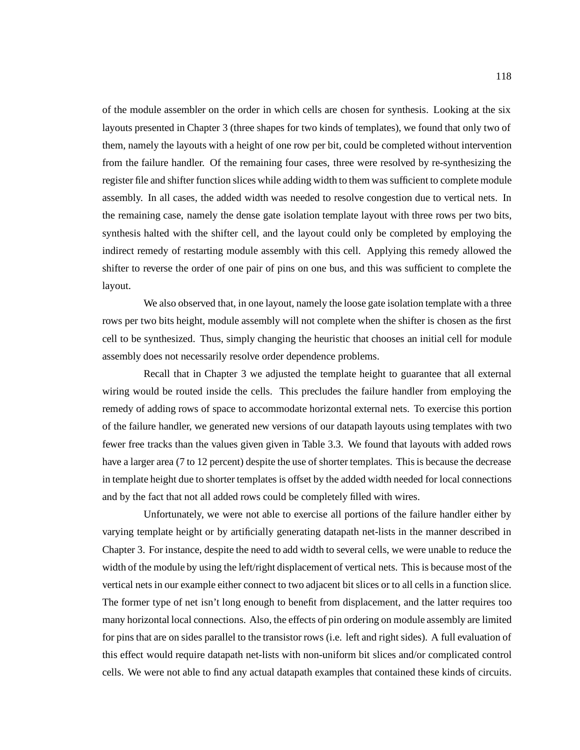of the module assembler on the order in which cells are chosen for synthesis. Looking at the six layouts presented in Chapter 3 (three shapes for two kinds of templates), we found that only two of them, namely the layouts with a height of one row per bit, could be completed without intervention from the failure handler. Of the remaining four cases, three were resolved by re-synthesizing the register file and shifter function slices while adding width to them was sufficient to complete module assembly. In all cases, the added width was needed to resolve congestion due to vertical nets. In the remaining case, namely the dense gate isolation template layout with three rows per two bits, synthesis halted with the shifter cell, and the layout could only be completed by employing the indirect remedy of restarting module assembly with this cell. Applying this remedy allowed the shifter to reverse the order of one pair of pins on one bus, and this was sufficient to complete the layout.

We also observed that, in one layout, namely the loose gate isolation template with a three rows per two bits height, module assembly will not complete when the shifter is chosen as the first cell to be synthesized. Thus, simply changing the heuristic that chooses an initial cell for module assembly does not necessarily resolve order dependence problems.

Recall that in Chapter 3 we adjusted the template height to guarantee that all external wiring would be routed inside the cells. This precludes the failure handler from employing the remedy of adding rows of space to accommodate horizontal external nets. To exercise this portion of the failure handler, we generated new versions of our datapath layouts using templates with two fewer free tracks than the values given given in Table 3.3. We found that layouts with added rows have a larger area (7 to 12 percent) despite the use of shorter templates. This is because the decrease in template height due to shorter templates is offset by the added width needed for local connections and by the fact that not all added rows could be completely filled with wires.

Unfortunately, we were not able to exercise all portions of the failure handler either by varying template height or by artificially generating datapath net-lists in the manner described in Chapter 3. For instance, despite the need to add width to several cells, we were unable to reduce the width of the module by using the left/right displacement of vertical nets. This is because most of the vertical nets in our example either connect to two adjacent bit slices or to all cells in a function slice. The former type of net isn't long enough to benefit from displacement, and the latter requires too many horizontal local connections. Also, the effects of pin ordering on module assembly are limited for pins that are on sides parallel to the transistor rows (i.e. left and right sides). A full evaluation of this effect would require datapath net-lists with non-uniform bit slices and/or complicated control cells. We were not able to find any actual datapath examples that contained these kinds of circuits.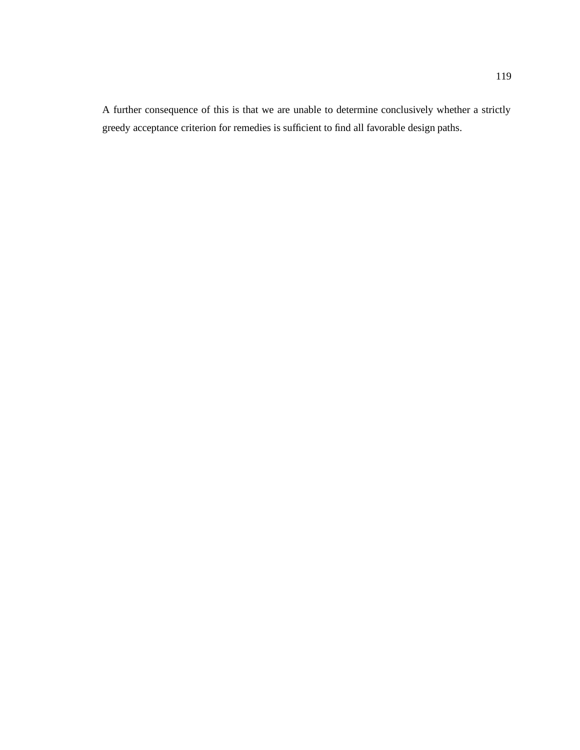A further consequence of this is that we are unable to determine conclusively whether a strictly greedy acceptance criterion for remedies is sufficient to find all favorable design paths.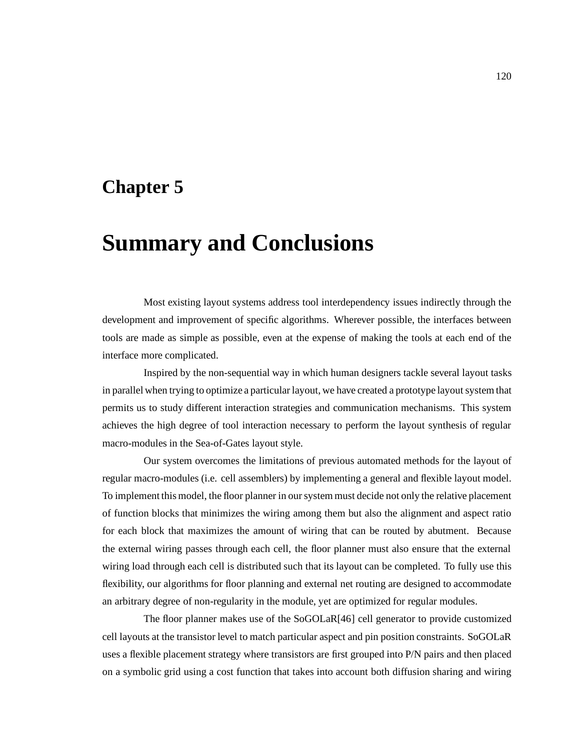## **Chapter 5**

# **Summary and Conclusions**

Most existing layout systems address tool interdependency issues indirectly through the development and improvement of specific algorithms. Wherever possible, the interfaces between tools are made as simple as possible, even at the expense of making the tools at each end of the interface more complicated.

Inspired by the non-sequential way in which human designers tackle several layout tasks in parallel when trying to optimize a particular layout, we have created a prototype layout system that permits us to study different interaction strategies and communication mechanisms. This system achieves the high degree of tool interaction necessary to perform the layout synthesis of regular macro-modules in the Sea-of-Gates layout style.

Our system overcomes the limitations of previous automated methods for the layout of regular macro-modules (i.e. cell assemblers) by implementing a general and flexible layout model. To implement this model, the floor planner in our system must decide not only the relative placement of function blocks that minimizes the wiring among them but also the alignment and aspect ratio for each block that maximizes the amount of wiring that can be routed by abutment. Because the external wiring passes through each cell, the floor planner must also ensure that the external wiring load through each cell is distributed such that its layout can be completed. To fully use this flexibility, our algorithms for floor planning and external net routing are designed to accommodate an arbitrary degree of non-regularity in the module, yet are optimized for regular modules.

The floor planner makes use of the SoGOLaR[46] cell generator to provide customized cell layouts at the transistor level to match particular aspect and pin position constraints. SoGOLaR uses a flexible placement strategy where transistors are first grouped into P/N pairs and then placed on a symbolic grid using a cost function that takes into account both diffusion sharing and wiring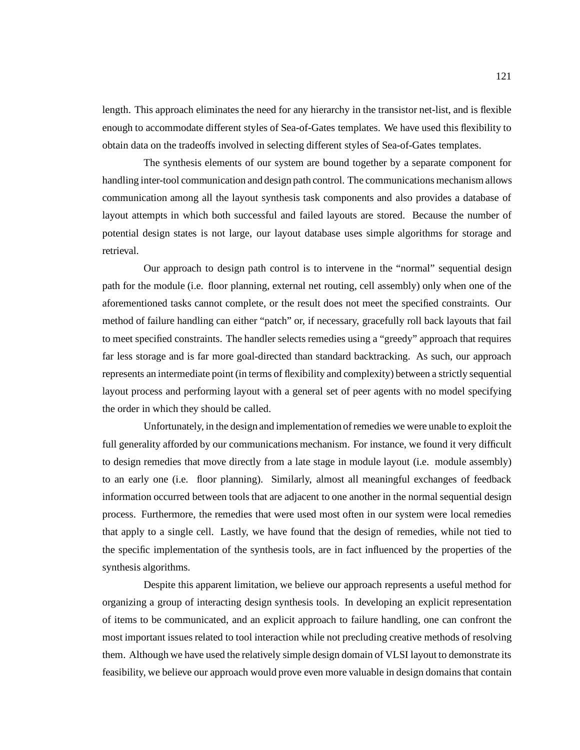length. This approach eliminates the need for any hierarchy in the transistor net-list, and is flexible enough to accommodate different styles of Sea-of-Gates templates. We have used this flexibility to obtain data on the tradeoffs involved in selecting different styles of Sea-of-Gates templates.

The synthesis elements of our system are bound together by a separate component for handling inter-tool communication and design path control. The communications mechanism allows communication among all the layout synthesis task components and also provides a database of layout attempts in which both successful and failed layouts are stored. Because the number of potential design states is not large, our layout database uses simple algorithms for storage and retrieval.

Our approach to design path control is to intervene in the "normal" sequential design path for the module (i.e. floor planning, external net routing, cell assembly) only when one of the aforementioned tasks cannot complete, or the result does not meet the specified constraints. Our method of failure handling can either "patch" or, if necessary, gracefully roll back layouts that fail to meet specified constraints. The handler selects remedies using a "greedy" approach that requires far less storage and is far more goal-directed than standard backtracking. As such, our approach represents an intermediate point (in terms of flexibility and complexity) between a strictly sequential layout process and performing layout with a general set of peer agents with no model specifying the order in which they should be called.

Unfortunately, in the design and implementation of remedies we were unable to exploit the full generality afforded by our communications mechanism. For instance, we found it very difficult to design remedies that move directly from a late stage in module layout (i.e. module assembly) to an early one (i.e. floor planning). Similarly, almost all meaningful exchanges of feedback information occurred between tools that are adjacent to one another in the normal sequential design process. Furthermore, the remedies that were used most often in our system were local remedies that apply to a single cell. Lastly, we have found that the design of remedies, while not tied to the specific implementation of the synthesis tools, are in fact influenced by the properties of the synthesis algorithms.

Despite this apparent limitation, we believe our approach represents a useful method for organizing a group of interacting design synthesis tools. In developing an explicit representation of items to be communicated, and an explicit approach to failure handling, one can confront the most important issues related to tool interaction while not precluding creative methods of resolving them. Although we have used the relatively simple design domain of VLSI layout to demonstrate its feasibility, we believe our approach would prove even more valuable in design domains that contain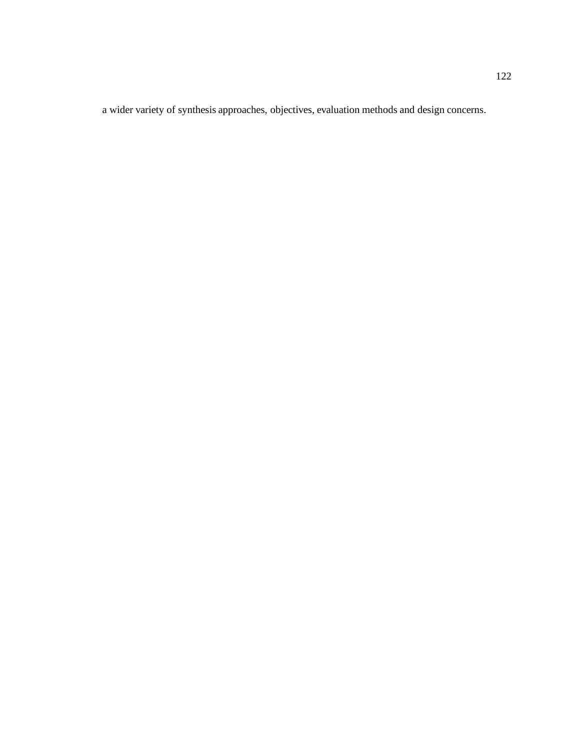a wider variety of synthesis approaches, objectives, evaluation methods and design concerns.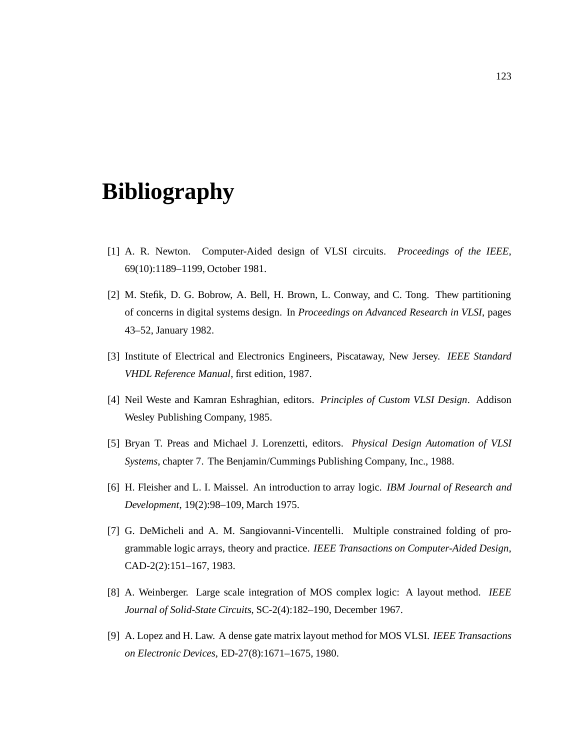# **Bibliography**

- [1] A. R. Newton. Computer-Aided design of VLSI circuits. *Proceedings of the IEEE*, 69(10):1189–1199, October 1981.
- [2] M. Stefik, D. G. Bobrow, A. Bell, H. Brown, L. Conway, and C. Tong. Thew partitioning of concerns in digital systems design. In *Proceedings on Advanced Research in VLSI*, pages 43–52, January 1982.
- [3] Institute of Electrical and Electronics Engineers, Piscataway, New Jersey. *IEEE Standard VHDL Reference Manual*, first edition, 1987.
- [4] Neil Weste and Kamran Eshraghian, editors. *Principles of Custom VLSI Design*. Addison Wesley Publishing Company, 1985.
- [5] Bryan T. Preas and Michael J. Lorenzetti, editors. *Physical Design Automation of VLSI Systems*, chapter 7. The Benjamin/Cummings Publishing Company, Inc., 1988.
- [6] H. Fleisher and L. I. Maissel. An introduction to array logic. *IBM Journal of Research and Development*, 19(2):98–109, March 1975.
- [7] G. DeMicheli and A. M. Sangiovanni-Vincentelli. Multiple constrained folding of programmable logic arrays, theory and practice. *IEEE Transactions on Computer-Aided Design*, CAD-2(2):151–167, 1983.
- [8] A. Weinberger. Large scale integration of MOS complex logic: A layout method. *IEEE Journal of Solid-State Circuits*, SC-2(4):182–190, December 1967.
- [9] A. Lopez and H. Law. A dense gate matrix layout method for MOS VLSI. *IEEE Transactions on Electronic Devices*, ED-27(8):1671–1675, 1980.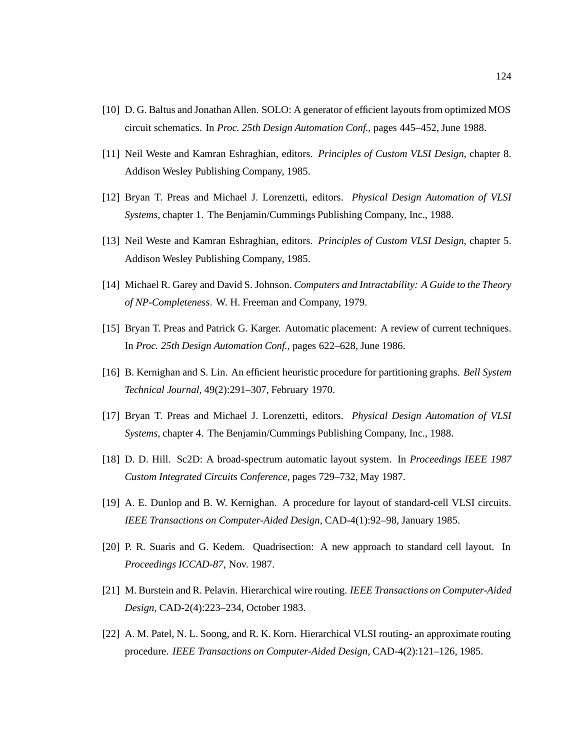- [10] D. G. Baltus and Jonathan Allen. SOLO: A generator of efficient layouts from optimized MOS circuit schematics. In *Proc. 25th Design Automation Conf.*, pages 445–452, June 1988.
- [11] Neil Weste and Kamran Eshraghian, editors. *Principles of Custom VLSI Design*, chapter 8. Addison Wesley Publishing Company, 1985.
- [12] Bryan T. Preas and Michael J. Lorenzetti, editors. *Physical Design Automation of VLSI Systems*, chapter 1. The Benjamin/Cummings Publishing Company, Inc., 1988.
- [13] Neil Weste and Kamran Eshraghian, editors. *Principles of Custom VLSI Design*, chapter 5. Addison Wesley Publishing Company, 1985.
- [14] Michael R. Garey and David S. Johnson. *Computers and Intractability: A Guide to the Theory of NP-Completeness*. W. H. Freeman and Company, 1979.
- [15] Bryan T. Preas and Patrick G. Karger. Automatic placement: A review of current techniques. In *Proc. 25th Design Automation Conf.*, pages 622–628, June 1986.
- [16] B. Kernighan and S. Lin. An efficient heuristic procedure for partitioning graphs. *Bell System Technical Journal*, 49(2):291–307, February 1970.
- [17] Bryan T. Preas and Michael J. Lorenzetti, editors. *Physical Design Automation of VLSI Systems*, chapter 4. The Benjamin/Cummings Publishing Company, Inc., 1988.
- [18] D. D. Hill. Sc2D: A broad-spectrum automatic layout system. In *Proceedings IEEE 1987 Custom Integrated Circuits Conference*, pages 729–732, May 1987.
- [19] A. E. Dunlop and B. W. Kernighan. A procedure for layout of standard-cell VLSI circuits. *IEEE Transactions on Computer-Aided Design*, CAD-4(1):92–98, January 1985.
- [20] P. R. Suaris and G. Kedem. Quadrisection: A new approach to standard cell layout. In *Proceedings ICCAD-87*, Nov. 1987.
- [21] M. Burstein and R. Pelavin. Hierarchical wire routing. *IEEE Transactions on Computer-Aided Design*, CAD-2(4):223–234, October 1983.
- [22] A. M. Patel, N. L. Soong, and R. K. Korn. Hierarchical VLSI routing- an approximate routing procedure. *IEEE Transactions on Computer-Aided Design*, CAD-4(2):121–126, 1985.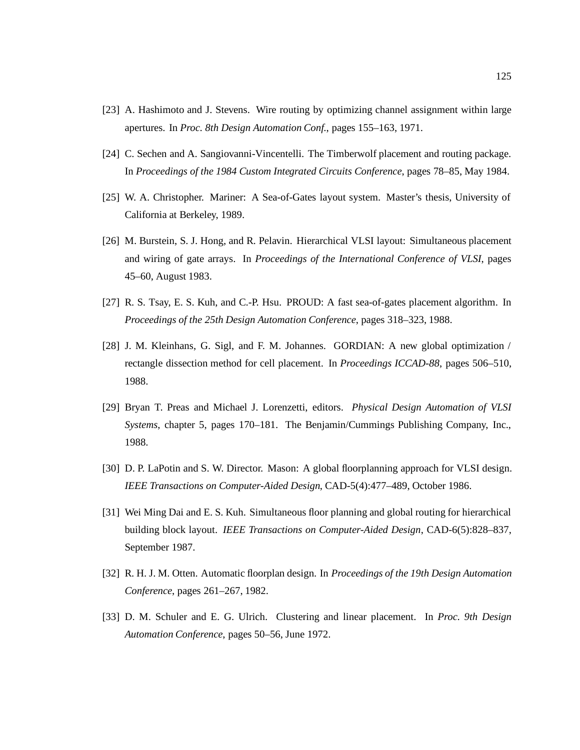- [23] A. Hashimoto and J. Stevens. Wire routing by optimizing channel assignment within large apertures. In *Proc. 8th Design Automation Conf.*, pages 155–163, 1971.
- [24] C. Sechen and A. Sangiovanni-Vincentelli. The Timberwolf placement and routing package. In *Proceedings of the 1984 Custom Integrated Circuits Conference*, pages 78–85, May 1984.
- [25] W. A. Christopher. Mariner: A Sea-of-Gates layout system. Master's thesis, University of California at Berkeley, 1989.
- [26] M. Burstein, S. J. Hong, and R. Pelavin. Hierarchical VLSI layout: Simultaneous placement and wiring of gate arrays. In *Proceedings of the International Conference of VLSI*, pages 45–60, August 1983.
- [27] R. S. Tsay, E. S. Kuh, and C.-P. Hsu. PROUD: A fast sea-of-gates placement algorithm. In *Proceedings of the 25th Design Automation Conference*, pages 318–323, 1988.
- [28] J. M. Kleinhans, G. Sigl, and F. M. Johannes. GORDIAN: A new global optimization / rectangle dissection method for cell placement. In *Proceedings ICCAD-88*, pages 506–510, 1988.
- [29] Bryan T. Preas and Michael J. Lorenzetti, editors. *Physical Design Automation of VLSI Systems*, chapter 5, pages 170–181. The Benjamin/Cummings Publishing Company, Inc., 1988.
- [30] D. P. LaPotin and S. W. Director. Mason: A global floorplanning approach for VLSI design. *IEEE Transactions on Computer-Aided Design*, CAD-5(4):477–489, October 1986.
- [31] Wei Ming Dai and E. S. Kuh. Simultaneous floor planning and global routing for hierarchical building block layout. *IEEE Transactions on Computer-Aided Design*, CAD-6(5):828–837, September 1987.
- [32] R. H. J. M. Otten. Automatic floorplan design. In *Proceedings of the 19th Design Automation Conference*, pages 261–267, 1982.
- [33] D. M. Schuler and E. G. Ulrich. Clustering and linear placement. In *Proc. 9th Design Automation Conference*, pages 50–56, June 1972.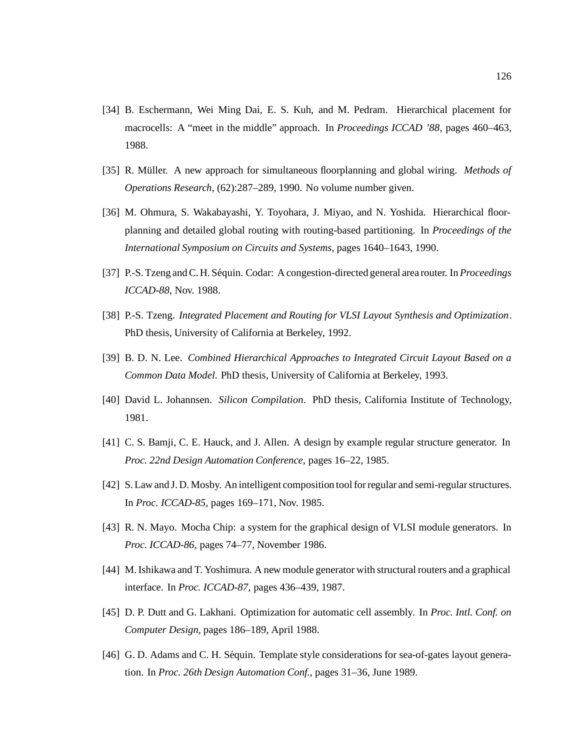- [34] B. Eschermann, Wei Ming Dai, E. S. Kuh, and M. Pedram. Hierarchical placement for macrocells: A "meet in the middle" approach. In *Proceedings ICCAD '88*, pages 460–463, 1988.
- [35] R. M¨uller. A new approach for simultaneous floorplanning and global wiring. *Methods of Operations Research*, (62):287–289, 1990. No volume number given.
- [36] M. Ohmura, S. Wakabayashi, Y. Toyohara, J. Miyao, and N. Yoshida. Hierarchical floorplanning and detailed global routing with routing-based partitioning. In *Proceedings of the International Symposium on Circuits and Systems*, pages 1640–1643, 1990.
- [37] P.-S. Tzeng and C. H. Séquin. Codar: A congestion-directed general area router. In *Proceedings ICCAD-88*, Nov. 1988.
- [38] P.-S. Tzeng. *Integrated Placement and Routing for VLSI Layout Synthesis and Optimization*. PhD thesis, University of California at Berkeley, 1992.
- [39] B. D. N. Lee. *Combined Hierarchical Approaches to Integrated Circuit Layout Based on a Common Data Model*. PhD thesis, University of California at Berkeley, 1993.
- [40] David L. Johannsen. *Silicon Compilation*. PhD thesis, California Institute of Technology, 1981.
- [41] C. S. Bamji, C. E. Hauck, and J. Allen. A design by example regular structure generator. In *Proc. 22nd Design Automation Conference*, pages 16–22, 1985.
- [42] S. Law and J. D. Mosby. An intelligent composition tool for regular and semi-regular structures. In *Proc. ICCAD-85*, pages 169–171, Nov. 1985.
- [43] R. N. Mayo. Mocha Chip: a system for the graphical design of VLSI module generators. In *Proc. ICCAD-86*, pages 74–77, November 1986.
- [44] M. Ishikawa and T. Yoshimura. A new module generator with structural routers and a graphical interface. In *Proc. ICCAD-87*, pages 436–439, 1987.
- [45] D. P. Dutt and G. Lakhani. Optimization for automatic cell assembly. In *Proc. Intl. Conf. on Computer Design*, pages 186–189, April 1988.
- [46] G. D. Adams and C. H. Séquin. Template style considerations for sea-of-gates layout generation. In *Proc. 26th Design Automation Conf.*, pages 31–36, June 1989.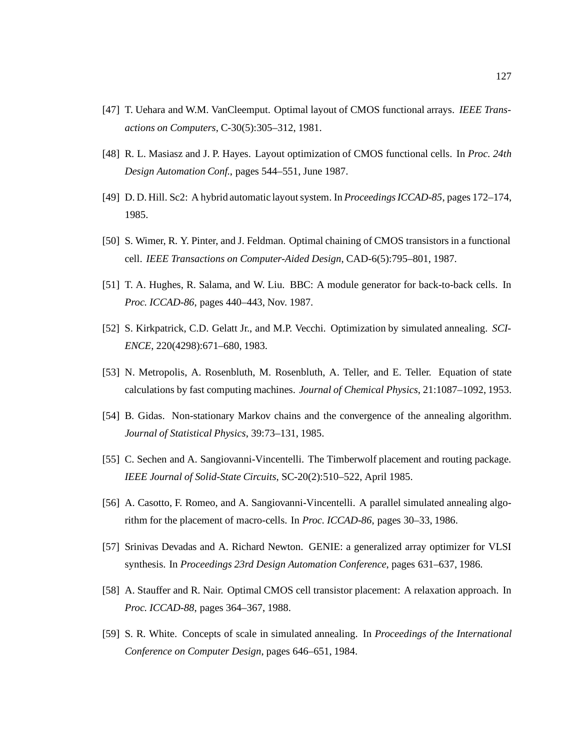- [47] T. Uehara and W.M. VanCleemput. Optimal layout of CMOS functional arrays. *IEEE Transactions on Computers*, C-30(5):305–312, 1981.
- [48] R. L. Masiasz and J. P. Hayes. Layout optimization of CMOS functional cells. In *Proc. 24th Design Automation Conf.*, pages 544–551, June 1987.
- [49] D. D. Hill. Sc2: A hybrid automatic layout system. In *Proceedings ICCAD-85*, pages 172–174, 1985.
- [50] S. Wimer, R. Y. Pinter, and J. Feldman. Optimal chaining of CMOS transistors in a functional cell. *IEEE Transactions on Computer-Aided Design*, CAD-6(5):795–801, 1987.
- [51] T. A. Hughes, R. Salama, and W. Liu. BBC: A module generator for back-to-back cells. In *Proc. ICCAD-86*, pages 440–443, Nov. 1987.
- [52] S. Kirkpatrick, C.D. Gelatt Jr., and M.P. Vecchi. Optimization by simulated annealing. *SCI-ENCE*, 220(4298):671–680, 1983.
- [53] N. Metropolis, A. Rosenbluth, M. Rosenbluth, A. Teller, and E. Teller. Equation of state calculations by fast computing machines. *Journal of Chemical Physics*, 21:1087–1092, 1953.
- [54] B. Gidas. Non-stationary Markov chains and the convergence of the annealing algorithm. *Journal of Statistical Physics*, 39:73–131, 1985.
- [55] C. Sechen and A. Sangiovanni-Vincentelli. The Timberwolf placement and routing package. *IEEE Journal of Solid-State Circuits*, SC-20(2):510–522, April 1985.
- [56] A. Casotto, F. Romeo, and A. Sangiovanni-Vincentelli. A parallel simulated annealing algorithm for the placement of macro-cells. In *Proc. ICCAD-86*, pages 30–33, 1986.
- [57] Srinivas Devadas and A. Richard Newton. GENIE: a generalized array optimizer for VLSI synthesis. In *Proceedings 23rd Design Automation Conference*, pages 631–637, 1986.
- [58] A. Stauffer and R. Nair. Optimal CMOS cell transistor placement: A relaxation approach. In *Proc. ICCAD-88*, pages 364–367, 1988.
- [59] S. R. White. Concepts of scale in simulated annealing. In *Proceedings of the International Conference on Computer Design*, pages 646–651, 1984.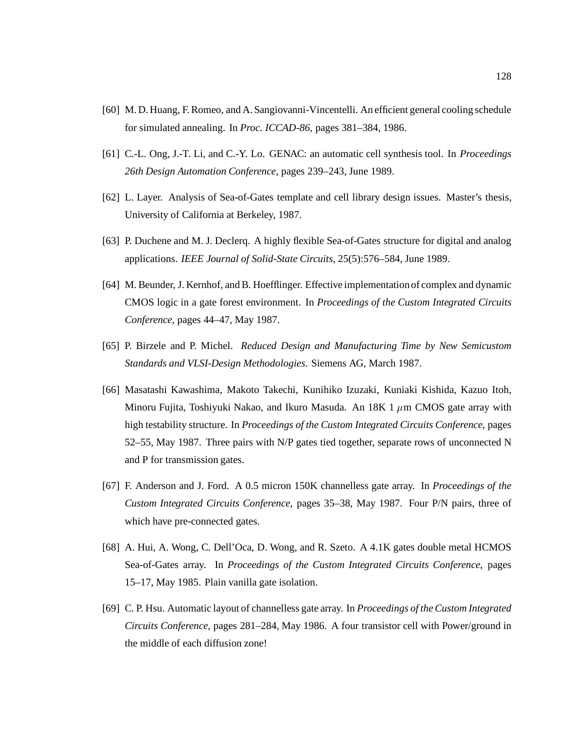- [60] M. D. Huang, F. Romeo, and A. Sangiovanni-Vincentelli. An efficient general cooling schedule for simulated annealing. In *Proc. ICCAD-86*, pages 381–384, 1986.
- [61] C.-L. Ong, J.-T. Li, and C.-Y. Lo. GENAC: an automatic cell synthesis tool. In *Proceedings 26th Design Automation Conference*, pages 239–243, June 1989.
- [62] L. Layer. Analysis of Sea-of-Gates template and cell library design issues. Master's thesis, University of California at Berkeley, 1987.
- [63] P. Duchene and M. J. Declerq. A highly flexible Sea-of-Gates structure for digital and analog applications. *IEEE Journal of Solid-State Circuits*, 25(5):576–584, June 1989.
- [64] M. Beunder, J. Kernhof, and B. Hoefflinger. Effective implementation of complex and dynamic CMOS logic in a gate forest environment. In *Proceedings of the Custom Integrated Circuits Conference*, pages 44–47, May 1987.
- [65] P. Birzele and P. Michel. *Reduced Design and Manufacturing Time by New Semicustom Standards and VLSI-Design Methodologies*. Siemens AG, March 1987.
- [66] Masatashi Kawashima, Makoto Takechi, Kunihiko Izuzaki, Kuniaki Kishida, Kazuo Itoh, Minoru Fujita, Toshiyuki Nakao, and Ikuro Masuda. An  $18K\ 1 \mu m$  CMOS gate array with high testability structure. In *Proceedings of the Custom Integrated Circuits Conference*, pages 52–55, May 1987. Three pairs with N/P gates tied together, separate rows of unconnected N and P for transmission gates.
- [67] F. Anderson and J. Ford. A 0.5 micron 150K channelless gate array. In *Proceedings of the Custom Integrated Circuits Conference*, pages 35–38, May 1987. Four P/N pairs, three of which have pre-connected gates.
- [68] A. Hui, A. Wong, C. Dell'Oca, D. Wong, and R. Szeto. A 4.1K gates double metal HCMOS Sea-of-Gates array. In *Proceedings of the Custom Integrated Circuits Conference*, pages 15–17, May 1985. Plain vanilla gate isolation.
- [69] C. P. Hsu. Automatic layout of channelless gate array. In *Proceedings of the Custom Integrated Circuits Conference*, pages 281–284, May 1986. A four transistor cell with Power/ground in the middle of each diffusion zone!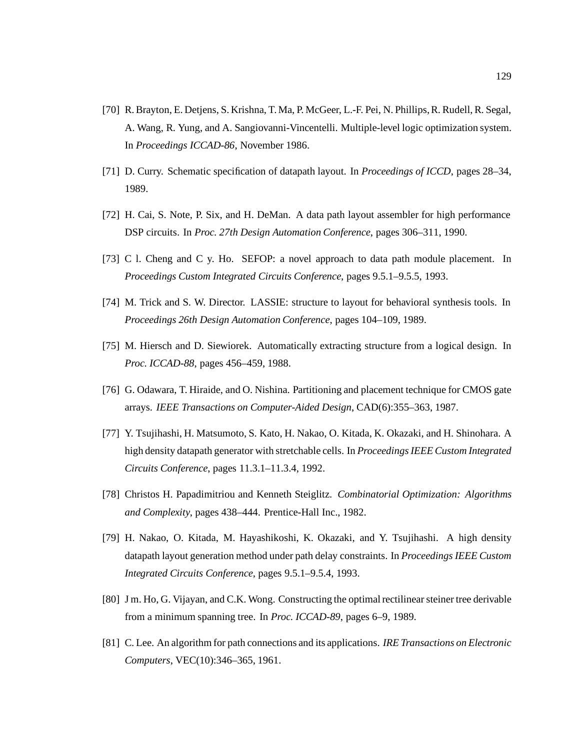- [70] R. Brayton, E. Detjens, S. Krishna, T. Ma, P. McGeer, L.-F. Pei, N. Phillips, R. Rudell, R. Segal, A. Wang, R. Yung, and A. Sangiovanni-Vincentelli. Multiple-level logic optimization system. In *Proceedings ICCAD-86*, November 1986.
- [71] D. Curry. Schematic specification of datapath layout. In *Proceedings of ICCD*, pages 28–34, 1989.
- [72] H. Cai, S. Note, P. Six, and H. DeMan. A data path layout assembler for high performance DSP circuits. In *Proc. 27th Design Automation Conference*, pages 306–311, 1990.
- [73] C l. Cheng and C y. Ho. SEFOP: a novel approach to data path module placement. In *Proceedings Custom Integrated Circuits Conference*, pages 9.5.1–9.5.5, 1993.
- [74] M. Trick and S. W. Director. LASSIE: structure to layout for behavioral synthesis tools. In *Proceedings 26th Design Automation Conference*, pages 104–109, 1989.
- [75] M. Hiersch and D. Siewiorek. Automatically extracting structure from a logical design. In *Proc. ICCAD-88*, pages 456–459, 1988.
- [76] G. Odawara, T. Hiraide, and O. Nishina. Partitioning and placement technique for CMOS gate arrays. *IEEE Transactions on Computer-Aided Design*, CAD(6):355–363, 1987.
- [77] Y. Tsujihashi, H. Matsumoto, S. Kato, H. Nakao, O. Kitada, K. Okazaki, and H. Shinohara. A high density datapath generator with stretchable cells. In *Proceedings IEEE Custom Integrated Circuits Conference*, pages 11.3.1–11.3.4, 1992.
- [78] Christos H. Papadimitriou and Kenneth Steiglitz. *Combinatorial Optimization: Algorithms and Complexity*, pages 438–444. Prentice-Hall Inc., 1982.
- [79] H. Nakao, O. Kitada, M. Hayashikoshi, K. Okazaki, and Y. Tsujihashi. A high density datapath layout generation method under path delay constraints. In *Proceedings IEEE Custom Integrated Circuits Conference*, pages 9.5.1–9.5.4, 1993.
- [80] J m. Ho, G. Vijayan, and C.K. Wong. Constructing the optimal rectilinear steiner tree derivable from a minimum spanning tree. In *Proc. ICCAD-89*, pages 6–9, 1989.
- [81] C. Lee. An algorithm for path connections and its applications. *IRE Transactions on Electronic Computers*, VEC(10):346–365, 1961.